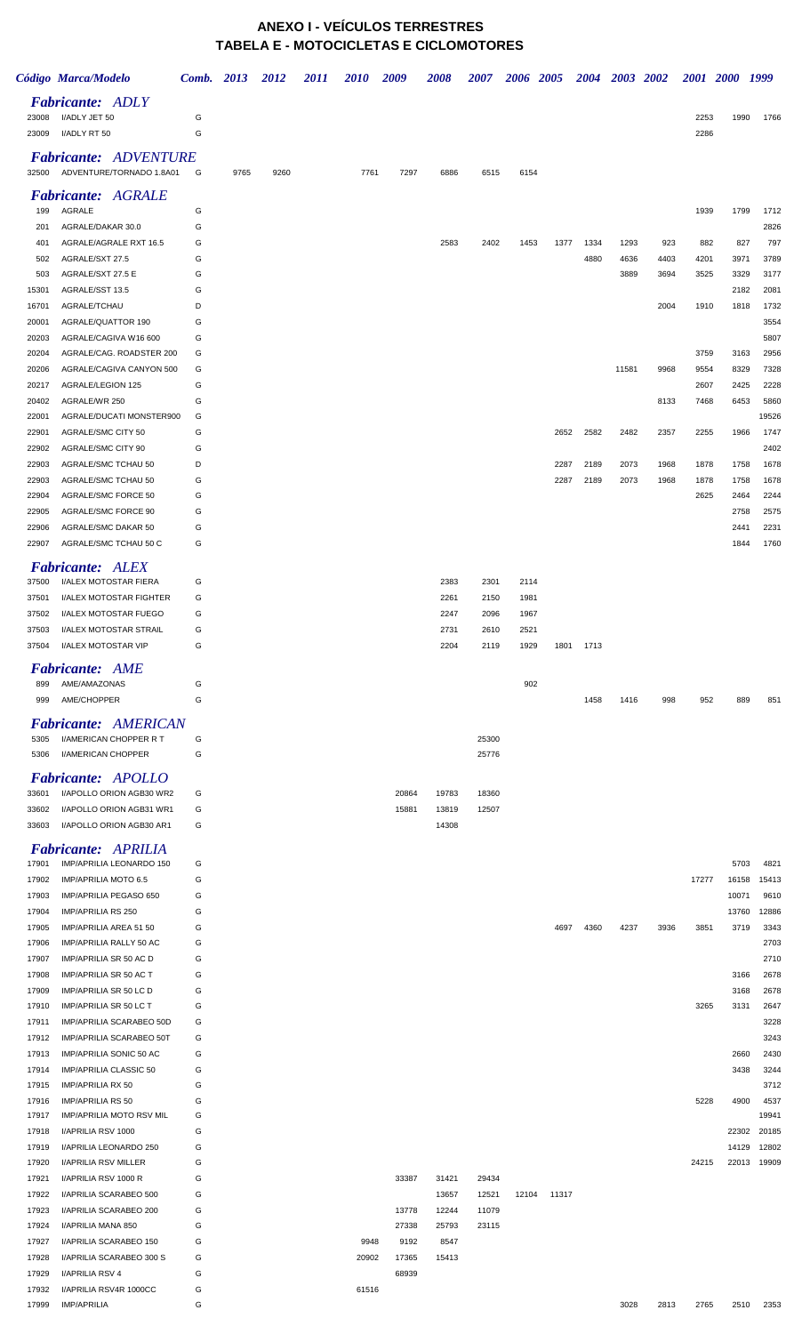## **ANEXO I - VEÍCULOS TERRESTRES TABELA E - MOTOCICLETAS E CICLOMOTORES**

|                | Código Marca/Modelo                                      | Comb. 2013 |      | 2012 | 2011 | 2010  | 2009           | 2008           | 2007           | 2006         | 2005  | 2004         | 2003 2002    |             | 2001 2000    |              | 1999           |
|----------------|----------------------------------------------------------|------------|------|------|------|-------|----------------|----------------|----------------|--------------|-------|--------------|--------------|-------------|--------------|--------------|----------------|
| 23008          | <b>Fabricante: ADLY</b><br>I/ADLY JET 50                 | G          |      |      |      |       |                |                |                |              |       |              |              |             | 2253         | 1990         | 1766           |
| 23009          | I/ADLY RT 50                                             | G          |      |      |      |       |                |                |                |              |       |              |              |             | 2286         |              |                |
| 32500          | <b>Fabricante: ADVENTURE</b><br>ADVENTURE/TORNADO 1.8A01 | G          | 9765 | 9260 |      | 7761  | 7297           | 6886           | 6515           | 6154         |       |              |              |             |              |              |                |
| 199            | <b>Fabricante: AGRALE</b><br>AGRALE                      | G          |      |      |      |       |                |                |                |              |       |              |              |             | 1939         | 1799         | 1712           |
| 201            | AGRALE/DAKAR 30.0                                        | G          |      |      |      |       |                |                |                |              |       |              |              |             |              |              | 2826           |
| 401<br>502     | AGRALE/AGRALE RXT 16.5<br>AGRALE/SXT 27.5                | G<br>G     |      |      |      |       |                | 2583           | 2402           | 1453         | 1377  | 1334<br>4880 | 1293<br>4636 | 923<br>4403 | 882<br>4201  | 827<br>3971  | 797<br>3789    |
| 503            | AGRALE/SXT 27.5 E                                        | G          |      |      |      |       |                |                |                |              |       |              | 3889         | 3694        | 3525         | 3329         | 3177           |
| 15301          | AGRALE/SST 13.5                                          | G          |      |      |      |       |                |                |                |              |       |              |              |             |              | 2182         | 2081           |
| 16701          | AGRALE/TCHAU                                             | D          |      |      |      |       |                |                |                |              |       |              |              | 2004        | 1910         | 1818         | 1732           |
| 20001          | AGRALE/QUATTOR 190                                       | G          |      |      |      |       |                |                |                |              |       |              |              |             |              |              | 3554           |
| 20203          | AGRALE/CAGIVA W16 600                                    | G          |      |      |      |       |                |                |                |              |       |              |              |             |              |              | 5807           |
| 20204<br>20206 | AGRALE/CAG. ROADSTER 200<br>AGRALE/CAGIVA CANYON 500     | G<br>G     |      |      |      |       |                |                |                |              |       |              | 11581        | 9968        | 3759<br>9554 | 3163<br>8329 | 2956<br>7328   |
| 20217          | AGRALE/LEGION 125                                        | G          |      |      |      |       |                |                |                |              |       |              |              |             | 2607         | 2425         | 2228           |
| 20402          | AGRALE/WR 250                                            | G          |      |      |      |       |                |                |                |              |       |              |              | 8133        | 7468         | 6453         | 5860           |
| 22001          | AGRALE/DUCATI MONSTER900                                 | G          |      |      |      |       |                |                |                |              |       |              |              |             |              |              | 19526          |
| 22901          | AGRALE/SMC CITY 50                                       | G          |      |      |      |       |                |                |                |              | 2652  | 2582         | 2482         | 2357        | 2255         | 1966         | 1747           |
| 22902<br>22903 | AGRALE/SMC CITY 90<br>AGRALE/SMC TCHAU 50                | G<br>D     |      |      |      |       |                |                |                |              | 2287  | 2189         | 2073         | 1968        | 1878         | 1758         | 2402<br>1678   |
| 22903          | AGRALE/SMC TCHAU 50                                      | G          |      |      |      |       |                |                |                |              | 2287  | 2189         | 2073         | 1968        | 1878         | 1758         | 1678           |
| 22904          | AGRALE/SMC FORCE 50                                      | G          |      |      |      |       |                |                |                |              |       |              |              |             | 2625         | 2464         | 2244           |
| 22905          | AGRALE/SMC FORCE 90                                      | G          |      |      |      |       |                |                |                |              |       |              |              |             |              | 2758         | 2575           |
| 22906          | AGRALE/SMC DAKAR 50                                      | G          |      |      |      |       |                |                |                |              |       |              |              |             |              | 2441         | 2231           |
| 22907          | AGRALE/SMC TCHAU 50 C                                    | G          |      |      |      |       |                |                |                |              |       |              |              |             |              | 1844         | 1760           |
|                | <b>Fabricante: ALEX</b>                                  |            |      |      |      |       |                |                |                |              |       |              |              |             |              |              |                |
| 37500          | I/ALEX MOTOSTAR FIERA                                    | G          |      |      |      |       |                | 2383           | 2301           | 2114         |       |              |              |             |              |              |                |
| 37501<br>37502 | <b>I/ALEX MOTOSTAR FIGHTER</b><br>I/ALEX MOTOSTAR FUEGO  | G<br>G     |      |      |      |       |                | 2261<br>2247   | 2150<br>2096   | 1981<br>1967 |       |              |              |             |              |              |                |
| 37503          | I/ALEX MOTOSTAR STRAIL                                   | G          |      |      |      |       |                | 2731           | 2610           | 2521         |       |              |              |             |              |              |                |
| 37504          | I/ALEX MOTOSTAR VIP                                      | G          |      |      |      |       |                | 2204           | 2119           | 1929         | 1801  | 1713         |              |             |              |              |                |
|                | Fabricante: AME                                          |            |      |      |      |       |                |                |                |              |       |              |              |             |              |              |                |
| 899            | AME/AMAZONAS                                             | G          |      |      |      |       |                |                |                | 902          |       |              |              |             |              |              |                |
| 999            | AME/CHOPPER                                              | G          |      |      |      |       |                |                |                |              |       | 1458         | 1416         | 998         | 952          | 889          | 851            |
| 5305           | <b>Fabricante: AMERICAN</b><br>I/AMERICAN CHOPPER R T    | G          |      |      |      |       |                |                | 25300          |              |       |              |              |             |              |              |                |
| 5306           | I/AMERICAN CHOPPER                                       | G          |      |      |      |       |                |                | 25776          |              |       |              |              |             |              |              |                |
| 33601          | Fabricante: APOLLO<br>I/APOLLO ORION AGB30 WR2           | G          |      |      |      |       | 20864          | 19783          | 18360          |              |       |              |              |             |              |              |                |
| 33602          | I/APOLLO ORION AGB31 WR1                                 | G          |      |      |      |       | 15881          | 13819          | 12507          |              |       |              |              |             |              |              |                |
| 33603          | I/APOLLO ORION AGB30 AR1<br><b>Fabricante: APRILIA</b>   | G          |      |      |      |       |                | 14308          |                |              |       |              |              |             |              |              |                |
| 17901          | IMP/APRILIA LEONARDO 150                                 | G          |      |      |      |       |                |                |                |              |       |              |              |             |              | 5703         | 4821           |
| 17902          | IMP/APRILIA MOTO 6.5                                     | G          |      |      |      |       |                |                |                |              |       |              |              |             | 17277        | 16158        | 15413          |
| 17903          | IMP/APRILIA PEGASO 650                                   | G          |      |      |      |       |                |                |                |              |       |              |              |             |              | 10071        | 9610           |
| 17904          | IMP/APRILIA RS 250                                       | G          |      |      |      |       |                |                |                |              |       |              |              |             |              | 13760        | 12886          |
| 17905<br>17906 | IMP/APRILIA AREA 51 50<br>IMP/APRILIA RALLY 50 AC        | G<br>G     |      |      |      |       |                |                |                |              | 4697  | 4360         | 4237         | 3936        | 3851         | 3719         | 3343<br>2703   |
| 17907          | IMP/APRILIA SR 50 AC D                                   | G          |      |      |      |       |                |                |                |              |       |              |              |             |              |              | 2710           |
| 17908          | IMP/APRILIA SR 50 AC T                                   | G          |      |      |      |       |                |                |                |              |       |              |              |             |              | 3166         | 2678           |
| 17909          | IMP/APRILIA SR 50 LC D                                   | G          |      |      |      |       |                |                |                |              |       |              |              |             |              | 3168         | 2678           |
| 17910          | <b>IMP/APRILIA SR 50 LC T</b>                            | G          |      |      |      |       |                |                |                |              |       |              |              |             | 3265         | 3131         | 2647           |
| 17911<br>17912 | IMP/APRILIA SCARABEO 50D<br>IMP/APRILIA SCARABEO 50T     | G<br>G     |      |      |      |       |                |                |                |              |       |              |              |             |              |              | 3228<br>3243   |
| 17913          | IMP/APRILIA SONIC 50 AC                                  | G          |      |      |      |       |                |                |                |              |       |              |              |             |              | 2660         | 2430           |
| 17914          | IMP/APRILIA CLASSIC 50                                   | G          |      |      |      |       |                |                |                |              |       |              |              |             |              | 3438         | 3244           |
| 17915          | IMP/APRILIA RX 50                                        | G          |      |      |      |       |                |                |                |              |       |              |              |             |              |              | 3712           |
| 17916          | IMP/APRILIA RS 50                                        | G          |      |      |      |       |                |                |                |              |       |              |              |             | 5228         | 4900         | 4537           |
| 17917<br>17918 | IMP/APRILIA MOTO RSV MIL<br>I/APRILIA RSV 1000           | G<br>G     |      |      |      |       |                |                |                |              |       |              |              |             |              | 22302        | 19941<br>20185 |
| 17919          | I/APRILIA LEONARDO 250                                   | G          |      |      |      |       |                |                |                |              |       |              |              |             |              | 14129        | 12802          |
| 17920          | I/APRILIA RSV MILLER                                     | G          |      |      |      |       |                |                |                |              |       |              |              |             | 24215        | 22013        | 19909          |
| 17921          | I/APRILIA RSV 1000 R                                     | G          |      |      |      |       | 33387          | 31421          | 29434          |              |       |              |              |             |              |              |                |
| 17922          | I/APRILIA SCARABEO 500                                   | G          |      |      |      |       |                | 13657          | 12521          | 12104        | 11317 |              |              |             |              |              |                |
| 17923<br>17924 | I/APRILIA SCARABEO 200<br>I/APRILIA MANA 850             | G<br>G     |      |      |      |       | 13778<br>27338 | 12244<br>25793 | 11079<br>23115 |              |       |              |              |             |              |              |                |
| 17927          | I/APRILIA SCARABEO 150                                   | G          |      |      |      | 9948  | 9192           | 8547           |                |              |       |              |              |             |              |              |                |
| 17928          | I/APRILIA SCARABEO 300 S                                 | G          |      |      |      | 20902 | 17365          | 15413          |                |              |       |              |              |             |              |              |                |
| 17929          | I/APRILIA RSV 4                                          | G          |      |      |      |       | 68939          |                |                |              |       |              |              |             |              |              |                |
| 17932<br>17999 | I/APRILIA RSV4R 1000CC<br><b>IMP/APRILIA</b>             | G<br>G     |      |      |      | 61516 |                |                |                |              |       |              | 3028         | 2813        | 2765         | 2510         | 2353           |
|                |                                                          |            |      |      |      |       |                |                |                |              |       |              |              |             |              |              |                |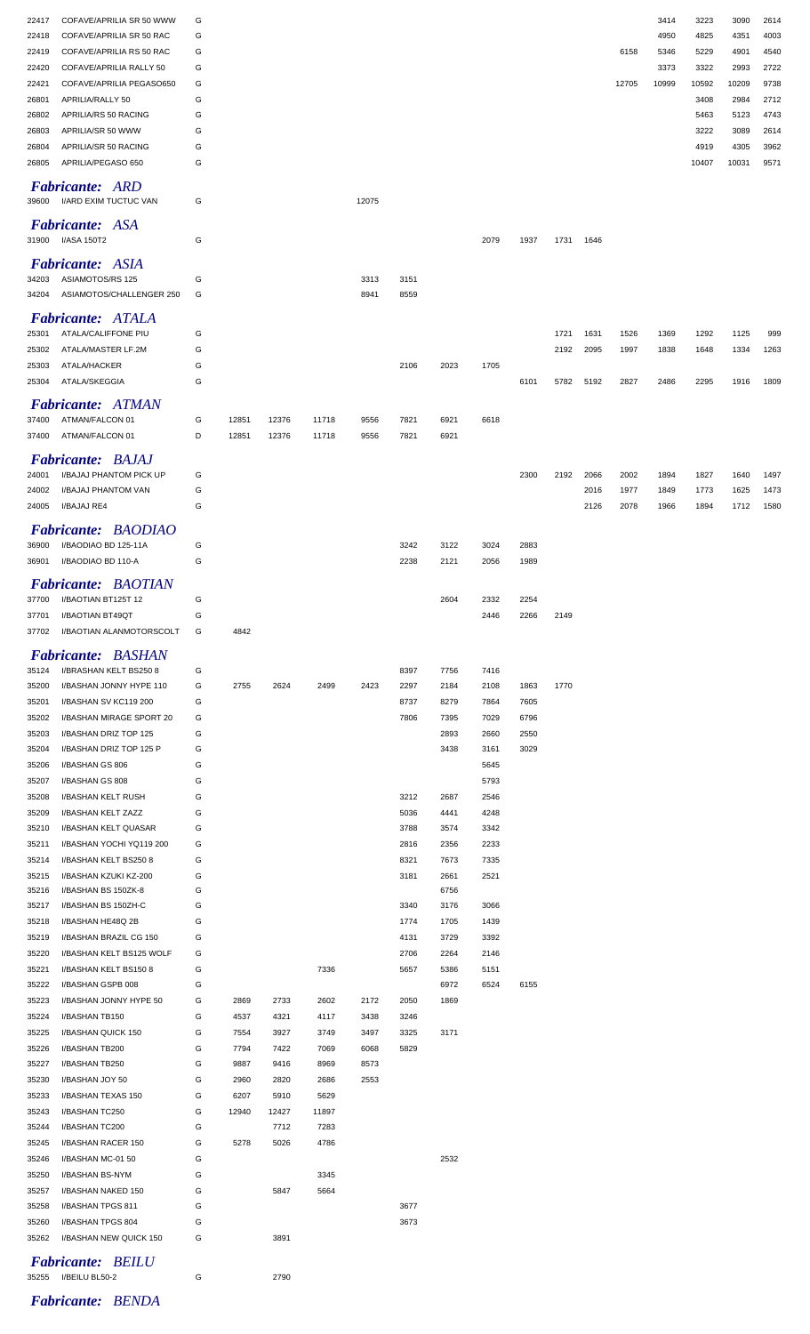| 22417                                                        | COFAVE/APRILIA SR 50 WWW | G      |              |              |              |              |              |              |              |      |      |      |       | 3414          | 3223          | 3090          | 2614         |
|--------------------------------------------------------------|--------------------------|--------|--------------|--------------|--------------|--------------|--------------|--------------|--------------|------|------|------|-------|---------------|---------------|---------------|--------------|
| COFAVE/APRILIA SR 50 RAC<br>22418                            |                          | G      |              |              |              |              |              |              |              |      |      |      |       | 4950          | 4825          | 4351          | 4003         |
| COFAVE/APRILIA RS 50 RAC<br>22419                            |                          | G      |              |              |              |              |              |              |              |      |      |      | 6158  | 5346          | 5229          | 4901          | 4540         |
| 22420<br>COFAVE/APRILIA RALLY 50<br>22421                    | COFAVE/APRILIA PEGASO650 | G<br>G |              |              |              |              |              |              |              |      |      |      | 12705 | 3373<br>10999 | 3322<br>10592 | 2993<br>10209 | 2722<br>9738 |
| APRILIA/RALLY 50<br>26801                                    |                          | G      |              |              |              |              |              |              |              |      |      |      |       |               | 3408          | 2984          | 2712         |
| APRILIA/RS 50 RACING<br>26802                                |                          | G      |              |              |              |              |              |              |              |      |      |      |       |               | 5463          | 5123          | 4743         |
| APRILIA/SR 50 WWW<br>26803                                   |                          | G      |              |              |              |              |              |              |              |      |      |      |       |               | 3222          | 3089          | 2614         |
| APRILIA/SR 50 RACING<br>26804                                |                          | G      |              |              |              |              |              |              |              |      |      |      |       |               | 4919          | 4305          | 3962         |
| APRILIA/PEGASO 650<br>26805                                  |                          | G      |              |              |              |              |              |              |              |      |      |      |       |               | 10407         | 10031         | 9571         |
| Fabricante: ARD<br>I/ARD EXIM TUCTUC VAN<br>39600            |                          | G      |              |              |              | 12075        |              |              |              |      |      |      |       |               |               |               |              |
| <b>Fabricante: ASA</b>                                       |                          |        |              |              |              |              |              |              |              |      |      |      |       |               |               |               |              |
| 31900<br>I/ASA 150T2                                         |                          | G      |              |              |              |              |              |              | 2079         | 1937 | 1731 | 1646 |       |               |               |               |              |
|                                                              |                          |        |              |              |              |              |              |              |              |      |      |      |       |               |               |               |              |
| <b>Fabricante: ASIA</b><br>ASIAMOTOS/RS 125<br>34203         |                          | G      |              |              |              | 3313         | 3151         |              |              |      |      |      |       |               |               |               |              |
| 34204                                                        | ASIAMOTOS/CHALLENGER 250 | G      |              |              |              | 8941         | 8559         |              |              |      |      |      |       |               |               |               |              |
|                                                              |                          |        |              |              |              |              |              |              |              |      |      |      |       |               |               |               |              |
| <b>Fabricante: ATALA</b><br>ATALA/CALIFFONE PIU<br>25301     |                          | G      |              |              |              |              |              |              |              |      | 1721 | 1631 | 1526  | 1369          | 1292          | 1125          | 999          |
| ATALA/MASTER LF.2M<br>25302                                  |                          | G      |              |              |              |              |              |              |              |      | 2192 | 2095 | 1997  | 1838          | 1648          | 1334          | 1263         |
| ATALA/HACKER<br>25303                                        |                          | G      |              |              |              |              | 2106         | 2023         | 1705         |      |      |      |       |               |               |               |              |
| ATALA/SKEGGIA<br>25304                                       |                          | G      |              |              |              |              |              |              |              | 6101 | 5782 | 5192 | 2827  | 2486          | 2295          | 1916          | 1809         |
| <b>Fabricante: ATMAN</b>                                     |                          |        |              |              |              |              |              |              |              |      |      |      |       |               |               |               |              |
| ATMAN/FALCON 01<br>37400                                     |                          | G      | 12851        | 12376        | 11718        | 9556         | 7821         | 6921         | 6618         |      |      |      |       |               |               |               |              |
| 37400<br>ATMAN/FALCON 01                                     |                          | D      | 12851        | 12376        | 11718        | 9556         | 7821         | 6921         |              |      |      |      |       |               |               |               |              |
| <b>Fabricante: BAJAJ</b>                                     |                          |        |              |              |              |              |              |              |              |      |      |      |       |               |               |               |              |
| I/BAJAJ PHANTOM PICK UP<br>24001                             |                          | G      |              |              |              |              |              |              |              | 2300 | 2192 | 2066 | 2002  | 1894          | 1827          | 1640          | 1497         |
| 24002<br>I/BAJAJ PHANTOM VAN                                 |                          | G      |              |              |              |              |              |              |              |      |      | 2016 | 1977  | 1849          | 1773          | 1625          | 1473         |
| I/BAJAJ RE4<br>24005                                         |                          | G      |              |              |              |              |              |              |              |      |      | 2126 | 2078  | 1966          | 1894          | 1712          | 1580         |
| <b>Fabricante: BAODIAO</b>                                   |                          |        |              |              |              |              |              |              |              |      |      |      |       |               |               |               |              |
| I/BAODIAO BD 125-11A<br>36900                                |                          | G      |              |              |              |              | 3242         | 3122         | 3024         | 2883 |      |      |       |               |               |               |              |
| 36901<br>I/BAODIAO BD 110-A                                  |                          | G      |              |              |              |              | 2238         | 2121         | 2056         | 1989 |      |      |       |               |               |               |              |
| <b>Fabricante: BAOTIAN</b>                                   |                          |        |              |              |              |              |              |              |              |      |      |      |       |               |               |               |              |
| I/BAOTIAN BT125T 12<br>37700                                 |                          | G      |              |              |              |              |              | 2604         | 2332         | 2254 |      |      |       |               |               |               |              |
| 37701<br>I/BAOTIAN BT49QT                                    |                          | G      |              |              |              |              |              |              | 2446         | 2266 | 2149 |      |       |               |               |               |              |
| 37702                                                        | I/BAOTIAN ALANMOTORSCOLT | G      | 4842         |              |              |              |              |              |              |      |      |      |       |               |               |               |              |
| <b>Fabricante: BASHAN</b>                                    |                          |        |              |              |              |              |              |              |              |      |      |      |       |               |               |               |              |
| 35124<br>I/BRASHAN KELT BS2508                               |                          | G      |              |              |              |              | 8397         | 7756         | 7416         |      |      |      |       |               |               |               |              |
| 35200<br>I/BASHAN JONNY HYPE 110                             |                          | G      | 2755         | 2624         | 2499         | 2423         | 2297         | 2184         | 2108         | 1863 | 1770 |      |       |               |               |               |              |
| 35201<br>I/BASHAN SV KC119 200                               |                          | G      |              |              |              |              | 8737         | 8279         | 7864         | 7605 |      |      |       |               |               |               |              |
| 35202                                                        | I/BASHAN MIRAGE SPORT 20 | G      |              |              |              |              | 7806         | 7395         | 7029         | 6796 |      |      |       |               |               |               |              |
| 35203<br>I/BASHAN DRIZ TOP 125                               |                          | G      |              |              |              |              |              | 2893         | 2660         | 2550 |      |      |       |               |               |               |              |
| 35204<br>I/BASHAN DRIZ TOP 125 P<br>35206<br>I/BASHAN GS 806 |                          | G<br>G |              |              |              |              |              | 3438         | 3161<br>5645 | 3029 |      |      |       |               |               |               |              |
| 35207<br>I/BASHAN GS 808                                     |                          | G      |              |              |              |              |              |              | 5793         |      |      |      |       |               |               |               |              |
| 35208<br>I/BASHAN KELT RUSH                                  |                          | G      |              |              |              |              | 3212         | 2687         | 2546         |      |      |      |       |               |               |               |              |
| 35209<br>I/BASHAN KELT ZAZZ                                  |                          | G      |              |              |              |              | 5036         | 4441         | 4248         |      |      |      |       |               |               |               |              |
| I/BASHAN KELT QUASAR<br>35210                                |                          | G      |              |              |              |              | 3788         | 3574         | 3342         |      |      |      |       |               |               |               |              |
| I/BASHAN YOCHI YQ119 200<br>35211                            |                          | G      |              |              |              |              | 2816         | 2356         | 2233         |      |      |      |       |               |               |               |              |
| I/BASHAN KELT BS250 8<br>35214                               |                          | G      |              |              |              |              | 8321         | 7673         | 7335         |      |      |      |       |               |               |               |              |
| I/BASHAN KZUKI KZ-200<br>35215<br>I/BASHAN BS 150ZK-8        |                          | G<br>G |              |              |              |              | 3181         | 2661<br>6756 | 2521         |      |      |      |       |               |               |               |              |
| 35216<br>35217<br>I/BASHAN BS 150ZH-C                        |                          | G      |              |              |              |              | 3340         | 3176         | 3066         |      |      |      |       |               |               |               |              |
| 35218<br>I/BASHAN HE48Q 2B                                   |                          | G      |              |              |              |              | 1774         | 1705         | 1439         |      |      |      |       |               |               |               |              |
| 35219<br>I/BASHAN BRAZIL CG 150                              |                          | G      |              |              |              |              | 4131         | 3729         | 3392         |      |      |      |       |               |               |               |              |
| I/BASHAN KELT BS125 WOLF<br>35220                            |                          | G      |              |              |              |              | 2706         | 2264         | 2146         |      |      |      |       |               |               |               |              |
| 35221<br>I/BASHAN KELT BS150 8                               |                          | G      |              |              | 7336         |              | 5657         | 5386         | 5151         |      |      |      |       |               |               |               |              |
| I/BASHAN GSPB 008<br>35222                                   |                          | G      |              |              |              |              |              | 6972         | 6524         | 6155 |      |      |       |               |               |               |              |
| I/BASHAN JONNY HYPE 50<br>35223<br>35224<br>I/BASHAN TB150   |                          | G<br>G | 2869<br>4537 | 2733<br>4321 | 2602<br>4117 | 2172<br>3438 | 2050<br>3246 | 1869         |              |      |      |      |       |               |               |               |              |
| 35225<br>I/BASHAN QUICK 150                                  |                          | G      | 7554         | 3927         | 3749         | 3497         | 3325         | 3171         |              |      |      |      |       |               |               |               |              |
| 35226<br>I/BASHAN TB200                                      |                          | G      | 7794         | 7422         | 7069         | 6068         | 5829         |              |              |      |      |      |       |               |               |               |              |
| 35227<br>I/BASHAN TB250                                      |                          | G      | 9887         | 9416         | 8969         | 8573         |              |              |              |      |      |      |       |               |               |               |              |
| 35230<br>I/BASHAN JOY 50                                     |                          | G      | 2960         | 2820         | 2686         | 2553         |              |              |              |      |      |      |       |               |               |               |              |
| 35233<br>I/BASHAN TEXAS 150                                  |                          | G      | 6207         | 5910         | 5629         |              |              |              |              |      |      |      |       |               |               |               |              |
| I/BASHAN TC250<br>35243                                      |                          | G      | 12940        | 12427        | 11897        |              |              |              |              |      |      |      |       |               |               |               |              |
| 35244<br>I/BASHAN TC200<br>35245<br>I/BASHAN RACER 150       |                          | G<br>G | 5278         | 7712<br>5026 | 7283<br>4786 |              |              |              |              |      |      |      |       |               |               |               |              |
| 35246<br>I/BASHAN MC-01 50                                   |                          | G      |              |              |              |              |              | 2532         |              |      |      |      |       |               |               |               |              |
| 35250<br>I/BASHAN BS-NYM                                     |                          | G      |              |              | 3345         |              |              |              |              |      |      |      |       |               |               |               |              |
| 35257<br>I/BASHAN NAKED 150                                  |                          | G      |              | 5847         | 5664         |              |              |              |              |      |      |      |       |               |               |               |              |
| 35258 I/BASHAN TPGS 811                                      |                          |        |              |              |              |              | 3677         |              |              |      |      |      |       |               |               |               |              |
| I/BASHAN TPGS 804<br>35260                                   |                          | G      |              |              |              |              | 3673         |              |              |      |      |      |       |               |               |               |              |
| I/BASHAN NEW QUICK 150<br>35262                              |                          | G      |              | 3891         |              |              |              |              |              |      |      |      |       |               |               |               |              |
| <b>Fabricante: BEILU</b>                                     |                          |        |              |              |              |              |              |              |              |      |      |      |       |               |               |               |              |
| 35255 I/BEILU BL50-2                                         |                          | G      |              | 2790         |              |              |              |              |              |      |      |      |       |               |               |               |              |
| $L_1, L_2, \ldots, L_n, \ldots, L_n$                         |                          |        |              |              |              |              |              |              |              |      |      |      |       |               |               |               |              |

*Fabricante: BENDA*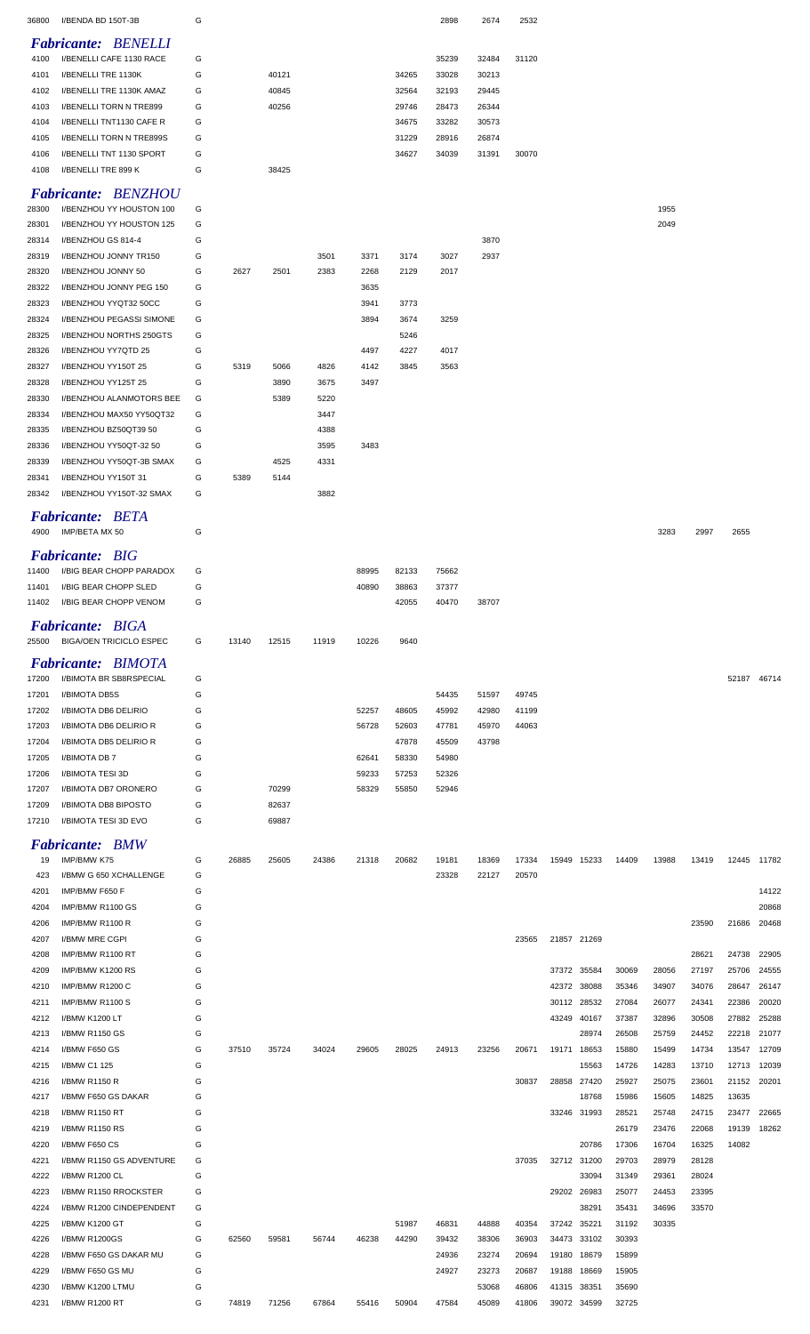| 36800          | I/BENDA BD 150T-3B                                       | G      |       |                |              |                |                | 2898           | 2674           | 2532           |             |             |                |                |                |                |                |
|----------------|----------------------------------------------------------|--------|-------|----------------|--------------|----------------|----------------|----------------|----------------|----------------|-------------|-------------|----------------|----------------|----------------|----------------|----------------|
|                | <b>Fabricante: BENELLI</b>                               |        |       |                |              |                |                |                |                |                |             |             |                |                |                |                |                |
| 4100           | I/BENELLI CAFE 1130 RACE                                 | G      |       |                |              |                |                | 35239          | 32484          | 31120          |             |             |                |                |                |                |                |
| 4101           | I/BENELLI TRE 1130K                                      | G      |       | 40121          |              |                | 34265          | 33028          | 30213          |                |             |             |                |                |                |                |                |
| 4102<br>4103   | I/BENELLI TRE 1130K AMAZ<br>I/BENELLI TORN N TRE899      | G<br>G |       | 40845<br>40256 |              |                | 32564<br>29746 | 32193<br>28473 | 29445<br>26344 |                |             |             |                |                |                |                |                |
| 4104           | I/BENELLI TNT1130 CAFE R                                 | G      |       |                |              |                | 34675          | 33282          | 30573          |                |             |             |                |                |                |                |                |
| 4105           | <b>I/BENELLI TORN N TRE899S</b>                          | G      |       |                |              |                | 31229          | 28916          | 26874          |                |             |             |                |                |                |                |                |
| 4106           | I/BENELLI TNT 1130 SPORT                                 | G      |       |                |              |                | 34627          | 34039          | 31391          | 30070          |             |             |                |                |                |                |                |
| 4108           | I/BENELLI TRE 899 K                                      | G      |       | 38425          |              |                |                |                |                |                |             |             |                |                |                |                |                |
|                | <b>Fabricante: BENZHOU</b>                               |        |       |                |              |                |                |                |                |                |             |             |                |                |                |                |                |
| 28300          | I/BENZHOU YY HOUSTON 100                                 | G      |       |                |              |                |                |                |                |                |             |             |                | 1955           |                |                |                |
| 28301          | I/BENZHOU YY HOUSTON 125                                 | G      |       |                |              |                |                |                |                |                |             |             |                | 2049           |                |                |                |
| 28314          | I/BENZHOU GS 814-4                                       | G      |       |                |              |                |                |                | 3870           |                |             |             |                |                |                |                |                |
| 28319<br>28320 | I/BENZHOU JONNY TR150<br>I/BENZHOU JONNY 50              | G<br>G | 2627  | 2501           | 3501<br>2383 | 3371<br>2268   | 3174<br>2129   | 3027<br>2017   | 2937           |                |             |             |                |                |                |                |                |
| 28322          | I/BENZHOU JONNY PEG 150                                  | G      |       |                |              | 3635           |                |                |                |                |             |             |                |                |                |                |                |
| 28323          | I/BENZHOU YYQT32 50CC                                    | G      |       |                |              | 3941           | 3773           |                |                |                |             |             |                |                |                |                |                |
| 28324          | I/BENZHOU PEGASSI SIMONE                                 | G      |       |                |              | 3894           | 3674           | 3259           |                |                |             |             |                |                |                |                |                |
| 28325          | I/BENZHOU NORTHS 250GTS                                  | G      |       |                |              |                | 5246           |                |                |                |             |             |                |                |                |                |                |
| 28326<br>28327 | I/BENZHOU YY7QTD 25<br>I/BENZHOU YY150T 25               | G<br>G | 5319  | 5066           | 4826         | 4497<br>4142   | 4227<br>3845   | 4017<br>3563   |                |                |             |             |                |                |                |                |                |
| 28328          | I/BENZHOU YY125T 25                                      | G      |       | 3890           | 3675         | 3497           |                |                |                |                |             |             |                |                |                |                |                |
| 28330          | I/BENZHOU ALANMOTORS BEE                                 | G      |       | 5389           | 5220         |                |                |                |                |                |             |             |                |                |                |                |                |
| 28334          | I/BENZHOU MAX50 YY50QT32                                 | G      |       |                | 3447         |                |                |                |                |                |             |             |                |                |                |                |                |
| 28335          | I/BENZHOU BZ50QT39 50                                    | G      |       |                | 4388         |                |                |                |                |                |             |             |                |                |                |                |                |
| 28336          | I/BENZHOU YY50QT-32 50                                   | G      |       |                | 3595         | 3483           |                |                |                |                |             |             |                |                |                |                |                |
| 28339          | I/BENZHOU YY50QT-3B SMAX                                 | G      |       | 4525           | 4331         |                |                |                |                |                |             |             |                |                |                |                |                |
| 28341<br>28342 | I/BENZHOU YY150T 31<br>I/BENZHOU YY150T-32 SMAX          | G<br>G | 5389  | 5144           | 3882         |                |                |                |                |                |             |             |                |                |                |                |                |
|                |                                                          |        |       |                |              |                |                |                |                |                |             |             |                |                |                |                |                |
| 4900           | <b>Fabricante: BETA</b><br>IMP/BETA MX 50                | G      |       |                |              |                |                |                |                |                |             |             |                | 3283           | 2997           | 2655           |                |
|                |                                                          |        |       |                |              |                |                |                |                |                |             |             |                |                |                |                |                |
|                | <b>Fabricante: BIG</b>                                   |        |       |                |              |                |                |                |                |                |             |             |                |                |                |                |                |
| 11400<br>11401 | I/BIG BEAR CHOPP PARADOX<br><b>I/BIG BEAR CHOPP SLED</b> | G<br>G |       |                |              | 88995<br>40890 | 82133<br>38863 | 75662<br>37377 |                |                |             |             |                |                |                |                |                |
| 11402          | I/BIG BEAR CHOPP VENOM                                   | G      |       |                |              |                | 42055          | 40470          | 38707          |                |             |             |                |                |                |                |                |
|                | <b>Fabricante: BIGA</b>                                  |        |       |                |              |                |                |                |                |                |             |             |                |                |                |                |                |
| 25500          | <b>BIGA/OEN TRICICLO ESPEC</b>                           | G      | 13140 | 12515          | 11919        | 10226          | 9640           |                |                |                |             |             |                |                |                |                |                |
|                |                                                          |        |       |                |              |                |                |                |                |                |             |             |                |                |                |                |                |
| 17200          | Fabricante: BIMOTA<br>I/BIMOTA BR SB8RSPECIAL            | G      |       |                |              |                |                |                |                |                |             |             |                |                |                | 52187 46714    |                |
| 17201          | I/BIMOTA DB5S                                            | G      |       |                |              |                |                | 54435          | 51597          | 49745          |             |             |                |                |                |                |                |
| 17202          | I/BIMOTA DB6 DELIRIO                                     | G      |       |                |              | 52257          | 48605          | 45992          | 42980          | 41199          |             |             |                |                |                |                |                |
| 17203          | I/BIMOTA DB6 DELIRIO R                                   | G      |       |                |              | 56728          | 52603          | 47781          | 45970          | 44063          |             |             |                |                |                |                |                |
| 17204          | I/BIMOTA DB5 DELIRIO R                                   | G      |       |                |              |                | 47878          | 45509          | 43798          |                |             |             |                |                |                |                |                |
| 17205<br>17206 | I/BIMOTA DB 7<br>I/BIMOTA TESI 3D                        | G<br>G |       |                |              | 62641<br>59233 | 58330<br>57253 | 54980<br>52326 |                |                |             |             |                |                |                |                |                |
| 17207          | I/BIMOTA DB7 ORONERO                                     | G      |       | 70299          |              | 58329          | 55850          | 52946          |                |                |             |             |                |                |                |                |                |
| 17209          | I/BIMOTA DB8 BIPOSTO                                     | G      |       | 82637          |              |                |                |                |                |                |             |             |                |                |                |                |                |
| 17210          | I/BIMOTA TESI 3D EVO                                     | G      |       | 69887          |              |                |                |                |                |                |             |             |                |                |                |                |                |
|                | <b>Fabricante: BMW</b>                                   |        |       |                |              |                |                |                |                |                |             |             |                |                |                |                |                |
| 19             | IMP/BMW K75                                              | G      | 26885 | 25605          | 24386        | 21318          | 20682          | 19181          | 18369          | 17334          | 15949       | 15233       | 14409          | 13988          | 13419          | 12445          | 11782          |
| 423            | I/BMW G 650 XCHALLENGE                                   | G      |       |                |              |                |                | 23328          | 22127          | 20570          |             |             |                |                |                |                |                |
| 4201           | IMP/BMW F650 F                                           | G      |       |                |              |                |                |                |                |                |             |             |                |                |                |                | 14122          |
| 4204<br>4206   | IMP/BMW R1100 GS<br>IMP/BMW R1100 R                      | G<br>G |       |                |              |                |                |                |                |                |             |             |                |                | 23590          | 21686          | 20868<br>20468 |
| 4207           | I/BMW MRE CGPI                                           | G      |       |                |              |                |                |                |                | 23565          | 21857 21269 |             |                |                |                |                |                |
| 4208           | IMP/BMW R1100 RT                                         | G      |       |                |              |                |                |                |                |                |             |             |                |                | 28621          | 24738          | 22905          |
| 4209           | IMP/BMW K1200 RS                                         | G      |       |                |              |                |                |                |                |                | 37372 35584 |             | 30069          | 28056          | 27197          | 25706          | 24555          |
| 4210           | IMP/BMW R1200 C                                          | G      |       |                |              |                |                |                |                |                | 42372 38088 |             | 35346          | 34907          | 34076          | 28647          | 26147          |
| 4211           | IMP/BMW R1100 S                                          | G      |       |                |              |                |                |                |                |                | 30112 28532 |             | 27084          | 26077          | 24341          | 22386          | 20020          |
| 4212<br>4213   | I/BMW K1200 LT<br><b>I/BMW R1150 GS</b>                  | G<br>G |       |                |              |                |                |                |                |                | 43249 40167 | 28974       | 37387<br>26508 | 32896<br>25759 | 30508<br>24452 | 27882<br>22218 | 25288<br>21077 |
| 4214           | I/BMW F650 GS                                            | G      | 37510 | 35724          | 34024        | 29605          | 28025          | 24913          | 23256          | 20671          | 19171 18653 |             | 15880          | 15499          | 14734          | 13547          | 12709          |
| 4215           | I/BMW C1 125                                             | G      |       |                |              |                |                |                |                |                |             | 15563       | 14726          | 14283          | 13710          | 12713          | 12039          |
| 4216           | I/BMW R1150 R                                            | G      |       |                |              |                |                |                |                | 30837          | 28858       | 27420       | 25927          | 25075          | 23601          | 21152          | 20201          |
| 4217           | I/BMW F650 GS DAKAR                                      | G      |       |                |              |                |                |                |                |                |             | 18768       | 15986          | 15605          | 14825          | 13635          |                |
| 4218<br>4219   | I/BMW R1150 RT<br>I/BMW R1150 RS                         | G<br>G |       |                |              |                |                |                |                |                | 33246 31993 |             | 28521<br>26179 | 25748          | 24715<br>22068 | 23477<br>19139 | 22665<br>18262 |
| 4220           | I/BMW F650 CS                                            | G      |       |                |              |                |                |                |                |                |             | 20786       | 17306          | 23476<br>16704 | 16325          | 14082          |                |
| 4221           | I/BMW R1150 GS ADVENTURE                                 | G      |       |                |              |                |                |                |                | 37035          | 32712       | 31200       | 29703          | 28979          | 28128          |                |                |
| 4222           | I/BMW R1200 CL                                           | G      |       |                |              |                |                |                |                |                |             | 33094       | 31349          | 29361          | 28024          |                |                |
| 4223           | I/BMW R1150 RROCKSTER                                    | G      |       |                |              |                |                |                |                |                | 29202       | 26983       | 25077          | 24453          | 23395          |                |                |
| 4224           | I/BMW R1200 CINDEPENDENT                                 | G      |       |                |              |                |                |                |                |                |             | 38291       | 35431          | 34696          | 33570          |                |                |
| 4225<br>4226   | <b>I/BMW K1200 GT</b><br>I/BMW R1200GS                   | G<br>G | 62560 | 59581          | 56744        | 46238          | 51987<br>44290 | 46831<br>39432 | 44888<br>38306 | 40354<br>36903 | 37242 35221 | 34473 33102 | 31192<br>30393 | 30335          |                |                |                |
| 4228           | I/BMW F650 GS DAKAR MU                                   | G      |       |                |              |                |                | 24936          | 23274          | 20694          | 19180 18679 |             | 15899          |                |                |                |                |
| 4229           |                                                          |        |       |                |              |                |                |                |                |                |             |             |                |                |                |                |                |
|                | I/BMW F650 GS MU                                         | G      |       |                |              |                |                | 24927          | 23273          | 20687          | 19188 18669 |             | 15905          |                |                |                |                |
| 4230           | I/BMW K1200 LTMU                                         | G      |       |                |              |                |                |                | 53068          | 46806          | 41315 38351 |             | 35690          |                |                |                |                |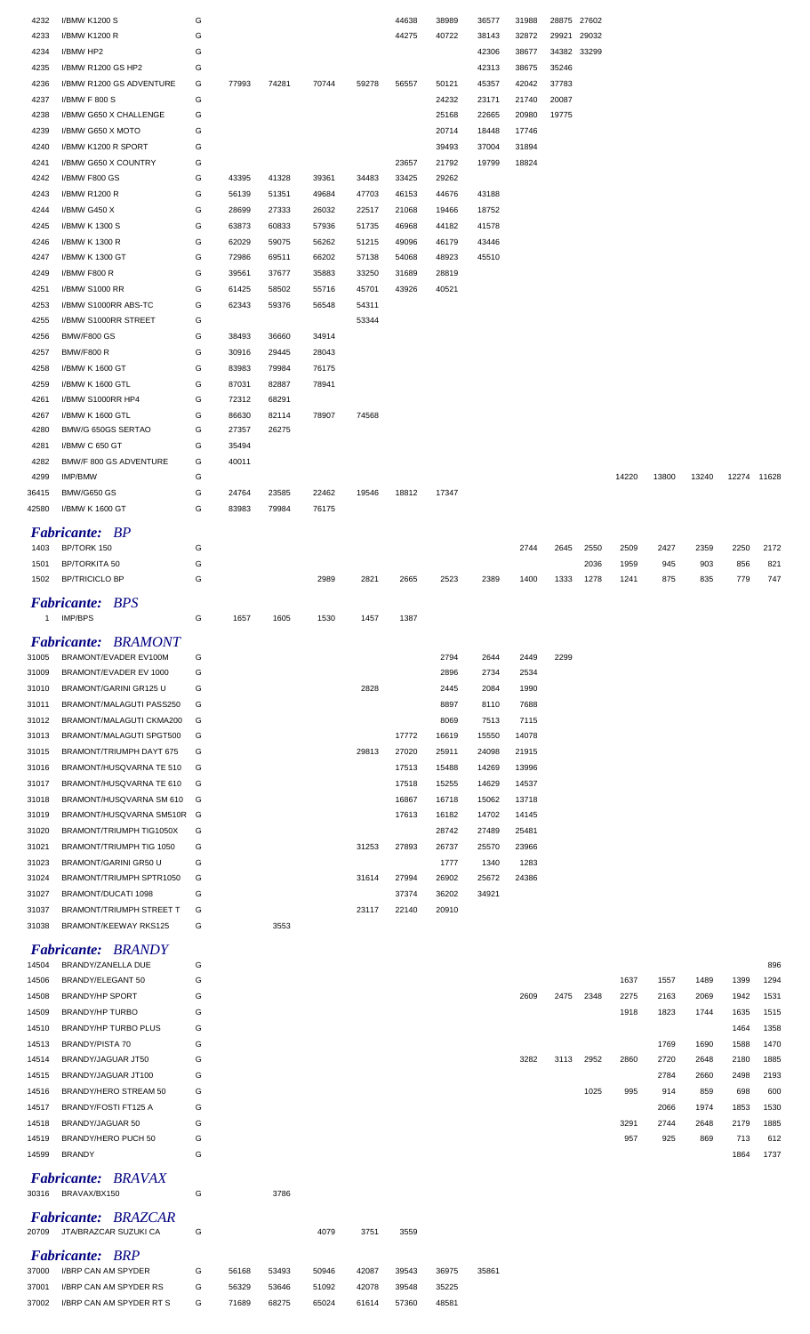| 4232  | I/BMW K1200 S                       | G |       |       |       |       | 44638 | 38989 | 36577 | 31988 | 28875 27602 |       |       |       |       |             |      |
|-------|-------------------------------------|---|-------|-------|-------|-------|-------|-------|-------|-------|-------------|-------|-------|-------|-------|-------------|------|
|       |                                     |   |       |       |       |       |       |       |       |       |             |       |       |       |       |             |      |
| 4233  | I/BMW K1200 R                       | G |       |       |       |       | 44275 | 40722 | 38143 | 32872 | 29921       | 29032 |       |       |       |             |      |
| 4234  | I/BMW HP2                           | G |       |       |       |       |       |       | 42306 | 38677 | 34382 33299 |       |       |       |       |             |      |
| 4235  | I/BMW R1200 GS HP2                  | G |       |       |       |       |       |       | 42313 | 38675 | 35246       |       |       |       |       |             |      |
| 4236  | I/BMW R1200 GS ADVENTURE            | G | 77993 | 74281 | 70744 | 59278 | 56557 | 50121 | 45357 | 42042 | 37783       |       |       |       |       |             |      |
| 4237  | I/BMW F 800 S                       | G |       |       |       |       |       | 24232 | 23171 | 21740 | 20087       |       |       |       |       |             |      |
| 4238  | I/BMW G650 X CHALLENGE              | G |       |       |       |       |       | 25168 | 22665 | 20980 | 19775       |       |       |       |       |             |      |
|       |                                     |   |       |       |       |       |       |       |       |       |             |       |       |       |       |             |      |
| 4239  | I/BMW G650 X MOTO                   | G |       |       |       |       |       | 20714 | 18448 | 17746 |             |       |       |       |       |             |      |
| 4240  | I/BMW K1200 R SPORT                 | G |       |       |       |       |       | 39493 | 37004 | 31894 |             |       |       |       |       |             |      |
| 4241  | I/BMW G650 X COUNTRY                | G |       |       |       |       | 23657 | 21792 | 19799 | 18824 |             |       |       |       |       |             |      |
| 4242  | I/BMW F800 GS                       | G | 43395 | 41328 | 39361 | 34483 | 33425 | 29262 |       |       |             |       |       |       |       |             |      |
| 4243  | I/BMW R1200 R                       | G | 56139 | 51351 | 49684 | 47703 | 46153 | 44676 | 43188 |       |             |       |       |       |       |             |      |
| 4244  | I/BMW G450 X                        | G | 28699 | 27333 | 26032 | 22517 | 21068 | 19466 | 18752 |       |             |       |       |       |       |             |      |
|       |                                     |   |       |       |       |       |       |       |       |       |             |       |       |       |       |             |      |
| 4245  | I/BMW K 1300 S                      | G | 63873 | 60833 | 57936 | 51735 | 46968 | 44182 | 41578 |       |             |       |       |       |       |             |      |
| 4246  | I/BMW K 1300 R                      | G | 62029 | 59075 | 56262 | 51215 | 49096 | 46179 | 43446 |       |             |       |       |       |       |             |      |
| 4247  | I/BMW K 1300 GT                     | G | 72986 | 69511 | 66202 | 57138 | 54068 | 48923 | 45510 |       |             |       |       |       |       |             |      |
| 4249  | I/BMW F800 R                        | G | 39561 | 37677 | 35883 | 33250 | 31689 | 28819 |       |       |             |       |       |       |       |             |      |
| 4251  | I/BMW S1000 RR                      | G | 61425 | 58502 | 55716 | 45701 | 43926 | 40521 |       |       |             |       |       |       |       |             |      |
| 4253  | I/BMW S1000RR ABS-TC                | G | 62343 | 59376 | 56548 | 54311 |       |       |       |       |             |       |       |       |       |             |      |
| 4255  | I/BMW S1000RR STREET                | G |       |       |       | 53344 |       |       |       |       |             |       |       |       |       |             |      |
|       |                                     |   |       |       |       |       |       |       |       |       |             |       |       |       |       |             |      |
| 4256  | <b>BMW/F800 GS</b>                  | G | 38493 | 36660 | 34914 |       |       |       |       |       |             |       |       |       |       |             |      |
| 4257  | <b>BMW/F800 R</b>                   | G | 30916 | 29445 | 28043 |       |       |       |       |       |             |       |       |       |       |             |      |
| 4258  | I/BMW K 1600 GT                     | G | 83983 | 79984 | 76175 |       |       |       |       |       |             |       |       |       |       |             |      |
| 4259  | I/BMW K 1600 GTL                    | G | 87031 | 82887 | 78941 |       |       |       |       |       |             |       |       |       |       |             |      |
| 4261  | I/BMW S1000RR HP4                   | G | 72312 | 68291 |       |       |       |       |       |       |             |       |       |       |       |             |      |
| 4267  | I/BMW K 1600 GTL                    | G | 86630 | 82114 | 78907 | 74568 |       |       |       |       |             |       |       |       |       |             |      |
| 4280  | BMW/G 650GS SERTAO                  | G | 27357 | 26275 |       |       |       |       |       |       |             |       |       |       |       |             |      |
| 4281  | I/BMW C 650 GT                      | G | 35494 |       |       |       |       |       |       |       |             |       |       |       |       |             |      |
|       |                                     |   |       |       |       |       |       |       |       |       |             |       |       |       |       |             |      |
| 4282  | BMW/F 800 GS ADVENTURE              | G | 40011 |       |       |       |       |       |       |       |             |       |       |       |       |             |      |
| 4299  | IMP/BMW                             | G |       |       |       |       |       |       |       |       |             |       | 14220 | 13800 | 13240 | 12274 11628 |      |
| 36415 | <b>BMW/G650 GS</b>                  | G | 24764 | 23585 | 22462 | 19546 | 18812 | 17347 |       |       |             |       |       |       |       |             |      |
| 42580 | I/BMW K 1600 GT                     | G | 83983 | 79984 | 76175 |       |       |       |       |       |             |       |       |       |       |             |      |
|       |                                     |   |       |       |       |       |       |       |       |       |             |       |       |       |       |             |      |
|       | <b>Fabricante: BP</b>               |   |       |       |       |       |       |       |       |       |             |       |       |       |       |             |      |
| 1403  | BP/TORK 150                         | G |       |       |       |       |       |       |       | 2744  | 2645        | 2550  | 2509  | 2427  | 2359  | 2250        | 2172 |
| 1501  | <b>BP/TORKITA 50</b>                | G |       |       |       |       |       |       |       |       |             | 2036  | 1959  | 945   | 903   | 856         | 821  |
| 1502  | <b>BP/TRICICLO BP</b>               | G |       |       | 2989  | 2821  | 2665  | 2523  | 2389  | 1400  | 1333        | 1278  | 1241  | 875   | 835   | 779         | 747  |
|       |                                     |   |       |       |       |       |       |       |       |       |             |       |       |       |       |             |      |
|       | <b>Fabricante: BPS</b>              |   |       |       |       |       |       |       |       |       |             |       |       |       |       |             |      |
| 1     | <b>IMP/BPS</b>                      | G | 1657  | 1605  | 1530  | 1457  | 1387  |       |       |       |             |       |       |       |       |             |      |
|       |                                     |   |       |       |       |       |       |       |       |       |             |       |       |       |       |             |      |
|       | <b>Fabricante: BRAMONT</b>          |   |       |       |       |       |       |       |       |       |             |       |       |       |       |             |      |
| 31005 | BRAMONT/EVADER EV100M               | G |       |       |       |       |       | 2794  | 2644  | 2449  | 2299        |       |       |       |       |             |      |
| 31009 | BRAMONT/EVADER EV 1000              | G |       |       |       |       |       | 2896  | 2734  | 2534  |             |       |       |       |       |             |      |
| 31010 | BRAMONT/GARINI GR125 U              | G |       |       |       | 2828  |       | 2445  | 2084  | 1990  |             |       |       |       |       |             |      |
| 31011 | BRAMONT/MALAGUTI PASS250            | G |       |       |       |       |       | 8897  | 8110  | 7688  |             |       |       |       |       |             |      |
| 31012 | BRAMONT/MALAGUTI CKMA200            | G |       |       |       |       |       | 8069  | 7513  | 7115  |             |       |       |       |       |             |      |
| 31013 | BRAMONT/MALAGUTI SPGT500            | G |       |       |       |       | 17772 | 16619 | 15550 | 14078 |             |       |       |       |       |             |      |
|       | BRAMONT/TRIUMPH DAYT 675            | G |       |       |       | 29813 | 27020 | 25911 | 24098 | 21915 |             |       |       |       |       |             |      |
| 31015 |                                     |   |       |       |       |       |       |       |       |       |             |       |       |       |       |             |      |
| 31016 | BRAMONT/HUSQVARNA TE 510            | G |       |       |       |       | 17513 | 15488 | 14269 | 13996 |             |       |       |       |       |             |      |
| 31017 | BRAMONT/HUSQVARNA TE 610            | G |       |       |       |       | 17518 | 15255 | 14629 | 14537 |             |       |       |       |       |             |      |
| 31018 | BRAMONT/HUSQVARNA SM 610            | G |       |       |       |       | 16867 | 16718 | 15062 | 13718 |             |       |       |       |       |             |      |
| 31019 | BRAMONT/HUSQVARNA SM510R G          |   |       |       |       |       | 17613 | 16182 | 14702 | 14145 |             |       |       |       |       |             |      |
| 31020 | BRAMONT/TRIUMPH TIG1050X            | G |       |       |       |       |       | 28742 | 27489 | 25481 |             |       |       |       |       |             |      |
| 31021 | BRAMONT/TRIUMPH TIG 1050            | G |       |       |       | 31253 | 27893 | 26737 | 25570 | 23966 |             |       |       |       |       |             |      |
|       |                                     |   |       |       |       |       |       |       |       |       |             |       |       |       |       |             |      |
| 31023 | BRAMONT/GARINI GR50 U               | G |       |       |       |       |       | 1777  | 1340  | 1283  |             |       |       |       |       |             |      |
| 31024 | BRAMONT/TRIUMPH SPTR1050            | G |       |       |       | 31614 | 27994 | 26902 | 25672 | 24386 |             |       |       |       |       |             |      |
| 31027 | BRAMONT/DUCATI 1098                 | G |       |       |       |       | 37374 | 36202 | 34921 |       |             |       |       |       |       |             |      |
| 31037 | <b>BRAMONT/TRIUMPH STREET T</b>     | G |       |       |       | 23117 | 22140 | 20910 |       |       |             |       |       |       |       |             |      |
| 31038 | BRAMONT/KEEWAY RKS125               | G |       | 3553  |       |       |       |       |       |       |             |       |       |       |       |             |      |
|       |                                     |   |       |       |       |       |       |       |       |       |             |       |       |       |       |             |      |
|       | <b>Fabricante: BRANDY</b>           |   |       |       |       |       |       |       |       |       |             |       |       |       |       |             |      |
| 14504 | BRANDY/ZANELLA DUE                  | G |       |       |       |       |       |       |       |       |             |       |       |       |       |             | 896  |
| 14506 | BRANDY/ELEGANT 50                   | G |       |       |       |       |       |       |       |       |             |       | 1637  | 1557  | 1489  | 1399        | 1294 |
| 14508 | <b>BRANDY/HP SPORT</b>              | G |       |       |       |       |       |       |       | 2609  | 2475        | 2348  | 2275  | 2163  | 2069  | 1942        | 1531 |
| 14509 | <b>BRANDY/HP TURBO</b>              | G |       |       |       |       |       |       |       |       |             |       | 1918  | 1823  | 1744  | 1635        | 1515 |
| 14510 | BRANDY/HP TURBO PLUS                | G |       |       |       |       |       |       |       |       |             |       |       |       |       | 1464        | 1358 |
| 14513 | <b>BRANDY/PISTA 70</b>              | G |       |       |       |       |       |       |       |       |             |       |       | 1769  | 1690  | 1588        | 1470 |
|       | BRANDY/JAGUAR JT50                  | G |       |       |       |       |       |       |       | 3282  | 3113        | 2952  | 2860  | 2720  | 2648  | 2180        | 1885 |
| 14514 |                                     |   |       |       |       |       |       |       |       |       |             |       |       |       |       |             |      |
| 14515 | BRANDY/JAGUAR JT100                 | G |       |       |       |       |       |       |       |       |             |       |       | 2784  | 2660  | 2498        | 2193 |
| 14516 | BRANDY/HERO STREAM 50               | G |       |       |       |       |       |       |       |       |             | 1025  | 995   | 914   | 859   | 698         | 600  |
| 14517 | BRANDY/FOSTI FT125 A                | G |       |       |       |       |       |       |       |       |             |       |       | 2066  | 1974  | 1853        | 1530 |
| 14518 | BRANDY/JAGUAR 50                    | G |       |       |       |       |       |       |       |       |             |       | 3291  | 2744  | 2648  | 2179        | 1885 |
| 14519 | BRANDY/HERO PUCH 50                 | G |       |       |       |       |       |       |       |       |             |       | 957   | 925   | 869   | 713         | 612  |
| 14599 | <b>BRANDY</b>                       | G |       |       |       |       |       |       |       |       |             |       |       |       |       | 1864        | 1737 |
|       |                                     |   |       |       |       |       |       |       |       |       |             |       |       |       |       |             |      |
|       | <b>Fabricante:</b><br><b>BRAVAX</b> |   |       |       |       |       |       |       |       |       |             |       |       |       |       |             |      |
| 30316 | BRAVAX/BX150                        | G |       | 3786  |       |       |       |       |       |       |             |       |       |       |       |             |      |
|       |                                     |   |       |       |       |       |       |       |       |       |             |       |       |       |       |             |      |
|       | <b>Fabricante: BRAZCAR</b>          |   |       |       |       |       |       |       |       |       |             |       |       |       |       |             |      |
|       | 20709 JTA/BRAZCAR SUZUKI CA         | G |       |       | 4079  | 3751  | 3559  |       |       |       |             |       |       |       |       |             |      |
|       | <b>Fabricante: BRP</b>              |   |       |       |       |       |       |       |       |       |             |       |       |       |       |             |      |
| 37000 | I/BRP CAN AM SPYDER                 | G | 56168 | 53493 | 50946 | 42087 | 39543 | 36975 | 35861 |       |             |       |       |       |       |             |      |
| 37001 | I/BRP CAN AM SPYDER RS              | G | 56329 | 53646 | 51092 | 42078 | 39548 | 35225 |       |       |             |       |       |       |       |             |      |
|       | I/BRP CAN AM SPYDER RT S            | G | 71689 | 68275 | 65024 | 61614 | 57360 | 48581 |       |       |             |       |       |       |       |             |      |
| 37002 |                                     |   |       |       |       |       |       |       |       |       |             |       |       |       |       |             |      |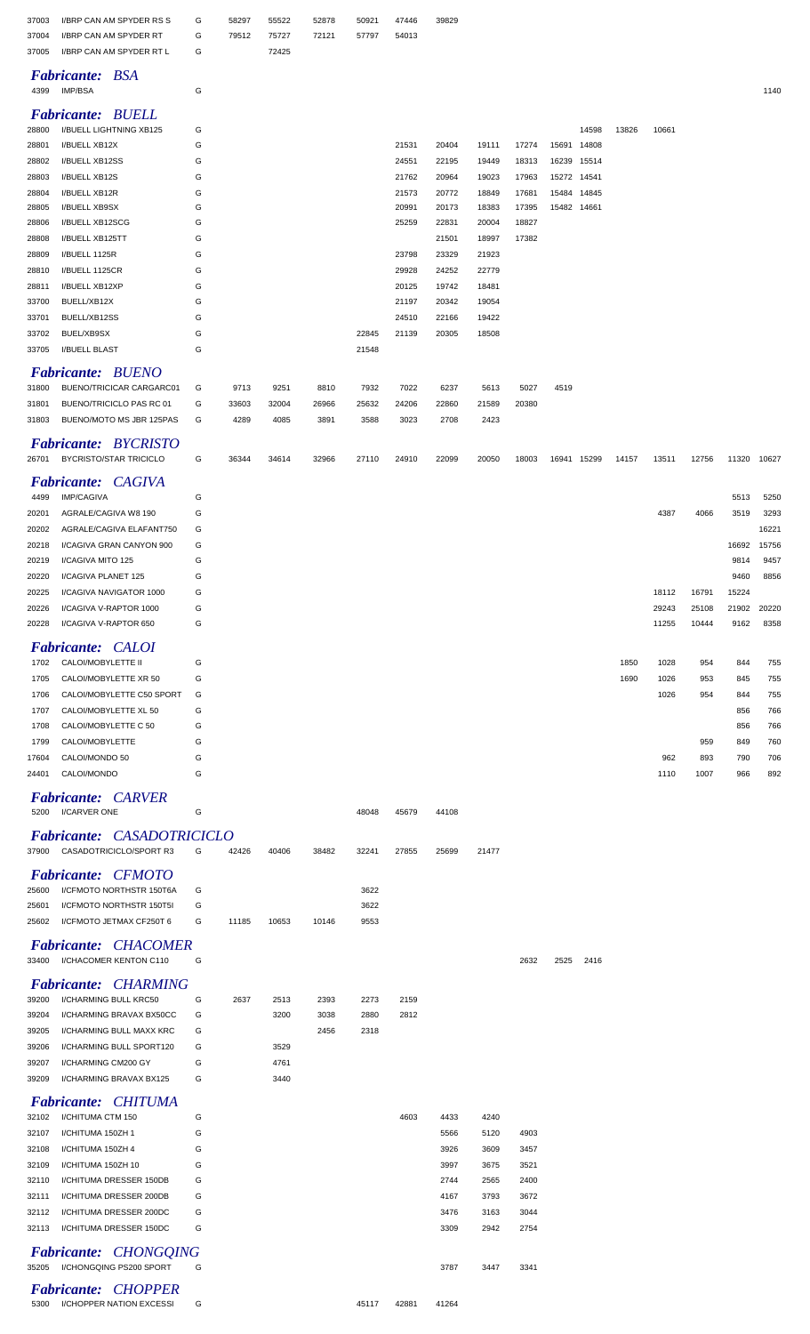| 37003<br>37004 | I/BRP CAN AM SPYDER RS S<br>I/BRP CAN AM SPYDER RT | G<br>G | 58297<br>79512 | 55522<br>75727 | 52878<br>72121 | 50921<br>57797 | 47446<br>54013 | 39829          |                |                |             |             |       |       |       |       |       |
|----------------|----------------------------------------------------|--------|----------------|----------------|----------------|----------------|----------------|----------------|----------------|----------------|-------------|-------------|-------|-------|-------|-------|-------|
| 37005          | I/BRP CAN AM SPYDER RT L                           | G      |                | 72425          |                |                |                |                |                |                |             |             |       |       |       |       |       |
| 4399           | <b>Fabricante: BSA</b><br>IMP/BSA                  | G      |                |                |                |                |                |                |                |                |             |             |       |       |       |       | 1140  |
|                | <b>Fabricante: BUELL</b>                           |        |                |                |                |                |                |                |                |                |             |             |       |       |       |       |       |
| 28800          | I/BUELL LIGHTNING XB125                            | G      |                |                |                |                |                |                |                |                |             | 14598       | 13826 | 10661 |       |       |       |
| 28801          | I/BUELL XB12X                                      | G      |                |                |                |                | 21531          | 20404          | 19111          | 17274          | 15691       | 14808       |       |       |       |       |       |
| 28802          | I/BUELL XB12SS                                     | G      |                |                |                |                | 24551          | 22195          | 19449          | 18313          | 16239       | 15514       |       |       |       |       |       |
| 28803          | I/BUELL XB12S                                      | G      |                |                |                |                | 21762          | 20964          | 19023          | 17963          |             | 15272 14541 |       |       |       |       |       |
| 28804          | I/BUELL XB12R                                      | G      |                |                |                |                | 21573          | 20772          | 18849          | 17681          | 15484       | 14845       |       |       |       |       |       |
| 28805          | I/BUELL XB9SX                                      | G<br>G |                |                |                |                | 20991          | 20173          | 18383          | 17395          | 15482 14661 |             |       |       |       |       |       |
| 28806          | I/BUELL XB12SCG                                    | G      |                |                |                |                | 25259          | 22831          | 20004<br>18997 | 18827<br>17382 |             |             |       |       |       |       |       |
| 28808<br>28809 | I/BUELL XB125TT<br>I/BUELL 1125R                   | G      |                |                |                |                | 23798          | 21501<br>23329 | 21923          |                |             |             |       |       |       |       |       |
| 28810          | I/BUELL 1125CR                                     | G      |                |                |                |                | 29928          | 24252          | 22779          |                |             |             |       |       |       |       |       |
| 28811          | I/BUELL XB12XP                                     | G      |                |                |                |                | 20125          | 19742          | 18481          |                |             |             |       |       |       |       |       |
| 33700          | BUELL/XB12X                                        | G      |                |                |                |                | 21197          | 20342          | 19054          |                |             |             |       |       |       |       |       |
| 33701          | BUELL/XB12SS                                       | G      |                |                |                |                | 24510          | 22166          | 19422          |                |             |             |       |       |       |       |       |
| 33702          | BUEL/XB9SX                                         | G      |                |                |                | 22845          | 21139          | 20305          | 18508          |                |             |             |       |       |       |       |       |
| 33705          | <b>I/BUELL BLAST</b>                               | G      |                |                |                | 21548          |                |                |                |                |             |             |       |       |       |       |       |
|                |                                                    |        |                |                |                |                |                |                |                |                |             |             |       |       |       |       |       |
|                | <b>Fabricante: BUENO</b>                           |        |                |                |                |                |                |                |                |                |             |             |       |       |       |       |       |
| 31800          | BUENO/TRICICAR CARGARC01                           | G      | 9713           | 9251           | 8810           | 7932           | 7022           | 6237           | 5613           | 5027           | 4519        |             |       |       |       |       |       |
| 31801          | BUENO/TRICICLO PAS RC 01                           | G      | 33603          | 32004          | 26966          | 25632          | 24206          | 22860          | 21589          | 20380          |             |             |       |       |       |       |       |
| 31803          | BUENO/MOTO MS JBR 125PAS                           | G      | 4289           | 4085           | 3891           | 3588           | 3023           | 2708           | 2423           |                |             |             |       |       |       |       |       |
|                | <b>Fabricante: BYCRISTO</b>                        |        |                |                |                |                |                |                |                |                |             |             |       |       |       |       |       |
| 26701          | <b>BYCRISTO/STAR TRICICLO</b>                      | G      | 36344          | 34614          | 32966          | 27110          | 24910          | 22099          | 20050          | 18003          |             | 16941 15299 | 14157 | 13511 | 12756 | 11320 | 10627 |
|                | <b>Fabricante: CAGIVA</b>                          |        |                |                |                |                |                |                |                |                |             |             |       |       |       |       |       |
| 4499           | <b>IMP/CAGIVA</b>                                  | G      |                |                |                |                |                |                |                |                |             |             |       |       |       | 5513  | 5250  |
| 20201          | AGRALE/CAGIVA W8 190                               | G      |                |                |                |                |                |                |                |                |             |             |       | 4387  | 4066  | 3519  | 3293  |
| 20202          | AGRALE/CAGIVA ELAFANT750                           | G      |                |                |                |                |                |                |                |                |             |             |       |       |       |       | 16221 |
| 20218          | I/CAGIVA GRAN CANYON 900                           | G      |                |                |                |                |                |                |                |                |             |             |       |       |       | 16692 | 15756 |
| 20219          | I/CAGIVA MITO 125                                  | G      |                |                |                |                |                |                |                |                |             |             |       |       |       | 9814  | 9457  |
| 20220          | I/CAGIVA PLANET 125                                | G      |                |                |                |                |                |                |                |                |             |             |       |       |       | 9460  | 8856  |
| 20225          | I/CAGIVA NAVIGATOR 1000                            | G      |                |                |                |                |                |                |                |                |             |             |       | 18112 | 16791 | 15224 |       |
| 20226          | I/CAGIVA V-RAPTOR 1000                             | G      |                |                |                |                |                |                |                |                |             |             |       | 29243 | 25108 | 21902 | 20220 |
| 20228          | I/CAGIVA V-RAPTOR 650                              | G      |                |                |                |                |                |                |                |                |             |             |       | 11255 | 10444 | 9162  | 8358  |
|                |                                                    |        |                |                |                |                |                |                |                |                |             |             |       |       |       |       |       |
|                | Fabricante: CALOI                                  |        |                |                |                |                |                |                |                |                |             |             |       |       |       |       |       |
| 1702           | CALOI/MOBYLETTE II                                 | G      |                |                |                |                |                |                |                |                |             |             | 1850  | 1028  | 954   | 844   | 755   |
| 1705           | CALOI/MOBYLETTE XR 50                              | G      |                |                |                |                |                |                |                |                |             |             | 1690  | 1026  | 953   | 845   | 755   |
| 1706           | CALOI/MOBYLETTE C50 SPORT                          | G      |                |                |                |                |                |                |                |                |             |             |       | 1026  | 954   | 844   | 755   |
| 1707           | CALOI/MOBYLETTE XL 50                              | G      |                |                |                |                |                |                |                |                |             |             |       |       |       | 856   | 766   |
| 1708           | CALOI/MOBYLETTE C 50                               | G      |                |                |                |                |                |                |                |                |             |             |       |       |       | 856   | 766   |
| 1799           | CALOI/MOBYLETTE                                    | G      |                |                |                |                |                |                |                |                |             |             |       |       | 959   | 849   | 760   |
| 17604          | CALOI/MONDO 50                                     | G      |                |                |                |                |                |                |                |                |             |             |       | 962   | 893   | 790   | 706   |
| 24401          | CALOI/MONDO                                        | G      |                |                |                |                |                |                |                |                |             |             |       | 1110  | 1007  | 966   | 892   |
|                | <b>Fabricante: CARVER</b>                          |        |                |                |                |                |                |                |                |                |             |             |       |       |       |       |       |
| 5200           | I/CARVER ONE                                       | G      |                |                |                | 48048          | 45679          | 44108          |                |                |             |             |       |       |       |       |       |
|                |                                                    |        |                |                |                |                |                |                |                |                |             |             |       |       |       |       |       |
|                | <b>Fabricante: CASADOTRICICLO</b>                  |        |                |                |                |                |                |                |                |                |             |             |       |       |       |       |       |
|                | 37900 CASADOTRICICLO/SPORT R3                      | G      | 42426          | 40406          | 38482          | 32241          | 27855          | 25699          | 21477          |                |             |             |       |       |       |       |       |
|                | <b>Fabricante: CFMOTO</b>                          |        |                |                |                |                |                |                |                |                |             |             |       |       |       |       |       |
| 25600          | I/CFMOTO NORTHSTR 150T6A                           | G      |                |                |                | 3622           |                |                |                |                |             |             |       |       |       |       |       |
| 25601          | I/CFMOTO NORTHSTR 150T5I                           | G      |                |                |                | 3622           |                |                |                |                |             |             |       |       |       |       |       |
| 25602          | I/CFMOTO JETMAX CF250T 6                           | G      | 11185          | 10653          | 10146          | 9553           |                |                |                |                |             |             |       |       |       |       |       |
|                | <b>Fabricante: CHACOMER</b>                        |        |                |                |                |                |                |                |                |                |             |             |       |       |       |       |       |
|                | 33400 I/CHACOMER KENTON C110                       | G      |                |                |                |                |                |                |                | 2632           | 2525        | 2416        |       |       |       |       |       |
|                |                                                    |        |                |                |                |                |                |                |                |                |             |             |       |       |       |       |       |
|                | <b>Fabricante: CHARMING</b>                        |        |                |                |                |                |                |                |                |                |             |             |       |       |       |       |       |
| 39200          | I/CHARMING BULL KRC50                              | G      | 2637           | 2513           | 2393           | 2273           | 2159           |                |                |                |             |             |       |       |       |       |       |
| 39204          | I/CHARMING BRAVAX BX50CC                           | G      |                | 3200           | 3038           | 2880           | 2812           |                |                |                |             |             |       |       |       |       |       |
| 39205          | I/CHARMING BULL MAXX KRC                           | G      |                |                | 2456           | 2318           |                |                |                |                |             |             |       |       |       |       |       |
| 39206          | I/CHARMING BULL SPORT120                           | G      |                | 3529           |                |                |                |                |                |                |             |             |       |       |       |       |       |
| 39207          | I/CHARMING CM200 GY                                | G      |                | 4761           |                |                |                |                |                |                |             |             |       |       |       |       |       |
| 39209          | I/CHARMING BRAVAX BX125                            | G      |                | 3440           |                |                |                |                |                |                |             |             |       |       |       |       |       |
|                | <b>Fabricante: CHITUMA</b>                         |        |                |                |                |                |                |                |                |                |             |             |       |       |       |       |       |
| 32102          | I/CHITUMA CTM 150                                  | G      |                |                |                |                | 4603           | 4433           | 4240           |                |             |             |       |       |       |       |       |
| 32107          | I/CHITUMA 150ZH 1                                  | G      |                |                |                |                |                | 5566           | 5120           | 4903           |             |             |       |       |       |       |       |
| 32108          | I/CHITUMA 150ZH 4                                  | G      |                |                |                |                |                | 3926           | 3609           | 3457           |             |             |       |       |       |       |       |
| 32109          | I/CHITUMA 150ZH 10                                 | G      |                |                |                |                |                | 3997           | 3675           | 3521           |             |             |       |       |       |       |       |
| 32110          | I/CHITUMA DRESSER 150DB                            | G      |                |                |                |                |                | 2744           | 2565           | 2400           |             |             |       |       |       |       |       |
| 32111          | I/CHITUMA DRESSER 200DB                            | G      |                |                |                |                |                | 4167           | 3793           | 3672           |             |             |       |       |       |       |       |
| 32112          | I/CHITUMA DRESSER 200DC                            | G      |                |                |                |                |                | 3476           | 3163           | 3044           |             |             |       |       |       |       |       |
| 32113          | I/CHITUMA DRESSER 150DC                            | G      |                |                |                |                |                | 3309           | 2942           | 2754           |             |             |       |       |       |       |       |
|                |                                                    |        |                |                |                |                |                |                |                |                |             |             |       |       |       |       |       |
|                | Fabricante: CHONGQING                              |        |                |                |                |                |                |                |                |                |             |             |       |       |       |       |       |
|                | 35205 I/CHONGQING PS200 SPORT                      | G      |                |                |                |                |                | 3787           | 3447           | 3341           |             |             |       |       |       |       |       |
|                | <b>Fabricante: CHOPPER</b>                         |        |                |                |                |                |                |                |                |                |             |             |       |       |       |       |       |

I/CHOPPER NATION EXCESSI G 45117 42881 41264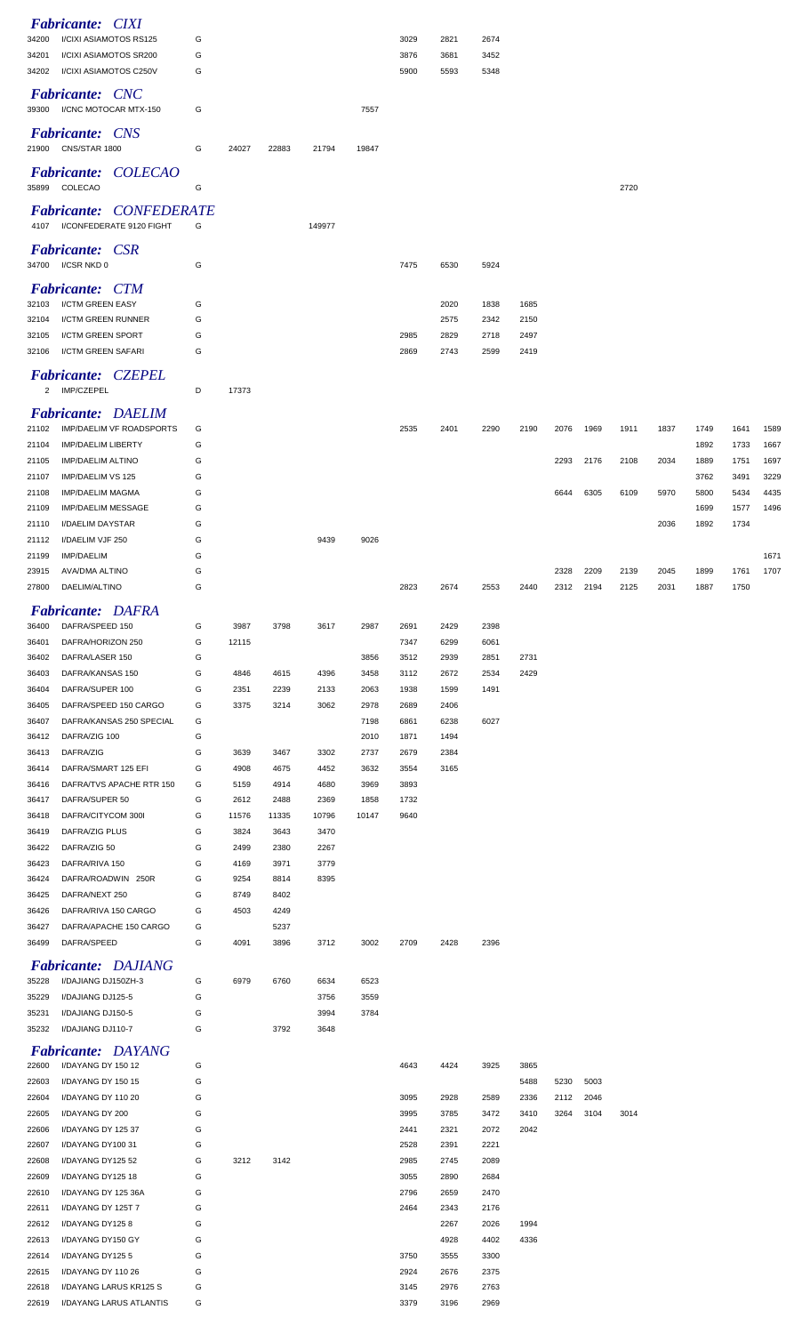|                | <b>Fabricante: CIXI</b>                                         |        |               |              |              |              |              |              |              |              |              |              |              |              |              |              |              |
|----------------|-----------------------------------------------------------------|--------|---------------|--------------|--------------|--------------|--------------|--------------|--------------|--------------|--------------|--------------|--------------|--------------|--------------|--------------|--------------|
| 34200<br>34201 | I/CIXI ASIAMOTOS RS125<br>I/CIXI ASIAMOTOS SR200                | G<br>G |               |              |              |              | 3029<br>3876 | 2821<br>3681 | 2674<br>3452 |              |              |              |              |              |              |              |              |
| 34202          | I/CIXI ASIAMOTOS C250V                                          | G      |               |              |              |              | 5900         | 5593         | 5348         |              |              |              |              |              |              |              |              |
|                | Fabricante: CNC<br>39300 I/CNC MOTOCAR MTX-150                  | G      |               |              |              | 7557         |              |              |              |              |              |              |              |              |              |              |              |
|                | <b>Fabricante:</b> CNS<br>21900 CNS/STAR 1800                   |        |               |              |              |              |              |              |              |              |              |              |              |              |              |              |              |
|                | Fabricante: COLECAO                                             | G      | 24027         | 22883        | 21794        | 19847        |              |              |              |              |              |              |              |              |              |              |              |
|                | 35899 COLECAO                                                   | G      |               |              |              |              |              |              |              |              |              |              | 2720         |              |              |              |              |
|                | <b>Fabricante: CONFEDERATE</b><br>4107 I/CONFEDERATE 9120 FIGHT | G      |               |              | 149977       |              |              |              |              |              |              |              |              |              |              |              |              |
|                | <b>Fabricante: CSR</b><br>34700 I/CSR NKD 0                     | G      |               |              |              |              | 7475         | 6530         | 5924         |              |              |              |              |              |              |              |              |
|                | <b>Fabricante: CTM</b>                                          |        |               |              |              |              |              |              |              |              |              |              |              |              |              |              |              |
| 32103          | I/CTM GREEN EASY                                                | G      |               |              |              |              |              | 2020         | 1838         | 1685         |              |              |              |              |              |              |              |
| 32104          | I/CTM GREEN RUNNER<br>I/CTM GREEN SPORT                         | G<br>G |               |              |              |              | 2985         | 2575<br>2829 | 2342<br>2718 | 2150<br>2497 |              |              |              |              |              |              |              |
| 32105<br>32106 | I/CTM GREEN SAFARI                                              | G      |               |              |              |              | 2869         | 2743         | 2599         | 2419         |              |              |              |              |              |              |              |
|                | <b>Fabricante: CZEPEL</b>                                       |        |               |              |              |              |              |              |              |              |              |              |              |              |              |              |              |
|                | 2 IMP/CZEPEL                                                    | D      | 17373         |              |              |              |              |              |              |              |              |              |              |              |              |              |              |
|                | <b>Fabricante: DAELIM</b>                                       |        |               |              |              |              |              |              |              |              |              |              |              |              |              |              |              |
| 21102          | IMP/DAELIM VF ROADSPORTS                                        | G      |               |              |              |              | 2535         | 2401         | 2290         | 2190         | 2076         | 1969         | 1911         | 1837         | 1749         | 1641         | 1589         |
| 21104<br>21105 | <b>IMP/DAELIM LIBERTY</b><br><b>IMP/DAELIM ALTINO</b>           | G<br>G |               |              |              |              |              |              |              |              | 2293         | 2176         | 2108         | 2034         | 1892<br>1889 | 1733<br>1751 | 1667<br>1697 |
| 21107          | IMP/DAELIM VS 125                                               | G      |               |              |              |              |              |              |              |              |              |              |              |              | 3762         | 3491         | 3229         |
| 21108          | <b>IMP/DAELIM MAGMA</b>                                         | G      |               |              |              |              |              |              |              |              | 6644         | 6305         | 6109         | 5970         | 5800         | 5434         | 4435         |
| 21109          | <b>IMP/DAELIM MESSAGE</b>                                       | G      |               |              |              |              |              |              |              |              |              |              |              |              | 1699         | 1577         | 1496         |
| 21110          | I/DAELIM DAYSTAR                                                | G      |               |              |              |              |              |              |              |              |              |              |              | 2036         | 1892         | 1734         |              |
| 21112          | I/DAELIM VJF 250                                                | G      |               |              | 9439         | 9026         |              |              |              |              |              |              |              |              |              |              |              |
| 21199          | IMP/DAELIM                                                      | G      |               |              |              |              |              |              |              |              |              |              |              |              |              |              | 1671         |
| 23915<br>27800 | AVA/DMA ALTINO<br>DAELIM/ALTINO                                 | G<br>G |               |              |              |              | 2823         | 2674         | 2553         | 2440         | 2328<br>2312 | 2209<br>2194 | 2139<br>2125 | 2045<br>2031 | 1899<br>1887 | 1761<br>1750 | 1707         |
|                |                                                                 |        |               |              |              |              |              |              |              |              |              |              |              |              |              |              |              |
|                | <b>Fabricante: DAFRA</b>                                        |        |               |              |              |              |              |              |              |              |              |              |              |              |              |              |              |
| 36400<br>36401 | DAFRA/SPEED 150<br>DAFRA/HORIZON 250                            | G<br>G | 3987<br>12115 | 3798         | 3617         | 2987         | 2691<br>7347 | 2429<br>6299 | 2398<br>6061 |              |              |              |              |              |              |              |              |
| 36402          | DAFRA/LASER 150                                                 | G      |               |              |              | 3856         | 3512         | 2939         | 2851         | 2731         |              |              |              |              |              |              |              |
| 36403          | DAFRA/KANSAS 150                                                | G      | 4846          | 4615         | 4396         | 3458         | 3112         | 2672         | 2534         | 2429         |              |              |              |              |              |              |              |
| 36404          | DAFRA/SUPER 100                                                 | G      | 2351          | 2239         | 2133         | 2063         | 1938         | 1599         | 1491         |              |              |              |              |              |              |              |              |
| 36405          | DAFRA/SPEED 150 CARGO                                           | G      | 3375          | 3214         | 3062         | 2978         | 2689         | 2406         |              |              |              |              |              |              |              |              |              |
| 36407          | DAFRA/KANSAS 250 SPECIAL                                        | G      |               |              |              | 7198         | 6861         | 6238         | 6027         |              |              |              |              |              |              |              |              |
| 36412          | DAFRA/ZIG 100                                                   | G      |               |              |              | 2010         | 1871         | 1494         |              |              |              |              |              |              |              |              |              |
| 36413<br>36414 | DAFRA/ZIG<br>DAFRA/SMART 125 EFI                                | G<br>G | 3639<br>4908  | 3467<br>4675 | 3302<br>4452 | 2737<br>3632 | 2679<br>3554 | 2384<br>3165 |              |              |              |              |              |              |              |              |              |
| 36416          | DAFRA/TVS APACHE RTR 150                                        | G      | 5159          | 4914         | 4680         | 3969         | 3893         |              |              |              |              |              |              |              |              |              |              |
| 36417          | DAFRA/SUPER 50                                                  | G      | 2612          | 2488         | 2369         | 1858         | 1732         |              |              |              |              |              |              |              |              |              |              |
| 36418          | DAFRA/CITYCOM 300I                                              | G      | 11576         | 11335        | 10796        | 10147        | 9640         |              |              |              |              |              |              |              |              |              |              |
| 36419          | DAFRA/ZIG PLUS                                                  | G      | 3824          | 3643         | 3470         |              |              |              |              |              |              |              |              |              |              |              |              |
| 36422          | DAFRA/ZIG 50                                                    | G      | 2499          | 2380         | 2267         |              |              |              |              |              |              |              |              |              |              |              |              |
| 36423          | DAFRA/RIVA 150                                                  | G      | 4169          | 3971         | 3779         |              |              |              |              |              |              |              |              |              |              |              |              |
| 36424<br>36425 | DAFRA/ROADWIN 250R<br>DAFRA/NEXT 250                            | G<br>G | 9254<br>8749  | 8814<br>8402 | 8395         |              |              |              |              |              |              |              |              |              |              |              |              |
| 36426          | DAFRA/RIVA 150 CARGO                                            | G      | 4503          | 4249         |              |              |              |              |              |              |              |              |              |              |              |              |              |
| 36427          | DAFRA/APACHE 150 CARGO                                          | G      |               | 5237         |              |              |              |              |              |              |              |              |              |              |              |              |              |
| 36499          | DAFRA/SPEED                                                     | G      | 4091          | 3896         | 3712         | 3002         | 2709         | 2428         | 2396         |              |              |              |              |              |              |              |              |
|                | <b>Fabricante: DAJIANG</b>                                      |        |               |              |              |              |              |              |              |              |              |              |              |              |              |              |              |
| 35228<br>35229 | I/DAJIANG DJ150ZH-3<br>I/DAJIANG DJ125-5                        | G<br>G | 6979          | 6760         | 6634<br>3756 | 6523<br>3559 |              |              |              |              |              |              |              |              |              |              |              |
| 35231          | I/DAJIANG DJ150-5                                               | G      |               |              | 3994         | 3784         |              |              |              |              |              |              |              |              |              |              |              |
| 35232          | I/DAJIANG DJ110-7                                               | G      |               | 3792         | 3648         |              |              |              |              |              |              |              |              |              |              |              |              |
|                | <b>Fabricante: DAYANG</b>                                       |        |               |              |              |              |              |              |              |              |              |              |              |              |              |              |              |
| 22600          | I/DAYANG DY 150 12                                              | G      |               |              |              |              | 4643         | 4424         | 3925         | 3865         |              |              |              |              |              |              |              |
| 22603          | I/DAYANG DY 150 15                                              | G      |               |              |              |              |              |              |              | 5488         | 5230         | 5003         |              |              |              |              |              |
| 22604          | I/DAYANG DY 110 20                                              | G      |               |              |              |              | 3095         | 2928         | 2589         | 2336         | 2112         | 2046         |              |              |              |              |              |
| 22605          | I/DAYANG DY 200                                                 | G      |               |              |              |              | 3995         | 3785         | 3472         | 3410<br>2042 | 3264         | 3104         | 3014         |              |              |              |              |
| 22606<br>22607 | I/DAYANG DY 125 37<br>I/DAYANG DY100 31                         | G<br>G |               |              |              |              | 2441<br>2528 | 2321<br>2391 | 2072<br>2221 |              |              |              |              |              |              |              |              |
| 22608          | I/DAYANG DY125 52                                               | G      | 3212          | 3142         |              |              | 2985         | 2745         | 2089         |              |              |              |              |              |              |              |              |
| 22609          | I/DAYANG DY125 18                                               | G      |               |              |              |              | 3055         | 2890         | 2684         |              |              |              |              |              |              |              |              |
| 22610          | I/DAYANG DY 125 36A                                             | G      |               |              |              |              | 2796         | 2659         | 2470         |              |              |              |              |              |              |              |              |
| 22611          | I/DAYANG DY 125T 7                                              | G      |               |              |              |              | 2464         | 2343         | 2176         |              |              |              |              |              |              |              |              |
| 22612          | I/DAYANG DY1258                                                 | G      |               |              |              |              |              | 2267         | 2026         | 1994         |              |              |              |              |              |              |              |
| 22613          | I/DAYANG DY150 GY                                               | G      |               |              |              |              |              | 4928         | 4402         | 4336         |              |              |              |              |              |              |              |
| 22614          | I/DAYANG DY1255                                                 | G      |               |              |              |              | 3750         | 3555         | 3300         |              |              |              |              |              |              |              |              |
| 22615          | I/DAYANG DY 110 26                                              | G      |               |              |              |              | 2924         | 2676         | 2375         |              |              |              |              |              |              |              |              |
| 22618<br>22619 | I/DAYANG LARUS KR125 S<br>I/DAYANG LARUS ATLANTIS               | G<br>G |               |              |              |              | 3145<br>3379 | 2976<br>3196 | 2763<br>2969 |              |              |              |              |              |              |              |              |
|                |                                                                 |        |               |              |              |              |              |              |              |              |              |              |              |              |              |              |              |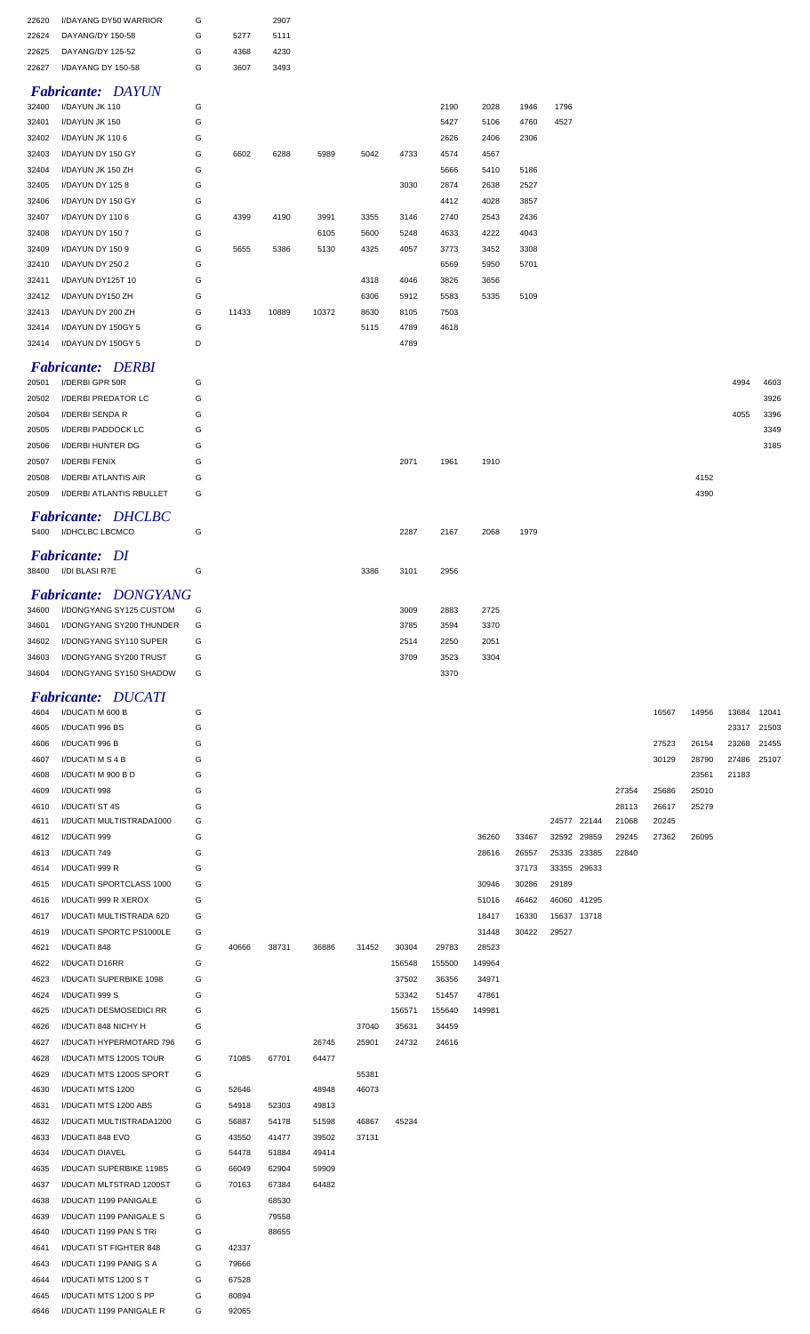| 22620 | <b>I/DAYANG DY50 WARRIOR</b> | G |      | 2907 |
|-------|------------------------------|---|------|------|
| 22624 | DAYANG/DY 150-58             | G | 5277 | 5111 |
| 22625 | DAYANG/DY 125-52             | G | 4368 | 4230 |
| 22627 | I/DAYANG DY 150-58           | G | 3607 | 3493 |

## *Fabricante: DAYUN*

| 32400 | I/DAYUN JK 110     | G |       |       |       |      |      | 2190 | 2028 | 1946 | 1796 |
|-------|--------------------|---|-------|-------|-------|------|------|------|------|------|------|
| 32401 | I/DAYUN JK 150     | G |       |       |       |      |      | 5427 | 5106 | 4760 | 4527 |
| 32402 | I/DAYUN JK 1106    | G |       |       |       |      |      | 2626 | 2406 | 2306 |      |
| 32403 | I/DAYUN DY 150 GY  | G | 6602  | 6288  | 5989  | 5042 | 4733 | 4574 | 4567 |      |      |
| 32404 | I/DAYUN JK 150 ZH  | G |       |       |       |      |      | 5666 | 5410 | 5186 |      |
| 32405 | I/DAYUN DY 1258    | G |       |       |       |      | 3030 | 2874 | 2638 | 2527 |      |
| 32406 | I/DAYUN DY 150 GY  | G |       |       |       |      |      | 4412 | 4028 | 3857 |      |
| 32407 | I/DAYUN DY 1106    | G | 4399  | 4190  | 3991  | 3355 | 3146 | 2740 | 2543 | 2436 |      |
| 32408 | I/DAYUN DY 150 7   | G |       |       | 6105  | 5600 | 5248 | 4633 | 4222 | 4043 |      |
| 32409 | I/DAYUN DY 150 9   | G | 5655  | 5386  | 5130  | 4325 | 4057 | 3773 | 3452 | 3308 |      |
| 32410 | I/DAYUN DY 250 2   | G |       |       |       |      |      | 6569 | 5950 | 5701 |      |
| 32411 | I/DAYUN DY125T 10  | G |       |       |       | 4318 | 4046 | 3826 | 3656 |      |      |
| 32412 | I/DAYUN DY150 ZH   | G |       |       |       | 6306 | 5912 | 5583 | 5335 | 5109 |      |
| 32413 | I/DAYUN DY 200 ZH  | G | 11433 | 10889 | 10372 | 8630 | 8105 | 7503 |      |      |      |
| 32414 | I/DAYUN DY 150GY 5 | G |       |       |       | 5115 | 4789 | 4618 |      |      |      |
| 32414 | I/DAYUN DY 150GY 5 | D |       |       |       |      | 4789 |      |      |      |      |
|       |                    |   |       |       |       |      |      |      |      |      |      |

### *Fabricante: DERBI*

| 20501 | I/DERBI GPR 50R                 | G |      |      |      |      |      | 4994 | 4603 |
|-------|---------------------------------|---|------|------|------|------|------|------|------|
| 20502 | <b>I/DERBI PREDATOR LC</b>      | G |      |      |      |      |      |      | 3926 |
| 20504 | <b>I/DERBI SENDA R</b>          | G |      |      |      |      |      | 4055 | 3396 |
| 20505 | <b>I/DERBI PADDOCK LC</b>       | G |      |      |      |      |      |      | 3349 |
| 20506 | <b>I/DERBI HUNTER DG</b>        | G |      |      |      |      |      |      | 3185 |
| 20507 | <b>I/DERBI FENIX</b>            | G | 2071 | 1961 | 1910 |      |      |      |      |
| 20508 | <b>I/DERBI ATLANTIS AIR</b>     | G |      |      |      |      | 4152 |      |      |
| 20509 | <b>I/DERBI ATLANTIS RBULLET</b> | G |      |      |      |      | 4390 |      |      |
|       | <b>Fabricante: DHCLBC</b>       |   |      |      |      |      |      |      |      |
| 5400  | <b>I/DHCLBC LBCMCO</b>          | G | 2287 | 2167 | 2068 | 1979 |      |      |      |

|       | <b>Fabricante:</b> DI |   |      |      |      |
|-------|-----------------------|---|------|------|------|
| 38400 | I/DI BLASI R7E        | G | 3386 | 3101 | 2956 |

# *Fabricante: DONGYANG*

| 34600 | I/DONGYANG SY125 CUSTOM  | G | 3009 | 2883 | 2725 |
|-------|--------------------------|---|------|------|------|
| 34601 | I/DONGYANG SY200 THUNDER | G | 3785 | 3594 | 3370 |
| 34602 | I/DONGYANG SY110 SUPER   | G | 2514 | 2250 | 2051 |
| 34603 | I/DONGYANG SY200 TRUST   | G | 3709 | 3523 | 3304 |
| 34604 | I/DONGYANG SY150 SHADOW  | G |      | 3370 |      |

## *Fabricante: DUCATI*

| 4604 | I/DUCATI M 600 B         | G |       |       |       |       |        |        |        |       |       |             |       | 16567 | 14956 | 13684 | 12041 |
|------|--------------------------|---|-------|-------|-------|-------|--------|--------|--------|-------|-------|-------------|-------|-------|-------|-------|-------|
| 4605 | I/DUCATI 996 BS          | G |       |       |       |       |        |        |        |       |       |             |       |       |       | 23317 | 21503 |
| 4606 | I/DUCATI 996 B           | G |       |       |       |       |        |        |        |       |       |             |       | 27523 | 26154 | 23268 | 21455 |
| 4607 | I/DUCATI M S 4 B         | G |       |       |       |       |        |        |        |       |       |             |       | 30129 | 28790 | 27486 | 25107 |
| 4608 | I/DUCATI M 900 B D       | G |       |       |       |       |        |        |        |       |       |             |       |       | 23561 | 21183 |       |
| 4609 | I/DUCATI 998             | G |       |       |       |       |        |        |        |       |       |             | 27354 | 25686 | 25010 |       |       |
| 4610 | I/DUCATI ST 4S           | G |       |       |       |       |        |        |        |       |       |             | 28113 | 26617 | 25279 |       |       |
| 4611 | I/DUCATI MULTISTRADA1000 | G |       |       |       |       |        |        |        |       |       | 24577 22144 | 21068 | 20245 |       |       |       |
| 4612 | I/DUCATI 999             | G |       |       |       |       |        |        | 36260  | 33467 | 32592 | 29859       | 29245 | 27362 | 26095 |       |       |
| 4613 | I/DUCATI 749             | G |       |       |       |       |        |        | 28616  | 26557 | 25335 | 23385       | 22840 |       |       |       |       |
| 4614 | I/DUCATI 999 R           | G |       |       |       |       |        |        |        | 37173 |       | 33355 29633 |       |       |       |       |       |
| 4615 | I/DUCATI SPORTCLASS 1000 | G |       |       |       |       |        |        | 30946  | 30286 | 29189 |             |       |       |       |       |       |
| 4616 | I/DUCATI 999 R XEROX     | G |       |       |       |       |        |        | 51016  | 46462 | 46060 | 41295       |       |       |       |       |       |
| 4617 | I/DUCATI MULTISTRADA 620 | G |       |       |       |       |        |        | 18417  | 16330 |       | 15637 13718 |       |       |       |       |       |
| 4619 | I/DUCATI SPORTC PS1000LE | G |       |       |       |       |        |        | 31448  | 30422 | 29527 |             |       |       |       |       |       |
| 4621 | I/DUCATI 848             | G | 40666 | 38731 | 36886 | 31452 | 30304  | 29783  | 28523  |       |       |             |       |       |       |       |       |
| 4622 | I/DUCATI D16RR           | G |       |       |       |       | 156548 | 155500 | 149964 |       |       |             |       |       |       |       |       |
| 4623 | I/DUCATI SUPERBIKE 1098  | G |       |       |       |       | 37502  | 36356  | 34971  |       |       |             |       |       |       |       |       |
| 4624 | I/DUCATI 999 S           | G |       |       |       |       | 53342  | 51457  | 47861  |       |       |             |       |       |       |       |       |
| 4625 | I/DUCATI DESMOSEDICI RR  | G |       |       |       |       | 156571 | 155640 | 149981 |       |       |             |       |       |       |       |       |
| 4626 | I/DUCATI 848 NICHY H     | G |       |       |       | 37040 | 35631  | 34459  |        |       |       |             |       |       |       |       |       |
| 4627 | I/DUCATI HYPERMOTARD 796 | G |       |       | 26745 | 25901 | 24732  | 24616  |        |       |       |             |       |       |       |       |       |
| 4628 | I/DUCATI MTS 1200S TOUR  | G | 71085 | 67701 | 64477 |       |        |        |        |       |       |             |       |       |       |       |       |
| 4629 | I/DUCATI MTS 1200S SPORT | G |       |       |       | 55381 |        |        |        |       |       |             |       |       |       |       |       |
| 4630 | I/DUCATI MTS 1200        | G | 52646 |       | 48948 | 46073 |        |        |        |       |       |             |       |       |       |       |       |
| 4631 | I/DUCATI MTS 1200 ABS    | G | 54918 | 52303 | 49813 |       |        |        |        |       |       |             |       |       |       |       |       |
| 4632 | I/DUCATI MULTISTRADA1200 | G | 56887 | 54178 | 51598 | 46867 | 45234  |        |        |       |       |             |       |       |       |       |       |
| 4633 | I/DUCATI 848 EVO         | G | 43550 | 41477 | 39502 | 37131 |        |        |        |       |       |             |       |       |       |       |       |
| 4634 | I/DUCATI DIAVEL          | G | 54478 | 51884 | 49414 |       |        |        |        |       |       |             |       |       |       |       |       |
| 4635 | I/DUCATI SUPERBIKE 1198S | G | 66049 | 62904 | 59909 |       |        |        |        |       |       |             |       |       |       |       |       |
| 4637 | I/DUCATI MLTSTRAD 1200ST | G | 70163 | 67384 | 64482 |       |        |        |        |       |       |             |       |       |       |       |       |
| 4638 | I/DUCATI 1199 PANIGALE   | G |       | 68530 |       |       |        |        |        |       |       |             |       |       |       |       |       |
| 4639 | I/DUCATI 1199 PANIGALE S | G |       | 79558 |       |       |        |        |        |       |       |             |       |       |       |       |       |
| 4640 | I/DUCATI 1199 PAN S TRI  | G |       | 88655 |       |       |        |        |        |       |       |             |       |       |       |       |       |
| 4641 | I/DUCATI ST FIGHTER 848  | G | 42337 |       |       |       |        |        |        |       |       |             |       |       |       |       |       |
| 4643 | I/DUCATI 1199 PANIG S A  | G | 79666 |       |       |       |        |        |        |       |       |             |       |       |       |       |       |
| 4644 | I/DUCATI MTS 1200 S T    | G | 67528 |       |       |       |        |        |        |       |       |             |       |       |       |       |       |
| 4645 | I/DUCATI MTS 1200 S PP   | G | 80894 |       |       |       |        |        |        |       |       |             |       |       |       |       |       |
| 4646 | I/DUCATI 1199 PANIGALE R | G | 92065 |       |       |       |        |        |        |       |       |             |       |       |       |       |       |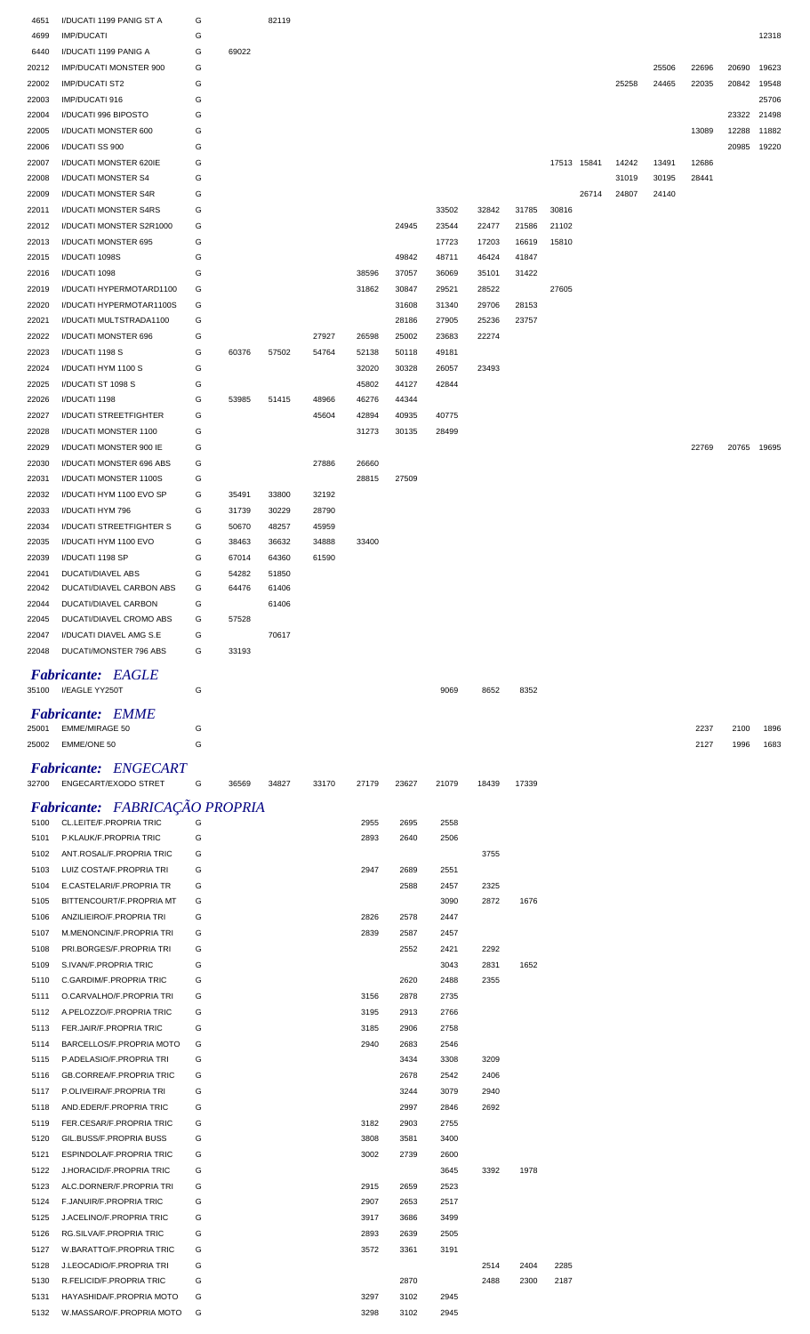| 4651         | I/DUCATI 1199 PANIG ST A                                  | G      |       | 82119 |       |              |              |              |       |       |             |       |       |       |       |             |       |
|--------------|-----------------------------------------------------------|--------|-------|-------|-------|--------------|--------------|--------------|-------|-------|-------------|-------|-------|-------|-------|-------------|-------|
| 4699         | <b>IMP/DUCATI</b>                                         | G      |       |       |       |              |              |              |       |       |             |       |       |       |       |             | 12318 |
| 6440         | I/DUCATI 1199 PANIG A                                     | G      | 69022 |       |       |              |              |              |       |       |             |       |       |       |       |             |       |
| 20212        | <b>IMP/DUCATI MONSTER 900</b>                             | G      |       |       |       |              |              |              |       |       |             |       |       | 25506 | 22696 | 20690       | 19623 |
| 22002        | <b>IMP/DUCATI ST2</b>                                     | G      |       |       |       |              |              |              |       |       |             |       | 25258 | 24465 | 22035 | 20842       | 19548 |
| 22003        | IMP/DUCATI 916                                            | G      |       |       |       |              |              |              |       |       |             |       |       |       |       |             | 25706 |
| 22004        | I/DUCATI 996 BIPOSTO                                      | G      |       |       |       |              |              |              |       |       |             |       |       |       |       | 23322       | 21498 |
| 22005        | I/DUCATI MONSTER 600                                      | G      |       |       |       |              |              |              |       |       |             |       |       |       | 13089 | 12288       | 11882 |
| 22006        | I/DUCATI SS 900                                           | G      |       |       |       |              |              |              |       |       |             |       |       |       |       | 20985       | 19220 |
| 22007        | I/DUCATI MONSTER 620IE                                    | G      |       |       |       |              |              |              |       |       | 17513 15841 |       | 14242 | 13491 | 12686 |             |       |
|              |                                                           | G      |       |       |       |              |              |              |       |       |             |       |       |       |       |             |       |
| 22008        | I/DUCATI MONSTER S4                                       |        |       |       |       |              |              |              |       |       |             |       | 31019 | 30195 | 28441 |             |       |
| 22009        | I/DUCATI MONSTER S4R                                      | G      |       |       |       |              |              |              |       |       |             | 26714 | 24807 | 24140 |       |             |       |
| 22011        | I/DUCATI MONSTER S4RS                                     | G      |       |       |       |              |              | 33502        | 32842 | 31785 | 30816       |       |       |       |       |             |       |
| 22012        | I/DUCATI MONSTER S2R1000                                  | G      |       |       |       |              | 24945        | 23544        | 22477 | 21586 | 21102       |       |       |       |       |             |       |
| 22013        | I/DUCATI MONSTER 695                                      | G      |       |       |       |              |              | 17723        | 17203 | 16619 | 15810       |       |       |       |       |             |       |
| 22015        | I/DUCATI 1098S                                            | G      |       |       |       |              | 49842        | 48711        | 46424 | 41847 |             |       |       |       |       |             |       |
| 22016        | I/DUCATI 1098                                             | G      |       |       |       | 38596        | 37057        | 36069        | 35101 | 31422 |             |       |       |       |       |             |       |
| 22019        | I/DUCATI HYPERMOTARD1100                                  | G      |       |       |       | 31862        | 30847        | 29521        | 28522 |       | 27605       |       |       |       |       |             |       |
| 22020        | I/DUCATI HYPERMOTAR1100S                                  | G      |       |       |       |              | 31608        | 31340        | 29706 | 28153 |             |       |       |       |       |             |       |
| 22021        | I/DUCATI MULTSTRADA1100                                   | G      |       |       |       |              | 28186        | 27905        | 25236 | 23757 |             |       |       |       |       |             |       |
| 22022        | I/DUCATI MONSTER 696                                      | G      |       |       | 27927 | 26598        | 25002        | 23683        | 22274 |       |             |       |       |       |       |             |       |
| 22023        | I/DUCATI 1198 S                                           | G      | 60376 | 57502 | 54764 | 52138        | 50118        | 49181        |       |       |             |       |       |       |       |             |       |
| 22024        | I/DUCATI HYM 1100 S                                       | G      |       |       |       | 32020        | 30328        | 26057        | 23493 |       |             |       |       |       |       |             |       |
|              |                                                           |        |       |       |       |              |              |              |       |       |             |       |       |       |       |             |       |
| 22025        | I/DUCATI ST 1098 S                                        | G      |       |       |       | 45802        | 44127        | 42844        |       |       |             |       |       |       |       |             |       |
| 22026        | I/DUCATI 1198                                             | G      | 53985 | 51415 | 48966 | 46276        | 44344        |              |       |       |             |       |       |       |       |             |       |
| 22027        | <b>I/DUCATI STREETFIGHTER</b>                             | G      |       |       | 45604 | 42894        | 40935        | 40775        |       |       |             |       |       |       |       |             |       |
| 22028        | I/DUCATI MONSTER 1100                                     | G      |       |       |       | 31273        | 30135        | 28499        |       |       |             |       |       |       |       |             |       |
| 22029        | I/DUCATI MONSTER 900 IE                                   | G      |       |       |       |              |              |              |       |       |             |       |       |       | 22769 | 20765 19695 |       |
| 22030        | I/DUCATI MONSTER 696 ABS                                  | G      |       |       | 27886 | 26660        |              |              |       |       |             |       |       |       |       |             |       |
| 22031        | I/DUCATI MONSTER 1100S                                    | G      |       |       |       | 28815        | 27509        |              |       |       |             |       |       |       |       |             |       |
| 22032        | I/DUCATI HYM 1100 EVO SP                                  | G      | 35491 | 33800 | 32192 |              |              |              |       |       |             |       |       |       |       |             |       |
| 22033        | I/DUCATI HYM 796                                          | G      | 31739 | 30229 | 28790 |              |              |              |       |       |             |       |       |       |       |             |       |
| 22034        | I/DUCATI STREETFIGHTER S                                  | G      | 50670 | 48257 | 45959 |              |              |              |       |       |             |       |       |       |       |             |       |
| 22035        | I/DUCATI HYM 1100 EVO                                     | G      | 38463 | 36632 | 34888 | 33400        |              |              |       |       |             |       |       |       |       |             |       |
| 22039        | I/DUCATI 1198 SP                                          | G      | 67014 | 64360 | 61590 |              |              |              |       |       |             |       |       |       |       |             |       |
| 22041        | <b>DUCATI/DIAVEL ABS</b>                                  | G      | 54282 | 51850 |       |              |              |              |       |       |             |       |       |       |       |             |       |
| 22042        | DUCATI/DIAVEL CARBON ABS                                  | G      | 64476 | 61406 |       |              |              |              |       |       |             |       |       |       |       |             |       |
|              |                                                           | G      |       |       |       |              |              |              |       |       |             |       |       |       |       |             |       |
| 22044        | DUCATI/DIAVEL CARBON                                      |        |       | 61406 |       |              |              |              |       |       |             |       |       |       |       |             |       |
| 22045        | DUCATI/DIAVEL CROMO ABS                                   | G      | 57528 |       |       |              |              |              |       |       |             |       |       |       |       |             |       |
| 22047        | I/DUCATI DIAVEL AMG S.E                                   | G      |       | 70617 |       |              |              |              |       |       |             |       |       |       |       |             |       |
|              | DUCATI/MONSTER 796 ABS                                    | G      | 33193 |       |       |              |              |              |       |       |             |       |       |       |       |             |       |
| 22048        |                                                           |        |       |       |       |              |              |              |       |       |             |       |       |       |       |             |       |
|              | <b>Fabricante:</b> EAGLE                                  |        |       |       |       |              |              |              |       |       |             |       |       |       |       |             |       |
| 35100        | I/EAGLE YY250T                                            | G      |       |       |       |              |              | 9069         | 8652  | 8352  |             |       |       |       |       |             |       |
|              | <b>Fabricante: EMME</b>                                   |        |       |       |       |              |              |              |       |       |             |       |       |       |       |             |       |
| 25001        | <b>EMME/MIRAGE 50</b>                                     | G      |       |       |       |              |              |              |       |       |             |       |       |       | 2237  | 2100        | 1896  |
| 25002        | EMME/ONE 50                                               | G      |       |       |       |              |              |              |       |       |             |       |       |       | 2127  | 1996        | 1683  |
|              |                                                           |        |       |       |       |              |              |              |       |       |             |       |       |       |       |             |       |
|              | <b>Fabricante: ENGECART</b>                               |        |       |       |       |              |              |              |       |       |             |       |       |       |       |             |       |
|              | 32700 ENGECART/EXODO STRET                                | G      | 36569 | 34827 | 33170 | 27179        | 23627        | 21079        | 18439 | 17339 |             |       |       |       |       |             |       |
|              |                                                           |        |       |       |       |              |              |              |       |       |             |       |       |       |       |             |       |
| 5100         | Fabricante: FABRICAÇÃO PROPRIA<br>CL.LEITE/F.PROPRIA TRIC | G      |       |       |       | 2955         | 2695         | 2558         |       |       |             |       |       |       |       |             |       |
|              |                                                           |        |       |       |       |              |              |              |       |       |             |       |       |       |       |             |       |
| 5101         | P.KLAUK/F.PROPRIA TRIC                                    | G      |       |       |       | 2893         | 2640         | 2506         |       |       |             |       |       |       |       |             |       |
| 5102         | ANT.ROSAL/F.PROPRIA TRIC                                  | G      |       |       |       |              |              |              | 3755  |       |             |       |       |       |       |             |       |
| 5103         | LUIZ COSTA/F.PROPRIA TRI                                  | G      |       |       |       | 2947         | 2689         | 2551         |       |       |             |       |       |       |       |             |       |
| 5104         | E.CASTELARI/F.PROPRIA TR                                  | G      |       |       |       |              | 2588         | 2457         | 2325  |       |             |       |       |       |       |             |       |
| 5105         | BITTENCOURT/F.PROPRIA MT                                  | G      |       |       |       |              |              | 3090         | 2872  | 1676  |             |       |       |       |       |             |       |
| 5106         | ANZILIEIRO/F.PROPRIA TRI                                  | G      |       |       |       | 2826         | 2578         | 2447         |       |       |             |       |       |       |       |             |       |
| 5107         | M.MENONCIN/F.PROPRIA TRI                                  | G      |       |       |       | 2839         | 2587         | 2457         |       |       |             |       |       |       |       |             |       |
| 5108         | PRI.BORGES/F.PROPRIA TRI                                  | G      |       |       |       |              | 2552         | 2421         | 2292  |       |             |       |       |       |       |             |       |
| 5109         | S.IVAN/F.PROPRIA TRIC                                     | G      |       |       |       |              |              | 3043         | 2831  | 1652  |             |       |       |       |       |             |       |
| 5110         | C.GARDIM/F.PROPRIA TRIC                                   | G      |       |       |       |              | 2620         | 2488         | 2355  |       |             |       |       |       |       |             |       |
| 5111         | O.CARVALHO/F.PROPRIA TRI                                  | G      |       |       |       | 3156         | 2878         | 2735         |       |       |             |       |       |       |       |             |       |
| 5112         | A.PELOZZO/F.PROPRIA TRIC                                  | G      |       |       |       | 3195         | 2913         | 2766         |       |       |             |       |       |       |       |             |       |
| 5113         | FER.JAIR/F.PROPRIA TRIC                                   | G      |       |       |       | 3185         | 2906         | 2758         |       |       |             |       |       |       |       |             |       |
| 5114         | BARCELLOS/F.PROPRIA MOTO                                  | G      |       |       |       | 2940         | 2683         | 2546         |       |       |             |       |       |       |       |             |       |
| 5115         | P.ADELASIO/F.PROPRIA TRI                                  | G      |       |       |       |              | 3434         | 3308         | 3209  |       |             |       |       |       |       |             |       |
| 5116         | <b>GB.CORREA/F.PROPRIA TRIC</b>                           | G      |       |       |       |              | 2678         | 2542         | 2406  |       |             |       |       |       |       |             |       |
| 5117         | P.OLIVEIRA/F.PROPRIA TRI                                  | G      |       |       |       |              | 3244         | 3079         | 2940  |       |             |       |       |       |       |             |       |
| 5118         | AND EDER/F.PROPRIA TRIC                                   | G      |       |       |       |              | 2997         | 2846         | 2692  |       |             |       |       |       |       |             |       |
| 5119         | FER.CESAR/F.PROPRIA TRIC                                  | G      |       |       |       | 3182         | 2903         | 2755         |       |       |             |       |       |       |       |             |       |
| 5120         | GIL.BUSS/F.PROPRIA BUSS                                   | G      |       |       |       | 3808         | 3581         | 3400         |       |       |             |       |       |       |       |             |       |
|              |                                                           |        |       |       |       |              |              |              |       |       |             |       |       |       |       |             |       |
| 5121         | ESPINDOLA/F.PROPRIA TRIC                                  | G      |       |       |       | 3002         | 2739         | 2600         |       |       |             |       |       |       |       |             |       |
| 5122         | J.HORACID/F.PROPRIA TRIC                                  | G      |       |       |       |              |              | 3645         | 3392  | 1978  |             |       |       |       |       |             |       |
| 5123         | ALC.DORNER/F.PROPRIA TRI                                  | G      |       |       |       | 2915         | 2659         | 2523         |       |       |             |       |       |       |       |             |       |
| 5124         | F.JANUIR/F.PROPRIA TRIC                                   | G      |       |       |       | 2907         | 2653         | 2517         |       |       |             |       |       |       |       |             |       |
| 5125         | J.ACELINO/F.PROPRIA TRIC                                  | G      |       |       |       | 3917         | 3686         | 3499         |       |       |             |       |       |       |       |             |       |
| 5126         | RG.SILVA/F.PROPRIA TRIC                                   | G      |       |       |       | 2893         | 2639         | 2505         |       |       |             |       |       |       |       |             |       |
| 5127         | W.BARATTO/F.PROPRIA TRIC                                  | G      |       |       |       | 3572         | 3361         | 3191         |       |       |             |       |       |       |       |             |       |
| 5128         | J.LEOCADIO/F.PROPRIA TRI                                  | G      |       |       |       |              |              |              | 2514  | 2404  | 2285        |       |       |       |       |             |       |
| 5130         | R.FELICID/F.PROPRIA TRIC                                  | G      |       |       |       |              | 2870         |              | 2488  | 2300  | 2187        |       |       |       |       |             |       |
| 5131<br>5132 | HAYASHIDA/F.PROPRIA MOTO<br>W.MASSARO/F.PROPRIA MOTO      | G<br>G |       |       |       | 3297<br>3298 | 3102<br>3102 | 2945<br>2945 |       |       |             |       |       |       |       |             |       |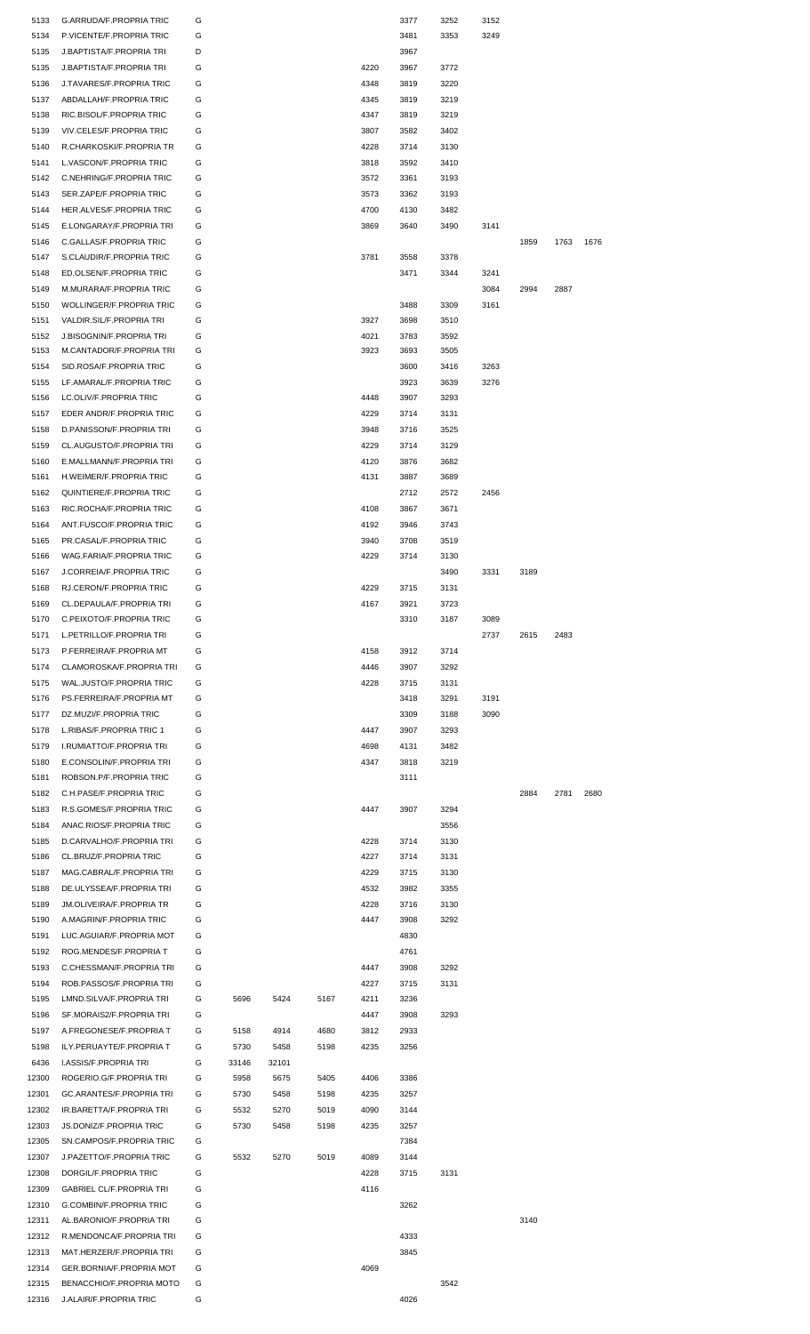| 5133           | G.ARRUDA/F.PROPRIA TRIC                            | G      |       |       |      |      | 3377 | 3252 | 3152 |      |      |      |  |
|----------------|----------------------------------------------------|--------|-------|-------|------|------|------|------|------|------|------|------|--|
| 5134           | P.VICENTE/F.PROPRIA TRIC                           | G      |       |       |      |      | 3481 | 3353 | 3249 |      |      |      |  |
| 5135           | J.BAPTISTA/F.PROPRIA TRI                           | D      |       |       |      |      | 3967 |      |      |      |      |      |  |
| 5135           | J.BAPTISTA/F.PROPRIA TRI                           | G      |       |       |      | 4220 | 3967 | 3772 |      |      |      |      |  |
|                |                                                    | G      |       |       |      |      |      |      |      |      |      |      |  |
| 5136           | J.TAVARES/F.PROPRIA TRIC                           |        |       |       |      | 4348 | 3819 | 3220 |      |      |      |      |  |
| 5137           | ABDALLAH/F.PROPRIA TRIC                            | G      |       |       |      | 4345 | 3819 | 3219 |      |      |      |      |  |
| 5138           | RIC.BISOL/F.PROPRIA TRIC                           | G      |       |       |      | 4347 | 3819 | 3219 |      |      |      |      |  |
| 5139           | VIV.CELES/F.PROPRIA TRIC                           | G      |       |       |      | 3807 | 3582 | 3402 |      |      |      |      |  |
| 5140           | R.CHARKOSKI/F.PROPRIA TR                           | G      |       |       |      | 4228 | 3714 | 3130 |      |      |      |      |  |
| 5141           | L.VASCON/F.PROPRIA TRIC                            | G      |       |       |      | 3818 | 3592 | 3410 |      |      |      |      |  |
| 5142           | C.NEHRING/F.PROPRIA TRIC                           | G      |       |       |      | 3572 | 3361 | 3193 |      |      |      |      |  |
| 5143           | SER.ZAPE/F.PROPRIA TRIC                            | G      |       |       |      | 3573 | 3362 | 3193 |      |      |      |      |  |
| 5144           | HER.ALVES/F.PROPRIA TRIC                           | G      |       |       |      | 4700 | 4130 | 3482 |      |      |      |      |  |
| 5145           | E.LONGARAY/F.PROPRIA TRI                           | G      |       |       |      | 3869 | 3640 | 3490 | 3141 |      |      |      |  |
|                |                                                    |        |       |       |      |      |      |      |      |      |      |      |  |
| 5146           | C.GALLAS/F.PROPRIA TRIC                            | G      |       |       |      |      |      |      |      | 1859 | 1763 | 1676 |  |
| 5147           | S.CLAUDIR/F.PROPRIA TRIC                           | G      |       |       |      | 3781 | 3558 | 3378 |      |      |      |      |  |
| 5148           | ED.OLSEN/F.PROPRIA TRIC                            | G      |       |       |      |      | 3471 | 3344 | 3241 |      |      |      |  |
| 5149           | M.MURARA/F.PROPRIA TRIC                            | G      |       |       |      |      |      |      | 3084 | 2994 | 2887 |      |  |
| 5150           | WOLLINGER/F.PROPRIA TRIC                           | G      |       |       |      |      | 3488 | 3309 | 3161 |      |      |      |  |
| 5151           | VALDIR.SIL/F.PROPRIA TRI                           | G      |       |       |      | 3927 | 3698 | 3510 |      |      |      |      |  |
| 5152           | <b>J.BISOGNIN/F.PROPRIA TRI</b>                    | G      |       |       |      | 4021 | 3783 | 3592 |      |      |      |      |  |
| 5153           | M.CANTADOR/F.PROPRIA TRI                           | G      |       |       |      | 3923 | 3693 | 3505 |      |      |      |      |  |
|                |                                                    |        |       |       |      |      |      |      |      |      |      |      |  |
| 5154           | SID.ROSA/F.PROPRIA TRIC                            | G      |       |       |      |      | 3600 | 3416 | 3263 |      |      |      |  |
| 5155           | LF.AMARAL/F.PROPRIA TRIC                           | G      |       |       |      |      | 3923 | 3639 | 3276 |      |      |      |  |
| 5156           | LC.OLIV/F.PROPRIA TRIC                             | G      |       |       |      | 4448 | 3907 | 3293 |      |      |      |      |  |
| 5157           | EDER ANDR/F.PROPRIA TRIC                           | G      |       |       |      | 4229 | 3714 | 3131 |      |      |      |      |  |
| 5158           | D.PANISSON/F.PROPRIA TRI                           | G      |       |       |      | 3948 | 3716 | 3525 |      |      |      |      |  |
| 5159           | CL.AUGUSTO/F.PROPRIA TRI                           | G      |       |       |      | 4229 | 3714 | 3129 |      |      |      |      |  |
| 5160           | E.MALLMANN/F.PROPRIA TRI                           | G      |       |       |      | 4120 | 3876 | 3682 |      |      |      |      |  |
|                |                                                    |        |       |       |      |      |      |      |      |      |      |      |  |
| 5161           | H.WEIMER/F.PROPRIA TRIC                            | G      |       |       |      | 4131 | 3887 | 3689 |      |      |      |      |  |
| 5162           | QUINTIERE/F.PROPRIA TRIC                           | G      |       |       |      |      | 2712 | 2572 | 2456 |      |      |      |  |
| 5163           | RIC.ROCHA/F.PROPRIA TRIC                           | G      |       |       |      | 4108 | 3867 | 3671 |      |      |      |      |  |
| 5164           | ANT.FUSCO/F.PROPRIA TRIC                           | G      |       |       |      | 4192 | 3946 | 3743 |      |      |      |      |  |
| 5165           | PR.CASAL/F.PROPRIA TRIC                            | G      |       |       |      | 3940 | 3708 | 3519 |      |      |      |      |  |
| 5166           | WAG.FARIA/F.PROPRIA TRIC                           | G      |       |       |      | 4229 | 3714 | 3130 |      |      |      |      |  |
| 5167           | J.CORREIA/F.PROPRIA TRIC                           | G      |       |       |      |      |      | 3490 | 3331 | 3189 |      |      |  |
|                | RJ.CERON/F.PROPRIA TRIC                            | G      |       |       |      | 4229 |      |      |      |      |      |      |  |
| 5168           |                                                    |        |       |       |      |      | 3715 | 3131 |      |      |      |      |  |
| 5169           | CL.DEPAULA/F.PROPRIA TRI                           | G      |       |       |      | 4167 | 3921 | 3723 |      |      |      |      |  |
| 5170           | C.PEIXOTO/F.PROPRIA TRIC                           | G      |       |       |      |      | 3310 | 3187 | 3089 |      |      |      |  |
| 5171           | L.PETRILLO/F.PROPRIA TRI                           | G      |       |       |      |      |      |      | 2737 | 2615 | 2483 |      |  |
| 5173           | P.FERREIRA/F.PROPRIA MT                            | G      |       |       |      | 4158 | 3912 | 3714 |      |      |      |      |  |
|                |                                                    |        |       |       |      |      |      |      |      |      |      |      |  |
| 5174           | CLAMOROSKA/F.PROPRIA TRI                           | G      |       |       |      | 4446 | 3907 | 3292 |      |      |      |      |  |
| 5175           | WAL.JUSTO/F.PROPRIA TRIC                           | G      |       |       |      | 4228 | 3715 | 3131 |      |      |      |      |  |
|                |                                                    |        |       |       |      |      |      |      |      |      |      |      |  |
| 5176           | PS.FERREIRA/F.PROPRIA MT                           | G      |       |       |      |      | 3418 | 3291 | 3191 |      |      |      |  |
| 5177           | DZ.MUZI/F.PROPRIA TRIC                             | G      |       |       |      |      | 3309 | 3188 | 3090 |      |      |      |  |
| 5178           | L.RIBAS/F.PROPRIA TRIC 1                           | G      |       |       |      | 4447 | 3907 | 3293 |      |      |      |      |  |
| 5179           | I.RUMIATTO/F.PROPRIA TRI                           | G      |       |       |      | 4698 | 4131 | 3482 |      |      |      |      |  |
| 5180           | E.CONSOLIN/F.PROPRIA TRI                           | G      |       |       |      | 4347 | 3818 | 3219 |      |      |      |      |  |
| 5181           | ROBSON.P/F.PROPRIA TRIC                            | G      |       |       |      |      | 3111 |      |      |      |      |      |  |
| 5182           | C.H.PASE/F.PROPRIA TRIC                            | G      |       |       |      |      |      |      |      | 2884 | 2781 | 2680 |  |
|                |                                                    |        |       |       |      |      |      |      |      |      |      |      |  |
| 5183           | R.S.GOMES/F.PROPRIA TRIC                           | G      |       |       |      | 4447 | 3907 | 3294 |      |      |      |      |  |
| 5184           | ANAC.RIOS/F.PROPRIA TRIC                           | G      |       |       |      |      |      | 3556 |      |      |      |      |  |
| 5185           | D.CARVALHO/F.PROPRIA TRI                           | G      |       |       |      | 4228 | 3714 | 3130 |      |      |      |      |  |
| 5186           | CL.BRUZ/F.PROPRIA TRIC                             | G      |       |       |      | 4227 | 3714 | 3131 |      |      |      |      |  |
| 5187           | MAG.CABRAL/F.PROPRIA TRI                           | G      |       |       |      | 4229 | 3715 | 3130 |      |      |      |      |  |
| 5188           | DE.ULYSSEA/F.PROPRIA TRI                           | G      |       |       |      | 4532 | 3982 | 3355 |      |      |      |      |  |
| 5189           | <b>JM.OLIVEIRA/F.PROPRIA TR</b>                    | G      |       |       |      | 4228 | 3716 | 3130 |      |      |      |      |  |
| 5190           | A.MAGRIN/F.PROPRIA TRIC                            | G      |       |       |      | 4447 | 3908 | 3292 |      |      |      |      |  |
|                |                                                    |        |       |       |      |      |      |      |      |      |      |      |  |
| 5191           | LUC.AGUIAR/F.PROPRIA MOT                           | G      |       |       |      |      | 4830 |      |      |      |      |      |  |
| 5192           | ROG.MENDES/F.PROPRIA T                             | G      |       |       |      |      | 4761 |      |      |      |      |      |  |
| 5193           | C.CHESSMAN/F.PROPRIA TRI                           | G      |       |       |      | 4447 | 3908 | 3292 |      |      |      |      |  |
| 5194           | ROB.PASSOS/F.PROPRIA TRI                           | G      |       |       |      | 4227 | 3715 | 3131 |      |      |      |      |  |
| 5195           | LMND.SILVA/F.PROPRIA TRI                           | G      | 5696  | 5424  | 5167 | 4211 | 3236 |      |      |      |      |      |  |
| 5196           | SF.MORAIS2/F.PROPRIA TRI                           | G      |       |       |      | 4447 | 3908 | 3293 |      |      |      |      |  |
| 5197           | A.FREGONESE/F.PROPRIA T                            | G      | 5158  | 4914  | 4680 | 3812 | 2933 |      |      |      |      |      |  |
| 5198           | ILY.PERUAYTE/F.PROPRIA T                           | G      | 5730  | 5458  | 5198 | 4235 | 3256 |      |      |      |      |      |  |
|                |                                                    |        |       |       |      |      |      |      |      |      |      |      |  |
| 6436           | <b>I.ASSIS/F.PROPRIA TRI</b>                       | G      | 33146 | 32101 |      |      |      |      |      |      |      |      |  |
| 12300          | ROGERIO.G/F.PROPRIA TRI                            | G      | 5958  | 5675  | 5405 | 4406 | 3386 |      |      |      |      |      |  |
| 12301          | <b>GC.ARANTES/F.PROPRIA TRI</b>                    | G      | 5730  | 5458  | 5198 | 4235 | 3257 |      |      |      |      |      |  |
| 12302          | IR.BARETTA/F.PROPRIA TRI                           | G      | 5532  | 5270  | 5019 | 4090 | 3144 |      |      |      |      |      |  |
| 12303          | JS.DONIZ/F.PROPRIA TRIC                            | G      | 5730  | 5458  | 5198 | 4235 | 3257 |      |      |      |      |      |  |
| 12305          | SN.CAMPOS/F.PROPRIA TRIC                           | G      |       |       |      |      | 7384 |      |      |      |      |      |  |
| 12307          | J.PAZETTO/F.PROPRIA TRIC                           | G      | 5532  | 5270  | 5019 | 4089 | 3144 |      |      |      |      |      |  |
|                |                                                    |        |       |       |      |      |      |      |      |      |      |      |  |
| 12308          | DORGIL/F.PROPRIA TRIC                              | G      |       |       |      | 4228 | 3715 | 3131 |      |      |      |      |  |
| 12309          | <b>GABRIEL CL/F.PROPRIA TRI</b>                    | G      |       |       |      | 4116 |      |      |      |      |      |      |  |
| 12310          | G.COMBIN/F.PROPRIA TRIC                            | G      |       |       |      |      | 3262 |      |      |      |      |      |  |
| 12311          | AL.BARONIO/F.PROPRIA TRI                           | G      |       |       |      |      |      |      |      | 3140 |      |      |  |
| 12312          | R.MENDONCA/F.PROPRIA TRI                           | G      |       |       |      |      | 4333 |      |      |      |      |      |  |
| 12313          | MAT.HERZER/F.PROPRIA TRI                           | G      |       |       |      |      | 3845 |      |      |      |      |      |  |
| 12314          | GER.BORNIA/F.PROPRIA MOT                           | G      |       |       |      | 4069 |      |      |      |      |      |      |  |
|                |                                                    |        |       |       |      |      |      |      |      |      |      |      |  |
| 12315<br>12316 | BENACCHIO/F.PROPRIA MOTO<br>J.ALAIR/F.PROPRIA TRIC | G<br>G |       |       |      |      | 4026 | 3542 |      |      |      |      |  |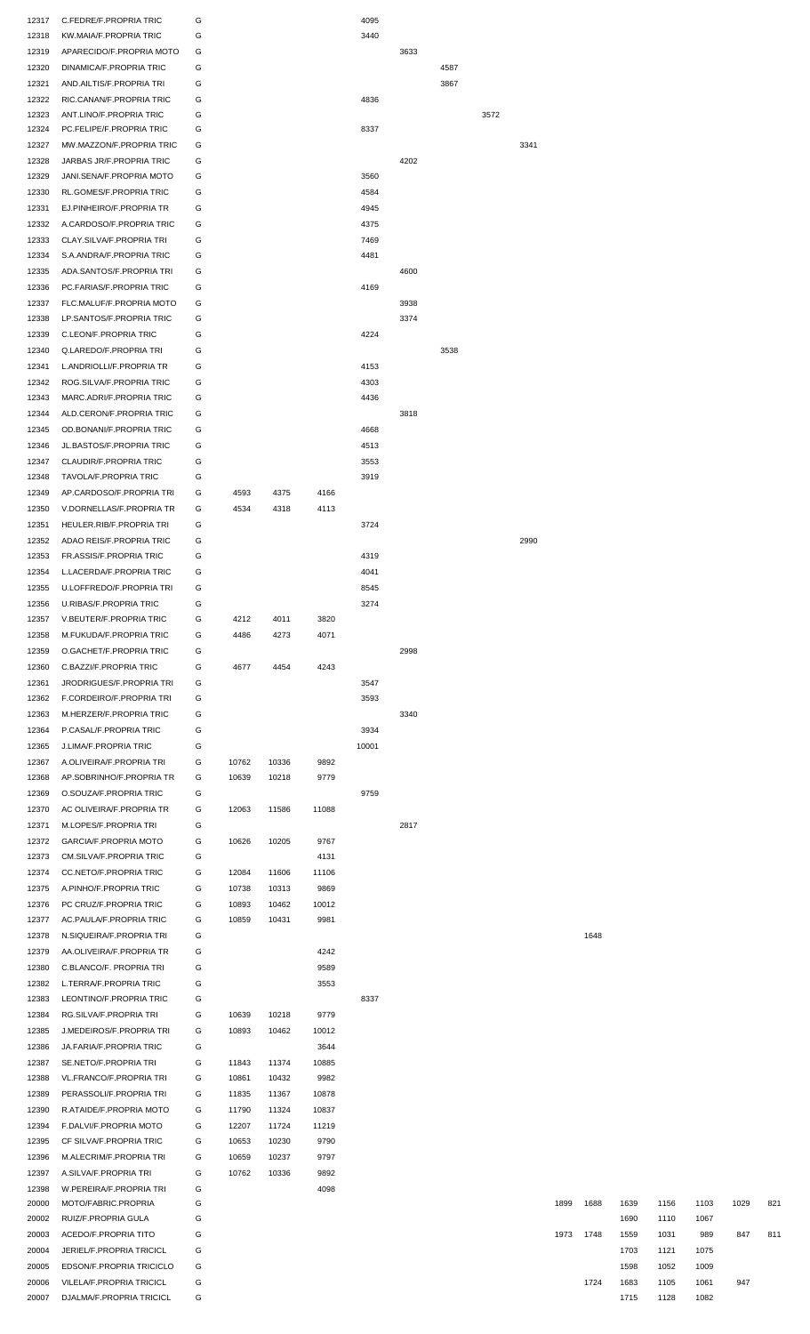| 12317 | C.FEDRE/F.PROPRIA TRIC          | G |       |       |       | 4095  |      |      |      |      |      |      |      |      |      |      |     |
|-------|---------------------------------|---|-------|-------|-------|-------|------|------|------|------|------|------|------|------|------|------|-----|
| 12318 | KW.MAIA/F.PROPRIA TRIC          | G |       |       |       | 3440  |      |      |      |      |      |      |      |      |      |      |     |
| 12319 | APARECIDO/F.PROPRIA MOTO        | G |       |       |       |       | 3633 |      |      |      |      |      |      |      |      |      |     |
| 12320 | DINAMICA/F.PROPRIA TRIC         | G |       |       |       |       |      | 4587 |      |      |      |      |      |      |      |      |     |
| 12321 | AND.AILTIS/F.PROPRIA TRI        | G |       |       |       |       |      | 3867 |      |      |      |      |      |      |      |      |     |
| 12322 | RIC.CANAN/F.PROPRIA TRIC        | G |       |       |       | 4836  |      |      |      |      |      |      |      |      |      |      |     |
| 12323 | ANT.LINO/F.PROPRIA TRIC         | G |       |       |       |       |      |      | 3572 |      |      |      |      |      |      |      |     |
| 12324 | PC.FELIPE/F.PROPRIA TRIC        | G |       |       |       | 8337  |      |      |      |      |      |      |      |      |      |      |     |
| 12327 | MW.MAZZON/F.PROPRIA TRIC        | G |       |       |       |       |      |      |      | 3341 |      |      |      |      |      |      |     |
|       |                                 |   |       |       |       |       |      |      |      |      |      |      |      |      |      |      |     |
| 12328 | JARBAS JR/F.PROPRIA TRIC        | G |       |       |       |       | 4202 |      |      |      |      |      |      |      |      |      |     |
| 12329 | JANI.SENA/F.PROPRIA MOTO        | G |       |       |       | 3560  |      |      |      |      |      |      |      |      |      |      |     |
| 12330 | RL.GOMES/F.PROPRIA TRIC         | G |       |       |       | 4584  |      |      |      |      |      |      |      |      |      |      |     |
| 12331 | EJ.PINHEIRO/F.PROPRIA TR        | G |       |       |       | 4945  |      |      |      |      |      |      |      |      |      |      |     |
| 12332 | A.CARDOSO/F.PROPRIA TRIC        | G |       |       |       | 4375  |      |      |      |      |      |      |      |      |      |      |     |
| 12333 | CLAY.SILVA/F.PROPRIA TRI        | G |       |       |       | 7469  |      |      |      |      |      |      |      |      |      |      |     |
| 12334 | S.A.ANDRA/F.PROPRIA TRIC        | G |       |       |       | 4481  |      |      |      |      |      |      |      |      |      |      |     |
|       |                                 |   |       |       |       |       |      |      |      |      |      |      |      |      |      |      |     |
| 12335 | ADA.SANTOS/F.PROPRIA TRI        | G |       |       |       |       | 4600 |      |      |      |      |      |      |      |      |      |     |
| 12336 | PC.FARIAS/F.PROPRIA TRIC        | G |       |       |       | 4169  |      |      |      |      |      |      |      |      |      |      |     |
| 12337 | FLC.MALUF/F.PROPRIA MOTO        | G |       |       |       |       | 3938 |      |      |      |      |      |      |      |      |      |     |
| 12338 | LP.SANTOS/F.PROPRIA TRIC        | G |       |       |       |       | 3374 |      |      |      |      |      |      |      |      |      |     |
| 12339 | C.LEON/F.PROPRIA TRIC           | G |       |       |       | 4224  |      |      |      |      |      |      |      |      |      |      |     |
| 12340 | Q.LAREDO/F.PROPRIA TRI          | G |       |       |       |       |      | 3538 |      |      |      |      |      |      |      |      |     |
| 12341 | L.ANDRIOLLI/F.PROPRIA TR        | G |       |       |       | 4153  |      |      |      |      |      |      |      |      |      |      |     |
| 12342 | ROG.SILVA/F.PROPRIA TRIC        | G |       |       |       | 4303  |      |      |      |      |      |      |      |      |      |      |     |
|       |                                 |   |       |       |       |       |      |      |      |      |      |      |      |      |      |      |     |
| 12343 | MARC.ADRI/F.PROPRIA TRIC        | G |       |       |       | 4436  |      |      |      |      |      |      |      |      |      |      |     |
| 12344 | ALD.CERON/F.PROPRIA TRIC        | G |       |       |       |       | 3818 |      |      |      |      |      |      |      |      |      |     |
| 12345 | OD.BONANI/F.PROPRIA TRIC        | G |       |       |       | 4668  |      |      |      |      |      |      |      |      |      |      |     |
| 12346 | JL.BASTOS/F.PROPRIA TRIC        | G |       |       |       | 4513  |      |      |      |      |      |      |      |      |      |      |     |
| 12347 | CLAUDIR/F.PROPRIA TRIC          | G |       |       |       | 3553  |      |      |      |      |      |      |      |      |      |      |     |
| 12348 | TAVOLA/F.PROPRIA TRIC           | G |       |       |       | 3919  |      |      |      |      |      |      |      |      |      |      |     |
| 12349 | AP.CARDOSO/F.PROPRIA TRI        | G | 4593  | 4375  | 4166  |       |      |      |      |      |      |      |      |      |      |      |     |
| 12350 | V.DORNELLAS/F.PROPRIA TR        | G | 4534  | 4318  | 4113  |       |      |      |      |      |      |      |      |      |      |      |     |
|       |                                 |   |       |       |       |       |      |      |      |      |      |      |      |      |      |      |     |
| 12351 | HEULER.RIB/F.PROPRIA TRI        | G |       |       |       | 3724  |      |      |      |      |      |      |      |      |      |      |     |
| 12352 | ADAO REIS/F.PROPRIA TRIC        | G |       |       |       |       |      |      |      | 2990 |      |      |      |      |      |      |     |
| 12353 | FR.ASSIS/F.PROPRIA TRIC         | G |       |       |       | 4319  |      |      |      |      |      |      |      |      |      |      |     |
| 12354 | L.LACERDA/F.PROPRIA TRIC        | G |       |       |       | 4041  |      |      |      |      |      |      |      |      |      |      |     |
| 12355 | <b>U.LOFFREDO/F.PROPRIA TRI</b> | G |       |       |       | 8545  |      |      |      |      |      |      |      |      |      |      |     |
| 12356 | U.RIBAS/F.PROPRIA TRIC          | G |       |       |       | 3274  |      |      |      |      |      |      |      |      |      |      |     |
| 12357 | V.BEUTER/F.PROPRIA TRIC         | G | 4212  | 4011  | 3820  |       |      |      |      |      |      |      |      |      |      |      |     |
|       |                                 |   |       |       |       |       |      |      |      |      |      |      |      |      |      |      |     |
| 12358 | M.FUKUDA/F.PROPRIA TRIC         | G | 4486  | 4273  | 4071  |       |      |      |      |      |      |      |      |      |      |      |     |
| 12359 | O.GACHET/F.PROPRIA TRIC         | G |       |       |       |       | 2998 |      |      |      |      |      |      |      |      |      |     |
| 12360 | C.BAZZI/F.PROPRIA TRIC          | G | 4677  | 4454  | 4243  |       |      |      |      |      |      |      |      |      |      |      |     |
| 12361 | JRODRIGUES/F.PROPRIA TRI        | G |       |       |       | 3547  |      |      |      |      |      |      |      |      |      |      |     |
| 12362 | F.CORDEIRO/F.PROPRIA TRI        | G |       |       |       | 3593  |      |      |      |      |      |      |      |      |      |      |     |
| 12363 | M.HERZER/F.PROPRIA TRIC         | G |       |       |       |       | 3340 |      |      |      |      |      |      |      |      |      |     |
| 12364 | P.CASAL/F.PROPRIA TRIC          | G |       |       |       | 3934  |      |      |      |      |      |      |      |      |      |      |     |
|       |                                 |   |       |       |       |       |      |      |      |      |      |      |      |      |      |      |     |
| 12365 | J.LIMA/F.PROPRIA TRIC           | G |       |       |       | 10001 |      |      |      |      |      |      |      |      |      |      |     |
| 12367 | A.OLIVEIRA/F.PROPRIA TRI        | G | 10762 | 10336 | 9892  |       |      |      |      |      |      |      |      |      |      |      |     |
| 12368 | AP.SOBRINHO/F.PROPRIA TR        | G | 10639 | 10218 | 9779  |       |      |      |      |      |      |      |      |      |      |      |     |
| 12369 | O.SOUZA/F.PROPRIA TRIC          | G |       |       |       | 9759  |      |      |      |      |      |      |      |      |      |      |     |
| 12370 | AC OLIVEIRA/F.PROPRIA TR        | G | 12063 | 11586 | 11088 |       |      |      |      |      |      |      |      |      |      |      |     |
| 12371 | M.LOPES/F.PROPRIA TRI           | G |       |       |       |       | 2817 |      |      |      |      |      |      |      |      |      |     |
| 12372 | GARCIA/F.PROPRIA MOTO           | G | 10626 | 10205 | 9767  |       |      |      |      |      |      |      |      |      |      |      |     |
|       | CM.SILVA/F.PROPRIA TRIC         | G |       |       | 4131  |       |      |      |      |      |      |      |      |      |      |      |     |
| 12373 |                                 |   |       |       |       |       |      |      |      |      |      |      |      |      |      |      |     |
| 12374 | CC.NETO/F.PROPRIA TRIC          | G | 12084 | 11606 | 11106 |       |      |      |      |      |      |      |      |      |      |      |     |
| 12375 | A.PINHO/F.PROPRIA TRIC          | G | 10738 | 10313 | 9869  |       |      |      |      |      |      |      |      |      |      |      |     |
| 12376 | PC CRUZ/F.PROPRIA TRIC          | G | 10893 | 10462 | 10012 |       |      |      |      |      |      |      |      |      |      |      |     |
| 12377 | AC.PAULA/F.PROPRIA TRIC         | G | 10859 | 10431 | 9981  |       |      |      |      |      |      |      |      |      |      |      |     |
| 12378 | N.SIQUEIRA/F.PROPRIA TRI        | G |       |       |       |       |      |      |      |      |      | 1648 |      |      |      |      |     |
| 12379 | AA.OLIVEIRA/F.PROPRIA TR        | G |       |       | 4242  |       |      |      |      |      |      |      |      |      |      |      |     |
| 12380 | C.BLANCO/F. PROPRIA TRI         | G |       |       | 9589  |       |      |      |      |      |      |      |      |      |      |      |     |
| 12382 | L.TERRA/F.PROPRIA TRIC          | G |       |       | 3553  |       |      |      |      |      |      |      |      |      |      |      |     |
|       |                                 |   |       |       |       |       |      |      |      |      |      |      |      |      |      |      |     |
| 12383 | LEONTINO/F.PROPRIA TRIC         | G |       |       |       | 8337  |      |      |      |      |      |      |      |      |      |      |     |
| 12384 | RG.SILVA/F.PROPRIA TRI          | G | 10639 | 10218 | 9779  |       |      |      |      |      |      |      |      |      |      |      |     |
| 12385 | J.MEDEIROS/F.PROPRIA TRI        | G | 10893 | 10462 | 10012 |       |      |      |      |      |      |      |      |      |      |      |     |
| 12386 | JA.FARIA/F.PROPRIA TRIC         | G |       |       | 3644  |       |      |      |      |      |      |      |      |      |      |      |     |
| 12387 | SE.NETO/F.PROPRIA TRI           | G | 11843 | 11374 | 10885 |       |      |      |      |      |      |      |      |      |      |      |     |
| 12388 | VL.FRANCO/F.PROPRIA TRI         | G | 10861 | 10432 | 9982  |       |      |      |      |      |      |      |      |      |      |      |     |
| 12389 | PERASSOLI/F.PROPRIA TRI         | G | 11835 | 11367 | 10878 |       |      |      |      |      |      |      |      |      |      |      |     |
| 12390 | R.ATAIDE/F.PROPRIA MOTO         | G | 11790 | 11324 | 10837 |       |      |      |      |      |      |      |      |      |      |      |     |
|       |                                 |   |       |       |       |       |      |      |      |      |      |      |      |      |      |      |     |
| 12394 | F.DALVI/F.PROPRIA MOTO          | G | 12207 | 11724 | 11219 |       |      |      |      |      |      |      |      |      |      |      |     |
| 12395 | CF SILVA/F.PROPRIA TRIC         | G | 10653 | 10230 | 9790  |       |      |      |      |      |      |      |      |      |      |      |     |
| 12396 | M.ALECRIM/F.PROPRIA TRI         | G | 10659 | 10237 | 9797  |       |      |      |      |      |      |      |      |      |      |      |     |
| 12397 | A.SILVA/F.PROPRIA TRI           | G | 10762 | 10336 | 9892  |       |      |      |      |      |      |      |      |      |      |      |     |
| 12398 | W.PEREIRA/F.PROPRIA TRI         | G |       |       | 4098  |       |      |      |      |      |      |      |      |      |      |      |     |
| 20000 | MOTO/FABRIC.PROPRIA             | G |       |       |       |       |      |      |      |      | 1899 | 1688 | 1639 | 1156 | 1103 | 1029 | 821 |
| 20002 | RUIZ/F.PROPRIA GULA             | G |       |       |       |       |      |      |      |      |      |      | 1690 | 1110 | 1067 |      |     |
| 20003 | ACEDO/F.PROPRIA TITO            | G |       |       |       |       |      |      |      |      | 1973 | 1748 | 1559 | 1031 | 989  | 847  | 811 |
|       |                                 |   |       |       |       |       |      |      |      |      |      |      |      |      |      |      |     |
| 20004 | JERIEL/F.PROPRIA TRICICL        | G |       |       |       |       |      |      |      |      |      |      | 1703 | 1121 | 1075 |      |     |
| 20005 | EDSON/F.PROPRIA TRICICLO        | G |       |       |       |       |      |      |      |      |      |      | 1598 | 1052 | 1009 |      |     |
| 20006 | VILELA/F.PROPRIA TRICICL        | G |       |       |       |       |      |      |      |      |      | 1724 | 1683 | 1105 | 1061 | 947  |     |
| 20007 | DJALMA/F.PROPRIA TRICICL        | G |       |       |       |       |      |      |      |      |      |      | 1715 | 1128 | 1082 |      |     |

| 1899 | 1688 | 1639 | 1156 | 1103 | 1029 | 821 |
|------|------|------|------|------|------|-----|
|      |      | 1690 | 1110 | 1067 |      |     |
| 1973 | 1748 | 1559 | 1031 | 989  | 847  | 811 |
|      |      | 1703 | 1121 | 1075 |      |     |
|      |      | 1598 | 1052 | 1009 |      |     |
|      | 1724 | 1683 | 1105 | 1061 | 947  |     |
|      |      | 1715 | 1128 | 1082 |      |     |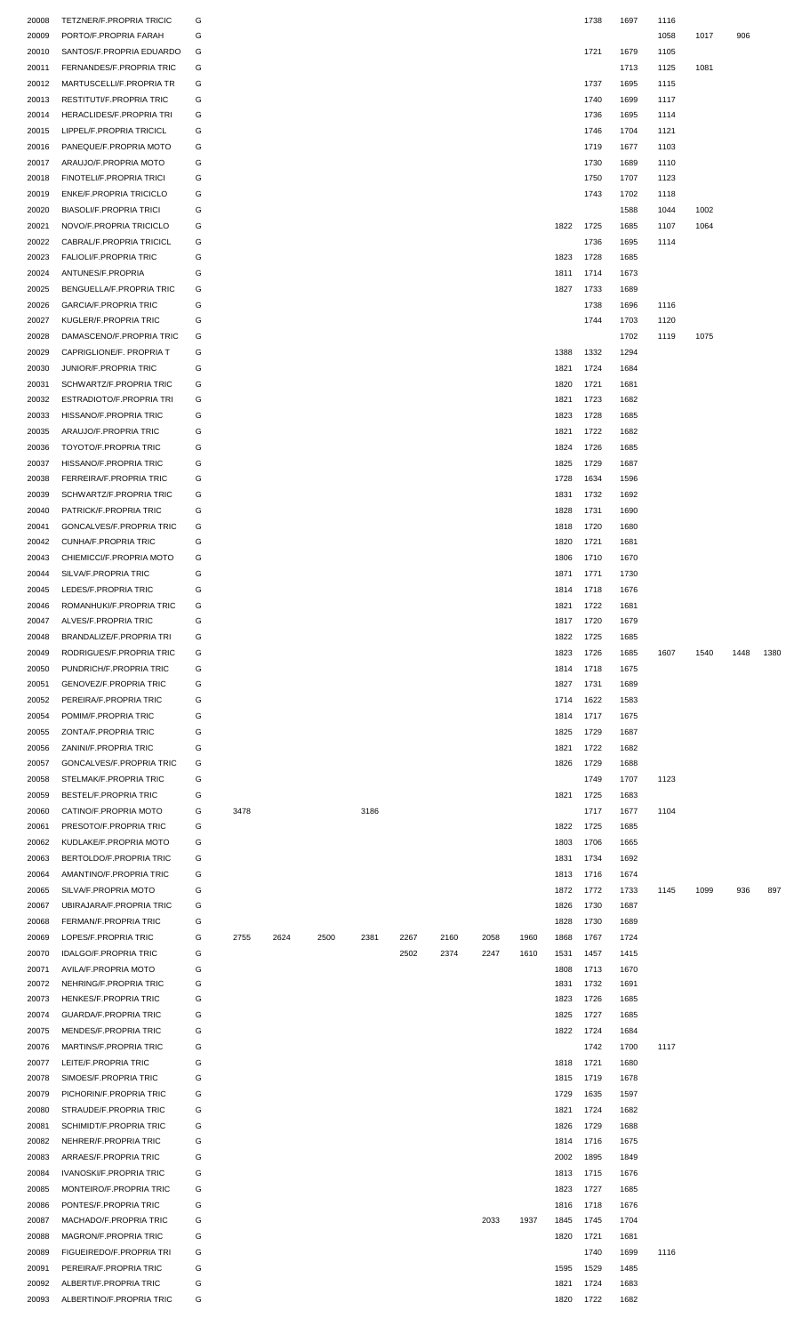| 20008 | <b>TETZNER/F.PROPRIA TRICIC</b> | G |      |      |      |      |      |      |      |      |      | 1738 | 1697 | 1116 |      |      |      |
|-------|---------------------------------|---|------|------|------|------|------|------|------|------|------|------|------|------|------|------|------|
| 20009 | PORTO/F.PROPRIA FARAH           | G |      |      |      |      |      |      |      |      |      |      |      | 1058 | 1017 | 906  |      |
| 20010 | SANTOS/F.PROPRIA EDUARDO        | G |      |      |      |      |      |      |      |      |      | 1721 | 1679 | 1105 |      |      |      |
| 20011 | FERNANDES/F.PROPRIA TRIC        | G |      |      |      |      |      |      |      |      |      |      | 1713 | 1125 | 1081 |      |      |
| 20012 | MARTUSCELLI/F.PROPRIA TR        | G |      |      |      |      |      |      |      |      |      | 1737 | 1695 | 1115 |      |      |      |
|       | <b>RESTITUTI/F.PROPRIA TRIC</b> | G |      |      |      |      |      |      |      |      |      | 1740 | 1699 | 1117 |      |      |      |
| 20013 |                                 |   |      |      |      |      |      |      |      |      |      |      |      |      |      |      |      |
| 20014 | HERACLIDES/F.PROPRIA TRI        | G |      |      |      |      |      |      |      |      |      | 1736 | 1695 | 1114 |      |      |      |
| 20015 | LIPPEL/F.PROPRIA TRICICL        | G |      |      |      |      |      |      |      |      |      | 1746 | 1704 | 1121 |      |      |      |
| 20016 | PANEQUE/F.PROPRIA MOTO          | G |      |      |      |      |      |      |      |      |      | 1719 | 1677 | 1103 |      |      |      |
| 20017 | ARAUJO/F.PROPRIA MOTO           | G |      |      |      |      |      |      |      |      |      | 1730 | 1689 | 1110 |      |      |      |
| 20018 | FINOTELI/F.PROPRIA TRICI        | G |      |      |      |      |      |      |      |      |      | 1750 | 1707 | 1123 |      |      |      |
| 20019 | <b>ENKE/F.PROPRIA TRICICLO</b>  | G |      |      |      |      |      |      |      |      |      | 1743 | 1702 | 1118 |      |      |      |
| 20020 | <b>BIASOLI/F.PROPRIA TRICI</b>  | G |      |      |      |      |      |      |      |      |      |      | 1588 | 1044 | 1002 |      |      |
| 20021 | NOVO/F.PROPRIA TRICICLO         | G |      |      |      |      |      |      |      |      | 1822 | 1725 | 1685 | 1107 | 1064 |      |      |
| 20022 | CABRAL/F.PROPRIA TRICICL        | G |      |      |      |      |      |      |      |      |      | 1736 | 1695 | 1114 |      |      |      |
|       |                                 |   |      |      |      |      |      |      |      |      |      |      |      |      |      |      |      |
| 20023 | FALIOLI/F.PROPRIA TRIC          | G |      |      |      |      |      |      |      |      | 1823 | 1728 | 1685 |      |      |      |      |
| 20024 | ANTUNES/F.PROPRIA               | G |      |      |      |      |      |      |      |      | 1811 | 1714 | 1673 |      |      |      |      |
| 20025 | BENGUELLA/F.PROPRIA TRIC        | G |      |      |      |      |      |      |      |      | 1827 | 1733 | 1689 |      |      |      |      |
| 20026 | <b>GARCIA/F.PROPRIA TRIC</b>    | G |      |      |      |      |      |      |      |      |      | 1738 | 1696 | 1116 |      |      |      |
| 20027 | KUGLER/F.PROPRIA TRIC           | G |      |      |      |      |      |      |      |      |      | 1744 | 1703 | 1120 |      |      |      |
| 20028 | DAMASCENO/F.PROPRIA TRIC        | G |      |      |      |      |      |      |      |      |      |      | 1702 | 1119 | 1075 |      |      |
| 20029 | CAPRIGLIONE/F. PROPRIA T        | G |      |      |      |      |      |      |      |      | 1388 | 1332 | 1294 |      |      |      |      |
|       | JUNIOR/F.PROPRIA TRIC           | G |      |      |      |      |      |      |      |      |      |      |      |      |      |      |      |
| 20030 |                                 |   |      |      |      |      |      |      |      |      | 1821 | 1724 | 1684 |      |      |      |      |
| 20031 | SCHWARTZ/F.PROPRIA TRIC         | G |      |      |      |      |      |      |      |      | 1820 | 1721 | 1681 |      |      |      |      |
| 20032 | ESTRADIOTO/F.PROPRIA TRI        | G |      |      |      |      |      |      |      |      | 1821 | 1723 | 1682 |      |      |      |      |
| 20033 | HISSANO/F.PROPRIA TRIC          | G |      |      |      |      |      |      |      |      | 1823 | 1728 | 1685 |      |      |      |      |
| 20035 | ARAUJO/F.PROPRIA TRIC           | G |      |      |      |      |      |      |      |      | 1821 | 1722 | 1682 |      |      |      |      |
| 20036 | TOYOTO/F.PROPRIA TRIC           | G |      |      |      |      |      |      |      |      | 1824 | 1726 | 1685 |      |      |      |      |
| 20037 | HISSANO/F.PROPRIA TRIC          | G |      |      |      |      |      |      |      |      | 1825 | 1729 | 1687 |      |      |      |      |
| 20038 | FERREIRA/F.PROPRIA TRIC         | G |      |      |      |      |      |      |      |      | 1728 | 1634 | 1596 |      |      |      |      |
|       |                                 |   |      |      |      |      |      |      |      |      |      |      |      |      |      |      |      |
| 20039 | SCHWARTZ/F.PROPRIA TRIC         | G |      |      |      |      |      |      |      |      | 1831 | 1732 | 1692 |      |      |      |      |
| 20040 | PATRICK/F.PROPRIA TRIC          | G |      |      |      |      |      |      |      |      | 1828 | 1731 | 1690 |      |      |      |      |
| 20041 | GONCALVES/F.PROPRIA TRIC        | G |      |      |      |      |      |      |      |      | 1818 | 1720 | 1680 |      |      |      |      |
| 20042 | <b>CUNHA/F.PROPRIA TRIC</b>     | G |      |      |      |      |      |      |      |      | 1820 | 1721 | 1681 |      |      |      |      |
| 20043 | CHIEMICCI/F.PROPRIA MOTO        | G |      |      |      |      |      |      |      |      | 1806 | 1710 | 1670 |      |      |      |      |
| 20044 | SILVA/F.PROPRIA TRIC            | G |      |      |      |      |      |      |      |      | 1871 | 1771 | 1730 |      |      |      |      |
| 20045 | LEDES/F.PROPRIA TRIC            | G |      |      |      |      |      |      |      |      | 1814 | 1718 | 1676 |      |      |      |      |
| 20046 |                                 | G |      |      |      |      |      |      |      |      |      |      |      |      |      |      |      |
|       | ROMANHUKI/F.PROPRIA TRIC        |   |      |      |      |      |      |      |      |      | 1821 | 1722 | 1681 |      |      |      |      |
| 20047 | ALVES/F.PROPRIA TRIC            | G |      |      |      |      |      |      |      |      | 1817 | 1720 | 1679 |      |      |      |      |
| 20048 | BRANDALIZE/F.PROPRIA TRI        | G |      |      |      |      |      |      |      |      | 1822 | 1725 | 1685 |      |      |      |      |
| 20049 | RODRIGUES/F.PROPRIA TRIC        | G |      |      |      |      |      |      |      |      | 1823 | 1726 | 1685 | 1607 | 1540 | 1448 | 1380 |
| 20050 | PUNDRICH/F.PROPRIA TRIC         | G |      |      |      |      |      |      |      |      | 1814 | 1718 | 1675 |      |      |      |      |
| 20051 | <b>GENOVEZ/F.PROPRIA TRIC</b>   | G |      |      |      |      |      |      |      |      | 1827 | 1731 | 1689 |      |      |      |      |
| 20052 | PEREIRA/F.PROPRIA TRIC          | G |      |      |      |      |      |      |      |      | 1714 | 1622 | 1583 |      |      |      |      |
| 20054 | POMIM/F.PROPRIA TRIC            | G |      |      |      |      |      |      |      |      | 1814 | 1717 | 1675 |      |      |      |      |
| 20055 | ZONTA/F.PROPRIA TRIC            | G |      |      |      |      |      |      |      |      | 1825 | 1729 | 1687 |      |      |      |      |
|       |                                 |   |      |      |      |      |      |      |      |      |      |      |      |      |      |      |      |
| 20056 | ZANINI/F.PROPRIA TRIC           | G |      |      |      |      |      |      |      |      | 1821 | 1722 | 1682 |      |      |      |      |
| 20057 | GONCALVES/F.PROPRIA TRIC        | G |      |      |      |      |      |      |      |      | 1826 | 1729 | 1688 |      |      |      |      |
| 20058 | STELMAK/F.PROPRIA TRIC          | G |      |      |      |      |      |      |      |      |      | 1749 | 1707 | 1123 |      |      |      |
| 20059 | BESTEL/F.PROPRIA TRIC           | G |      |      |      |      |      |      |      |      | 1821 | 1725 | 1683 |      |      |      |      |
| 20060 | CATINO/F.PROPRIA MOTO           | G | 3478 |      |      | 3186 |      |      |      |      |      | 1717 | 1677 | 1104 |      |      |      |
| 20061 | PRESOTO/F.PROPRIA TRIC          | G |      |      |      |      |      |      |      |      | 1822 | 1725 | 1685 |      |      |      |      |
| 20062 | KUDLAKE/F.PROPRIA MOTO          | G |      |      |      |      |      |      |      |      | 1803 | 1706 | 1665 |      |      |      |      |
| 20063 | BERTOLDO/F.PROPRIA TRIC         | G |      |      |      |      |      |      |      |      | 1831 | 1734 | 1692 |      |      |      |      |
|       |                                 |   |      |      |      |      |      |      |      |      |      |      |      |      |      |      |      |
| 20064 | AMANTINO/F.PROPRIA TRIC         | G |      |      |      |      |      |      |      |      | 1813 | 1716 | 1674 |      |      |      |      |
| 20065 | SILVA/F.PROPRIA MOTO            | G |      |      |      |      |      |      |      |      | 1872 | 1772 | 1733 | 1145 | 1099 | 936  | 897  |
| 20067 | UBIRAJARA/F.PROPRIA TRIC        | G |      |      |      |      |      |      |      |      | 1826 | 1730 | 1687 |      |      |      |      |
| 20068 | FERMAN/F.PROPRIA TRIC           | G |      |      |      |      |      |      |      |      | 1828 | 1730 | 1689 |      |      |      |      |
| 20069 | LOPES/F.PROPRIA TRIC            | G | 2755 | 2624 | 2500 | 2381 | 2267 | 2160 | 2058 | 1960 | 1868 | 1767 | 1724 |      |      |      |      |
| 20070 | <b>IDALGO/F.PROPRIA TRIC</b>    | G |      |      |      |      | 2502 | 2374 | 2247 | 1610 | 1531 | 1457 | 1415 |      |      |      |      |
| 20071 | AVILA/F.PROPRIA MOTO            | G |      |      |      |      |      |      |      |      | 1808 | 1713 | 1670 |      |      |      |      |
| 20072 | NEHRING/F.PROPRIA TRIC          | G |      |      |      |      |      |      |      |      | 1831 | 1732 | 1691 |      |      |      |      |
| 20073 | HENKES/F.PROPRIA TRIC           | G |      |      |      |      |      |      |      |      | 1823 | 1726 | 1685 |      |      |      |      |
|       |                                 |   |      |      |      |      |      |      |      |      |      |      |      |      |      |      |      |
| 20074 | <b>GUARDA/F.PROPRIA TRIC</b>    | G |      |      |      |      |      |      |      |      | 1825 | 1727 | 1685 |      |      |      |      |
| 20075 | MENDES/F.PROPRIA TRIC           | G |      |      |      |      |      |      |      |      | 1822 | 1724 | 1684 |      |      |      |      |
| 20076 | MARTINS/F.PROPRIA TRIC          | G |      |      |      |      |      |      |      |      |      | 1742 | 1700 | 1117 |      |      |      |
| 20077 | LEITE/F.PROPRIA TRIC            | G |      |      |      |      |      |      |      |      | 1818 | 1721 | 1680 |      |      |      |      |
| 20078 | SIMOES/F.PROPRIA TRIC           | G |      |      |      |      |      |      |      |      | 1815 | 1719 | 1678 |      |      |      |      |
| 20079 | PICHORIN/F.PROPRIA TRIC         | G |      |      |      |      |      |      |      |      | 1729 | 1635 | 1597 |      |      |      |      |
| 20080 | STRAUDE/F.PROPRIA TRIC          | G |      |      |      |      |      |      |      |      | 1821 | 1724 | 1682 |      |      |      |      |
| 20081 | SCHIMIDT/F.PROPRIA TRIC         | G |      |      |      |      |      |      |      |      | 1826 | 1729 | 1688 |      |      |      |      |
|       |                                 |   |      |      |      |      |      |      |      |      |      |      |      |      |      |      |      |
| 20082 | NEHRER/F.PROPRIA TRIC           | G |      |      |      |      |      |      |      |      | 1814 | 1716 | 1675 |      |      |      |      |
| 20083 | ARRAES/F.PROPRIA TRIC           | G |      |      |      |      |      |      |      |      | 2002 | 1895 | 1849 |      |      |      |      |
| 20084 | <b>IVANOSKI/F.PROPRIA TRIC</b>  | G |      |      |      |      |      |      |      |      | 1813 | 1715 | 1676 |      |      |      |      |
| 20085 | MONTEIRO/F.PROPRIA TRIC         | G |      |      |      |      |      |      |      |      | 1823 | 1727 | 1685 |      |      |      |      |
| 20086 | PONTES/F.PROPRIA TRIC           | G |      |      |      |      |      |      |      |      | 1816 | 1718 | 1676 |      |      |      |      |
| 20087 | MACHADO/F.PROPRIA TRIC          | G |      |      |      |      |      |      | 2033 | 1937 | 1845 | 1745 | 1704 |      |      |      |      |
| 20088 | MAGRON/F.PROPRIA TRIC           | G |      |      |      |      |      |      |      |      | 1820 | 1721 | 1681 |      |      |      |      |
|       | FIGUEIREDO/F.PROPRIA TRI        | G |      |      |      |      |      |      |      |      |      |      |      |      |      |      |      |
| 20089 |                                 |   |      |      |      |      |      |      |      |      |      | 1740 | 1699 | 1116 |      |      |      |
| 20091 | PEREIRA/F.PROPRIA TRIC          | G |      |      |      |      |      |      |      |      | 1595 | 1529 | 1485 |      |      |      |      |
| 20092 | ALBERTI/F.PROPRIA TRIC          | G |      |      |      |      |      |      |      |      | 1821 | 1724 | 1683 |      |      |      |      |
| 20093 | ALBERTINO/F.PROPRIA TRIC        | G |      |      |      |      |      |      |      |      | 1820 | 1722 | 1682 |      |      |      |      |
|       |                                 |   |      |      |      |      |      |      |      |      |      |      |      |      |      |      |      |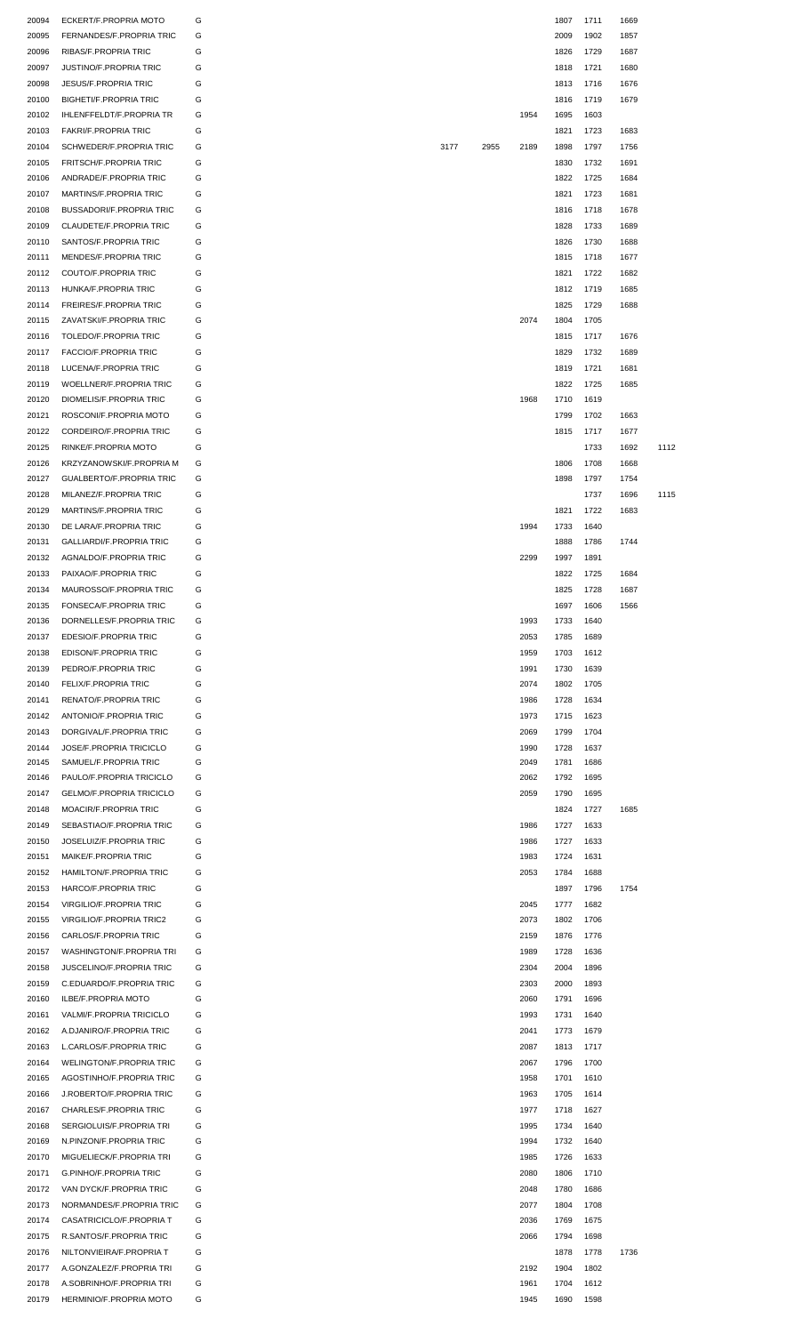| 20094 | ECKERT/F.PROPRIA MOTO           | G |      |      |      | 1807 | 1711 | 1669 |      |
|-------|---------------------------------|---|------|------|------|------|------|------|------|
| 20095 | FERNANDES/F.PROPRIA TRIC        | G |      |      |      | 2009 | 1902 | 1857 |      |
|       |                                 | G |      |      |      | 1826 |      |      |      |
| 20096 | RIBAS/F.PROPRIA TRIC            |   |      |      |      |      | 1729 | 1687 |      |
| 20097 | <b>JUSTINO/F.PROPRIA TRIC</b>   | G |      |      |      | 1818 | 1721 | 1680 |      |
| 20098 | <b>JESUS/F.PROPRIA TRIC</b>     | G |      |      |      | 1813 | 1716 | 1676 |      |
| 20100 | <b>BIGHETI/F.PROPRIA TRIC</b>   | G |      |      |      | 1816 | 1719 | 1679 |      |
| 20102 | IHLENFFELDT/F.PROPRIA TR        | G |      |      | 1954 | 1695 | 1603 |      |      |
|       |                                 |   |      |      |      |      |      |      |      |
| 20103 | <b>FAKRI/F.PROPRIA TRIC</b>     | G |      |      |      | 1821 | 1723 | 1683 |      |
| 20104 | SCHWEDER/F.PROPRIA TRIC         | G | 3177 | 2955 | 2189 | 1898 | 1797 | 1756 |      |
| 20105 | <b>FRITSCH/F.PROPRIA TRIC</b>   | G |      |      |      | 1830 | 1732 | 1691 |      |
| 20106 | ANDRADE/F.PROPRIA TRIC          | G |      |      |      | 1822 | 1725 | 1684 |      |
|       |                                 |   |      |      |      |      |      |      |      |
| 20107 | MARTINS/F.PROPRIA TRIC          | G |      |      |      | 1821 | 1723 | 1681 |      |
| 20108 | <b>BUSSADORI/F.PROPRIA TRIC</b> | G |      |      |      | 1816 | 1718 | 1678 |      |
| 20109 | CLAUDETE/F.PROPRIA TRIC         | G |      |      |      | 1828 | 1733 | 1689 |      |
| 20110 | SANTOS/F.PROPRIA TRIC           | G |      |      |      | 1826 | 1730 | 1688 |      |
| 20111 | MENDES/F.PROPRIA TRIC           | G |      |      |      | 1815 | 1718 | 1677 |      |
|       |                                 |   |      |      |      |      |      |      |      |
| 20112 | COUTO/F.PROPRIA TRIC            | G |      |      |      | 1821 | 1722 | 1682 |      |
| 20113 | HUNKA/F.PROPRIA TRIC            | G |      |      |      | 1812 | 1719 | 1685 |      |
| 20114 | <b>FREIRES/F.PROPRIA TRIC</b>   | G |      |      |      | 1825 | 1729 | 1688 |      |
| 20115 | ZAVATSKI/F.PROPRIA TRIC         | G |      |      | 2074 | 1804 | 1705 |      |      |
|       |                                 |   |      |      |      |      |      |      |      |
| 20116 | TOLEDO/F.PROPRIA TRIC           | G |      |      |      | 1815 | 1717 | 1676 |      |
| 20117 | <b>FACCIO/F.PROPRIA TRIC</b>    | G |      |      |      | 1829 | 1732 | 1689 |      |
| 20118 | LUCENA/F.PROPRIA TRIC           | G |      |      |      | 1819 | 1721 | 1681 |      |
| 20119 | WOELLNER/F.PROPRIA TRIC         | G |      |      |      | 1822 | 1725 | 1685 |      |
|       |                                 |   |      |      |      |      |      |      |      |
| 20120 | DIOMELIS/F.PROPRIA TRIC         | G |      |      | 1968 | 1710 | 1619 |      |      |
| 20121 | ROSCONI/F.PROPRIA MOTO          | G |      |      |      | 1799 | 1702 | 1663 |      |
| 20122 | CORDEIRO/F.PROPRIA TRIC         | G |      |      |      | 1815 | 1717 | 1677 |      |
| 20125 | RINKE/F.PROPRIA MOTO            | G |      |      |      |      | 1733 | 1692 | 1112 |
|       |                                 |   |      |      |      |      |      |      |      |
| 20126 | KRZYZANOWSKI/F.PROPRIA M        | G |      |      |      | 1806 | 1708 | 1668 |      |
| 20127 | <b>GUALBERTO/F.PROPRIA TRIC</b> | G |      |      |      | 1898 | 1797 | 1754 |      |
| 20128 | MILANEZ/F.PROPRIA TRIC          | G |      |      |      |      | 1737 | 1696 | 1115 |
| 20129 | MARTINS/F.PROPRIA TRIC          | G |      |      |      | 1821 | 1722 | 1683 |      |
|       |                                 |   |      |      |      |      |      |      |      |
| 20130 | DE LARA/F.PROPRIA TRIC          | G |      |      | 1994 | 1733 | 1640 |      |      |
| 20131 | GALLIARDI/F.PROPRIA TRIC        | G |      |      |      | 1888 | 1786 | 1744 |      |
| 20132 | AGNALDO/F.PROPRIA TRIC          | G |      |      | 2299 | 1997 | 1891 |      |      |
| 20133 | PAIXAO/F.PROPRIA TRIC           | G |      |      |      | 1822 | 1725 | 1684 |      |
|       |                                 | G |      |      |      |      |      |      |      |
| 20134 | MAUROSSO/F.PROPRIA TRIC         |   |      |      |      | 1825 | 1728 | 1687 |      |
| 20135 | FONSECA/F.PROPRIA TRIC          | G |      |      |      | 1697 | 1606 | 1566 |      |
| 20136 | DORNELLES/F.PROPRIA TRIC        | G |      |      | 1993 | 1733 | 1640 |      |      |
| 20137 | EDESIO/F.PROPRIA TRIC           | G |      |      | 2053 | 1785 | 1689 |      |      |
| 20138 | EDISON/F.PROPRIA TRIC           | G |      |      | 1959 | 1703 | 1612 |      |      |
|       |                                 |   |      |      |      |      |      |      |      |
| 20139 | PEDRO/F.PROPRIA TRIC            | G |      |      | 1991 | 1730 | 1639 |      |      |
| 20140 | FELIX/F.PROPRIA TRIC            | G |      |      | 2074 | 1802 | 1705 |      |      |
| 20141 | RENATO/F.PROPRIA TRIC           | G |      |      | 1986 | 1728 | 1634 |      |      |
| 20142 | ANTONIO/F.PROPRIA TRIC          | G |      |      | 1973 | 1715 | 1623 |      |      |
|       |                                 |   |      |      |      |      |      |      |      |
| 20143 | DORGIVAL/F.PROPRIA TRIC         | G |      |      | 2069 | 1799 | 1704 |      |      |
| 20144 | JOSE/F.PROPRIA TRICICLO         | G |      |      | 1990 | 1728 | 1637 |      |      |
| 20145 | SAMUEL/F.PROPRIA TRIC           | G |      |      | 2049 | 1781 | 1686 |      |      |
| 20146 | PAULO/F.PROPRIA TRICICLO        | G |      |      | 2062 | 1792 | 1695 |      |      |
| 20147 | GELMO/F.PROPRIA TRICICLO        | G |      |      | 2059 | 1790 | 1695 |      |      |
|       |                                 |   |      |      |      |      |      |      |      |
| 20148 | MOACIR/F.PROPRIA TRIC           | G |      |      |      | 1824 | 1727 | 1685 |      |
| 20149 | SEBASTIAO/F.PROPRIA TRIC        | G |      |      | 1986 | 1727 | 1633 |      |      |
| 20150 | JOSELUIZ/F.PROPRIA TRIC         | G |      |      | 1986 | 1727 | 1633 |      |      |
| 20151 | MAIKE/F.PROPRIA TRIC            | G |      |      | 1983 | 1724 | 1631 |      |      |
|       |                                 |   |      |      |      |      |      |      |      |
| 20152 | HAMILTON/F.PROPRIA TRIC         | G |      |      | 2053 | 1784 | 1688 |      |      |
| 20153 | HARCO/F.PROPRIA TRIC            | G |      |      |      | 1897 | 1796 | 1754 |      |
| 20154 | <b>VIRGILIO/F.PROPRIA TRIC</b>  | G |      |      | 2045 | 1777 | 1682 |      |      |
| 20155 | <b>VIRGILIO/F.PROPRIA TRIC2</b> | G |      |      | 2073 | 1802 | 1706 |      |      |
|       |                                 |   |      |      |      |      |      |      |      |
| 20156 | CARLOS/F.PROPRIA TRIC           | G |      |      | 2159 | 1876 | 1776 |      |      |
| 20157 | <b>WASHINGTON/F.PROPRIA TRI</b> | G |      |      | 1989 | 1728 | 1636 |      |      |
| 20158 | JUSCELINO/F.PROPRIA TRIC        | G |      |      | 2304 | 2004 | 1896 |      |      |
| 20159 | C.EDUARDO/F.PROPRIA TRIC        | G |      |      | 2303 | 2000 | 1893 |      |      |
|       |                                 |   |      |      |      |      |      |      |      |
| 20160 | ILBE/F.PROPRIA MOTO             | G |      |      | 2060 | 1791 | 1696 |      |      |
| 20161 | VALMI/F.PROPRIA TRICICLO        | G |      |      | 1993 | 1731 | 1640 |      |      |
| 20162 | A.DJANIRO/F.PROPRIA TRIC        | G |      |      | 2041 | 1773 | 1679 |      |      |
| 20163 | L.CARLOS/F.PROPRIA TRIC         | G |      |      | 2087 | 1813 | 1717 |      |      |
|       |                                 |   |      |      |      |      |      |      |      |
| 20164 | <b>WELINGTON/F.PROPRIA TRIC</b> | G |      |      | 2067 | 1796 | 1700 |      |      |
| 20165 | AGOSTINHO/F.PROPRIA TRIC        | G |      |      | 1958 | 1701 | 1610 |      |      |
| 20166 | J.ROBERTO/F.PROPRIA TRIC        | G |      |      | 1963 | 1705 | 1614 |      |      |
| 20167 | CHARLES/F.PROPRIA TRIC          | G |      |      | 1977 | 1718 | 1627 |      |      |
|       | SERGIOLUIS/F.PROPRIA TRI        | G |      |      |      |      |      |      |      |
| 20168 |                                 |   |      |      | 1995 | 1734 | 1640 |      |      |
| 20169 | N.PINZON/F.PROPRIA TRIC         | G |      |      | 1994 | 1732 | 1640 |      |      |
| 20170 | MIGUELIECK/F.PROPRIA TRI        | G |      |      | 1985 | 1726 | 1633 |      |      |
| 20171 | <b>G.PINHO/F.PROPRIA TRIC</b>   | G |      |      | 2080 | 1806 | 1710 |      |      |
|       |                                 |   |      |      | 2048 |      |      |      |      |
| 20172 | VAN DYCK/F.PROPRIA TRIC         | G |      |      |      | 1780 | 1686 |      |      |
| 20173 | NORMANDES/F.PROPRIA TRIC        | G |      |      | 2077 | 1804 | 1708 |      |      |
| 20174 | CASATRICICLO/F.PROPRIA T        | G |      |      | 2036 | 1769 | 1675 |      |      |
| 20175 | R.SANTOS/F.PROPRIA TRIC         | G |      |      | 2066 | 1794 | 1698 |      |      |
| 20176 | NILTONVIEIRA/F.PROPRIA T        | G |      |      |      | 1878 | 1778 | 1736 |      |
|       |                                 |   |      |      |      |      |      |      |      |
| 20177 | A.GONZALEZ/F.PROPRIA TRI        | G |      |      | 2192 | 1904 | 1802 |      |      |
| 20178 | A.SOBRINHO/F.PROPRIA TRI        | G |      |      | 1961 | 1704 | 1612 |      |      |
| 20179 | HERMINIO/F.PROPRIA MOTO         | G |      |      | 1945 | 1690 | 1598 |      |      |
|       |                                 |   |      |      |      |      |      |      |      |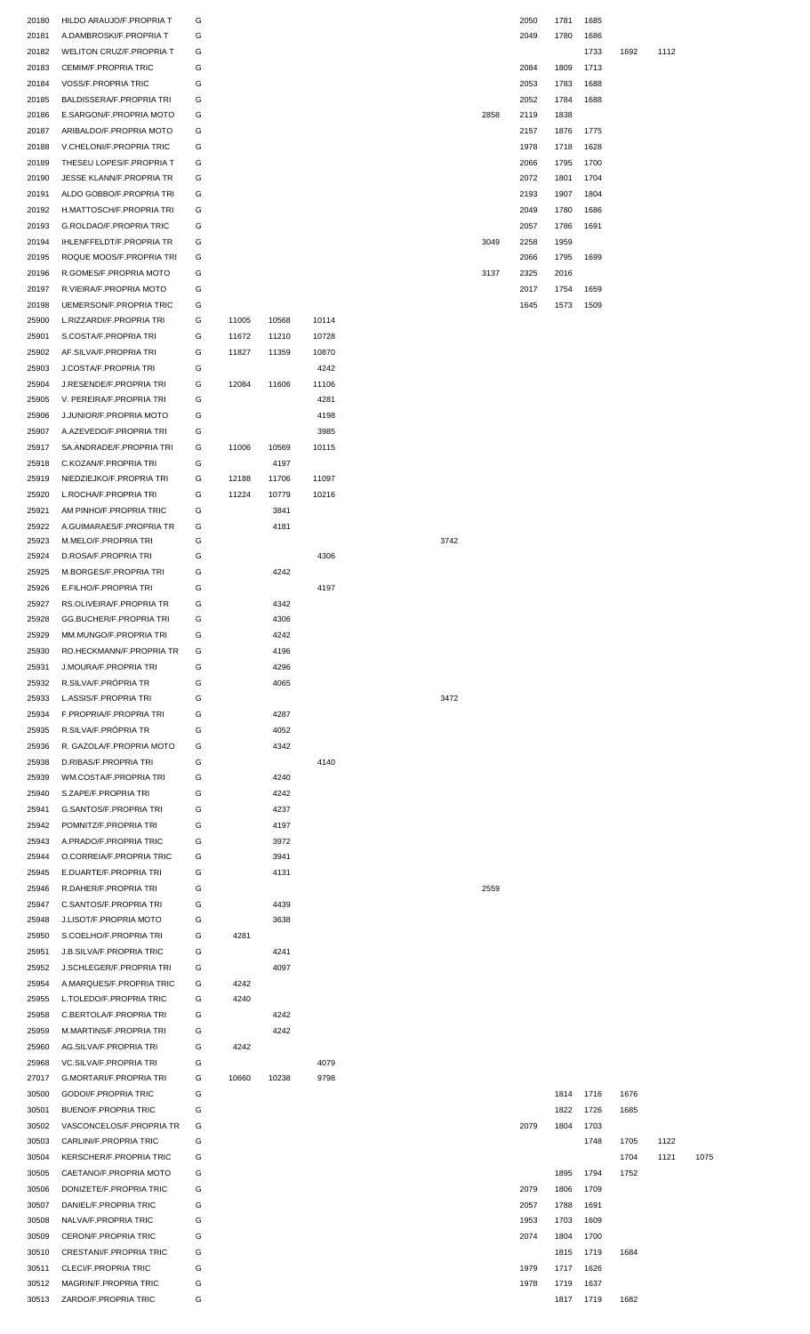| 20180 | HILDO ARAUJO/F.PROPRIA T        | G |       |       |       | 2050<br>1781<br>1685 |              |
|-------|---------------------------------|---|-------|-------|-------|----------------------|--------------|
| 20181 | A.DAMBROSKI/F.PROPRIA T         | G |       |       |       | 2049<br>1780<br>1686 |              |
| 20182 | WELITON CRUZ/F.PROPRIA T        | G |       |       |       | 1733<br>1692         | 1112         |
| 20183 | CEMIM/F.PROPRIA TRIC            | G |       |       |       | 2084<br>1809<br>1713 |              |
| 20184 | <b>VOSS/F.PROPRIA TRIC</b>      | G |       |       |       | 2053<br>1783<br>1688 |              |
|       |                                 |   |       |       |       | 1688                 |              |
| 20185 | BALDISSERA/F.PROPRIA TRI        | G |       |       |       | 2052<br>1784         |              |
| 20186 | E.SARGON/F.PROPRIA MOTO         | G |       |       |       | 2858<br>2119<br>1838 |              |
| 20187 | ARIBALDO/F.PROPRIA MOTO         | G |       |       |       | 2157<br>1876<br>1775 |              |
| 20188 | V.CHELONI/F.PROPRIA TRIC        | G |       |       |       | 1978<br>1718<br>1628 |              |
| 20189 | THESEU LOPES/F.PROPRIA T        | G |       |       |       | 2066<br>1795<br>1700 |              |
|       | JESSE KLANN/F.PROPRIA TR        |   |       |       |       |                      |              |
| 20190 |                                 | G |       |       |       | 2072<br>1801<br>1704 |              |
| 20191 | ALDO GOBBO/F.PROPRIA TRI        | G |       |       |       | 2193<br>1907<br>1804 |              |
| 20192 | H.MATTOSCH/F.PROPRIA TRI        | G |       |       |       | 2049<br>1780<br>1686 |              |
| 20193 | G.ROLDAO/F.PROPRIA TRIC         | G |       |       |       | 2057<br>1786<br>1691 |              |
| 20194 | <b>IHLENFFELDT/F.PROPRIA TR</b> | G |       |       |       | 3049<br>2258<br>1959 |              |
|       |                                 |   |       |       |       |                      |              |
| 20195 | ROQUE MOOS/F.PROPRIA TRI        | G |       |       |       | 2066<br>1795<br>1699 |              |
| 20196 | R.GOMES/F.PROPRIA MOTO          | G |       |       |       | 3137<br>2325<br>2016 |              |
| 20197 | R.VIEIRA/F.PROPRIA MOTO         | G |       |       |       | 2017<br>1754<br>1659 |              |
| 20198 | UEMERSON/F.PROPRIA TRIC         | G |       |       |       | 1645<br>1573<br>1509 |              |
| 25900 | L.RIZZARDI/F.PROPRIA TRI        | G | 11005 | 10568 | 10114 |                      |              |
|       |                                 |   |       |       |       |                      |              |
| 25901 | S.COSTA/F.PROPRIA TRI           | G | 11672 | 11210 | 10728 |                      |              |
| 25902 | AF.SILVA/F.PROPRIA TRI          | G | 11827 | 11359 | 10870 |                      |              |
| 25903 | J.COSTA/F.PROPRIA TRI           | G |       |       | 4242  |                      |              |
| 25904 | J.RESENDE/F.PROPRIA TRI         | G | 12084 | 11606 | 11106 |                      |              |
|       |                                 |   |       |       |       |                      |              |
| 25905 | V. PEREIRA/F.PROPRIA TRI        | G |       |       | 4281  |                      |              |
| 25906 | J.JUNIOR/F.PROPRIA MOTO         | G |       |       | 4198  |                      |              |
| 25907 | A.AZEVEDO/F.PROPRIA TRI         | G |       |       | 3985  |                      |              |
| 25917 | SA.ANDRADE/F.PROPRIA TRI        | G | 11006 | 10569 | 10115 |                      |              |
|       |                                 |   |       | 4197  |       |                      |              |
| 25918 | C.KOZAN/F.PROPRIA TRI           | G |       |       |       |                      |              |
| 25919 | NIEDZIEJKO/F.PROPRIA TRI        | G | 12188 | 11706 | 11097 |                      |              |
| 25920 | L.ROCHA/F.PROPRIA TRI           | G | 11224 | 10779 | 10216 |                      |              |
| 25921 | AM PINHO/F.PROPRIA TRIC         | G |       | 3841  |       |                      |              |
| 25922 | A.GUIMARAES/F.PROPRIA TR        | G |       | 4181  |       |                      |              |
|       |                                 |   |       |       |       |                      |              |
| 25923 | M.MELO/F.PROPRIA TRI            | G |       |       |       | 3742                 |              |
| 25924 | D.ROSA/F.PROPRIA TRI            | G |       |       | 4306  |                      |              |
| 25925 | M.BORGES/F.PROPRIA TRI          | G |       | 4242  |       |                      |              |
| 25926 | E.FILHO/F.PROPRIA TRI           | G |       |       | 4197  |                      |              |
| 25927 | RS.OLIVEIRA/F.PROPRIA TR        | G |       | 4342  |       |                      |              |
|       |                                 |   |       |       |       |                      |              |
| 25928 | GG.BUCHER/F.PROPRIA TRI         | G |       | 4306  |       |                      |              |
| 25929 | MM.MUNGO/F.PROPRIA TRI          | G |       | 4242  |       |                      |              |
| 25930 | RO.HECKMANN/F.PROPRIA TR        | G |       | 4196  |       |                      |              |
| 25931 | J.MOURA/F.PROPRIA TRI           | G |       | 4296  |       |                      |              |
|       |                                 |   |       |       |       |                      |              |
| 25932 | R.SILVA/F.PRÓPRIA TR            | G |       | 4065  |       |                      |              |
| 25933 | L.ASSIS/F.PROPRIA TRI           | G |       |       |       | 3472                 |              |
| 25934 | F.PROPRIA/F.PROPRIA TRI         | G |       | 4287  |       |                      |              |
| 25935 | R.SILVA/F.PRÓPRIA TR            | G |       | 4052  |       |                      |              |
| 25936 | R. GAZOLA/F.PROPRIA MOTO        | G |       | 4342  |       |                      |              |
|       |                                 |   |       |       |       |                      |              |
| 25938 | D.RIBAS/F.PROPRIA TRI           | G |       |       | 4140  |                      |              |
| 25939 | WM.COSTA/F.PROPRIA TRI          | G |       | 4240  |       |                      |              |
| 25940 | S.ZAPE/F.PROPRIA TRI            | G |       | 4242  |       |                      |              |
| 25941 | G.SANTOS/F.PROPRIA TRI          | G |       | 4237  |       |                      |              |
|       |                                 |   |       |       |       |                      |              |
| 25942 | POMNITZ/F.PROPRIA TRI           | G |       | 4197  |       |                      |              |
| 25943 | A.PRADO/F.PROPRIA TRIC          | G |       | 3972  |       |                      |              |
| 25944 | O.CORREIA/F.PROPRIA TRIC        | G |       | 3941  |       |                      |              |
| 25945 | E.DUARTE/F.PROPRIA TRI          | G |       | 4131  |       |                      |              |
| 25946 | R.DAHER/F.PROPRIA TRI           | G |       |       |       | 2559                 |              |
|       |                                 |   |       |       |       |                      |              |
| 25947 | C.SANTOS/F.PROPRIA TRI          | G |       | 4439  |       |                      |              |
| 25948 | J.LISOT/F.PROPRIA MOTO          | G |       | 3638  |       |                      |              |
| 25950 | S.COELHO/F.PROPRIA TRI          | G | 4281  |       |       |                      |              |
| 25951 | J.B.SILVA/F.PROPRIA TRIC        | G |       | 4241  |       |                      |              |
| 25952 | J.SCHLEGER/F.PROPRIA TRI        | G |       | 4097  |       |                      |              |
|       |                                 |   |       |       |       |                      |              |
| 25954 | A.MARQUES/F.PROPRIA TRIC        | G | 4242  |       |       |                      |              |
| 25955 | L.TOLEDO/F.PROPRIA TRIC         | G | 4240  |       |       |                      |              |
| 25958 | C.BERTOLA/F.PROPRIA TRI         | G |       | 4242  |       |                      |              |
| 25959 | M.MARTINS/F.PROPRIA TRI         | G |       | 4242  |       |                      |              |
| 25960 | AG.SILVA/F.PROPRIA TRI          | G | 4242  |       |       |                      |              |
|       |                                 |   |       |       |       |                      |              |
| 25968 | VC.SILVA/F.PROPRIA TRI          | G |       |       | 4079  |                      |              |
| 27017 |                                 |   |       | 10238 | 9798  |                      |              |
| 30500 | G.MORTARI/F.PROPRIA TRI         | G | 10660 |       |       | 1716<br>1676<br>1814 |              |
|       | <b>GODOI/F.PROPRIA TRIC</b>     | G |       |       |       |                      |              |
|       |                                 |   |       |       |       |                      |              |
| 30501 | <b>BUENO/F.PROPRIA TRIC</b>     | G |       |       |       | 1685<br>1822<br>1726 |              |
| 30502 | VASCONCELOS/F.PROPRIA TR        | G |       |       |       | 2079<br>1804<br>1703 |              |
| 30503 | CARLINI/F.PROPRIA TRIC          | G |       |       |       | 1748<br>1705         | 1122         |
| 30504 | KERSCHER/F.PROPRIA TRIC         | G |       |       |       | 1704                 | 1121<br>1075 |
|       |                                 |   |       |       |       |                      |              |
| 30505 | CAETANO/F.PROPRIA MOTO          | G |       |       |       | 1794<br>1895<br>1752 |              |
| 30506 | DONIZETE/F.PROPRIA TRIC         | G |       |       |       | 2079<br>1806<br>1709 |              |
| 30507 | DANIEL/F.PROPRIA TRIC           | G |       |       |       | 1691<br>2057<br>1788 |              |
| 30508 | NALVA/F.PROPRIA TRIC            | G |       |       |       | 1953<br>1703<br>1609 |              |
| 30509 | CERON/F.PROPRIA TRIC            | G |       |       |       | 2074<br>1804<br>1700 |              |
|       |                                 |   |       |       |       |                      |              |
| 30510 | <b>CRESTANI/F.PROPRIA TRIC</b>  | G |       |       |       | 1815<br>1719<br>1684 |              |
| 30511 | CLECI/F.PROPRIA TRIC            | G |       |       |       | 1979<br>1717<br>1626 |              |
| 30512 | MAGRIN/F.PROPRIA TRIC           | G |       |       |       | 1978<br>1719<br>1637 |              |

|    | 2050 1781 |      | 1685 |      |
|----|-----------|------|------|------|
|    | 2049 1780 |      | 1686 |      |
|    |           |      | 1733 | 1692 |
|    | 2084      | 1809 | 1713 |      |
|    | 2053      | 1783 | 1688 |      |
|    | 2052      | 1784 | 1688 |      |
| 58 | 2119      | 1838 |      |      |
|    | 2157      | 1876 | 1775 |      |
|    | 1978      | 1718 | 1628 |      |
|    | 2066      | 1795 | 1700 |      |
|    | 2072      | 1801 | 1704 |      |
|    | 2193      | 1907 | 1804 |      |
|    | 2049      | 1780 | 1686 |      |
|    | 2057      | 1786 | 1691 |      |
| 49 | 2258      | 1959 |      |      |
|    | 2066      | 1795 | 1699 |      |
| 37 | 2325      | 2016 |      |      |
|    | 2017      | 1754 | 1659 |      |
|    | 1645 1573 |      | 1509 |      |

|      | 1814 | 1716 | 1676 |      |      |
|------|------|------|------|------|------|
|      | 1822 | 1726 | 1685 |      |      |
| 2079 | 1804 | 1703 |      |      |      |
|      |      | 1748 | 1705 | 1122 |      |
|      |      |      | 1704 | 1121 | 1075 |
|      | 1895 | 1794 | 1752 |      |      |
| 2079 | 1806 | 1709 |      |      |      |
| 2057 | 1788 | 1691 |      |      |      |
| 1953 | 1703 | 1609 |      |      |      |
| 2074 | 1804 | 1700 |      |      |      |
|      | 1815 | 1719 | 1684 |      |      |
| 1979 | 1717 | 1626 |      |      |      |
| 1978 | 1719 | 1637 |      |      |      |
|      |      |      |      |      |      |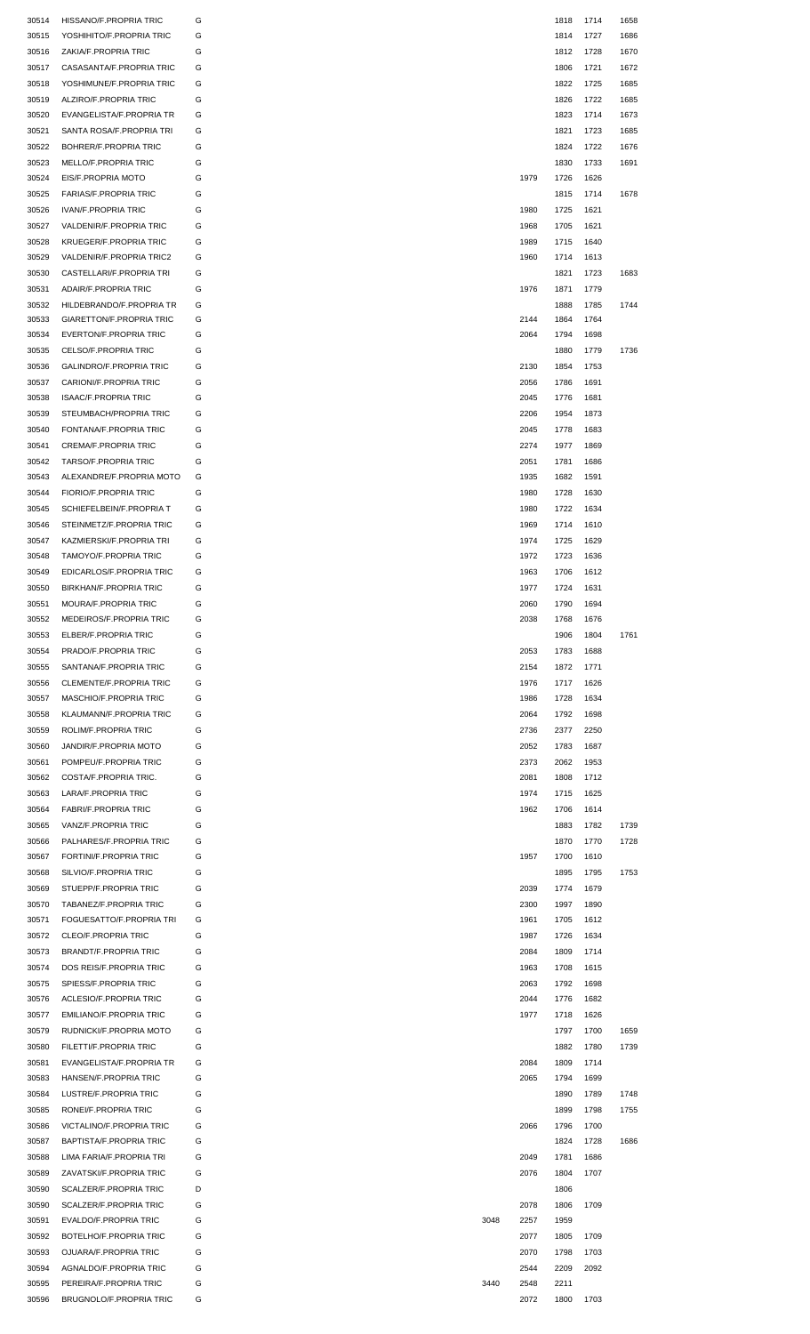| 30514 | HISSANO/F.PROPRIA TRIC         |      |      | 1818 | 1714 | 1658 |
|-------|--------------------------------|------|------|------|------|------|
| 30515 | YOSHIHITO/F.PROPRIA TRIC       |      |      | 1814 | 1727 | 1686 |
|       |                                |      |      |      |      | 1670 |
| 30516 | ZAKIA/F.PROPRIA TRIC           |      |      | 1812 | 1728 |      |
| 30517 | CASASANTA/F.PROPRIA TRIC       |      |      | 1806 | 1721 | 1672 |
| 30518 | YOSHIMUNE/F.PROPRIA TRIC       |      |      | 1822 | 1725 | 1685 |
| 30519 | ALZIRO/F.PROPRIA TRIC          |      |      | 1826 | 1722 | 1685 |
| 30520 | EVANGELISTA/F.PROPRIA TR       |      |      | 1823 | 1714 | 1673 |
| 30521 | SANTA ROSA/F.PROPRIA TRI       |      |      | 1821 | 1723 | 1685 |
| 30522 | <b>BOHRER/F.PROPRIA TRIC</b>   |      |      | 1824 | 1722 | 1676 |
| 30523 | MELLO/F.PROPRIA TRIC           |      |      | 1830 | 1733 | 1691 |
| 30524 | EIS/F.PROPRIA MOTO             |      | 1979 | 1726 | 1626 |      |
| 30525 | <b>FARIAS/F.PROPRIA TRIC</b>   |      |      | 1815 | 1714 | 1678 |
|       |                                |      |      |      |      |      |
| 30526 | <b>IVAN/F.PROPRIA TRIC</b>     |      | 1980 | 1725 | 1621 |      |
| 30527 | VALDENIR/F.PROPRIA TRIC        |      | 1968 | 1705 | 1621 |      |
| 30528 | KRUEGER/F.PROPRIA TRIC         |      | 1989 | 1715 | 1640 |      |
| 30529 | VALDENIR/F.PROPRIA TRIC2       |      | 1960 | 1714 | 1613 |      |
| 30530 | CASTELLARI/F.PROPRIA TRI       |      |      | 1821 | 1723 | 1683 |
| 30531 | ADAIR/F.PROPRIA TRIC           |      | 1976 | 1871 | 1779 |      |
| 30532 | HILDEBRANDO/F.PROPRIA TR       |      |      | 1888 | 1785 | 1744 |
| 30533 | GIARETTON/F.PROPRIA TRIC       |      | 2144 | 1864 | 1764 |      |
| 30534 | EVERTON/F.PROPRIA TRIC         |      | 2064 | 1794 | 1698 |      |
| 30535 | CELSO/F.PROPRIA TRIC           |      |      | 1880 | 1779 | 1736 |
|       | <b>GALINDRO/F.PROPRIA TRIC</b> |      |      |      |      |      |
| 30536 |                                |      | 2130 | 1854 | 1753 |      |
| 30537 | CARIONI/F.PROPRIA TRIC         |      | 2056 | 1786 | 1691 |      |
| 30538 | <b>ISAAC/F.PROPRIA TRIC</b>    |      | 2045 | 1776 | 1681 |      |
| 30539 | STEUMBACH/PROPRIA TRIC         |      | 2206 | 1954 | 1873 |      |
| 30540 | FONTANA/F.PROPRIA TRIC         |      | 2045 | 1778 | 1683 |      |
| 30541 | CREMA/F.PROPRIA TRIC           |      | 2274 | 1977 | 1869 |      |
| 30542 | TARSO/F.PROPRIA TRIC           |      | 2051 | 1781 | 1686 |      |
| 30543 | ALEXANDRE/F.PROPRIA MOTO       |      | 1935 | 1682 | 1591 |      |
| 30544 | FIORIO/F.PROPRIA TRIC          |      |      | 1728 | 1630 |      |
|       |                                |      | 1980 |      |      |      |
| 30545 | SCHIEFELBEIN/F.PROPRIAT        |      | 1980 | 1722 | 1634 |      |
| 30546 | STEINMETZ/F.PROPRIA TRIC       |      | 1969 | 1714 | 1610 |      |
| 30547 | KAZMIERSKI/F.PROPRIA TRI       |      | 1974 | 1725 | 1629 |      |
| 30548 | TAMOYO/F.PROPRIA TRIC          |      | 1972 | 1723 | 1636 |      |
| 30549 | EDICARLOS/F.PROPRIA TRIC       |      | 1963 | 1706 | 1612 |      |
| 30550 | BIRKHAN/F.PROPRIA TRIC         |      | 1977 | 1724 | 1631 |      |
| 30551 | MOURA/F.PROPRIA TRIC           |      | 2060 | 1790 | 1694 |      |
|       |                                |      |      |      |      |      |
| 30552 | MEDEIROS/F.PROPRIA TRIC        |      | 2038 | 1768 | 1676 |      |
| 30553 | ELBER/F.PROPRIA TRIC           |      |      | 1906 | 1804 | 1761 |
| 30554 | PRADO/F.PROPRIA TRIC           |      | 2053 | 1783 | 1688 |      |
| 30555 | SANTANA/F.PROPRIA TRIC         |      | 2154 | 1872 | 1771 |      |
| 30556 | CLEMENTE/F.PROPRIA TRIC        |      | 1976 | 1717 | 1626 |      |
| 30557 | MASCHIO/F.PROPRIA TRIC         |      | 1986 | 1728 | 1634 |      |
| 30558 | KLAUMANN/F.PROPRIA TRIC        |      | 2064 | 1792 | 1698 |      |
| 30559 | ROLIM/F.PROPRIA TRIC           |      | 2736 | 2377 | 2250 |      |
| 30560 | JANDIR/F.PROPRIA MOTO          |      | 2052 | 1783 | 1687 |      |
|       |                                |      |      |      |      |      |
| 30561 | POMPEU/F.PROPRIA TRIC          |      | 2373 | 2062 | 1953 |      |
| 30562 | COSTA/F.PROPRIA TRIC.          |      | 2081 | 1808 | 1712 |      |
| 30563 | LARA/F.PROPRIA TRIC            |      | 1974 | 1715 | 1625 |      |
| 30564 | <b>FABRI/F.PROPRIA TRIC</b>    |      | 1962 | 1706 | 1614 |      |
| 30565 | VANZ/F.PROPRIA TRIC            |      |      | 1883 | 1782 | 1739 |
| 30566 | PALHARES/F.PROPRIA TRIC        |      |      | 1870 | 1770 | 1728 |
| 30567 | FORTINI/F.PROPRIA TRIC         |      | 1957 | 1700 | 1610 |      |
| 30568 | SILVIO/F.PROPRIA TRIC          |      |      | 1895 | 1795 | 1753 |
|       |                                |      |      |      |      |      |
| 30569 | STUEPP/F.PROPRIA TRIC          |      | 2039 | 1774 | 1679 |      |
| 30570 | TABANEZ/F.PROPRIA TRIC         |      | 2300 | 1997 | 1890 |      |
| 30571 | FOGUESATTO/F.PROPRIA TRI       |      | 1961 | 1705 | 1612 |      |
| 30572 | CLEO/F.PROPRIA TRIC            |      | 1987 | 1726 | 1634 |      |
| 30573 | <b>BRANDT/F.PROPRIA TRIC</b>   |      | 2084 | 1809 | 1714 |      |
| 30574 | DOS REIS/F.PROPRIA TRIC        |      | 1963 | 1708 | 1615 |      |
| 30575 | SPIESS/F.PROPRIA TRIC          |      | 2063 | 1792 | 1698 |      |
| 30576 | ACLESIO/F.PROPRIA TRIC         |      | 2044 | 1776 | 1682 |      |
| 30577 | EMILIANO/F.PROPRIA TRIC        |      | 1977 | 1718 | 1626 |      |
|       |                                |      |      |      |      |      |
| 30579 | RUDNICKI/F.PROPRIA MOTO        |      |      | 1797 | 1700 | 1659 |
| 30580 | FILETTI/F.PROPRIA TRIC         |      |      | 1882 | 1780 | 1739 |
| 30581 | EVANGELISTA/F.PROPRIA TR       |      | 2084 | 1809 | 1714 |      |
| 30583 | HANSEN/F.PROPRIA TRIC          |      | 2065 | 1794 | 1699 |      |
| 30584 | LUSTRE/F.PROPRIA TRIC          |      |      | 1890 | 1789 | 1748 |
| 30585 | RONEI/F.PROPRIA TRIC           |      |      | 1899 | 1798 | 1755 |
| 30586 | VICTALINO/F.PROPRIA TRIC       |      | 2066 | 1796 | 1700 |      |
| 30587 | BAPTISTA/F.PROPRIA TRIC        |      |      | 1824 | 1728 | 1686 |
| 30588 | LIMA FARIA/F.PROPRIA TRI       |      | 2049 | 1781 | 1686 |      |
|       |                                |      |      |      |      |      |
| 30589 | ZAVATSKI/F.PROPRIA TRIC        |      | 2076 | 1804 | 1707 |      |
| 30590 | SCALZER/F.PROPRIA TRIC         |      |      | 1806 |      |      |
| 30590 | SCALZER/F.PROPRIA TRIC         |      | 2078 | 1806 | 1709 |      |
| 30591 | EVALDO/F.PROPRIA TRIC          | 3048 | 2257 | 1959 |      |      |
| 30592 | BOTELHO/F.PROPRIA TRIC         |      | 2077 | 1805 | 1709 |      |
| 30593 | OJUARA/F.PROPRIA TRIC          |      | 2070 | 1798 | 1703 |      |
| 30594 | AGNALDO/F.PROPRIA TRIC         |      | 2544 | 2209 | 2092 |      |
| 30595 | PEREIRA/F.PROPRIA TRIC         | 3440 | 2548 | 2211 |      |      |
| 30596 | BRUGNOLO/F.PROPRIA TRIC        |      | 2072 | 1800 | 1703 |      |
|       |                                |      |      |      |      |      |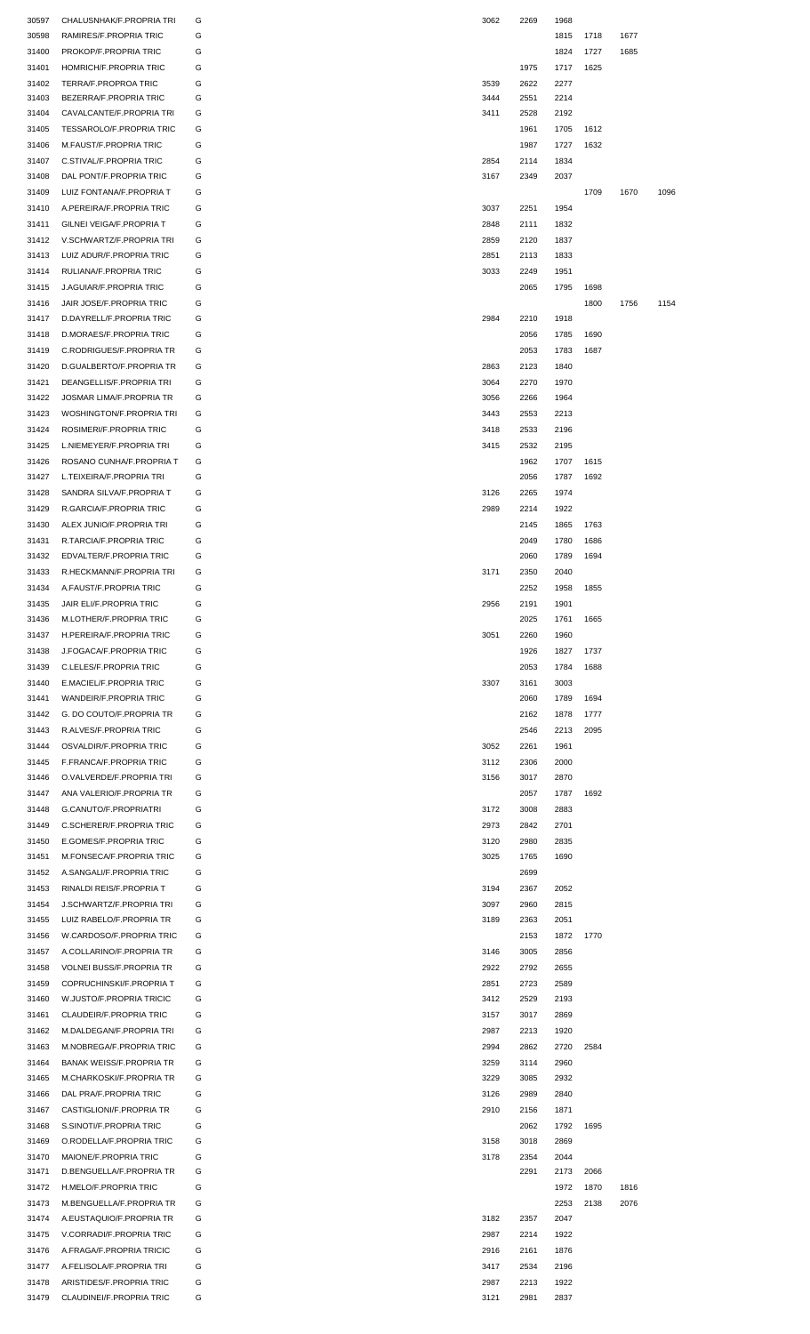| 30597          | CHALUSNHAK/F.PROPRIA TRI                             | G      | 3062         | 2269         | 1968         |      |      |      |
|----------------|------------------------------------------------------|--------|--------------|--------------|--------------|------|------|------|
| 30598          | RAMIRES/F.PROPRIA TRIC                               | G      |              |              | 1815         | 1718 | 1677 |      |
|                |                                                      |        |              |              |              |      |      |      |
| 31400          | PROKOP/F.PROPRIA TRIC                                | G      |              |              | 1824         | 1727 | 1685 |      |
| 31401          | HOMRICH/F.PROPRIA TRIC                               | G      |              | 1975         | 1717         | 1625 |      |      |
| 31402          | TERRA/F.PROPROA TRIC                                 | G      | 3539         | 2622         | 2277         |      |      |      |
| 31403          | BEZERRA/F.PROPRIA TRIC                               | G      | 3444         | 2551         | 2214         |      |      |      |
|                |                                                      |        |              |              |              |      |      |      |
| 31404          | CAVALCANTE/F.PROPRIA TRI                             | G      | 3411         | 2528         | 2192         |      |      |      |
| 31405          | TESSAROLO/F.PROPRIA TRIC                             | G      |              | 1961         | 1705         | 1612 |      |      |
| 31406          | M.FAUST/F.PROPRIA TRIC                               | G      |              | 1987         | 1727         | 1632 |      |      |
| 31407          | C.STIVAL/F.PROPRIA TRIC                              | G      | 2854         | 2114         | 1834         |      |      |      |
| 31408          | DAL PONT/F.PROPRIA TRIC                              | G      | 3167         | 2349         | 2037         |      |      |      |
|                |                                                      |        |              |              |              |      |      |      |
| 31409          | LUIZ FONTANA/F.PROPRIA T                             | G      |              |              |              | 1709 | 1670 | 1096 |
| 31410          | A.PEREIRA/F.PROPRIA TRIC                             | G      | 3037         | 2251         | 1954         |      |      |      |
| 31411          | GILNEI VEIGA/F.PROPRIA T                             | G      | 2848         | 2111         | 1832         |      |      |      |
| 31412          | V.SCHWARTZ/F.PROPRIA TRI                             | G      | 2859         | 2120         | 1837         |      |      |      |
|                |                                                      |        |              |              |              |      |      |      |
| 31413          | LUIZ ADUR/F.PROPRIA TRIC                             | G      | 2851         | 2113         | 1833         |      |      |      |
| 31414          | RULIANA/F.PROPRIA TRIC                               | G      | 3033         | 2249         | 1951         |      |      |      |
| 31415          | J.AGUIAR/F.PROPRIA TRIC                              | G      |              | 2065         | 1795         | 1698 |      |      |
| 31416          | JAIR JOSE/F.PROPRIA TRIC                             | G      |              |              |              | 1800 | 1756 | 1154 |
|                |                                                      |        |              |              |              |      |      |      |
| 31417          | D.DAYRELL/F.PROPRIA TRIC                             | G      | 2984         | 2210         | 1918         |      |      |      |
| 31418          | D.MORAES/F.PROPRIA TRIC                              | G      |              | 2056         | 1785         | 1690 |      |      |
| 31419          | C.RODRIGUES/F.PROPRIA TR                             | G      |              | 2053         | 1783         | 1687 |      |      |
| 31420          | D.GUALBERTO/F.PROPRIA TR                             | G      | 2863         | 2123         | 1840         |      |      |      |
|                |                                                      |        |              |              |              |      |      |      |
| 31421          | DEANGELLIS/F.PROPRIA TRI                             | G      | 3064         | 2270         | 1970         |      |      |      |
| 31422          | <b>JOSMAR LIMA/F.PROPRIA TR</b>                      | G      | 3056         | 2266         | 1964         |      |      |      |
| 31423          | <b>WOSHINGTON/F.PROPRIA TRI</b>                      | G      | 3443         | 2553         | 2213         |      |      |      |
| 31424          | ROSIMERI/F.PROPRIA TRIC                              | G      | 3418         | 2533         | 2196         |      |      |      |
|                |                                                      |        |              |              |              |      |      |      |
| 31425          | L.NIEMEYER/F.PROPRIA TRI                             | G      | 3415         | 2532         | 2195         |      |      |      |
| 31426          | ROSANO CUNHA/F.PROPRIA T                             | G      |              | 1962         | 1707         | 1615 |      |      |
| 31427          | L.TEIXEIRA/F.PROPRIA TRI                             | G      |              | 2056         | 1787         | 1692 |      |      |
| 31428          | SANDRA SILVA/F.PROPRIA T                             | G      | 3126         | 2265         | 1974         |      |      |      |
|                |                                                      |        |              |              |              |      |      |      |
| 31429          | R.GARCIA/F.PROPRIA TRIC                              | G      | 2989         | 2214         | 1922         |      |      |      |
| 31430          | ALEX JUNIO/F.PROPRIA TRI                             | G      |              | 2145         | 1865         | 1763 |      |      |
| 31431          | R.TARCIA/F.PROPRIA TRIC                              | G      |              | 2049         | 1780         | 1686 |      |      |
| 31432          | EDVALTER/F.PROPRIA TRIC                              | G      |              | 2060         | 1789         | 1694 |      |      |
|                |                                                      |        |              |              |              |      |      |      |
| 31433          | R.HECKMANN/F.PROPRIA TRI                             | G      | 3171         | 2350         | 2040         |      |      |      |
| 31434          | A.FAUST/F.PROPRIA TRIC                               | G      |              | 2252         | 1958         | 1855 |      |      |
| 31435          | JAIR ELI/F.PROPRIA TRIC                              | G      | 2956         | 2191         | 1901         |      |      |      |
| 31436          | M.LOTHER/F.PROPRIA TRIC                              | G      |              | 2025         | 1761         | 1665 |      |      |
|                |                                                      |        |              |              |              |      |      |      |
| 31437          | H.PEREIRA/F.PROPRIA TRIC                             | G      | 3051         | 2260         | 1960         |      |      |      |
| 31438          | J.FOGACA/F.PROPRIA TRIC                              | G      |              | 1926         | 1827         | 1737 |      |      |
|                |                                                      |        |              |              |              |      |      |      |
| 31439          | C.LELES/F.PROPRIA TRIC                               | G      |              | 2053         | 1784         | 1688 |      |      |
|                |                                                      |        |              |              |              |      |      |      |
| 31440          | E.MACIEL/F.PROPRIA TRIC                              | G      | 3307         | 3161         | 3003         |      |      |      |
| 31441          | WANDEIR/F.PROPRIA TRIC                               | G      |              | 2060         | 1789         | 1694 |      |      |
| 31442          | G. DO COUTO/F.PROPRIA TR                             | G      |              | 2162         | 1878         | 1777 |      |      |
| 31443          | R.ALVES/F.PROPRIA TRIC                               | G      |              | 2546         | 2213         | 2095 |      |      |
|                |                                                      |        |              |              |              |      |      |      |
| 31444          | OSVALDIR/F.PROPRIA TRIC                              | G      | 3052         | 2261         | 1961         |      |      |      |
| 31445          | F.FRANCA/F.PROPRIA TRIC                              | G      | 3112         | 2306         | 2000         |      |      |      |
| 31446          | O.VALVERDE/F.PROPRIA TRI                             | G      | 3156         | 3017         | 2870         |      |      |      |
| 31447          | ANA VALERIO/F.PROPRIA TR                             | G      |              | 2057         | 1787         | 1692 |      |      |
|                |                                                      |        |              |              |              |      |      |      |
| 31448          | G.CANUTO/F.PROPRIATRI                                | G      | 3172         | 3008         | 2883         |      |      |      |
| 31449          | C.SCHERER/F.PROPRIA TRIC                             | G      | 2973         | 2842         | 2701         |      |      |      |
| 31450          | E.GOMES/F.PROPRIA TRIC                               | G      | 3120         | 2980         | 2835         |      |      |      |
| 31451          | M.FONSECA/F.PROPRIA TRIC                             | G      | 3025         | 1765         | 1690         |      |      |      |
|                |                                                      | G      |              | 2699         |              |      |      |      |
| 31452          | A.SANGALI/F.PROPRIA TRIC                             |        |              |              |              |      |      |      |
| 31453          | RINALDI REIS/F.PROPRIA T                             | G      | 3194         | 2367         | 2052         |      |      |      |
| 31454          | J.SCHWARTZ/F.PROPRIA TRI                             | G      | 3097         | 2960         | 2815         |      |      |      |
| 31455          | LUIZ RABELO/F.PROPRIA TR                             | G      | 3189         | 2363         | 2051         |      |      |      |
| 31456          | W.CARDOSO/F.PROPRIA TRIC                             | G      |              | 2153         | 1872         |      |      |      |
|                |                                                      |        |              |              |              | 1770 |      |      |
| 31457          | A.COLLARINO/F.PROPRIA TR                             | G      | 3146         | 3005         | 2856         |      |      |      |
| 31458          | VOLNEI BUSS/F.PROPRIA TR                             | G      | 2922         | 2792         | 2655         |      |      |      |
| 31459          | COPRUCHINSKI/F.PROPRIA T                             | G      | 2851         | 2723         | 2589         |      |      |      |
| 31460          | W.JUSTO/F.PROPRIA TRICIC                             | G      |              | 2529         | 2193         |      |      |      |
|                |                                                      |        | 3412         |              |              |      |      |      |
| 31461          | CLAUDEIR/F.PROPRIA TRIC                              | G      | 3157         | 3017         | 2869         |      |      |      |
| 31462          | M.DALDEGAN/F.PROPRIA TRI                             | G      | 2987         | 2213         | 1920         |      |      |      |
| 31463          | M.NOBREGA/F.PROPRIA TRIC                             | G      | 2994         | 2862         | 2720         | 2584 |      |      |
|                |                                                      |        |              |              |              |      |      |      |
| 31464          | <b>BANAK WEISS/F.PROPRIA TR</b>                      | G      | 3259         | 3114         | 2960         |      |      |      |
| 31465          | M.CHARKOSKI/F.PROPRIA TR                             | G      | 3229         | 3085         | 2932         |      |      |      |
| 31466          | DAL PRA/F.PROPRIA TRIC                               | G      | 3126         | 2989         | 2840         |      |      |      |
| 31467          | CASTIGLIONI/F.PROPRIA TR                             | G      | 2910         | 2156         | 1871         |      |      |      |
|                |                                                      |        |              |              |              |      |      |      |
| 31468          | S.SINOTI/F.PROPRIA TRIC                              | G      |              | 2062         | 1792         | 1695 |      |      |
| 31469          | O.RODELLA/F.PROPRIA TRIC                             | G      | 3158         | 3018         | 2869         |      |      |      |
| 31470          | MAIONE/F.PROPRIA TRIC                                | G      | 3178         | 2354         | 2044         |      |      |      |
| 31471          | D.BENGUELLA/F.PROPRIA TR                             | G      |              | 2291         | 2173         | 2066 |      |      |
| 31472          | H.MELO/F.PROPRIA TRIC                                | G      |              |              | 1972         | 1870 | 1816 |      |
|                |                                                      |        |              |              |              |      |      |      |
|                | 31473 M.BENGUELLA/F.PROPRIA TR                       | G      |              |              | 2253         | 2138 | 2076 |      |
| 31474          | A.EUSTAQUIO/F.PROPRIA TR                             | G      | 3182         | 2357         | 2047         |      |      |      |
| 31475          | V.CORRADI/F.PROPRIA TRIC                             | G      | 2987         | 2214         | 1922         |      |      |      |
| 31476          | A.FRAGA/F.PROPRIA TRICIC                             | G      | 2916         | 2161         | 1876         |      |      |      |
|                |                                                      |        |              |              |              |      |      |      |
| 31477          | A.FELISOLA/F.PROPRIA TRI                             | G      | 3417         | 2534         | 2196         |      |      |      |
| 31478<br>31479 | ARISTIDES/F.PROPRIA TRIC<br>CLAUDINEI/F.PROPRIA TRIC | G<br>G | 2987<br>3121 | 2213<br>2981 | 1922<br>2837 |      |      |      |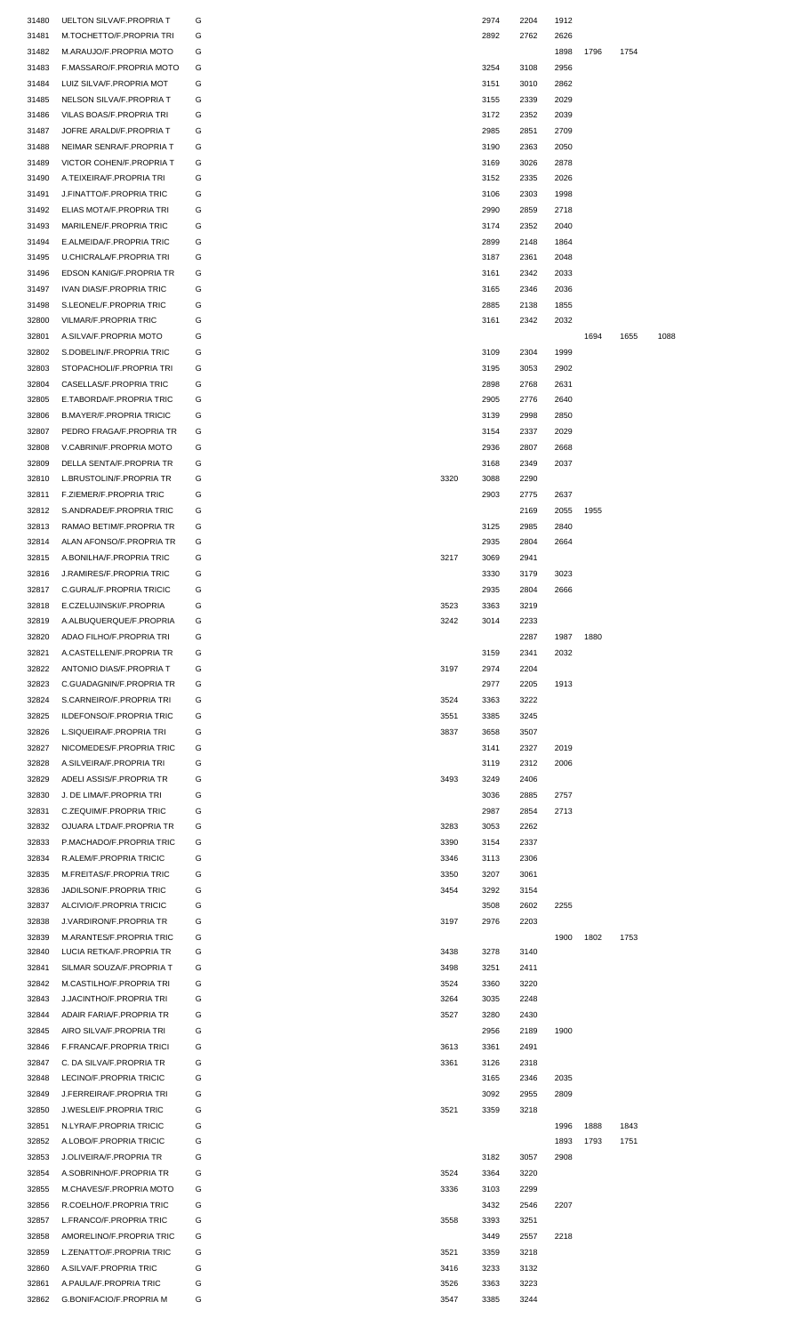| 31480 | <b>UELTON SILVA/F.PROPRIA T</b> | G |      | 2974 | 2204 | 1912 |      |      |      |
|-------|---------------------------------|---|------|------|------|------|------|------|------|
| 31481 | M.TOCHETTO/F.PROPRIA TRI        | G |      | 2892 | 2762 | 2626 |      |      |      |
| 31482 | M.ARAUJO/F.PROPRIA MOTO         | G |      |      |      | 1898 | 1796 | 1754 |      |
|       |                                 |   |      |      |      |      |      |      |      |
| 31483 | F.MASSARO/F.PROPRIA MOTO        | G |      | 3254 | 3108 | 2956 |      |      |      |
| 31484 | LUIZ SILVA/F.PROPRIA MOT        | G |      | 3151 | 3010 | 2862 |      |      |      |
| 31485 | NELSON SILVA/F.PROPRIA T        | G |      | 3155 | 2339 | 2029 |      |      |      |
| 31486 | VILAS BOAS/F.PROPRIA TRI        | G |      | 3172 | 2352 | 2039 |      |      |      |
| 31487 | JOFRE ARALDI/F.PROPRIA T        | G |      | 2985 | 2851 | 2709 |      |      |      |
|       |                                 |   |      |      |      |      |      |      |      |
| 31488 | NEIMAR SENRA/F.PROPRIA T        | G |      | 3190 | 2363 | 2050 |      |      |      |
| 31489 | VICTOR COHEN/F.PROPRIA T        | G |      | 3169 | 3026 | 2878 |      |      |      |
| 31490 | A.TEIXEIRA/F.PROPRIA TRI        | G |      | 3152 | 2335 | 2026 |      |      |      |
| 31491 | J.FINATTO/F.PROPRIA TRIC        | G |      | 3106 | 2303 | 1998 |      |      |      |
| 31492 | ELIAS MOTA/F.PROPRIA TRI        | G |      | 2990 | 2859 | 2718 |      |      |      |
|       |                                 |   |      |      |      |      |      |      |      |
| 31493 | MARILENE/F.PROPRIA TRIC         | G |      | 3174 | 2352 | 2040 |      |      |      |
| 31494 | E.ALMEIDA/F.PROPRIA TRIC        | G |      | 2899 | 2148 | 1864 |      |      |      |
| 31495 | U.CHICRALA/F.PROPRIA TRI        | G |      | 3187 | 2361 | 2048 |      |      |      |
| 31496 | EDSON KANIG/F.PROPRIA TR        | G |      | 3161 | 2342 | 2033 |      |      |      |
|       |                                 |   |      |      |      |      |      |      |      |
| 31497 | IVAN DIAS/F.PROPRIA TRIC        | G |      | 3165 | 2346 | 2036 |      |      |      |
| 31498 | S.LEONEL/F.PROPRIA TRIC         | G |      | 2885 | 2138 | 1855 |      |      |      |
| 32800 | <b>VILMAR/F.PROPRIA TRIC</b>    | G |      | 3161 | 2342 | 2032 |      |      |      |
| 32801 | A.SILVA/F.PROPRIA MOTO          | G |      |      |      |      | 1694 | 1655 | 1088 |
|       |                                 |   |      |      |      |      |      |      |      |
| 32802 | S.DOBELIN/F.PROPRIA TRIC        | G |      | 3109 | 2304 | 1999 |      |      |      |
| 32803 | STOPACHOLI/F.PROPRIA TRI        | G |      | 3195 | 3053 | 2902 |      |      |      |
| 32804 | CASELLAS/F.PROPRIA TRIC         | G |      | 2898 | 2768 | 2631 |      |      |      |
| 32805 | E.TABORDA/F.PROPRIA TRIC        | G |      | 2905 | 2776 | 2640 |      |      |      |
|       |                                 |   |      |      |      |      |      |      |      |
| 32806 | <b>B.MAYER/F.PROPRIA TRICIC</b> | G |      | 3139 | 2998 | 2850 |      |      |      |
| 32807 | PEDRO FRAGA/F.PROPRIA TR        | G |      | 3154 | 2337 | 2029 |      |      |      |
| 32808 | V.CABRINI/F.PROPRIA MOTO        | G |      | 2936 | 2807 | 2668 |      |      |      |
| 32809 | DELLA SENTA/F.PROPRIA TR        | G |      | 3168 | 2349 | 2037 |      |      |      |
|       |                                 |   |      |      |      |      |      |      |      |
| 32810 | L.BRUSTOLIN/F.PROPRIA TR        | G | 3320 | 3088 | 2290 |      |      |      |      |
| 32811 | F.ZIEMER/F.PROPRIA TRIC         | G |      | 2903 | 2775 | 2637 |      |      |      |
| 32812 | S.ANDRADE/F.PROPRIA TRIC        | G |      |      | 2169 | 2055 | 1955 |      |      |
| 32813 | RAMAO BETIM/F.PROPRIA TR        | G |      | 3125 | 2985 | 2840 |      |      |      |
|       |                                 |   |      |      |      |      |      |      |      |
| 32814 | ALAN AFONSO/F.PROPRIA TR        | G |      | 2935 | 2804 | 2664 |      |      |      |
| 32815 | A.BONILHA/F.PROPRIA TRIC        | G | 3217 | 3069 | 2941 |      |      |      |      |
| 32816 | J.RAMIRES/F.PROPRIA TRIC        | G |      | 3330 | 3179 | 3023 |      |      |      |
| 32817 | C.GURAL/F.PROPRIA TRICIC        | G |      | 2935 | 2804 | 2666 |      |      |      |
|       |                                 |   |      |      |      |      |      |      |      |
| 32818 | E.CZELUJINSKI/F.PROPRIA         | G | 3523 | 3363 | 3219 |      |      |      |      |
| 32819 | A.ALBUQUERQUE/F.PROPRIA         | G | 3242 | 3014 | 2233 |      |      |      |      |
| 32820 | ADAO FILHO/F.PROPRIA TRI        | G |      |      | 2287 | 1987 | 1880 |      |      |
| 32821 | A.CASTELLEN/F.PROPRIA TR        | G |      | 3159 | 2341 | 2032 |      |      |      |
| 32822 | ANTONIO DIAS/F.PROPRIA T        | G | 3197 | 2974 | 2204 |      |      |      |      |
|       |                                 |   |      |      |      |      |      |      |      |
| 32823 | C.GUADAGNIN/F.PROPRIA TR        | G |      | 2977 | 2205 | 1913 |      |      |      |
| 32824 | S.CARNEIRO/F.PROPRIA TRI        | G | 3524 | 3363 | 3222 |      |      |      |      |
| 32825 | ILDEFONSO/F.PROPRIA TRIC        | G | 3551 | 3385 | 3245 |      |      |      |      |
| 32826 | L.SIQUEIRA/F.PROPRIA TRI        | G | 3837 | 3658 | 3507 |      |      |      |      |
|       |                                 |   |      |      |      |      |      |      |      |
| 32827 | NICOMEDES/F.PROPRIA TRIC        | G |      | 3141 | 2327 | 2019 |      |      |      |
| 32828 | A.SILVEIRA/F.PROPRIA TRI        | G |      | 3119 | 2312 | 2006 |      |      |      |
| 32829 | ADELI ASSIS/F.PROPRIA TR        | G | 3493 | 3249 | 2406 |      |      |      |      |
| 32830 | J. DE LIMA/F.PROPRIA TRI        | G |      | 3036 | 2885 | 2757 |      |      |      |
|       |                                 |   |      |      |      |      |      |      |      |
| 32831 | C.ZEQUIM/F.PROPRIA TRIC         | G |      | 2987 | 2854 | 2713 |      |      |      |
| 32832 | OJUARA LTDA/F.PROPRIA TR        | G | 3283 | 3053 | 2262 |      |      |      |      |
| 32833 | P.MACHADO/F.PROPRIA TRIC        | G | 3390 | 3154 | 2337 |      |      |      |      |
| 32834 | R.ALEM/F.PROPRIA TRICIC         | G | 3346 | 3113 | 2306 |      |      |      |      |
|       |                                 |   |      |      |      |      |      |      |      |
| 32835 | M.FREITAS/F.PROPRIA TRIC        | G | 3350 | 3207 | 3061 |      |      |      |      |
| 32836 | <b>JADILSON/F.PROPRIA TRIC</b>  | G | 3454 | 3292 | 3154 |      |      |      |      |
| 32837 | ALCIVIO/F.PROPRIA TRICIC        | G |      | 3508 | 2602 | 2255 |      |      |      |
| 32838 | <b>J.VARDIRON/F.PROPRIA TR</b>  | G | 3197 | 2976 | 2203 |      |      |      |      |
|       |                                 | G |      |      |      |      |      |      |      |
| 32839 | M.ARANTES/F.PROPRIA TRIC        |   |      |      |      | 1900 | 1802 | 1753 |      |
| 32840 | LUCIA RETKA/F.PROPRIA TR        | G | 3438 | 3278 | 3140 |      |      |      |      |
| 32841 | SILMAR SOUZA/F.PROPRIA T        | G | 3498 | 3251 | 2411 |      |      |      |      |
| 32842 | M.CASTILHO/F.PROPRIA TRI        | G | 3524 | 3360 | 3220 |      |      |      |      |
| 32843 | <b>J.JACINTHO/F.PROPRIA TRI</b> | G | 3264 | 3035 | 2248 |      |      |      |      |
|       |                                 |   |      |      |      |      |      |      |      |
| 32844 | ADAIR FARIA/F.PROPRIA TR        | G | 3527 | 3280 | 2430 |      |      |      |      |
| 32845 | AIRO SILVA/F.PROPRIA TRI        | G |      | 2956 | 2189 | 1900 |      |      |      |
| 32846 | F.FRANCA/F.PROPRIA TRICI        | G | 3613 | 3361 | 2491 |      |      |      |      |
| 32847 | C. DA SILVA/F.PROPRIA TR        | G | 3361 | 3126 | 2318 |      |      |      |      |
|       |                                 |   |      |      |      |      |      |      |      |
| 32848 | LECINO/F.PROPRIA TRICIC         | G |      | 3165 | 2346 | 2035 |      |      |      |
| 32849 | <b>J.FERREIRA/F.PROPRIA TRI</b> | G |      | 3092 | 2955 | 2809 |      |      |      |
| 32850 | J.WESLEI/F.PROPRIA TRIC         | G | 3521 | 3359 | 3218 |      |      |      |      |
| 32851 | N.LYRA/F.PROPRIA TRICIC         | G |      |      |      | 1996 | 1888 | 1843 |      |
|       |                                 |   |      |      |      |      |      |      |      |
| 32852 | A.LOBO/F.PROPRIA TRICIC         | G |      |      |      | 1893 | 1793 | 1751 |      |
| 32853 | J.OLIVEIRA/F.PROPRIA TR         | G |      | 3182 | 3057 | 2908 |      |      |      |
| 32854 | A.SOBRINHO/F.PROPRIA TR         | G | 3524 | 3364 | 3220 |      |      |      |      |
| 32855 | M.CHAVES/F.PROPRIA MOTO         | G | 3336 | 3103 | 2299 |      |      |      |      |
|       |                                 |   |      |      |      |      |      |      |      |
| 32856 | R.COELHO/F.PROPRIA TRIC         | G |      | 3432 | 2546 | 2207 |      |      |      |
| 32857 | L.FRANCO/F.PROPRIA TRIC         | G | 3558 | 3393 | 3251 |      |      |      |      |
| 32858 |                                 | G |      | 3449 | 2557 | 2218 |      |      |      |
|       | AMORELINO/F.PROPRIA TRIC        |   |      |      |      |      |      |      |      |
|       |                                 |   |      |      |      |      |      |      |      |
| 32859 | L.ZENATTO/F.PROPRIA TRIC        | G | 3521 | 3359 | 3218 |      |      |      |      |
| 32860 | A.SILVA/F.PROPRIA TRIC          | G | 3416 | 3233 | 3132 |      |      |      |      |
| 32861 | A.PAULA/F.PROPRIA TRIC          | G | 3526 | 3363 | 3223 |      |      |      |      |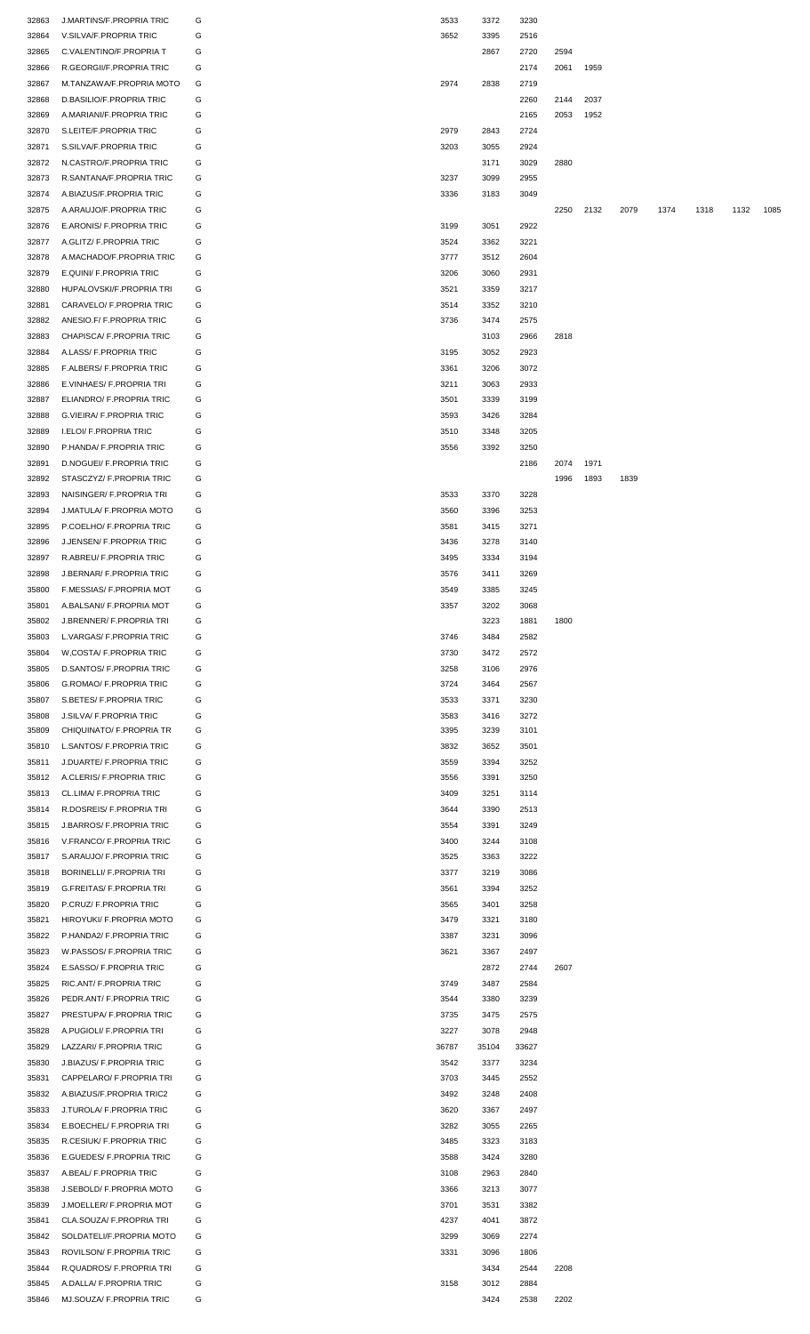| 32863          | <b>J.MARTINS/F.PROPRIA TRIC</b>                             | G | 3533         | 3372         | 3230         |      |      |      |      |      |      |      |
|----------------|-------------------------------------------------------------|---|--------------|--------------|--------------|------|------|------|------|------|------|------|
| 32864          | V.SILVA/F.PROPRIA TRIC                                      | G | 3652         | 3395         | 2516         |      |      |      |      |      |      |      |
| 32865          | C.VALENTINO/F.PROPRIA T                                     | G |              | 2867         | 2720         | 2594 |      |      |      |      |      |      |
| 32866          | R.GEORGII/F.PROPRIA TRIC                                    | G |              |              | 2174         | 2061 | 1959 |      |      |      |      |      |
| 32867          | M.TANZAWA/F.PROPRIA MOTO                                    | G | 2974         | 2838         | 2719         |      |      |      |      |      |      |      |
| 32868          | D.BASILIO/F.PROPRIA TRIC                                    | G |              |              | 2260         | 2144 | 2037 |      |      |      |      |      |
| 32869          | A.MARIANI/F.PROPRIA TRIC                                    | G |              |              | 2165         | 2053 | 1952 |      |      |      |      |      |
| 32870          | S.LEITE/F.PROPRIA TRIC                                      | G | 2979         | 2843         | 2724         |      |      |      |      |      |      |      |
| 32871          | S.SILVA/F.PROPRIA TRIC                                      | G | 3203         | 3055         | 2924         |      |      |      |      |      |      |      |
| 32872          | N.CASTRO/F.PROPRIA TRIC                                     | G |              | 3171         | 3029         | 2880 |      |      |      |      |      |      |
|                | R.SANTANA/F.PROPRIA TRIC                                    | G |              |              |              |      |      |      |      |      |      |      |
| 32873          |                                                             |   | 3237         | 3099         | 2955         |      |      |      |      |      |      |      |
| 32874          | A.BIAZUS/F.PROPRIA TRIC                                     | G | 3336         | 3183         | 3049         |      |      |      |      |      |      |      |
| 32875          | A.ARAUJO/F.PROPRIA TRIC                                     | G |              |              |              | 2250 | 2132 | 2079 | 1374 | 1318 | 1132 | 1085 |
| 32876          | E.ARONIS/ F.PROPRIA TRIC                                    | G | 3199         | 3051         | 2922         |      |      |      |      |      |      |      |
| 32877          | A.GLITZ/ F.PROPRIA TRIC                                     | G | 3524         | 3362         | 3221         |      |      |      |      |      |      |      |
| 32878          | A.MACHADO/F.PROPRIA TRIC                                    | G | 3777         | 3512         | 2604         |      |      |      |      |      |      |      |
| 32879          | E.QUINI/ F.PROPRIA TRIC                                     | G | 3206         | 3060         | 2931         |      |      |      |      |      |      |      |
| 32880          | HUPALOVSKI/F.PROPRIA TRI                                    | G | 3521         | 3359         | 3217         |      |      |      |      |      |      |      |
| 32881          | CARAVELO/ F.PROPRIA TRIC                                    | G | 3514         | 3352         | 3210         |      |      |      |      |      |      |      |
| 32882          | ANESIO.F/ F.PROPRIA TRIC                                    | G | 3736         | 3474         | 2575         |      |      |      |      |      |      |      |
| 32883          | CHAPISCA/ F.PROPRIA TRIC                                    | G |              | 3103         | 2966         | 2818 |      |      |      |      |      |      |
| 32884          | A.LASS/ F.PROPRIA TRIC                                      | G | 3195         | 3052         | 2923         |      |      |      |      |      |      |      |
| 32885          | F.ALBERS/ F.PROPRIA TRIC                                    | G | 3361         | 3206         | 3072         |      |      |      |      |      |      |      |
| 32886          | E.VINHAES/ F.PROPRIA TRI                                    | G | 3211         | 3063         | 2933         |      |      |      |      |      |      |      |
| 32887          | ELIANDRO/ F.PROPRIA TRIC                                    | G | 3501         | 3339         | 3199         |      |      |      |      |      |      |      |
| 32888          | <b>G.VIEIRA/ F.PROPRIA TRIC</b>                             | G | 3593         | 3426         | 3284         |      |      |      |      |      |      |      |
| 32889          | <b>I.ELOI/ F.PROPRIA TRIC</b>                               | G | 3510         | 3348         | 3205         |      |      |      |      |      |      |      |
| 32890          | P.HANDA/ F.PROPRIA TRIC                                     | G | 3556         | 3392         | 3250         |      |      |      |      |      |      |      |
| 32891          | D.NOGUEI/ F.PROPRIA TRIC                                    | G |              |              | 2186         | 2074 | 1971 |      |      |      |      |      |
| 32892          | STASCZYZ/ F.PROPRIA TRIC                                    | G |              |              |              | 1996 | 1893 | 1839 |      |      |      |      |
| 32893          | NAISINGER/ F.PROPRIA TRI                                    | G | 3533         | 3370         | 3228         |      |      |      |      |      |      |      |
| 32894          | J.MATULA/ F.PROPRIA MOTO                                    | G | 3560         | 3396         | 3253         |      |      |      |      |      |      |      |
| 32895          | P.COELHO/ F.PROPRIA TRIC                                    | G | 3581         | 3415         | 3271         |      |      |      |      |      |      |      |
| 32896          | J.JENSEN/ F.PROPRIA TRIC                                    | G | 3436         | 3278         | 3140         |      |      |      |      |      |      |      |
| 32897          | R.ABREU/ F.PROPRIA TRIC                                     | G | 3495         | 3334         | 3194         |      |      |      |      |      |      |      |
| 32898          | J.BERNAR/ F.PROPRIA TRIC                                    | G | 3576         | 3411         | 3269         |      |      |      |      |      |      |      |
| 35800          | F.MESSIAS/ F.PROPRIA MOT                                    | G | 3549         | 3385         | 3245         |      |      |      |      |      |      |      |
|                |                                                             | G |              | 3202         |              |      |      |      |      |      |      |      |
| 35801          | A.BALSANI/ F.PROPRIA MOT                                    |   | 3357         |              | 3068         |      |      |      |      |      |      |      |
| 35802          | J.BRENNER/ F.PROPRIA TRI                                    | G |              | 3223         | 1881         | 1800 |      |      |      |      |      |      |
| 35803          | L.VARGAS/ F.PROPRIA TRIC                                    | G | 3746         | 3484         | 2582         |      |      |      |      |      |      |      |
| 35804          | W,COSTA/ F.PROPRIA TRIC                                     | G | 3730         | 3472         | 2572         |      |      |      |      |      |      |      |
| 35805          | D.SANTOS/ F.PROPRIA TRIC                                    | G | 3258         | 3106         | 2976         |      |      |      |      |      |      |      |
| 35806          | G.ROMAO/ F.PROPRIA TRIC                                     | G | 3724         | 3464         | 2567         |      |      |      |      |      |      |      |
| 35807          | S.BETES/F.PROPRIA TRIC                                      | G | 3533         | 3371         | 3230         |      |      |      |      |      |      |      |
| 35808          | J.SILVA/ F.PROPRIA TRIC                                     | G | 3583         | 3416         | 3272         |      |      |      |      |      |      |      |
| 35809          | CHIQUINATO/ F.PROPRIA TR                                    | G | 3395         | 3239         | 3101         |      |      |      |      |      |      |      |
| 35810          | L.SANTOS/ F.PROPRIA TRIC                                    | G | 3832         | 3652         | 3501         |      |      |      |      |      |      |      |
| 35811          | J.DUARTE/ F.PROPRIA TRIC                                    | G | 3559         | 3394         | 3252         |      |      |      |      |      |      |      |
| 35812          | A.CLERIS/ F.PROPRIA TRIC                                    | G | 3556         | 3391         | 3250         |      |      |      |      |      |      |      |
| 35813          | CL.LIMA/ F.PROPRIA TRIC                                     | G | 3409         | 3251         | 3114         |      |      |      |      |      |      |      |
| 35814          | R.DOSREIS/ F.PROPRIA TRI                                    | G | 3644         | 3390         | 2513         |      |      |      |      |      |      |      |
| 35815          | J.BARROS/ F.PROPRIA TRIC                                    | G | 3554         | 3391         | 3249         |      |      |      |      |      |      |      |
| 35816          | V.FRANCO/ F.PROPRIA TRIC                                    | G | 3400         | 3244         | 3108         |      |      |      |      |      |      |      |
| 35817          | S.ARAUJO/ F.PROPRIA TRIC                                    | G | 3525         | 3363         | 3222         |      |      |      |      |      |      |      |
| 35818          | BORINELLI/ F.PROPRIA TRI                                    | G | 3377         | 3219         | 3086         |      |      |      |      |      |      |      |
| 35819          | <b>G.FREITAS/ F.PROPRIA TRI</b>                             | G | 3561         | 3394         | 3252         |      |      |      |      |      |      |      |
| 35820          | P.CRUZ/ F.PROPRIA TRIC                                      | G | 3565         | 3401         | 3258         |      |      |      |      |      |      |      |
| 35821          | HIROYUKI/ F.PROPRIA MOTO                                    | G | 3479         | 3321         | 3180         |      |      |      |      |      |      |      |
| 35822          | P.HANDA2/ F.PROPRIA TRIC                                    | G | 3387         | 3231         | 3096         |      |      |      |      |      |      |      |
| 35823          | W.PASSOS/ F.PROPRIA TRIC                                    | G | 3621         | 3367         | 2497         |      |      |      |      |      |      |      |
| 35824          | E.SASSO/ F.PROPRIA TRIC                                     | G |              | 2872         | 2744         | 2607 |      |      |      |      |      |      |
| 35825          | RIC.ANT/ F.PROPRIA TRIC                                     | G | 3749         | 3487         | 2584         |      |      |      |      |      |      |      |
| 35826          | PEDR.ANT/ F.PROPRIA TRIC                                    | G | 3544         | 3380         | 3239         |      |      |      |      |      |      |      |
| 35827          | PRESTUPA/ F.PROPRIA TRIC                                    | G | 3735         | 3475         | 2575         |      |      |      |      |      |      |      |
| 35828          | A.PUGIOLI/ F.PROPRIA TRI                                    | G | 3227         | 3078         | 2948         |      |      |      |      |      |      |      |
| 35829          | LAZZARI/ F.PROPRIA TRIC                                     | G | 36787        | 35104        | 33627        |      |      |      |      |      |      |      |
|                |                                                             | G |              |              |              |      |      |      |      |      |      |      |
| 35830<br>35831 | <b>J.BIAZUS/ F.PROPRIA TRIC</b><br>CAPPELARO/ F.PROPRIA TRI | G | 3542<br>3703 | 3377<br>3445 | 3234<br>2552 |      |      |      |      |      |      |      |
|                |                                                             |   |              |              |              |      |      |      |      |      |      |      |
| 35832          | A.BIAZUS/F.PROPRIA TRIC2                                    | G | 3492         | 3248         | 2408         |      |      |      |      |      |      |      |
| 35833          | J.TUROLA/ F.PROPRIA TRIC                                    | G | 3620         | 3367         | 2497         |      |      |      |      |      |      |      |
| 35834          | E.BOECHEL/ F.PROPRIA TRI                                    | G | 3282         | 3055         | 2265         |      |      |      |      |      |      |      |
| 35835          | R.CESIUK/ F.PROPRIA TRIC                                    | G | 3485         | 3323         | 3183         |      |      |      |      |      |      |      |
| 35836          | E.GUEDES/ F.PROPRIA TRIC                                    | G | 3588         | 3424         | 3280         |      |      |      |      |      |      |      |
| 35837          | A.BEAL/ F.PROPRIA TRIC                                      | G | 3108         | 2963         | 2840         |      |      |      |      |      |      |      |
| 35838          | J.SEBOLD/ F.PROPRIA MOTO                                    | G | 3366         | 3213         | 3077         |      |      |      |      |      |      |      |
| 35839          | J.MOELLER/ F.PROPRIA MOT                                    | G | 3701         | 3531         | 3382         |      |      |      |      |      |      |      |
| 35841          | CLA.SOUZA/ F.PROPRIA TRI                                    | G | 4237         | 4041         | 3872         |      |      |      |      |      |      |      |
| 35842          | SOLDATELI/F.PROPRIA MOTO                                    | G | 3299         | 3069         | 2274         |      |      |      |      |      |      |      |
| 35843          | ROVILSON/ F.PROPRIA TRIC                                    | G | 3331         | 3096         | 1806         |      |      |      |      |      |      |      |
| 35844          | R.QUADROS/ F.PROPRIA TRI                                    | G |              | 3434         | 2544         | 2208 |      |      |      |      |      |      |
| 35845          | A.DALLA/ F.PROPRIA TRIC                                     | G | 3158         | 3012         | 2884         |      |      |      |      |      |      |      |
| 35846          | MJ.SOUZA/ F.PROPRIA TRIC                                    | G |              | 3424         | 2538         | 2202 |      |      |      |      |      |      |
|                |                                                             |   |              |              |              |      |      |      |      |      |      |      |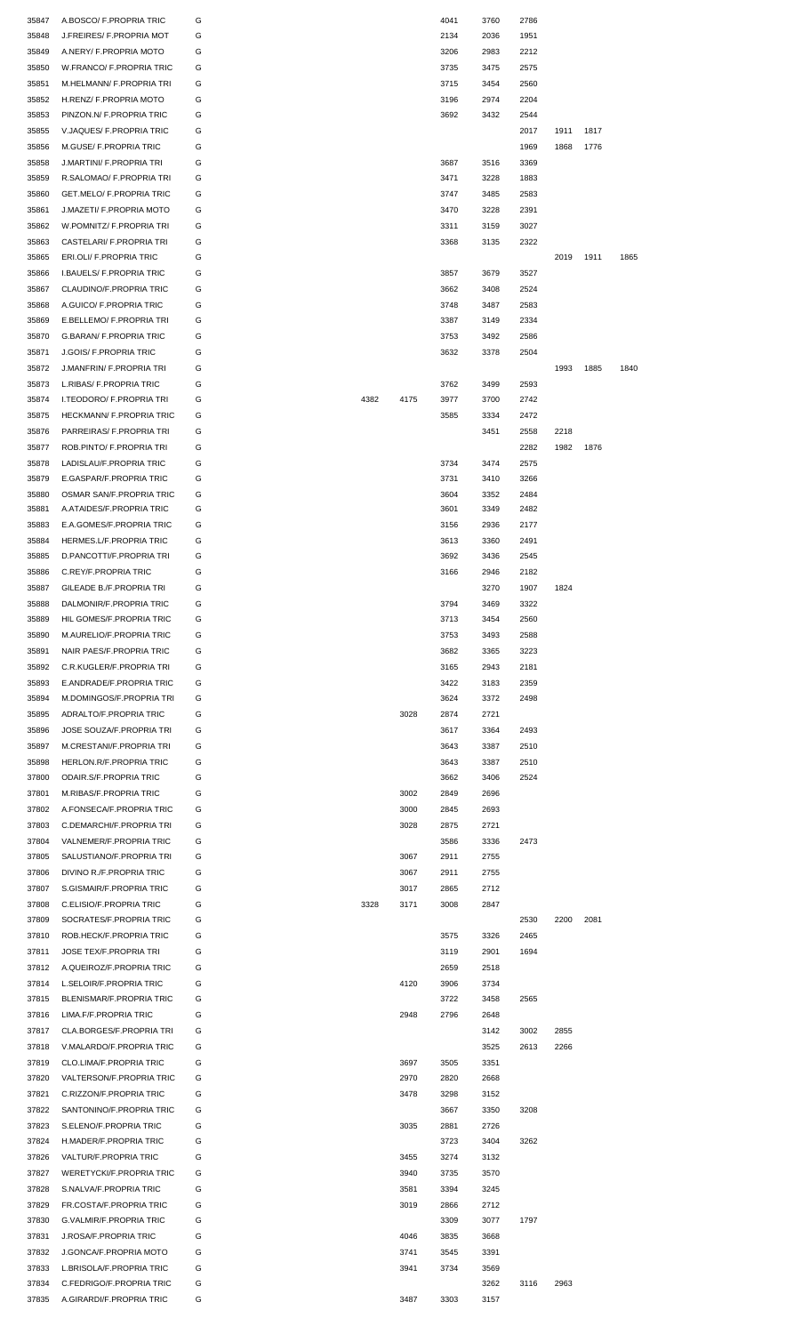| 35847          | A.BOSCO/ F.PROPRIA TRIC                              | G      |      |      | 4041 | 3760         | 2786 |      |      |      |  |
|----------------|------------------------------------------------------|--------|------|------|------|--------------|------|------|------|------|--|
| 35848          | J.FREIRES/ F.PROPRIA MOT                             | G      |      |      | 2134 | 2036         | 1951 |      |      |      |  |
| 35849          | A.NERY/ F.PROPRIA MOTO                               | G      |      |      | 3206 | 2983         | 2212 |      |      |      |  |
| 35850          | W.FRANCO/ F.PROPRIA TRIC                             | G      |      |      | 3735 | 3475         | 2575 |      |      |      |  |
| 35851          | M.HELMANN/ F.PROPRIA TRI                             | G      |      |      | 3715 | 3454         | 2560 |      |      |      |  |
| 35852          | H.RENZ/ F.PROPRIA MOTO                               | G      |      |      | 3196 | 2974         | 2204 |      |      |      |  |
| 35853          | PINZON.N/ F.PROPRIA TRIC                             | G      |      |      | 3692 | 3432         | 2544 |      |      |      |  |
|                |                                                      | G      |      |      |      |              |      |      |      |      |  |
| 35855          | V.JAQUES/ F.PROPRIA TRIC                             |        |      |      |      |              | 2017 | 1911 | 1817 |      |  |
| 35856          | M.GUSE/ F.PROPRIA TRIC                               | G      |      |      |      |              | 1969 | 1868 | 1776 |      |  |
| 35858          | J.MARTINI/ F.PROPRIA TRI                             | G      |      |      | 3687 | 3516         | 3369 |      |      |      |  |
| 35859          | R.SALOMAO/ F.PROPRIA TRI                             | G      |      |      | 3471 | 3228         | 1883 |      |      |      |  |
| 35860          | GET.MELO/ F.PROPRIA TRIC                             | G      |      |      | 3747 | 3485         | 2583 |      |      |      |  |
| 35861          | J.MAZETI/ F.PROPRIA MOTO                             | G      |      |      | 3470 | 3228         | 2391 |      |      |      |  |
| 35862          | W.POMNITZ/ F.PROPRIA TRI                             | G      |      |      | 3311 | 3159         | 3027 |      |      |      |  |
| 35863          | CASTELARI/ F.PROPRIA TRI                             | G      |      |      | 3368 | 3135         | 2322 |      |      |      |  |
|                |                                                      |        |      |      |      |              |      |      |      |      |  |
| 35865          | ERI.OLI/ F.PROPRIA TRIC                              | G      |      |      |      |              |      | 2019 | 1911 | 1865 |  |
| 35866          | I.BAUELS/ F.PROPRIA TRIC                             | G      |      |      | 3857 | 3679         | 3527 |      |      |      |  |
| 35867          | CLAUDINO/F.PROPRIA TRIC                              | G      |      |      | 3662 | 3408         | 2524 |      |      |      |  |
| 35868          | A.GUICO/ F.PROPRIA TRIC                              | G      |      |      | 3748 | 3487         | 2583 |      |      |      |  |
| 35869          | E.BELLEMO/ F.PROPRIA TRI                             | G      |      |      | 3387 | 3149         | 2334 |      |      |      |  |
| 35870          | <b>G.BARAN/ F.PROPRIA TRIC</b>                       | G      |      |      | 3753 | 3492         | 2586 |      |      |      |  |
| 35871          | <b>J.GOIS/ F.PROPRIA TRIC</b>                        | G      |      |      | 3632 | 3378         | 2504 |      |      |      |  |
| 35872          | J.MANFRIN/ F.PROPRIA TRI                             | G      |      |      |      |              |      | 1993 | 1885 | 1840 |  |
|                |                                                      |        |      |      |      |              |      |      |      |      |  |
| 35873          | L.RIBAS/ F.PROPRIA TRIC                              | G      |      |      | 3762 | 3499         | 2593 |      |      |      |  |
| 35874          | I.TEODORO/ F.PROPRIA TRI                             | G      | 4382 | 4175 | 3977 | 3700         | 2742 |      |      |      |  |
| 35875          | HECKMANN/ F.PROPRIA TRIC                             | G      |      |      | 3585 | 3334         | 2472 |      |      |      |  |
| 35876          | PARREIRAS/ F.PROPRIA TRI                             | G      |      |      |      | 3451         | 2558 | 2218 |      |      |  |
| 35877          | ROB.PINTO/ F.PROPRIA TRI                             | G      |      |      |      |              | 2282 | 1982 | 1876 |      |  |
| 35878          | LADISLAU/F.PROPRIA TRIC                              | G      |      |      | 3734 | 3474         | 2575 |      |      |      |  |
|                | E.GASPAR/F.PROPRIA TRIC                              | G      |      |      | 3731 | 3410         | 3266 |      |      |      |  |
| 35879          |                                                      |        |      |      |      |              |      |      |      |      |  |
| 35880          | OSMAR SAN/F.PROPRIA TRIC                             | G      |      |      | 3604 | 3352         | 2484 |      |      |      |  |
| 35881          | A.ATAIDES/F.PROPRIA TRIC                             | G      |      |      | 3601 | 3349         | 2482 |      |      |      |  |
| 35883          | E.A.GOMES/F.PROPRIA TRIC                             | G      |      |      | 3156 | 2936         | 2177 |      |      |      |  |
| 35884          | HERMES.L/F.PROPRIA TRIC                              | G      |      |      | 3613 | 3360         | 2491 |      |      |      |  |
| 35885          | D.PANCOTTI/F.PROPRIA TRI                             | G      |      |      | 3692 | 3436         | 2545 |      |      |      |  |
| 35886          | C.REY/F.PROPRIA TRIC                                 | G      |      |      | 3166 | 2946         | 2182 |      |      |      |  |
| 35887          | GILEADE B./F.PROPRIA TRI                             | G      |      |      |      | 3270         | 1907 | 1824 |      |      |  |
| 35888          | DALMONIR/F.PROPRIA TRIC                              | G      |      |      | 3794 | 3469         | 3322 |      |      |      |  |
|                |                                                      |        |      |      |      |              |      |      |      |      |  |
| 35889          | HIL GOMES/F.PROPRIA TRIC                             | G      |      |      | 3713 | 3454         | 2560 |      |      |      |  |
| 35890          | M.AURELIO/F.PROPRIA TRIC                             | G      |      |      | 3753 | 3493         | 2588 |      |      |      |  |
| 35891          | NAIR PAES/F.PROPRIA TRIC                             | G      |      |      | 3682 | 3365         | 3223 |      |      |      |  |
| 35892          | C.R.KUGLER/F.PROPRIA TRI                             | G      |      |      | 3165 | 2943         | 2181 |      |      |      |  |
| 35893          | E.ANDRADE/F.PROPRIA TRIC                             | G      |      |      | 3422 | 3183         | 2359 |      |      |      |  |
| 35894          | M.DOMINGOS/F.PROPRIA TRI                             | G      |      |      | 3624 | 3372         | 2498 |      |      |      |  |
| 35895          | ADRALTO/F.PROPRIA TRIC                               | G      |      | 3028 | 2874 | 2721         |      |      |      |      |  |
| 35896          | JOSE SOUZA/F.PROPRIA TRI                             | G      |      |      | 3617 | 3364         | 2493 |      |      |      |  |
|                |                                                      |        |      |      |      |              |      |      |      |      |  |
| 35897          | M.CRESTANI/F.PROPRIA TRI                             | G      |      |      | 3643 | 3387         | 2510 |      |      |      |  |
| 35898          | HERLON.R/F.PROPRIA TRIC                              | G      |      |      | 3643 | 3387         | 2510 |      |      |      |  |
| 37800          | ODAIR.S/F.PROPRIA TRIC                               | G      |      |      | 3662 | 3406         | 2524 |      |      |      |  |
| 37801          | M.RIBAS/F.PROPRIA TRIC                               | G      |      | 3002 | 2849 | 2696         |      |      |      |      |  |
| 37802          |                                                      |        |      |      |      |              |      |      |      |      |  |
| 37803          | A.FONSECA/F.PROPRIA TRIC                             | G      |      | 3000 | 2845 | 2693         |      |      |      |      |  |
| 37804          |                                                      |        |      |      |      |              |      |      |      |      |  |
|                | C.DEMARCHI/F.PROPRIA TRI                             | G      |      | 3028 | 2875 | 2721         |      |      |      |      |  |
|                | VALNEMER/F.PROPRIA TRIC                              | G      |      |      | 3586 | 3336         | 2473 |      |      |      |  |
| 37805          | SALUSTIANO/F.PROPRIA TRI                             | G      |      | 3067 | 2911 | 2755         |      |      |      |      |  |
| 37806          | DIVINO R./F.PROPRIA TRIC                             | G      |      | 3067 | 2911 | 2755         |      |      |      |      |  |
| 37807          | S.GISMAIR/F.PROPRIA TRIC                             | G      |      | 3017 | 2865 | 2712         |      |      |      |      |  |
| 37808          | C.ELISIO/F.PROPRIA TRIC                              | G      | 3328 | 3171 | 3008 | 2847         |      |      |      |      |  |
| 37809          | SOCRATES/F.PROPRIA TRIC                              | G      |      |      |      |              | 2530 | 2200 | 2081 |      |  |
| 37810          |                                                      | G      |      |      |      |              | 2465 |      |      |      |  |
|                | ROB.HECK/F.PROPRIA TRIC                              |        |      |      | 3575 | 3326         |      |      |      |      |  |
| 37811          | <b>JOSE TEX/F.PROPRIA TRI</b>                        | G      |      |      | 3119 | 2901         | 1694 |      |      |      |  |
| 37812          | A.QUEIROZ/F.PROPRIA TRIC                             | G      |      |      | 2659 | 2518         |      |      |      |      |  |
| 37814          | L.SELOIR/F.PROPRIA TRIC                              | G      |      | 4120 | 3906 | 3734         |      |      |      |      |  |
| 37815          | BLENISMAR/F.PROPRIA TRIC                             | G      |      |      | 3722 | 3458         | 2565 |      |      |      |  |
| 37816          | LIMA.F/F.PROPRIA TRIC                                | G      |      | 2948 | 2796 | 2648         |      |      |      |      |  |
| 37817          | CLA.BORGES/F.PROPRIA TRI                             | G      |      |      |      | 3142         | 3002 | 2855 |      |      |  |
| 37818          | V.MALARDO/F.PROPRIA TRIC                             | G      |      |      |      | 3525         | 2613 | 2266 |      |      |  |
|                | CLO.LIMA/F.PROPRIA TRIC                              | G      |      |      | 3505 |              |      |      |      |      |  |
| 37819          |                                                      |        |      | 3697 |      | 3351         |      |      |      |      |  |
| 37820          | VALTERSON/F.PROPRIA TRIC                             | G      |      | 2970 | 2820 | 2668         |      |      |      |      |  |
| 37821          | C.RIZZON/F.PROPRIA TRIC                              | G      |      | 3478 | 3298 | 3152         |      |      |      |      |  |
| 37822          | SANTONINO/F.PROPRIA TRIC                             | G      |      |      | 3667 | 3350         | 3208 |      |      |      |  |
| 37823          | S.ELENO/F.PROPRIA TRIC                               | G      |      | 3035 | 2881 | 2726         |      |      |      |      |  |
| 37824          | H.MADER/F.PROPRIA TRIC                               | G      |      |      | 3723 | 3404         | 3262 |      |      |      |  |
| 37826          | VALTUR/F.PROPRIA TRIC                                | G      |      | 3455 | 3274 | 3132         |      |      |      |      |  |
|                |                                                      |        |      |      |      |              |      |      |      |      |  |
| 37827          | WERETYCKI/F.PROPRIA TRIC                             | G      |      | 3940 | 3735 | 3570         |      |      |      |      |  |
| 37828          | S.NALVA/F.PROPRIA TRIC                               | G      |      | 3581 | 3394 | 3245         |      |      |      |      |  |
| 37829          | FR.COSTA/F.PROPRIA TRIC                              | G      |      | 3019 | 2866 | 2712         |      |      |      |      |  |
| 37830          | G.VALMIR/F.PROPRIA TRIC                              | G      |      |      | 3309 | 3077         | 1797 |      |      |      |  |
| 37831          | J.ROSA/F.PROPRIA TRIC                                | G      |      | 4046 | 3835 | 3668         |      |      |      |      |  |
| 37832          | J.GONCA/F.PROPRIA MOTO                               | G      |      | 3741 | 3545 | 3391         |      |      |      |      |  |
| 37833          | L.BRISOLA/F.PROPRIA TRIC                             | G      |      | 3941 | 3734 | 3569         |      |      |      |      |  |
|                |                                                      |        |      |      |      |              |      |      |      |      |  |
| 37834<br>37835 | C.FEDRIGO/F.PROPRIA TRIC<br>A.GIRARDI/F.PROPRIA TRIC | G<br>G |      | 3487 | 3303 | 3262<br>3157 | 3116 | 2963 |      |      |  |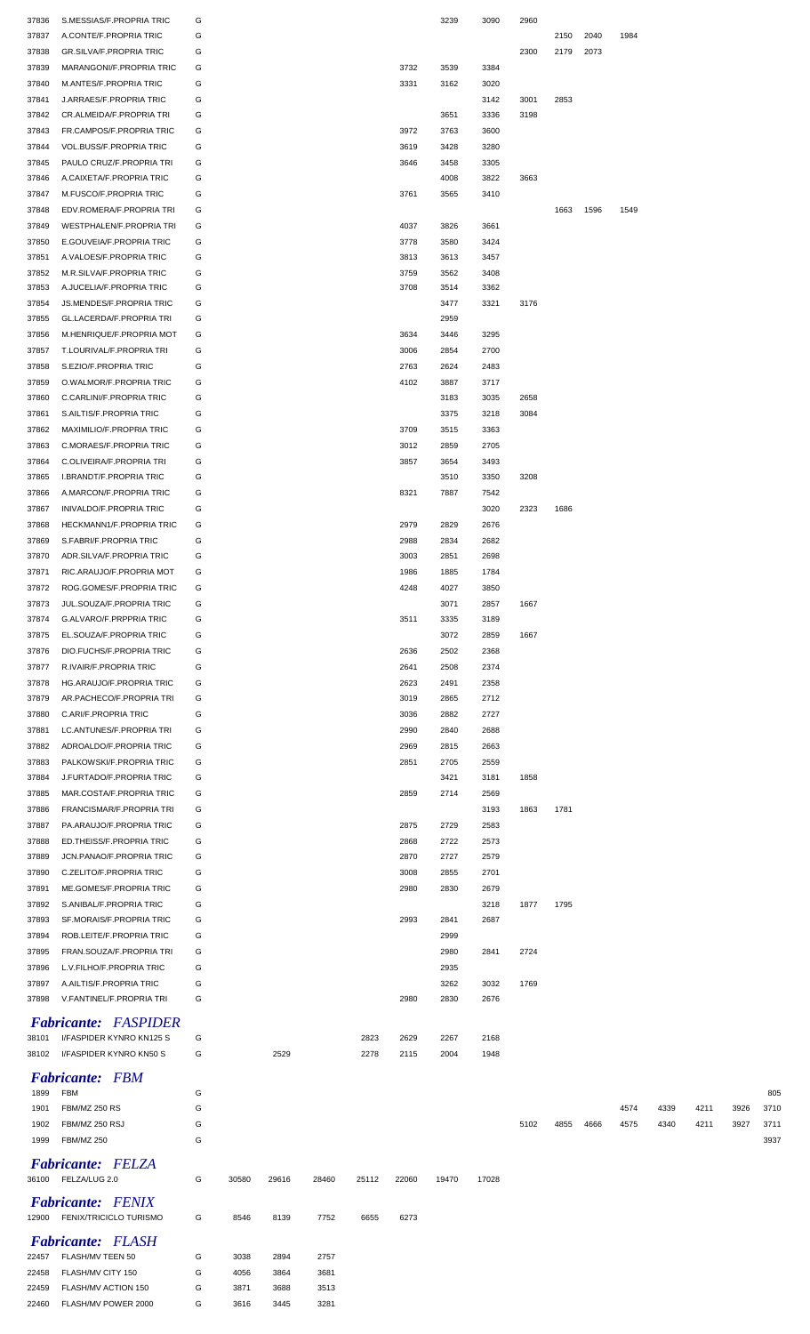| 37836 | S.MESSIAS/F.PROPRIA TRIC       | G |       |       |       |       |       | 3239  | 3090  | 2960 |      |      |      |      |      |      |      |
|-------|--------------------------------|---|-------|-------|-------|-------|-------|-------|-------|------|------|------|------|------|------|------|------|
| 37837 | A.CONTE/F.PROPRIA TRIC         | G |       |       |       |       |       |       |       |      | 2150 | 2040 | 1984 |      |      |      |      |
|       |                                |   |       |       |       |       |       |       |       |      |      |      |      |      |      |      |      |
| 37838 | <b>GR.SILVA/F.PROPRIA TRIC</b> | G |       |       |       |       |       |       |       | 2300 | 2179 | 2073 |      |      |      |      |      |
| 37839 | MARANGONI/F.PROPRIA TRIC       | G |       |       |       |       | 3732  | 3539  | 3384  |      |      |      |      |      |      |      |      |
| 37840 | M.ANTES/F.PROPRIA TRIC         | G |       |       |       |       | 3331  | 3162  | 3020  |      |      |      |      |      |      |      |      |
| 37841 | J.ARRAES/F.PROPRIA TRIC        | G |       |       |       |       |       |       | 3142  | 3001 | 2853 |      |      |      |      |      |      |
| 37842 | CR.ALMEIDA/F.PROPRIA TRI       | G |       |       |       |       |       | 3651  | 3336  | 3198 |      |      |      |      |      |      |      |
| 37843 | FR.CAMPOS/F.PROPRIA TRIC       | G |       |       |       |       | 3972  | 3763  | 3600  |      |      |      |      |      |      |      |      |
| 37844 | VOL.BUSS/F.PROPRIA TRIC        | G |       |       |       |       | 3619  | 3428  | 3280  |      |      |      |      |      |      |      |      |
| 37845 | PAULO CRUZ/F.PROPRIA TRI       | G |       |       |       |       | 3646  | 3458  | 3305  |      |      |      |      |      |      |      |      |
| 37846 | A.CAIXETA/F.PROPRIA TRIC       | G |       |       |       |       |       | 4008  | 3822  | 3663 |      |      |      |      |      |      |      |
|       |                                |   |       |       |       |       |       |       |       |      |      |      |      |      |      |      |      |
| 37847 | M.FUSCO/F.PROPRIA TRIC         | G |       |       |       |       | 3761  | 3565  | 3410  |      |      |      |      |      |      |      |      |
| 37848 | EDV.ROMERA/F.PROPRIA TRI       | G |       |       |       |       |       |       |       |      | 1663 | 1596 | 1549 |      |      |      |      |
| 37849 | WESTPHALEN/F.PROPRIA TRI       | G |       |       |       |       | 4037  | 3826  | 3661  |      |      |      |      |      |      |      |      |
| 37850 | E.GOUVEIA/F.PROPRIA TRIC       | G |       |       |       |       | 3778  | 3580  | 3424  |      |      |      |      |      |      |      |      |
| 37851 | A.VALOES/F.PROPRIA TRIC        | G |       |       |       |       | 3813  | 3613  | 3457  |      |      |      |      |      |      |      |      |
| 37852 | M.R.SILVA/F.PROPRIA TRIC       | G |       |       |       |       | 3759  | 3562  | 3408  |      |      |      |      |      |      |      |      |
| 37853 | A.JUCELIA/F.PROPRIA TRIC       | G |       |       |       |       | 3708  | 3514  | 3362  |      |      |      |      |      |      |      |      |
| 37854 | JS.MENDES/F.PROPRIA TRIC       | G |       |       |       |       |       | 3477  | 3321  | 3176 |      |      |      |      |      |      |      |
|       |                                |   |       |       |       |       |       |       |       |      |      |      |      |      |      |      |      |
| 37855 | GL.LACERDA/F.PROPRIA TRI       | G |       |       |       |       |       | 2959  |       |      |      |      |      |      |      |      |      |
| 37856 | M.HENRIQUE/F.PROPRIA MOT       | G |       |       |       |       | 3634  | 3446  | 3295  |      |      |      |      |      |      |      |      |
| 37857 | T.LOURIVAL/F.PROPRIA TRI       | G |       |       |       |       | 3006  | 2854  | 2700  |      |      |      |      |      |      |      |      |
| 37858 | S.EZIO/F.PROPRIA TRIC          | G |       |       |       |       | 2763  | 2624  | 2483  |      |      |      |      |      |      |      |      |
| 37859 | O.WALMOR/F.PROPRIA TRIC        | G |       |       |       |       | 4102  | 3887  | 3717  |      |      |      |      |      |      |      |      |
| 37860 | C.CARLINI/F.PROPRIA TRIC       | G |       |       |       |       |       | 3183  | 3035  | 2658 |      |      |      |      |      |      |      |
| 37861 | S.AILTIS/F.PROPRIA TRIC        | G |       |       |       |       |       | 3375  | 3218  | 3084 |      |      |      |      |      |      |      |
|       |                                |   |       |       |       |       |       |       |       |      |      |      |      |      |      |      |      |
| 37862 | MAXIMILIO/F.PROPRIA TRIC       | G |       |       |       |       | 3709  | 3515  | 3363  |      |      |      |      |      |      |      |      |
| 37863 | C.MORAES/F.PROPRIA TRIC        | G |       |       |       |       | 3012  | 2859  | 2705  |      |      |      |      |      |      |      |      |
| 37864 | C.OLIVEIRA/F.PROPRIA TRI       | G |       |       |       |       | 3857  | 3654  | 3493  |      |      |      |      |      |      |      |      |
| 37865 | I.BRANDT/F.PROPRIA TRIC        | G |       |       |       |       |       | 3510  | 3350  | 3208 |      |      |      |      |      |      |      |
| 37866 | A.MARCON/F.PROPRIA TRIC        | G |       |       |       |       | 8321  | 7887  | 7542  |      |      |      |      |      |      |      |      |
| 37867 | <b>INIVALDO/F.PROPRIA TRIC</b> | G |       |       |       |       |       |       | 3020  | 2323 | 1686 |      |      |      |      |      |      |
| 37868 | HECKMANN1/F.PROPRIA TRIC       | G |       |       |       |       | 2979  | 2829  | 2676  |      |      |      |      |      |      |      |      |
| 37869 | S.FABRI/F.PROPRIA TRIC         | G |       |       |       |       | 2988  | 2834  | 2682  |      |      |      |      |      |      |      |      |
|       |                                |   |       |       |       |       |       |       |       |      |      |      |      |      |      |      |      |
| 37870 | ADR.SILVA/F.PROPRIA TRIC       | G |       |       |       |       | 3003  | 2851  | 2698  |      |      |      |      |      |      |      |      |
| 37871 | RIC.ARAUJO/F.PROPRIA MOT       | G |       |       |       |       | 1986  | 1885  | 1784  |      |      |      |      |      |      |      |      |
| 37872 | ROG.GOMES/F.PROPRIA TRIC       | G |       |       |       |       | 4248  | 4027  | 3850  |      |      |      |      |      |      |      |      |
| 37873 | JUL.SOUZA/F.PROPRIA TRIC       | G |       |       |       |       |       | 3071  | 2857  | 1667 |      |      |      |      |      |      |      |
| 37874 | G.ALVARO/F.PRPPRIA TRIC        | G |       |       |       |       | 3511  | 3335  | 3189  |      |      |      |      |      |      |      |      |
| 37875 | EL.SOUZA/F.PROPRIA TRIC        | G |       |       |       |       |       | 3072  | 2859  | 1667 |      |      |      |      |      |      |      |
| 37876 | DIO.FUCHS/F.PROPRIA TRIC       | G |       |       |       |       | 2636  | 2502  | 2368  |      |      |      |      |      |      |      |      |
|       |                                |   |       |       |       |       |       |       |       |      |      |      |      |      |      |      |      |
| 37877 | R.IVAIR/F.PROPRIA TRIC         | G |       |       |       |       | 2641  | 2508  | 2374  |      |      |      |      |      |      |      |      |
| 37878 | HG.ARAUJO/F.PROPRIA TRIC       | G |       |       |       |       | 2623  | 2491  | 2358  |      |      |      |      |      |      |      |      |
| 37879 | AR.PACHECO/F.PROPRIA TRI       | G |       |       |       |       | 3019  | 2865  | 2712  |      |      |      |      |      |      |      |      |
| 37880 | C.ARI/F.PROPRIA TRIC           | G |       |       |       |       | 3036  | 2882  | 2727  |      |      |      |      |      |      |      |      |
| 37881 | LC.ANTUNES/F.PROPRIA TRI       | G |       |       |       |       | 2990  | 2840  | 2688  |      |      |      |      |      |      |      |      |
| 37882 | ADROALDO/F.PROPRIA TRIC        | G |       |       |       |       | 2969  | 2815  | 2663  |      |      |      |      |      |      |      |      |
| 37883 | PALKOWSKI/F.PROPRIA TRIC       | G |       |       |       |       | 2851  | 2705  | 2559  |      |      |      |      |      |      |      |      |
|       |                                |   |       |       |       |       |       |       |       |      |      |      |      |      |      |      |      |
| 37884 | J.FURTADO/F.PROPRIA TRIC       | G |       |       |       |       |       | 3421  | 3181  | 1858 |      |      |      |      |      |      |      |
| 37885 | MAR.COSTA/F.PROPRIA TRIC       | G |       |       |       |       | 2859  | 2714  | 2569  |      |      |      |      |      |      |      |      |
| 37886 | FRANCISMAR/F.PROPRIA TRI       | G |       |       |       |       |       |       | 3193  | 1863 | 1781 |      |      |      |      |      |      |
| 37887 | PA.ARAUJO/F.PROPRIA TRIC       | G |       |       |       |       | 2875  | 2729  | 2583  |      |      |      |      |      |      |      |      |
| 37888 | ED.THEISS/F.PROPRIA TRIC       | G |       |       |       |       | 2868  | 2722  | 2573  |      |      |      |      |      |      |      |      |
| 37889 | JCN.PANAO/F.PROPRIA TRIC       | G |       |       |       |       | 2870  | 2727  | 2579  |      |      |      |      |      |      |      |      |
| 37890 | C.ZELITO/F.PROPRIA TRIC        | G |       |       |       |       | 3008  | 2855  | 2701  |      |      |      |      |      |      |      |      |
| 37891 | ME.GOMES/F.PROPRIA TRIC        | G |       |       |       |       | 2980  | 2830  | 2679  |      |      |      |      |      |      |      |      |
|       |                                |   |       |       |       |       |       |       |       |      |      |      |      |      |      |      |      |
| 37892 | S.ANIBAL/F.PROPRIA TRIC        | G |       |       |       |       |       |       | 3218  | 1877 | 1795 |      |      |      |      |      |      |
| 37893 | SF.MORAIS/F.PROPRIA TRIC       | G |       |       |       |       | 2993  | 2841  | 2687  |      |      |      |      |      |      |      |      |
| 37894 | ROB.LEITE/F.PROPRIA TRIC       | G |       |       |       |       |       | 2999  |       |      |      |      |      |      |      |      |      |
| 37895 | FRAN.SOUZA/F.PROPRIA TRI       | G |       |       |       |       |       | 2980  | 2841  | 2724 |      |      |      |      |      |      |      |
| 37896 | L.V.FILHO/F.PROPRIA TRIC       | G |       |       |       |       |       | 2935  |       |      |      |      |      |      |      |      |      |
| 37897 | A.AILTIS/F.PROPRIA TRIC        | G |       |       |       |       |       | 3262  | 3032  | 1769 |      |      |      |      |      |      |      |
| 37898 | V.FANTINEL/F.PROPRIA TRI       | G |       |       |       |       | 2980  | 2830  | 2676  |      |      |      |      |      |      |      |      |
|       |                                |   |       |       |       |       |       |       |       |      |      |      |      |      |      |      |      |
|       | <b>Fabricante:</b> FASPIDER    |   |       |       |       |       |       |       |       |      |      |      |      |      |      |      |      |
| 38101 | I/FASPIDER KYNRO KN125 S       | G |       |       |       | 2823  | 2629  | 2267  | 2168  |      |      |      |      |      |      |      |      |
| 38102 | I/FASPIDER KYNRO KN50 S        | G |       | 2529  |       | 2278  | 2115  | 2004  | 1948  |      |      |      |      |      |      |      |      |
|       |                                |   |       |       |       |       |       |       |       |      |      |      |      |      |      |      |      |
|       | <b>Fabricante: FBM</b>         |   |       |       |       |       |       |       |       |      |      |      |      |      |      |      |      |
| 1899  | <b>FBM</b>                     | G |       |       |       |       |       |       |       |      |      |      |      |      |      |      | 805  |
| 1901  | FBM/MZ 250 RS                  | G |       |       |       |       |       |       |       |      |      |      | 4574 | 4339 | 4211 | 3926 | 3710 |
| 1902  | FBM/MZ 250 RSJ                 | G |       |       |       |       |       |       |       | 5102 | 4855 | 4666 | 4575 | 4340 | 4211 | 3927 | 3711 |
|       |                                |   |       |       |       |       |       |       |       |      |      |      |      |      |      |      |      |
| 1999  | <b>FBM/MZ 250</b>              | G |       |       |       |       |       |       |       |      |      |      |      |      |      |      | 3937 |
|       | <b>Fabricante: FELZA</b>       |   |       |       |       |       |       |       |       |      |      |      |      |      |      |      |      |
| 36100 | FELZA/LUG 2.0                  | G | 30580 | 29616 | 28460 | 25112 | 22060 | 19470 | 17028 |      |      |      |      |      |      |      |      |
|       |                                |   |       |       |       |       |       |       |       |      |      |      |      |      |      |      |      |
|       | <b>Fabricante:</b> FENIX       |   |       |       |       |       |       |       |       |      |      |      |      |      |      |      |      |
| 12900 | <b>FENIX/TRICICLO TURISMO</b>  | G | 8546  | 8139  | 7752  | 6655  | 6273  |       |       |      |      |      |      |      |      |      |      |
|       |                                |   |       |       |       |       |       |       |       |      |      |      |      |      |      |      |      |
|       | <b>Fabricante:</b> FLASH       |   |       |       |       |       |       |       |       |      |      |      |      |      |      |      |      |
| 22457 | FLASH/MV TEEN 50               | G | 3038  | 2894  | 2757  |       |       |       |       |      |      |      |      |      |      |      |      |
| 22458 | FLASH/MV CITY 150              | G | 4056  | 3864  | 3681  |       |       |       |       |      |      |      |      |      |      |      |      |
| 22459 | FLASH/MV ACTION 150            | G | 3871  | 3688  | 3513  |       |       |       |       |      |      |      |      |      |      |      |      |
| 22460 | FLASH/MV POWER 2000            | G | 3616  | 3445  | 3281  |       |       |       |       |      |      |      |      |      |      |      |      |
|       |                                |   |       |       |       |       |       |       |       |      |      |      |      |      |      |      |      |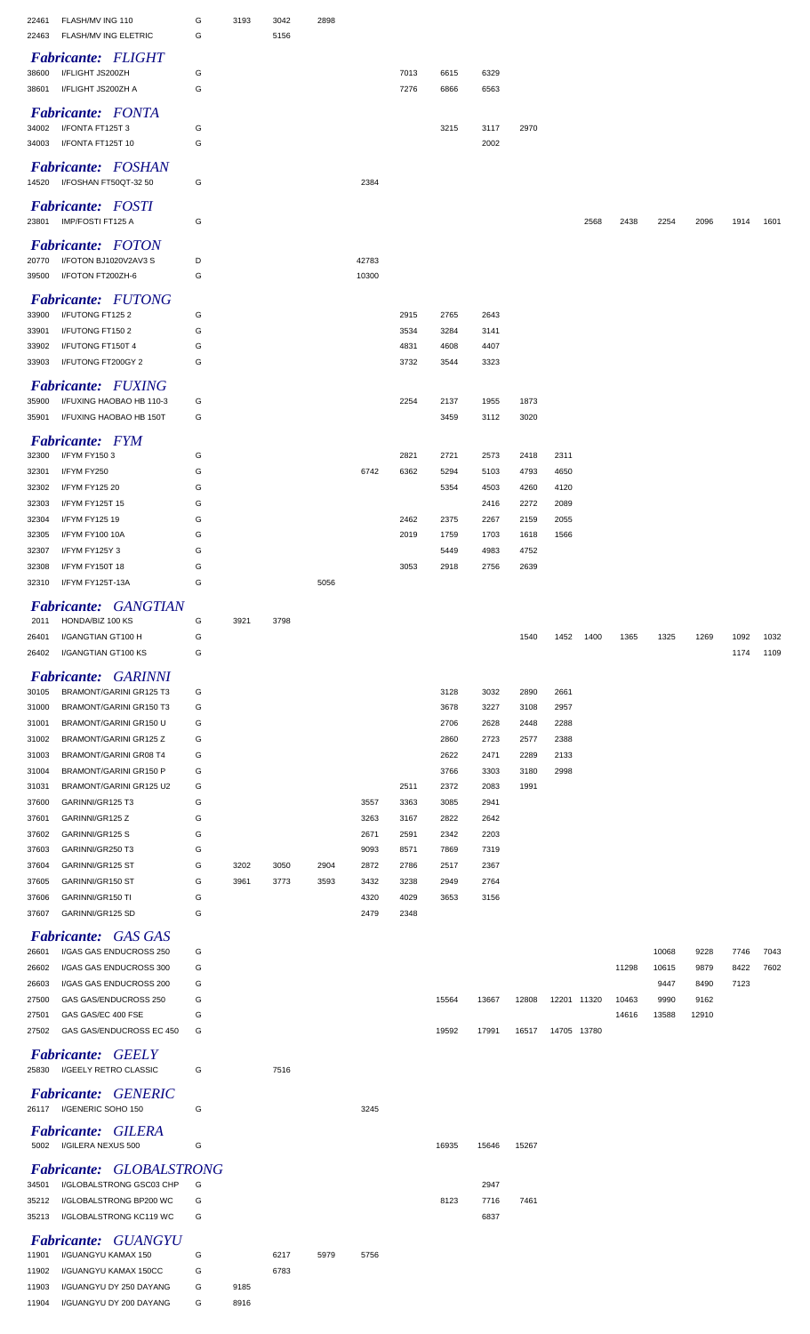| FLASH/MV ING 110<br>22461                                            | G      | 3193         | 3042 | 2898 |              |              |              |              |              |              |           |       |       |       |              |              |
|----------------------------------------------------------------------|--------|--------------|------|------|--------------|--------------|--------------|--------------|--------------|--------------|-----------|-------|-------|-------|--------------|--------------|
| 22463<br>FLASH/MV ING ELETRIC                                        | G      |              | 5156 |      |              |              |              |              |              |              |           |       |       |       |              |              |
| <b>Fabricante: FLIGHT</b>                                            |        |              |      |      |              |              |              |              |              |              |           |       |       |       |              |              |
| 38600<br>I/FLIGHT JS200ZH<br>I/FLIGHT JS200ZH A<br>38601             | G<br>G |              |      |      |              | 7013<br>7276 | 6615<br>6866 | 6329<br>6563 |              |              |           |       |       |       |              |              |
|                                                                      |        |              |      |      |              |              |              |              |              |              |           |       |       |       |              |              |
| <b>Fabricante:</b> FONTA<br>I/FONTA FT125T 3<br>34002                |        |              |      |      |              |              | 3215         | 3117         | 2970         |              |           |       |       |       |              |              |
| I/FONTA FT125T 10<br>34003                                           | G<br>G |              |      |      |              |              |              | 2002         |              |              |           |       |       |       |              |              |
|                                                                      |        |              |      |      |              |              |              |              |              |              |           |       |       |       |              |              |
| Fabricante: FOSHAN<br>14520 I/FOSHAN FT50QT-32 50                    |        |              |      |      |              |              |              |              |              |              |           |       |       |       |              |              |
|                                                                      | G      |              |      |      | 2384         |              |              |              |              |              |           |       |       |       |              |              |
| <b>Fabricante:</b> FOSTI                                             |        |              |      |      |              |              |              |              |              |              |           |       |       |       |              |              |
| IMP/FOSTI FT125 A<br>23801                                           | G      |              |      |      |              |              |              |              |              |              | 2568      | 2438  | 2254  | 2096  | 1914         | 1601         |
| <b>Fabricante:</b> FOTON                                             |        |              |      |      |              |              |              |              |              |              |           |       |       |       |              |              |
| I/FOTON BJ1020V2AV3 S<br>20770                                       | D      |              |      |      | 42783        |              |              |              |              |              |           |       |       |       |              |              |
| I/FOTON FT200ZH-6<br>39500                                           | G      |              |      |      | 10300        |              |              |              |              |              |           |       |       |       |              |              |
| <b>Fabricante: FUTONG</b>                                            |        |              |      |      |              |              |              |              |              |              |           |       |       |       |              |              |
| 33900<br>I/FUTONG FT1252                                             | G      |              |      |      |              | 2915         | 2765         | 2643         |              |              |           |       |       |       |              |              |
| I/FUTONG FT1502<br>33901<br>I/FUTONG FT150T 4                        | G<br>G |              |      |      |              | 3534<br>4831 | 3284<br>4608 | 3141<br>4407 |              |              |           |       |       |       |              |              |
| 33902<br>I/FUTONG FT200GY 2<br>33903                                 | G      |              |      |      |              | 3732         | 3544         | 3323         |              |              |           |       |       |       |              |              |
|                                                                      |        |              |      |      |              |              |              |              |              |              |           |       |       |       |              |              |
| <b>Fabricante:</b> FUXING<br>I/FUXING HAOBAO HB 110-3<br>35900       | G      |              |      |      |              | 2254         |              |              |              |              |           |       |       |       |              |              |
| I/FUXING HAOBAO HB 150T<br>35901                                     | G      |              |      |      |              |              | 2137<br>3459 | 1955<br>3112 | 1873<br>3020 |              |           |       |       |       |              |              |
|                                                                      |        |              |      |      |              |              |              |              |              |              |           |       |       |       |              |              |
| <b>Fabricante:</b> FYM                                               |        |              |      |      |              |              |              |              |              |              |           |       |       |       |              |              |
| I/FYM FY1503<br>32300<br>32301<br>I/FYM FY250                        | G<br>G |              |      |      | 6742         | 2821<br>6362 | 2721<br>5294 | 2573<br>5103 | 2418<br>4793 | 2311<br>4650 |           |       |       |       |              |              |
| 32302<br>I/FYM FY125 20                                              | G      |              |      |      |              |              | 5354         | 4503         | 4260         | 4120         |           |       |       |       |              |              |
| 32303<br>I/FYM FY125T 15                                             | G      |              |      |      |              |              |              | 2416         | 2272         | 2089         |           |       |       |       |              |              |
| 32304<br>I/FYM FY125 19                                              | G      |              |      |      |              | 2462         | 2375         | 2267         | 2159         | 2055         |           |       |       |       |              |              |
| I/FYM FY100 10A<br>32305                                             | G      |              |      |      |              | 2019         | 1759         | 1703         | 1618         | 1566         |           |       |       |       |              |              |
| 32307<br>I/FYM FY125Y 3                                              | G      |              |      |      |              |              | 5449         | 4983         | 4752         |              |           |       |       |       |              |              |
| 32308<br>I/FYM FY150T 18                                             | G      |              |      |      |              | 3053         | 2918         | 2756         | 2639         |              |           |       |       |       |              |              |
| I/FYM FY125T-13A<br>32310                                            | G      |              |      | 5056 |              |              |              |              |              |              |           |       |       |       |              |              |
| Fabricante: GANGTIAN                                                 |        |              |      |      |              |              |              |              |              |              |           |       |       |       |              |              |
| HONDA/BIZ 100 KS<br>2011                                             | G      | 3921         | 3798 |      |              |              |              |              |              |              |           |       |       |       |              |              |
| 26401<br>I/GANGTIAN GT100 H<br>I/GANGTIAN GT100 KS<br>26402          | G<br>G |              |      |      |              |              |              |              | 1540         |              | 1452 1400 | 1365  | 1325  | 1269  | 1092<br>1174 | 1032<br>1109 |
|                                                                      |        |              |      |      |              |              |              |              |              |              |           |       |       |       |              |              |
| <b>Fabricante: GARINNI</b>                                           |        |              |      |      |              |              |              |              |              |              |           |       |       |       |              |              |
| BRAMONT/GARINI GR125 T3<br>30105<br>BRAMONT/GARINI GR150 T3          | G<br>G |              |      |      |              |              | 3128<br>3678 | 3032         | 2890         | 2661         |           |       |       |       |              |              |
| 31000<br>31001<br>BRAMONT/GARINI GR150 U                             | G      |              |      |      |              |              | 2706         | 3227<br>2628 | 3108<br>2448 | 2957<br>2288 |           |       |       |       |              |              |
| BRAMONT/GARINI GR125 Z<br>31002                                      | G      |              |      |      |              |              | 2860         | 2723         | 2577         | 2388         |           |       |       |       |              |              |
| BRAMONT/GARINI GR08 T4<br>31003                                      | G      |              |      |      |              |              | 2622         | 2471         | 2289         | 2133         |           |       |       |       |              |              |
| <b>BRAMONT/GARINI GR150 P</b><br>31004                               | G      |              |      |      |              |              | 3766         | 3303         | 3180         | 2998         |           |       |       |       |              |              |
| BRAMONT/GARINI GR125 U2<br>31031                                     | G      |              |      |      |              | 2511         | 2372         | 2083         | 1991         |              |           |       |       |       |              |              |
| GARINNI/GR125 T3<br>37600                                            | G      |              |      |      | 3557         | 3363         | 3085         | 2941         |              |              |           |       |       |       |              |              |
| GARINNI/GR125 Z<br>37601                                             | G      |              |      |      | 3263         | 3167         | 2822         | 2642         |              |              |           |       |       |       |              |              |
| GARINNI/GR125 S<br>37602<br>37603<br>GARINNI/GR250 T3                | G<br>G |              |      |      | 2671<br>9093 | 2591<br>8571 | 2342<br>7869 | 2203<br>7319 |              |              |           |       |       |       |              |              |
| 37604<br>GARINNI/GR125 ST                                            | G      | 3202         | 3050 | 2904 | 2872         | 2786         | 2517         | 2367         |              |              |           |       |       |       |              |              |
| 37605<br>GARINNI/GR150 ST                                            | G      | 3961         | 3773 | 3593 | 3432         | 3238         | 2949         | 2764         |              |              |           |       |       |       |              |              |
| 37606<br>GARINNI/GR150 TI                                            | G      |              |      |      | 4320         | 4029         | 3653         | 3156         |              |              |           |       |       |       |              |              |
| 37607<br>GARINNI/GR125 SD                                            | G      |              |      |      | 2479         | 2348         |              |              |              |              |           |       |       |       |              |              |
| <b>Fabricante:</b> GAS GAS                                           |        |              |      |      |              |              |              |              |              |              |           |       |       |       |              |              |
| I/GAS GAS ENDUCROSS 250<br>26601                                     | G      |              |      |      |              |              |              |              |              |              |           |       | 10068 | 9228  | 7746         | 7043         |
| 26602<br>I/GAS GAS ENDUCROSS 300                                     | G      |              |      |      |              |              |              |              |              |              |           | 11298 | 10615 | 9879  | 8422         | 7602         |
| 26603<br>I/GAS GAS ENDUCROSS 200                                     | G      |              |      |      |              |              |              |              |              |              |           |       | 9447  | 8490  | 7123         |              |
| 27500<br>GAS GAS/ENDUCROSS 250                                       | G      |              |      |      |              |              | 15564        | 13667        | 12808        | 12201 11320  |           | 10463 | 9990  | 9162  |              |              |
| 27501<br>GAS GAS/EC 400 FSE<br>GAS GAS/ENDUCROSS EC 450<br>27502     | G      |              |      |      |              |              |              |              |              |              |           | 14616 | 13588 | 12910 |              |              |
|                                                                      |        |              |      |      |              |              |              |              |              |              |           |       |       |       |              |              |
| <b>Fabricante: GEELY</b>                                             | G      |              |      |      |              |              | 19592        | 17991        | 16517        | 14705 13780  |           |       |       |       |              |              |
| 25830<br>I/GEELY RETRO CLASSIC                                       |        |              |      |      |              |              |              |              |              |              |           |       |       |       |              |              |
|                                                                      | G      |              | 7516 |      |              |              |              |              |              |              |           |       |       |       |              |              |
| <b>Fabricante: GENERIC</b>                                           |        |              |      |      |              |              |              |              |              |              |           |       |       |       |              |              |
| 26117 I/GENERIC SOHO 150                                             | G      |              |      |      | 3245         |              |              |              |              |              |           |       |       |       |              |              |
| <b>Fabricante: GILERA</b>                                            |        |              |      |      |              |              |              |              |              |              |           |       |       |       |              |              |
| I/GILERA NEXUS 500<br>5002                                           | G      |              |      |      |              |              | 16935        | 15646        | 15267        |              |           |       |       |       |              |              |
|                                                                      |        |              |      |      |              |              |              |              |              |              |           |       |       |       |              |              |
| <b>Fabricante: GLOBALSTRONG</b><br>34501<br>I/GLOBALSTRONG GSC03 CHP | G      |              |      |      |              |              |              | 2947         |              |              |           |       |       |       |              |              |
| I/GLOBALSTRONG BP200 WC<br>35212                                     |        |              |      |      |              |              | 8123         | 7716         | 7461         |              |           |       |       |       |              |              |
| I/GLOBALSTRONG KC119 WC<br>35213                                     | G      |              |      |      |              |              |              | 6837         |              |              |           |       |       |       |              |              |
| <b>Fabricante: GUANGYU</b>                                           |        |              |      |      |              |              |              |              |              |              |           |       |       |       |              |              |
| I/GUANGYU KAMAX 150<br>11901                                         | G      |              | 6217 | 5979 | 5756         |              |              |              |              |              |           |       |       |       |              |              |
| I/GUANGYU KAMAX 150CC<br>11902                                       | G      |              | 6783 |      |              |              |              |              |              |              |           |       |       |       |              |              |
| I/GUANGYU DY 250 DAYANG<br>11903<br>I/GUANGYU DY 200 DAYANG<br>11904 | G<br>G | 9185<br>8916 |      |      |              |              |              |              |              |              |           |       |       |       |              |              |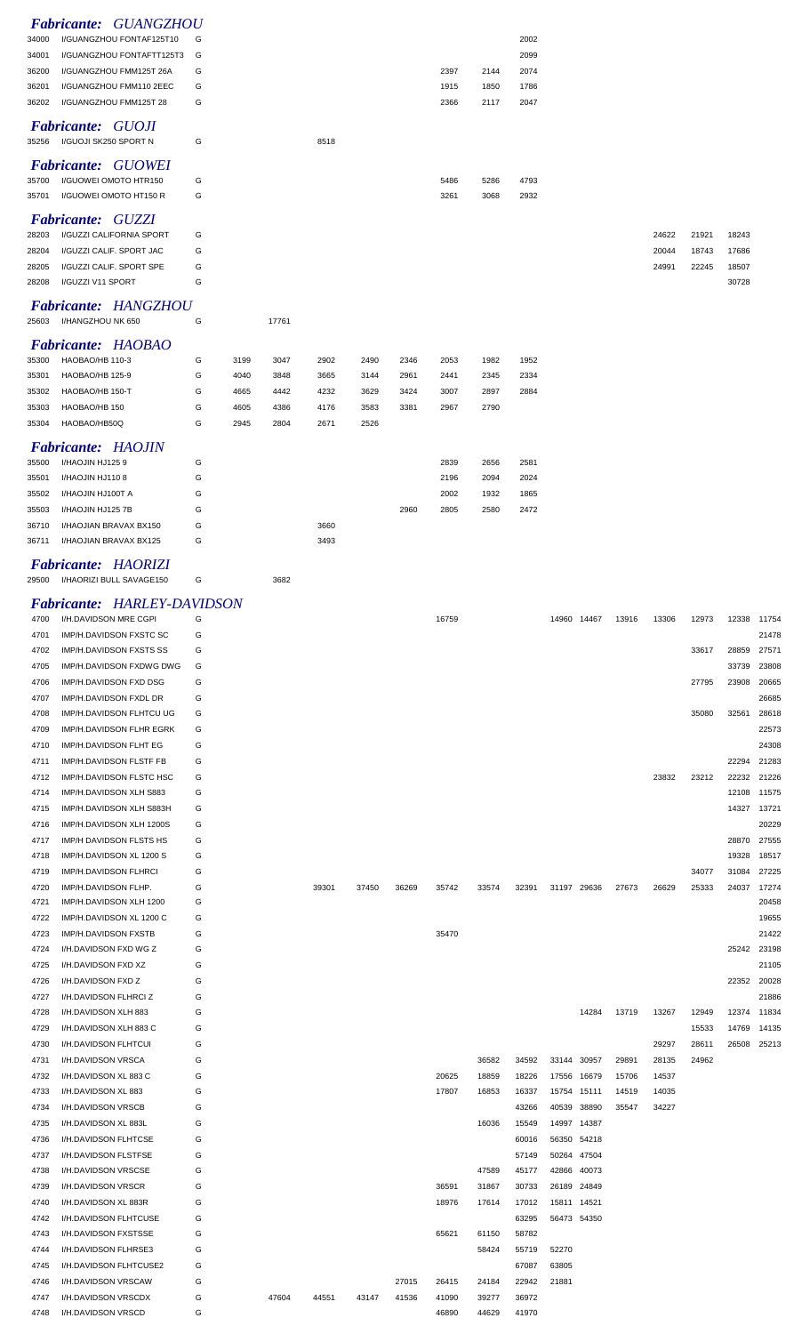|                |                          | Fabricante: GUANGZHOU         |   |      |       |      |      |      |              |              |              |  |       |       |       |
|----------------|--------------------------|-------------------------------|---|------|-------|------|------|------|--------------|--------------|--------------|--|-------|-------|-------|
| 34000          |                          | I/GUANGZHOU FONTAF125T10      | G |      |       |      |      |      |              |              | 2002         |  |       |       |       |
| 34001          |                          | I/GUANGZHOU FONTAFTT125T3     | G |      |       |      |      |      |              |              | 2099         |  |       |       |       |
| 36200          |                          | I/GUANGZHOU FMM125T 26A       | G |      |       |      |      |      | 2397         | 2144         | 2074         |  |       |       |       |
| 36201          |                          | I/GUANGZHOU FMM110 2EEC       | G |      |       |      |      |      | 1915         | 1850         | 1786         |  |       |       |       |
| 36202          |                          | I/GUANGZHOU FMM125T 28        | G |      |       |      |      |      | 2366         | 2117         | 2047         |  |       |       |       |
|                | <b>Fabricante: GUOJI</b> |                               |   |      |       |      |      |      |              |              |              |  |       |       |       |
| 35256          | I/GUOJI SK250 SPORT N    |                               | G |      |       | 8518 |      |      |              |              |              |  |       |       |       |
|                |                          |                               |   |      |       |      |      |      |              |              |              |  |       |       |       |
|                |                          | <b>Fabricante: GUOWEI</b>     |   |      |       |      |      |      |              |              |              |  |       |       |       |
| 35700          |                          | I/GUOWEI OMOTO HTR150         | G |      |       |      |      |      | 5486         | 5286         | 4793         |  |       |       |       |
| 35701          |                          | I/GUOWEI OMOTO HT150 R        | G |      |       |      |      |      | 3261         | 3068         | 2932         |  |       |       |       |
|                | Fabricante: GUZZI        |                               |   |      |       |      |      |      |              |              |              |  |       |       |       |
| 28203          |                          | I/GUZZI CALIFORNIA SPORT      | G |      |       |      |      |      |              |              |              |  | 24622 | 21921 | 18243 |
| 28204          |                          | I/GUZZI CALIF. SPORT JAC      | G |      |       |      |      |      |              |              |              |  | 20044 | 18743 | 17686 |
| 28205          |                          | I/GUZZI CALIF. SPORT SPE      | G |      |       |      |      |      |              |              |              |  | 24991 | 22245 | 18507 |
| 28208          | I/GUZZI V11 SPORT        |                               | G |      |       |      |      |      |              |              |              |  |       |       | 30728 |
|                |                          |                               |   |      |       |      |      |      |              |              |              |  |       |       |       |
|                |                          | Fabricante: HANGZHOU          |   |      |       |      |      |      |              |              |              |  |       |       |       |
|                | 25603 I/HANGZHOU NK 650  |                               | G |      | 17761 |      |      |      |              |              |              |  |       |       |       |
|                |                          | Fabricante: HAOBAO            |   |      |       |      |      |      |              |              |              |  |       |       |       |
| 35300          | HAOBAO/HB 110-3          |                               | G | 3199 | 3047  | 2902 | 2490 | 2346 | 2053         | 1982         | 1952         |  |       |       |       |
| 35301          | HAOBAO/HB 125-9          |                               | G | 4040 | 3848  | 3665 | 3144 | 2961 | 2441         | 2345         | 2334         |  |       |       |       |
| 35302          | HAOBAO/HB 150-T          |                               | G | 4665 | 4442  | 4232 | 3629 | 3424 | 3007         | 2897         | 2884         |  |       |       |       |
| 35303          | HAOBAO/HB 150            |                               | G | 4605 | 4386  | 4176 | 3583 | 3381 | 2967         | 2790         |              |  |       |       |       |
| 35304          | HAOBAO/HB50Q             |                               | G | 2945 | 2804  | 2671 | 2526 |      |              |              |              |  |       |       |       |
|                |                          |                               |   |      |       |      |      |      |              |              |              |  |       |       |       |
|                | I/HAOJIN HJ1259          | <b>Fabricante: HAOJIN</b>     | G |      |       |      |      |      |              |              |              |  |       |       |       |
| 35500<br>35501 | I/HAOJIN HJ1108          |                               | G |      |       |      |      |      | 2839<br>2196 | 2656<br>2094 | 2581<br>2024 |  |       |       |       |
|                |                          |                               |   |      |       |      |      |      |              |              |              |  |       |       |       |
| 35502          | I/HAOJIN HJ100T A        |                               | G |      |       |      |      |      | 2002         | 1932         | 1865         |  |       |       |       |
| 35503          | I/HAOJIN HJ125 7B        |                               | G |      |       |      |      | 2960 | 2805         | 2580         | 2472         |  |       |       |       |
| 36710          |                          | I/HAOJIAN BRAVAX BX150        | G |      |       | 3660 |      |      |              |              |              |  |       |       |       |
| 36711          |                          | <b>I/HAOJIAN BRAVAX BX125</b> | G |      |       | 3493 |      |      |              |              |              |  |       |       |       |

#### *Fabricante: HAORIZI*

I/HAORIZI BULL SAVAGE150 G 3682

## *Fabricante: HARLEY-DAVIDSON*

| 4700 | I/H.DAVIDSON MRE CGPI    | G |       |       |       |       | 16759 |       |       | 14960 14467 |       | 13916 | 13306 | 12973 | 12338 | 11754 |
|------|--------------------------|---|-------|-------|-------|-------|-------|-------|-------|-------------|-------|-------|-------|-------|-------|-------|
| 4701 | IMP/H.DAVIDSON FXSTC SC  | G |       |       |       |       |       |       |       |             |       |       |       |       |       | 21478 |
| 4702 | IMP/H.DAVIDSON FXSTS SS  | G |       |       |       |       |       |       |       |             |       |       |       | 33617 | 28859 | 27571 |
| 4705 | IMP/H.DAVIDSON FXDWG DWG | G |       |       |       |       |       |       |       |             |       |       |       |       | 33739 | 23808 |
| 4706 | IMP/H.DAVIDSON FXD DSG   | G |       |       |       |       |       |       |       |             |       |       |       | 27795 | 23908 | 20665 |
| 4707 | IMP/H.DAVIDSON FXDL DR   | G |       |       |       |       |       |       |       |             |       |       |       |       |       | 26685 |
| 4708 | IMP/H.DAVIDSON FLHTCU UG | G |       |       |       |       |       |       |       |             |       |       |       | 35080 | 32561 | 28618 |
| 4709 | IMP/H.DAVIDSON FLHR EGRK | G |       |       |       |       |       |       |       |             |       |       |       |       |       | 22573 |
| 4710 | IMP/H.DAVIDSON FLHT EG   | G |       |       |       |       |       |       |       |             |       |       |       |       |       | 24308 |
| 4711 | IMP/H.DAVIDSON FLSTF FB  | G |       |       |       |       |       |       |       |             |       |       |       |       | 22294 | 21283 |
| 4712 | IMP/H.DAVIDSON FLSTC HSC | G |       |       |       |       |       |       |       |             |       |       | 23832 | 23212 | 22232 | 21226 |
| 4714 | IMP/H.DAVIDSON XLH S883  | G |       |       |       |       |       |       |       |             |       |       |       |       | 12108 | 11575 |
| 4715 | IMP/H.DAVIDSON XLH S883H | G |       |       |       |       |       |       |       |             |       |       |       |       | 14327 | 13721 |
| 4716 | IMP/H.DAVIDSON XLH 1200S | G |       |       |       |       |       |       |       |             |       |       |       |       |       | 20229 |
| 4717 | IMP/H DAVIDSON FLSTS HS  | G |       |       |       |       |       |       |       |             |       |       |       |       | 28870 | 27555 |
| 4718 | IMP/H.DAVIDSON XL 1200 S | G |       |       |       |       |       |       |       |             |       |       |       |       | 19328 | 18517 |
| 4719 | IMP/H.DAVIDSON FLHRCI    | G |       |       |       |       |       |       |       |             |       |       |       | 34077 | 31084 | 27225 |
| 4720 | IMP/H.DAVIDSON FLHP.     | G |       | 39301 | 37450 | 36269 | 35742 | 33574 | 32391 | 31197 29636 |       | 27673 | 26629 | 25333 | 24037 | 17274 |
| 4721 | IMP/H.DAVIDSON XLH 1200  | G |       |       |       |       |       |       |       |             |       |       |       |       |       | 20458 |
| 4722 | IMP/H.DAVIDSON XL 1200 C | G |       |       |       |       |       |       |       |             |       |       |       |       |       | 19655 |
| 4723 | IMP/H.DAVIDSON FXSTB     | G |       |       |       |       | 35470 |       |       |             |       |       |       |       |       | 21422 |
| 4724 | I/H.DAVIDSON FXD WG Z    | G |       |       |       |       |       |       |       |             |       |       |       |       | 25242 | 23198 |
| 4725 | I/H.DAVIDSON FXD XZ      | G |       |       |       |       |       |       |       |             |       |       |       |       |       | 21105 |
| 4726 | I/H.DAVIDSON FXD Z       | G |       |       |       |       |       |       |       |             |       |       |       |       | 22352 | 20028 |
| 4727 | I/H.DAVIDSON FLHRCI Z    | G |       |       |       |       |       |       |       |             |       |       |       |       |       | 21886 |
| 4728 | I/H.DAVIDSON XLH 883     | G |       |       |       |       |       |       |       |             | 14284 | 13719 | 13267 | 12949 | 12374 | 11834 |
| 4729 | I/H.DAVIDSON XLH 883 C   | G |       |       |       |       |       |       |       |             |       |       |       | 15533 | 14769 | 14135 |
| 4730 | I/H.DAVIDSON FLHTCUI     | G |       |       |       |       |       |       |       |             |       |       | 29297 | 28611 | 26508 | 25213 |
| 4731 | I/H.DAVIDSON VRSCA       | G |       |       |       |       |       | 36582 | 34592 | 33144       | 30957 | 29891 | 28135 | 24962 |       |       |
| 4732 | I/H.DAVIDSON XL 883 C    | G |       |       |       |       | 20625 | 18859 | 18226 | 17556       | 16679 | 15706 | 14537 |       |       |       |
| 4733 | I/H.DAVIDSON XL 883      | G |       |       |       |       | 17807 | 16853 | 16337 | 15754       | 15111 | 14519 | 14035 |       |       |       |
| 4734 | I/H.DAVIDSON VRSCB       | G |       |       |       |       |       |       | 43266 | 40539       | 38890 | 35547 | 34227 |       |       |       |
| 4735 | I/H.DAVIDSON XL 883L     | G |       |       |       |       |       | 16036 | 15549 | 14997 14387 |       |       |       |       |       |       |
| 4736 | I/H.DAVIDSON FLHTCSE     | G |       |       |       |       |       |       | 60016 | 56350 54218 |       |       |       |       |       |       |
| 4737 | I/H.DAVIDSON FLSTFSE     | G |       |       |       |       |       |       | 57149 | 50264       | 47504 |       |       |       |       |       |
| 4738 | I/H.DAVIDSON VRSCSE      | G |       |       |       |       |       | 47589 | 45177 | 42866       | 40073 |       |       |       |       |       |
| 4739 | I/H.DAVIDSON VRSCR       | G |       |       |       |       | 36591 | 31867 | 30733 | 26189 24849 |       |       |       |       |       |       |
| 4740 | I/H.DAVIDSON XL 883R     | G |       |       |       |       | 18976 | 17614 | 17012 | 15811 14521 |       |       |       |       |       |       |
| 4742 | I/H.DAVIDSON FLHTCUSE    | G |       |       |       |       |       |       | 63295 | 56473 54350 |       |       |       |       |       |       |
| 4743 | I/H.DAVIDSON FXSTSSE     | G |       |       |       |       | 65621 | 61150 | 58782 |             |       |       |       |       |       |       |
| 4744 | I/H.DAVIDSON FLHRSE3     | G |       |       |       |       |       | 58424 | 55719 | 52270       |       |       |       |       |       |       |
| 4745 | I/H.DAVIDSON FLHTCUSE2   | G |       |       |       |       |       |       | 67087 | 63805       |       |       |       |       |       |       |
| 4746 | I/H.DAVIDSON VRSCAW      | G |       |       |       | 27015 | 26415 | 24184 | 22942 | 21881       |       |       |       |       |       |       |
| 4747 | I/H.DAVIDSON VRSCDX      | G | 47604 | 44551 | 43147 | 41536 | 41090 | 39277 | 36972 |             |       |       |       |       |       |       |
| 4748 | I/H.DAVIDSON VRSCD       | G |       |       |       |       | 46890 | 44629 | 41970 |             |       |       |       |       |       |       |
|      |                          |   |       |       |       |       |       |       |       |             |       |       |       |       |       |       |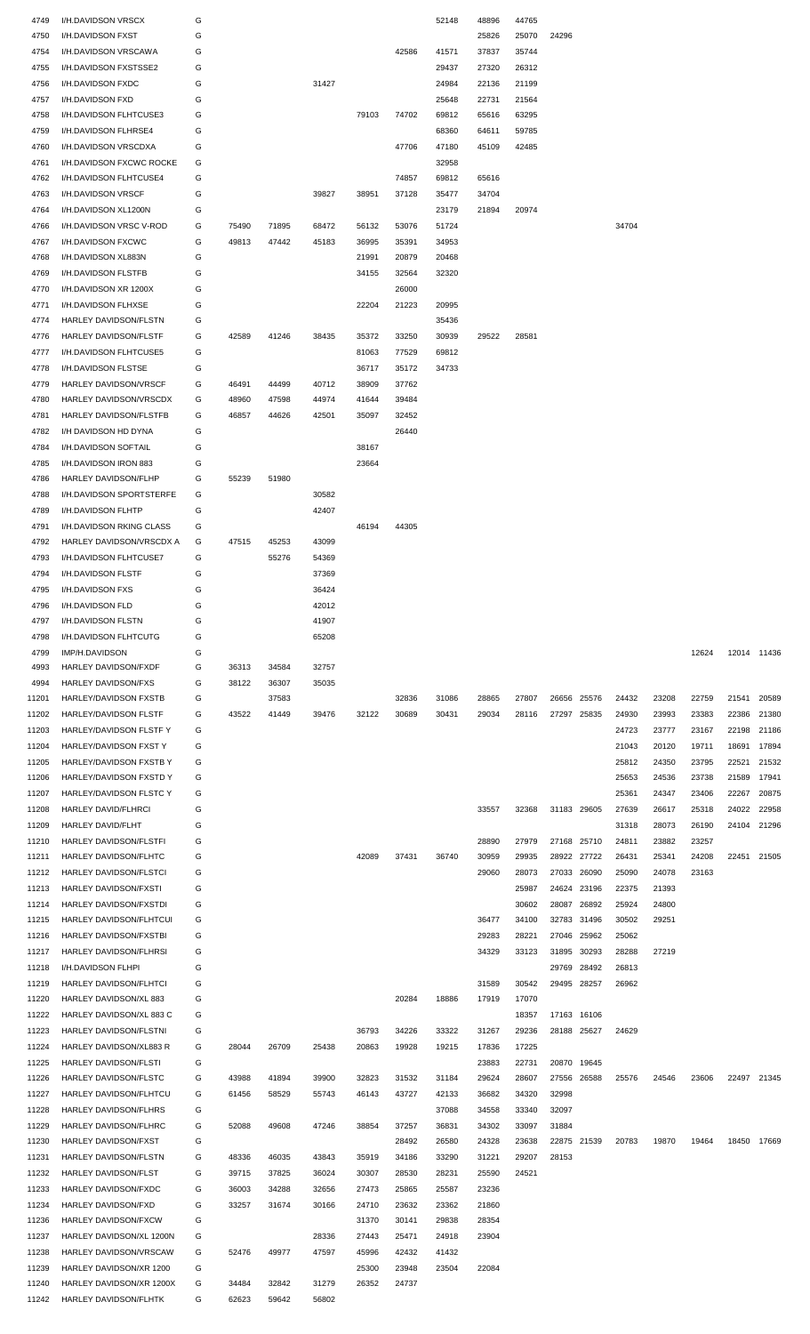| 4749           | I/H.DAVIDSON VRSCX                                | G      |                |                |                |       |       | 52148          | 48896          | 44765          |                |                |                |                |       |             |       |
|----------------|---------------------------------------------------|--------|----------------|----------------|----------------|-------|-------|----------------|----------------|----------------|----------------|----------------|----------------|----------------|-------|-------------|-------|
| 4750           | I/H.DAVIDSON FXST                                 | G      |                |                |                |       |       |                | 25826          | 25070          | 24296          |                |                |                |       |             |       |
| 4754           | I/H.DAVIDSON VRSCAWA                              | G      |                |                |                |       | 42586 | 41571          | 37837          | 35744          |                |                |                |                |       |             |       |
| 4755           | I/H.DAVIDSON FXSTSSE2                             | G      |                |                |                |       |       | 29437          | 27320          | 26312          |                |                |                |                |       |             |       |
| 4756           | I/H.DAVIDSON FXDC                                 | G      |                |                | 31427          |       |       | 24984          | 22136          | 21199          |                |                |                |                |       |             |       |
| 4757           | <b>I/H.DAVIDSON FXD</b>                           | G      |                |                |                |       |       | 25648          | 22731          | 21564          |                |                |                |                |       |             |       |
| 4758           | I/H.DAVIDSON FLHTCUSE3                            | G      |                |                |                | 79103 | 74702 | 69812          | 65616          | 63295          |                |                |                |                |       |             |       |
| 4759           | I/H.DAVIDSON FLHRSE4                              | G<br>G |                |                |                |       | 47706 | 68360<br>47180 | 64611<br>45109 | 59785          |                |                |                |                |       |             |       |
| 4760<br>4761   | I/H.DAVIDSON VRSCDXA<br>I/H.DAVIDSON FXCWC ROCKE  | G      |                |                |                |       |       | 32958          |                | 42485          |                |                |                |                |       |             |       |
| 4762           | I/H.DAVIDSON FLHTCUSE4                            | G      |                |                |                |       | 74857 | 69812          | 65616          |                |                |                |                |                |       |             |       |
| 4763           | I/H.DAVIDSON VRSCF                                | G      |                |                | 39827          | 38951 | 37128 | 35477          | 34704          |                |                |                |                |                |       |             |       |
| 4764           | I/H.DAVIDSON XL1200N                              | G      |                |                |                |       |       | 23179          | 21894          | 20974          |                |                |                |                |       |             |       |
| 4766           | I/H.DAVIDSON VRSC V-ROD                           | G      | 75490          | 71895          | 68472          | 56132 | 53076 | 51724          |                |                |                |                | 34704          |                |       |             |       |
| 4767           | I/H.DAVIDSON FXCWC                                | G      | 49813          | 47442          | 45183          | 36995 | 35391 | 34953          |                |                |                |                |                |                |       |             |       |
| 4768           | I/H.DAVIDSON XL883N                               | G      |                |                |                | 21991 | 20879 | 20468          |                |                |                |                |                |                |       |             |       |
| 4769           | I/H.DAVIDSON FLSTFB                               | G      |                |                |                | 34155 | 32564 | 32320          |                |                |                |                |                |                |       |             |       |
| 4770           | I/H.DAVIDSON XR 1200X                             | G      |                |                |                |       | 26000 |                |                |                |                |                |                |                |       |             |       |
| 4771           | I/H.DAVIDSON FLHXSE                               | G      |                |                |                | 22204 | 21223 | 20995          |                |                |                |                |                |                |       |             |       |
| 4774           | HARLEY DAVIDSON/FLSTN                             | G      |                |                |                |       |       | 35436          |                |                |                |                |                |                |       |             |       |
| 4776           | HARLEY DAVIDSON/FLSTF                             | G      | 42589          | 41246          | 38435          | 35372 | 33250 | 30939          | 29522          | 28581          |                |                |                |                |       |             |       |
| 4777           | I/H.DAVIDSON FLHTCUSE5                            | G      |                |                |                | 81063 | 77529 | 69812          |                |                |                |                |                |                |       |             |       |
| 4778           | I/H.DAVIDSON FLSTSE                               | G      |                |                |                | 36717 | 35172 | 34733          |                |                |                |                |                |                |       |             |       |
| 4779           | HARLEY DAVIDSON/VRSCF                             | G      | 46491          | 44499          | 40712          | 38909 | 37762 |                |                |                |                |                |                |                |       |             |       |
| 4780           | HARLEY DAVIDSON/VRSCDX                            | G      | 48960          | 47598          | 44974          | 41644 | 39484 |                |                |                |                |                |                |                |       |             |       |
| 4781           | HARLEY DAVIDSON/FLSTFB                            | G      | 46857          | 44626          | 42501          | 35097 | 32452 |                |                |                |                |                |                |                |       |             |       |
| 4782           | I/H DAVIDSON HD DYNA                              | G      |                |                |                |       | 26440 |                |                |                |                |                |                |                |       |             |       |
| 4784           | I/H.DAVIDSON SOFTAIL                              | G      |                |                |                | 38167 |       |                |                |                |                |                |                |                |       |             |       |
| 4785           | I/H.DAVIDSON IRON 883                             | G      |                |                |                | 23664 |       |                |                |                |                |                |                |                |       |             |       |
| 4786           | HARLEY DAVIDSON/FLHP                              | G      | 55239          | 51980          |                |       |       |                |                |                |                |                |                |                |       |             |       |
| 4788           | I/H.DAVIDSON SPORTSTERFE                          | G      |                |                | 30582          |       |       |                |                |                |                |                |                |                |       |             |       |
| 4789<br>4791   | I/H.DAVIDSON FLHTP<br>I/H.DAVIDSON RKING CLASS    | G<br>G |                |                | 42407          | 46194 | 44305 |                |                |                |                |                |                |                |       |             |       |
| 4792           | HARLEY DAVIDSON/VRSCDX A                          | G      | 47515          | 45253          | 43099          |       |       |                |                |                |                |                |                |                |       |             |       |
| 4793           | <b>I/H.DAVIDSON FLHTCUSE7</b>                     | G      |                | 55276          | 54369          |       |       |                |                |                |                |                |                |                |       |             |       |
| 4794           | <b>I/H.DAVIDSON FLSTF</b>                         | G      |                |                | 37369          |       |       |                |                |                |                |                |                |                |       |             |       |
| 4795           | I/H.DAVIDSON FXS                                  | G      |                |                | 36424          |       |       |                |                |                |                |                |                |                |       |             |       |
| 4796           | <b>I/H.DAVIDSON FLD</b>                           | G      |                |                | 42012          |       |       |                |                |                |                |                |                |                |       |             |       |
| 4797           | <b>I/H.DAVIDSON FLSTN</b>                         | G      |                |                | 41907          |       |       |                |                |                |                |                |                |                |       |             |       |
| 4798           | I/H.DAVIDSON FLHTCUTG                             | G      |                |                | 65208          |       |       |                |                |                |                |                |                |                |       |             |       |
| 4799           | IMP/H.DAVIDSON                                    | G      |                |                |                |       |       |                |                |                |                |                |                |                | 12624 | 12014 11436 |       |
| 4993           | HARLEY DAVIDSON/FXDF                              | G      | 36313          | 34584          | 32757          |       |       |                |                |                |                |                |                |                |       |             |       |
| 4994           | HARLEY DAVIDSON/FXS                               | G      | 38122          | 36307          | 35035          |       |       |                |                |                |                |                |                |                |       |             |       |
| 11201          | HARLEY/DAVIDSON FXSTB                             | G      |                | 37583          |                |       | 32836 | 31086          | 28865          | 27807          | 26656          | 25576          | 24432          | 23208          | 22759 | 21541       | 20589 |
| 11202          | HARLEY/DAVIDSON FLSTF                             | G      | 43522          | 41449          | 39476          | 32122 | 30689 | 30431          | 29034          | 28116          | 27297 25835    |                | 24930          | 23993          | 23383 | 22386       | 21380 |
| 11203          | HARLEY/DAVIDSON FLSTF Y                           | G      |                |                |                |       |       |                |                |                |                |                | 24723          | 23777          | 23167 | 22198       | 21186 |
| 11204          | HARLEY/DAVIDSON FXST Y                            | G      |                |                |                |       |       |                |                |                |                |                | 21043          | 20120          | 19711 | 18691       | 17894 |
| 11205          | HARLEY/DAVIDSON FXSTB Y                           | G      |                |                |                |       |       |                |                |                |                |                | 25812          | 24350          | 23795 | 22521       | 21532 |
| 11206          | HARLEY/DAVIDSON FXSTD Y                           | G      |                |                |                |       |       |                |                |                |                |                |                |                | 23738 | 21589       | 17941 |
| 11207          | HARLEY/DAVIDSON FLSTC Y                           |        |                |                |                |       |       |                |                |                |                |                | 25653          | 24536          |       |             | 20875 |
| 11208          |                                                   | G      |                |                |                |       |       |                |                |                |                |                | 25361          | 24347          | 23406 | 22267       |       |
|                | HARLEY DAVID/FLHRCI                               | G      |                |                |                |       |       |                | 33557          | 32368          | 31183 29605    |                | 27639          | 26617          | 25318 | 24022       | 22958 |
| 11209          | HARLEY DAVID/FLHT                                 | G      |                |                |                |       |       |                |                |                |                |                | 31318          | 28073          | 26190 | 24104       | 21296 |
| 11210          | HARLEY DAVIDSON/FLSTFI                            | G      |                |                |                |       |       |                | 28890          | 27979          | 27168          | 25710          | 24811          | 23882          | 23257 |             |       |
| 11211          | HARLEY DAVIDSON/FLHTC                             | G      |                |                |                | 42089 | 37431 | 36740          | 30959          | 29935          | 28922 27722    |                | 26431          | 25341          | 24208 | 22451       | 21505 |
| 11212          | HARLEY DAVIDSON/FLSTCI                            | G      |                |                |                |       |       |                | 29060          | 28073          | 27033          | 26090          | 25090          | 24078          | 23163 |             |       |
| 11213          | HARLEY DAVIDSON/FXSTI                             | G      |                |                |                |       |       |                |                | 25987          | 24624 23196    |                | 22375          | 21393          |       |             |       |
| 11214<br>11215 | HARLEY DAVIDSON/FXSTDI<br>HARLEY DAVIDSON/FLHTCUI | G<br>G |                |                |                |       |       |                | 36477          | 30602<br>34100 | 28087<br>32783 | 26892<br>31496 | 25924<br>30502 | 24800<br>29251 |       |             |       |
| 11216          | HARLEY DAVIDSON/FXSTBI                            | G      |                |                |                |       |       |                | 29283          | 28221          | 27046          | 25962          | 25062          |                |       |             |       |
| 11217          | HARLEY DAVIDSON/FLHRSI                            | G      |                |                |                |       |       |                | 34329          | 33123          | 31895          | 30293          | 28288          | 27219          |       |             |       |
| 11218          | I/H.DAVIDSON FLHPI                                | G      |                |                |                |       |       |                |                |                | 29769          | 28492          | 26813          |                |       |             |       |
| 11219          | HARLEY DAVIDSON/FLHTCI                            | G      |                |                |                |       |       |                | 31589          | 30542          | 29495 28257    |                | 26962          |                |       |             |       |
| 11220          | HARLEY DAVIDSON/XL 883                            | G      |                |                |                |       | 20284 | 18886          | 17919          | 17070          |                |                |                |                |       |             |       |
| 11222          | HARLEY DAVIDSON/XL 883 C                          | G      |                |                |                |       |       |                |                | 18357          | 17163 16106    |                |                |                |       |             |       |
| 11223          | <b>HARLEY DAVIDSON/FLSTNI</b>                     | G      |                |                |                | 36793 | 34226 | 33322          | 31267          | 29236          | 28188 25627    |                | 24629          |                |       |             |       |
| 11224          | HARLEY DAVIDSON/XL883 R                           | G      | 28044          | 26709          | 25438          | 20863 | 19928 | 19215          | 17836          | 17225          |                |                |                |                |       |             |       |
| 11225          | HARLEY DAVIDSON/FLSTI                             | G      |                |                |                |       |       |                | 23883          | 22731          | 20870          | 19645          |                |                |       |             |       |
| 11226          | HARLEY DAVIDSON/FLSTC                             | G      | 43988          | 41894          | 39900          | 32823 | 31532 | 31184          | 29624          | 28607          | 27556 26588    |                | 25576          | 24546          | 23606 | 22497       | 21345 |
| 11227          | HARLEY DAVIDSON/FLHTCU                            | G      | 61456          | 58529          | 55743          | 46143 | 43727 | 42133          | 36682          | 34320          | 32998          |                |                |                |       |             |       |
| 11228          | HARLEY DAVIDSON/FLHRS                             | G      |                |                |                |       |       | 37088          | 34558          | 33340          | 32097          |                |                |                |       |             |       |
| 11229          | <b>HARLEY DAVIDSON/FLHRC</b>                      | G      | 52088          | 49608          | 47246          | 38854 | 37257 | 36831          | 34302          | 33097          | 31884          |                |                |                |       |             |       |
| 11230          | <b>HARLEY DAVIDSON/FXST</b>                       | G      |                |                |                |       | 28492 | 26580          | 24328          | 23638          | 22875 21539    |                | 20783          | 19870          | 19464 | 18450       | 17669 |
| 11231          | HARLEY DAVIDSON/FLSTN                             | G      | 48336          | 46035          | 43843          | 35919 | 34186 | 33290          | 31221          | 29207          | 28153          |                |                |                |       |             |       |
| 11232          | <b>HARLEY DAVIDSON/FLST</b>                       | G      | 39715          | 37825          | 36024          | 30307 | 28530 | 28231          | 25590          | 24521          |                |                |                |                |       |             |       |
| 11233          | <b>HARLEY DAVIDSON/FXDC</b>                       | G      | 36003          | 34288          | 32656          | 27473 | 25865 | 25587          | 23236          |                |                |                |                |                |       |             |       |
| 11234          | HARLEY DAVIDSON/FXD                               | G      | 33257          | 31674          | 30166          | 24710 | 23632 | 23362          | 21860          |                |                |                |                |                |       |             |       |
| 11236          | HARLEY DAVIDSON/FXCW                              | G      |                |                |                | 31370 | 30141 | 29838          | 28354          |                |                |                |                |                |       |             |       |
| 11237          | HARLEY DAVIDSON/XL 1200N                          | G      |                |                | 28336          | 27443 | 25471 | 24918          | 23904          |                |                |                |                |                |       |             |       |
| 11238          | HARLEY DAVIDSON/VRSCAW                            | G      | 52476          | 49977          | 47597          | 45996 | 42432 | 41432          |                |                |                |                |                |                |       |             |       |
| 11239          | HARLEY DAVIDSON/XR 1200                           | G      |                |                |                | 25300 | 23948 | 23504          | 22084          |                |                |                |                |                |       |             |       |
| 11240<br>11242 | HARLEY DAVIDSON/XR 1200X<br>HARLEY DAVIDSON/FLHTK | G<br>G | 34484<br>62623 | 32842<br>59642 | 31279<br>56802 | 26352 | 24737 |                |                |                |                |                |                |                |       |             |       |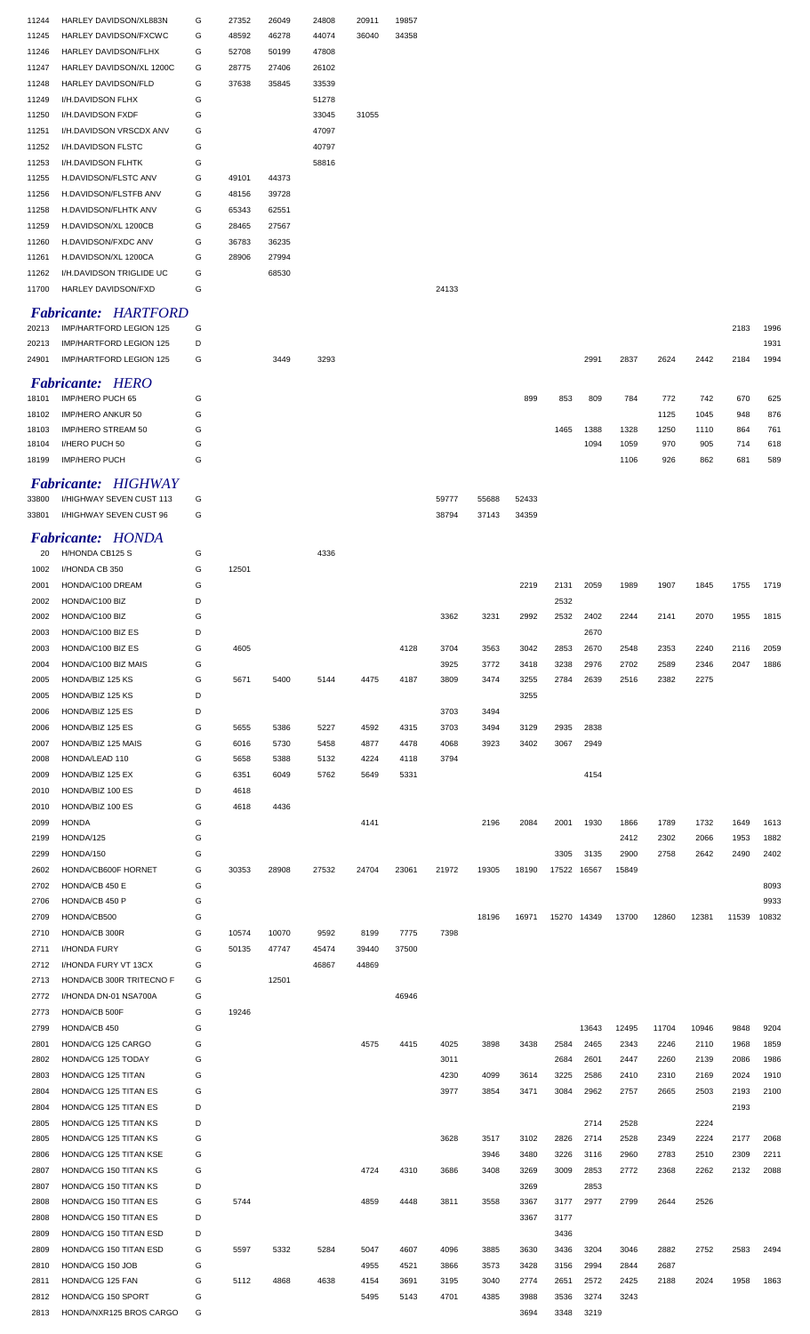| 11244 | HARLEY DAVIDSON/XL883N      | G | 27352 | 26049 | 24808 | 20911 | 19857 |       |       |       |             |       |       |       |       |       |       |
|-------|-----------------------------|---|-------|-------|-------|-------|-------|-------|-------|-------|-------------|-------|-------|-------|-------|-------|-------|
| 11245 | HARLEY DAVIDSON/FXCWC       | G | 48592 | 46278 | 44074 | 36040 | 34358 |       |       |       |             |       |       |       |       |       |       |
| 11246 | HARLEY DAVIDSON/FLHX        | G | 52708 | 50199 | 47808 |       |       |       |       |       |             |       |       |       |       |       |       |
| 11247 | HARLEY DAVIDSON/XL 1200C    | G | 28775 | 27406 | 26102 |       |       |       |       |       |             |       |       |       |       |       |       |
| 11248 | HARLEY DAVIDSON/FLD         | G | 37638 | 35845 | 33539 |       |       |       |       |       |             |       |       |       |       |       |       |
| 11249 | I/H.DAVIDSON FLHX           | G |       |       | 51278 |       |       |       |       |       |             |       |       |       |       |       |       |
|       |                             |   |       |       |       |       |       |       |       |       |             |       |       |       |       |       |       |
| 11250 | I/H.DAVIDSON FXDF           | G |       |       | 33045 | 31055 |       |       |       |       |             |       |       |       |       |       |       |
| 11251 | I/H.DAVIDSON VRSCDX ANV     | G |       |       | 47097 |       |       |       |       |       |             |       |       |       |       |       |       |
| 11252 | I/H.DAVIDSON FLSTC          | G |       |       | 40797 |       |       |       |       |       |             |       |       |       |       |       |       |
| 11253 | I/H.DAVIDSON FLHTK          | G |       |       | 58816 |       |       |       |       |       |             |       |       |       |       |       |       |
| 11255 | H.DAVIDSON/FLSTC ANV        | G | 49101 | 44373 |       |       |       |       |       |       |             |       |       |       |       |       |       |
|       |                             |   |       |       |       |       |       |       |       |       |             |       |       |       |       |       |       |
| 11256 | H.DAVIDSON/FLSTFB ANV       | G | 48156 | 39728 |       |       |       |       |       |       |             |       |       |       |       |       |       |
| 11258 | H.DAVIDSON/FLHTK ANV        | G | 65343 | 62551 |       |       |       |       |       |       |             |       |       |       |       |       |       |
| 11259 | H.DAVIDSON/XL 1200CB        | G | 28465 | 27567 |       |       |       |       |       |       |             |       |       |       |       |       |       |
| 11260 | H.DAVIDSON/FXDC ANV         | G | 36783 | 36235 |       |       |       |       |       |       |             |       |       |       |       |       |       |
| 11261 | H.DAVIDSON/XL 1200CA        | G | 28906 | 27994 |       |       |       |       |       |       |             |       |       |       |       |       |       |
|       |                             |   |       |       |       |       |       |       |       |       |             |       |       |       |       |       |       |
| 11262 | I/H.DAVIDSON TRIGLIDE UC    | G |       | 68530 |       |       |       |       |       |       |             |       |       |       |       |       |       |
| 11700 | HARLEY DAVIDSON/FXD         | G |       |       |       |       |       | 24133 |       |       |             |       |       |       |       |       |       |
|       | <b>Fabricante: HARTFORD</b> |   |       |       |       |       |       |       |       |       |             |       |       |       |       |       |       |
|       |                             |   |       |       |       |       |       |       |       |       |             |       |       |       |       |       |       |
| 20213 | IMP/HARTFORD LEGION 125     | G |       |       |       |       |       |       |       |       |             |       |       |       |       | 2183  | 1996  |
| 20213 | IMP/HARTFORD LEGION 125     | D |       |       |       |       |       |       |       |       |             |       |       |       |       |       | 1931  |
| 24901 | IMP/HARTFORD LEGION 125     | G |       | 3449  | 3293  |       |       |       |       |       |             | 2991  | 2837  | 2624  | 2442  | 2184  | 1994  |
|       |                             |   |       |       |       |       |       |       |       |       |             |       |       |       |       |       |       |
|       | <b>Fabricante: HERO</b>     |   |       |       |       |       |       |       |       |       |             |       |       |       |       |       |       |
| 18101 | IMP/HERO PUCH 65            | G |       |       |       |       |       |       |       | 899   | 853         | 809   | 784   | 772   | 742   | 670   | 625   |
| 18102 | IMP/HERO ANKUR 50           | G |       |       |       |       |       |       |       |       |             |       |       | 1125  | 1045  | 948   | 876   |
| 18103 | IMP/HERO STREAM 50          | G |       |       |       |       |       |       |       |       | 1465        | 1388  | 1328  | 1250  | 1110  | 864   | 761   |
| 18104 | I/HERO PUCH 50              | G |       |       |       |       |       |       |       |       |             | 1094  | 1059  | 970   | 905   | 714   | 618   |
|       |                             |   |       |       |       |       |       |       |       |       |             |       |       |       |       |       |       |
| 18199 | IMP/HERO PUCH               | G |       |       |       |       |       |       |       |       |             |       | 1106  | 926   | 862   | 681   | 589   |
|       | <b>Fabricante: HIGHWAY</b>  |   |       |       |       |       |       |       |       |       |             |       |       |       |       |       |       |
|       |                             |   |       |       |       |       |       |       |       |       |             |       |       |       |       |       |       |
| 33800 | I/HIGHWAY SEVEN CUST 113    | G |       |       |       |       |       | 59777 | 55688 | 52433 |             |       |       |       |       |       |       |
| 33801 | I/HIGHWAY SEVEN CUST 96     | G |       |       |       |       |       | 38794 | 37143 | 34359 |             |       |       |       |       |       |       |
|       |                             |   |       |       |       |       |       |       |       |       |             |       |       |       |       |       |       |
|       | <b>Fabricante: HONDA</b>    |   |       |       |       |       |       |       |       |       |             |       |       |       |       |       |       |
| 20    | H/HONDA CB125 S             | G |       |       | 4336  |       |       |       |       |       |             |       |       |       |       |       |       |
| 1002  | I/HONDA CB 350              | G | 12501 |       |       |       |       |       |       |       |             |       |       |       |       |       |       |
| 2001  | HONDA/C100 DREAM            | G |       |       |       |       |       |       |       | 2219  | 2131        | 2059  | 1989  | 1907  | 1845  | 1755  | 1719  |
| 2002  | HONDA/C100 BIZ              | D |       |       |       |       |       |       |       |       | 2532        |       |       |       |       |       |       |
|       | HONDA/C100 BIZ              | G |       |       |       |       |       | 3362  |       |       |             |       |       | 2141  |       |       |       |
| 2002  |                             |   |       |       |       |       |       |       | 3231  | 2992  | 2532        | 2402  | 2244  |       | 2070  | 1955  | 1815  |
| 2003  | HONDA/C100 BIZ ES           | D |       |       |       |       |       |       |       |       |             | 2670  |       |       |       |       |       |
| 2003  | HONDA/C100 BIZ ES           | G | 4605  |       |       |       | 4128  | 3704  | 3563  | 3042  | 2853        | 2670  | 2548  | 2353  | 2240  | 2116  | 2059  |
| 2004  | HONDA/C100 BIZ MAIS         | G |       |       |       |       |       | 3925  | 3772  | 3418  | 3238        | 2976  | 2702  | 2589  | 2346  | 2047  | 1886  |
| 2005  | HONDA/BIZ 125 KS            | G | 5671  | 5400  | 5144  | 4475  | 4187  | 3809  | 3474  | 3255  | 2784        | 2639  | 2516  | 2382  | 2275  |       |       |
| 2005  | HONDA/BIZ 125 KS            | D |       |       |       |       |       |       |       | 3255  |             |       |       |       |       |       |       |
|       |                             |   |       |       |       |       |       |       |       |       |             |       |       |       |       |       |       |
| 2006  | HONDA/BIZ 125 ES            | D |       |       |       |       |       | 3703  | 3494  |       |             |       |       |       |       |       |       |
| 2006  | HONDA/BIZ 125 ES            | G | 5655  | 5386  | 5227  | 4592  | 4315  | 3703  | 3494  | 3129  | 2935        | 2838  |       |       |       |       |       |
| 2007  | HONDA/BIZ 125 MAIS          | G | 6016  | 5730  | 5458  | 4877  | 4478  | 4068  | 3923  | 3402  | 3067        | 2949  |       |       |       |       |       |
| 2008  | HONDA/LEAD 110              | G | 5658  | 5388  | 5132  | 4224  | 4118  | 3794  |       |       |             |       |       |       |       |       |       |
|       |                             |   |       |       |       |       |       |       |       |       |             |       |       |       |       |       |       |
| 2009  | HONDA/BIZ 125 EX            | G | 6351  | 6049  | 5762  | 5649  | 5331  |       |       |       |             | 4154  |       |       |       |       |       |
| 2010  | HONDA/BIZ 100 ES            | D | 4618  |       |       |       |       |       |       |       |             |       |       |       |       |       |       |
| 2010  | HONDA/BIZ 100 ES            | G | 4618  | 4436  |       |       |       |       |       |       |             |       |       |       |       |       |       |
| 2099  |                             | G |       |       |       | 4141  |       |       | 2196  |       | 2001        |       | 1866  |       | 1732  | 1649  | 1613  |
|       | <b>HONDA</b>                |   |       |       |       |       |       |       |       | 2084  |             | 1930  |       | 1789  |       |       |       |
|       |                             |   |       |       |       |       |       |       |       |       |             |       |       |       |       |       |       |
| 2199  | HONDA/125                   | G |       |       |       |       |       |       |       |       |             |       | 2412  | 2302  | 2066  | 1953  | 1882  |
| 2299  | HONDA/150                   | G |       |       |       |       |       |       |       |       | 3305        | 3135  | 2900  | 2758  | 2642  | 2490  | 2402  |
| 2602  | HONDA/CB600F HORNET         | G | 30353 | 28908 | 27532 | 24704 | 23061 | 21972 | 19305 | 18190 | 17522 16567 |       | 15849 |       |       |       |       |
| 2702  | HONDA/CB 450 E              | G |       |       |       |       |       |       |       |       |             |       |       |       |       |       | 8093  |
| 2706  | HONDA/CB 450 P              | G |       |       |       |       |       |       |       |       |             |       |       |       |       |       | 9933  |
| 2709  | HONDA/CB500                 | G |       |       |       |       |       |       | 18196 | 16971 | 15270 14349 |       | 13700 | 12860 | 12381 | 11539 | 10832 |
|       |                             |   |       |       |       |       |       |       |       |       |             |       |       |       |       |       |       |
| 2710  | HONDA/CB 300R               | G | 10574 | 10070 | 9592  | 8199  | 7775  | 7398  |       |       |             |       |       |       |       |       |       |
| 2711  | <b>I/HONDA FURY</b>         | G | 50135 | 47747 | 45474 | 39440 | 37500 |       |       |       |             |       |       |       |       |       |       |
| 2712  | I/HONDA FURY VT 13CX        | G |       |       | 46867 | 44869 |       |       |       |       |             |       |       |       |       |       |       |
| 2713  | HONDA/CB 300R TRITECNO F    | G |       | 12501 |       |       |       |       |       |       |             |       |       |       |       |       |       |
| 2772  | I/HONDA DN-01 NSA700A       | G |       |       |       |       | 46946 |       |       |       |             |       |       |       |       |       |       |
| 2773  | HONDA/CB 500F               | G | 19246 |       |       |       |       |       |       |       |             |       |       |       |       |       |       |
|       |                             |   |       |       |       |       |       |       |       |       |             |       |       |       |       |       |       |
| 2799  | HONDA/CB 450                | G |       |       |       |       |       |       |       |       |             | 13643 | 12495 | 11704 | 10946 | 9848  | 9204  |
| 2801  | HONDA/CG 125 CARGO          | G |       |       |       | 4575  | 4415  | 4025  | 3898  | 3438  | 2584        | 2465  | 2343  | 2246  | 2110  | 1968  | 1859  |
| 2802  | HONDA/CG 125 TODAY          | G |       |       |       |       |       | 3011  |       |       | 2684        | 2601  | 2447  | 2260  | 2139  | 2086  | 1986  |
| 2803  | HONDA/CG 125 TITAN          | G |       |       |       |       |       | 4230  | 4099  | 3614  | 3225        | 2586  | 2410  | 2310  | 2169  | 2024  | 1910  |
| 2804  | HONDA/CG 125 TITAN ES       | G |       |       |       |       |       | 3977  | 3854  | 3471  | 3084        | 2962  | 2757  | 2665  | 2503  | 2193  | 2100  |
|       |                             |   |       |       |       |       |       |       |       |       |             |       |       |       |       |       |       |
| 2804  | HONDA/CG 125 TITAN ES       | D |       |       |       |       |       |       |       |       |             |       |       |       |       | 2193  |       |
| 2805  | HONDA/CG 125 TITAN KS       | D |       |       |       |       |       |       |       |       |             | 2714  | 2528  |       | 2224  |       |       |
| 2805  | HONDA/CG 125 TITAN KS       | G |       |       |       |       |       | 3628  | 3517  | 3102  | 2826        | 2714  | 2528  | 2349  | 2224  | 2177  | 2068  |
| 2806  | HONDA/CG 125 TITAN KSE      | G |       |       |       |       |       |       | 3946  | 3480  | 3226        | 3116  | 2960  | 2783  | 2510  | 2309  | 2211  |
|       |                             |   |       |       |       | 4724  | 4310  | 3686  | 3408  |       |             |       | 2772  | 2368  | 2262  | 2132  |       |
| 2807  | HONDA/CG 150 TITAN KS       | G |       |       |       |       |       |       |       | 3269  | 3009        | 2853  |       |       |       |       | 2088  |
| 2807  | HONDA/CG 150 TITAN KS       | D |       |       |       |       |       |       |       | 3269  |             | 2853  |       |       |       |       |       |
| 2808  | HONDA/CG 150 TITAN ES       | G | 5744  |       |       | 4859  | 4448  | 3811  | 3558  | 3367  | 3177        | 2977  | 2799  | 2644  | 2526  |       |       |
| 2808  | HONDA/CG 150 TITAN ES       | D |       |       |       |       |       |       |       | 3367  | 3177        |       |       |       |       |       |       |
| 2809  | HONDA/CG 150 TITAN ESD      | D |       |       |       |       |       |       |       |       | 3436        |       |       |       |       |       |       |
|       |                             |   |       |       |       |       |       |       |       |       |             |       |       |       |       |       |       |
| 2809  | HONDA/CG 150 TITAN ESD      | G | 5597  | 5332  | 5284  | 5047  | 4607  | 4096  | 3885  | 3630  | 3436        | 3204  | 3046  | 2882  | 2752  | 2583  | 2494  |
| 2810  | HONDA/CG 150 JOB            | G |       |       |       | 4955  | 4521  | 3866  | 3573  | 3428  | 3156        | 2994  | 2844  | 2687  |       |       |       |
| 2811  | HONDA/CG 125 FAN            | G | 5112  | 4868  | 4638  | 4154  | 3691  | 3195  | 3040  | 2774  | 2651        | 2572  | 2425  | 2188  | 2024  | 1958  | 1863  |
| 2812  | HONDA/CG 150 SPORT          | G |       |       |       | 5495  | 5143  | 4701  | 4385  | 3988  | 3536        | 3274  | 3243  |       |       |       |       |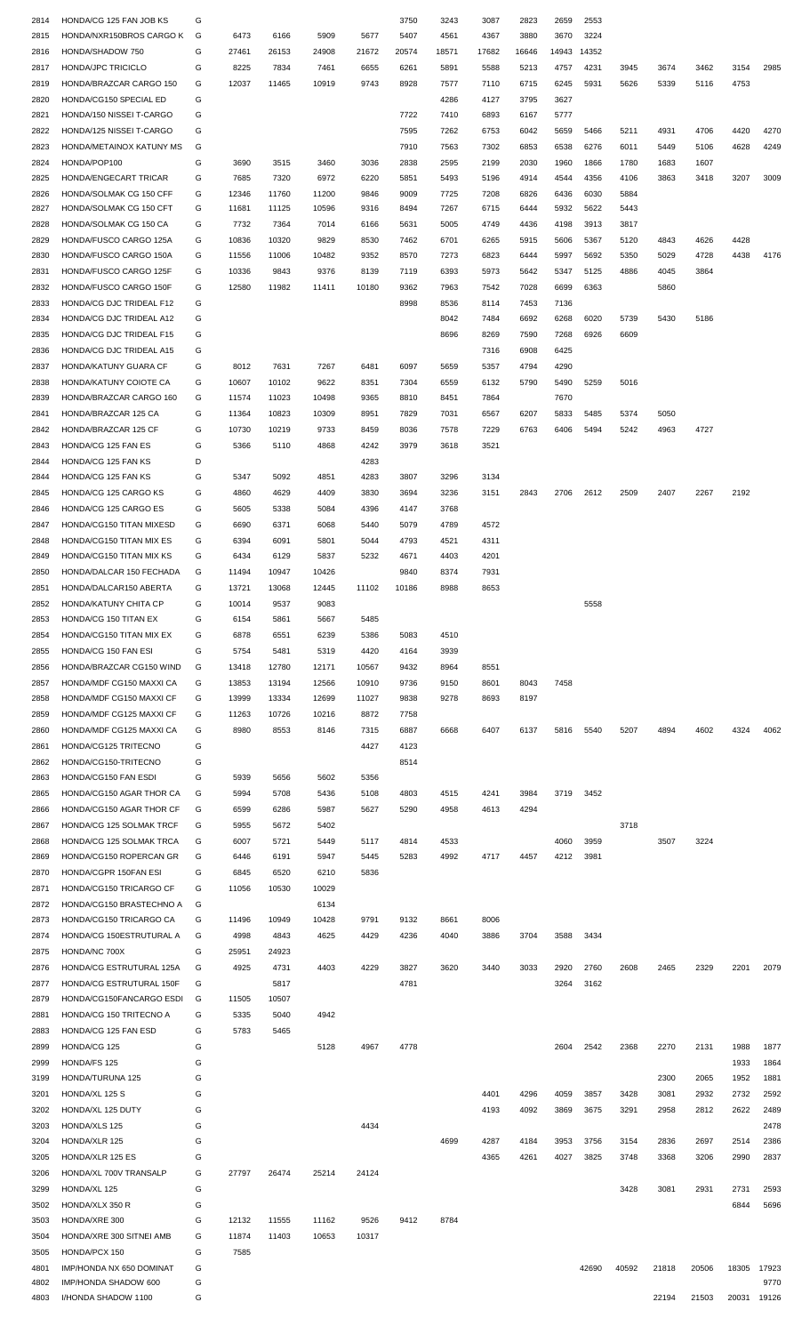| 2814         | HONDA/CG 125 FAN JOB KS                     | G      |       |       |       |       | 3750  | 3243  | 3087  | 2823  | 2659  | 2553  |       |       |       |       |               |
|--------------|---------------------------------------------|--------|-------|-------|-------|-------|-------|-------|-------|-------|-------|-------|-------|-------|-------|-------|---------------|
| 2815         | HONDA/NXR150BROS CARGO K                    | G      | 6473  | 6166  | 5909  | 5677  | 5407  | 4561  | 4367  | 3880  | 3670  | 3224  |       |       |       |       |               |
| 2816         | HONDA/SHADOW 750                            | G      | 27461 | 26153 | 24908 | 21672 | 20574 | 18571 | 17682 | 16646 | 14943 | 14352 |       |       |       |       |               |
| 2817         | <b>HONDA/JPC TRICICLO</b>                   | G      | 8225  | 7834  | 7461  | 6655  | 6261  | 5891  | 5588  | 5213  | 4757  | 4231  | 3945  | 3674  | 3462  | 3154  | 2985          |
| 2819         | HONDA/BRAZCAR CARGO 150                     | G      | 12037 | 11465 | 10919 | 9743  | 8928  | 7577  | 7110  | 6715  | 6245  | 5931  | 5626  | 5339  | 5116  | 4753  |               |
| 2820         | HONDA/CG150 SPECIAL ED                      | G      |       |       |       |       |       | 4286  | 4127  | 3795  | 3627  |       |       |       |       |       |               |
| 2821         | HONDA/150 NISSEI T-CARGO                    | G      |       |       |       |       | 7722  | 7410  | 6893  | 6167  | 5777  |       |       |       |       |       |               |
| 2822         | HONDA/125 NISSEI T-CARGO                    | G      |       |       |       |       | 7595  | 7262  | 6753  | 6042  | 5659  | 5466  | 5211  | 4931  | 4706  | 4420  | 4270          |
| 2823         | HONDA/METAINOX KATUNY MS                    | G      |       |       |       |       | 7910  | 7563  | 7302  | 6853  | 6538  | 6276  | 6011  | 5449  | 5106  | 4628  | 4249          |
| 2824         | HONDA/POP100                                | G      | 3690  | 3515  | 3460  | 3036  | 2838  | 2595  | 2199  | 2030  | 1960  | 1866  | 1780  | 1683  | 1607  |       |               |
| 2825         | HONDA/ENGECART TRICAR                       | G      | 7685  | 7320  | 6972  | 6220  | 5851  | 5493  | 5196  | 4914  | 4544  | 4356  | 4106  | 3863  | 3418  | 3207  | 3009          |
| 2826         | HONDA/SOLMAK CG 150 CFF                     | G      | 12346 | 11760 | 11200 | 9846  | 9009  | 7725  | 7208  | 6826  | 6436  | 6030  | 5884  |       |       |       |               |
| 2827         | HONDA/SOLMAK CG 150 CFT                     | G      | 11681 | 11125 | 10596 | 9316  | 8494  | 7267  | 6715  | 6444  | 5932  | 5622  | 5443  |       |       |       |               |
| 2828         | HONDA/SOLMAK CG 150 CA                      | G      | 7732  | 7364  | 7014  | 6166  | 5631  | 5005  | 4749  | 4436  | 4198  | 3913  | 3817  |       |       |       |               |
|              | HONDA/FUSCO CARGO 125A                      | G      | 10836 | 10320 | 9829  | 8530  | 7462  | 6701  | 6265  | 5915  | 5606  | 5367  | 5120  | 4843  | 4626  | 4428  |               |
| 2829         |                                             |        |       |       |       |       |       |       |       |       |       |       |       |       |       |       |               |
| 2830         | HONDA/FUSCO CARGO 150A                      | G      | 11556 | 11006 | 10482 | 9352  | 8570  | 7273  | 6823  | 6444  | 5997  | 5692  | 5350  | 5029  | 4728  | 4438  | 4176          |
| 2831         | HONDA/FUSCO CARGO 125F                      | G      | 10336 | 9843  | 9376  | 8139  | 7119  | 6393  | 5973  | 5642  | 5347  | 5125  | 4886  | 4045  | 3864  |       |               |
| 2832         | HONDA/FUSCO CARGO 150F                      | G      | 12580 | 11982 | 11411 | 10180 | 9362  | 7963  | 7542  | 7028  | 6699  | 6363  |       | 5860  |       |       |               |
| 2833         | HONDA/CG DJC TRIDEAL F12                    | G      |       |       |       |       | 8998  | 8536  | 8114  | 7453  | 7136  |       |       |       |       |       |               |
| 2834         | HONDA/CG DJC TRIDEAL A12                    | G      |       |       |       |       |       | 8042  | 7484  | 6692  | 6268  | 6020  | 5739  | 5430  | 5186  |       |               |
| 2835         | HONDA/CG DJC TRIDEAL F15                    | G      |       |       |       |       |       | 8696  | 8269  | 7590  | 7268  | 6926  | 6609  |       |       |       |               |
| 2836         | HONDA/CG DJC TRIDEAL A15                    | G      |       |       |       |       |       |       | 7316  | 6908  | 6425  |       |       |       |       |       |               |
| 2837         | HONDA/KATUNY GUARA CF                       | G      | 8012  | 7631  | 7267  | 6481  | 6097  | 5659  | 5357  | 4794  | 4290  |       |       |       |       |       |               |
| 2838         | HONDA/KATUNY COIOTE CA                      | G      | 10607 | 10102 | 9622  | 8351  | 7304  | 6559  | 6132  | 5790  | 5490  | 5259  | 5016  |       |       |       |               |
| 2839         | HONDA/BRAZCAR CARGO 160                     | G      | 11574 | 11023 | 10498 | 9365  | 8810  | 8451  | 7864  |       | 7670  |       |       |       |       |       |               |
| 2841         | HONDA/BRAZCAR 125 CA                        | G      | 11364 | 10823 | 10309 | 8951  | 7829  | 7031  | 6567  | 6207  | 5833  | 5485  | 5374  | 5050  |       |       |               |
| 2842         | HONDA/BRAZCAR 125 CF                        | G      | 10730 | 10219 | 9733  | 8459  | 8036  | 7578  | 7229  | 6763  | 6406  | 5494  | 5242  | 4963  | 4727  |       |               |
| 2843         | HONDA/CG 125 FAN ES                         | G      | 5366  | 5110  | 4868  | 4242  | 3979  | 3618  | 3521  |       |       |       |       |       |       |       |               |
| 2844         | HONDA/CG 125 FAN KS                         | D      |       |       |       | 4283  |       |       |       |       |       |       |       |       |       |       |               |
|              | HONDA/CG 125 FAN KS                         | G      | 5347  | 5092  | 4851  | 4283  | 3807  | 3296  | 3134  |       |       |       |       |       |       |       |               |
| 2844         |                                             |        |       |       |       |       |       |       |       |       |       |       |       |       |       |       |               |
| 2845         | HONDA/CG 125 CARGO KS                       | G      | 4860  | 4629  | 4409  | 3830  | 3694  | 3236  | 3151  | 2843  | 2706  | 2612  | 2509  | 2407  | 2267  | 2192  |               |
| 2846         | HONDA/CG 125 CARGO ES                       | G      | 5605  | 5338  | 5084  | 4396  | 4147  | 3768  |       |       |       |       |       |       |       |       |               |
| 2847         | HONDA/CG150 TITAN MIXESD                    | G      | 6690  | 6371  | 6068  | 5440  | 5079  | 4789  | 4572  |       |       |       |       |       |       |       |               |
| 2848         | HONDA/CG150 TITAN MIX ES                    | G      | 6394  | 6091  | 5801  | 5044  | 4793  | 4521  | 4311  |       |       |       |       |       |       |       |               |
| 2849         | HONDA/CG150 TITAN MIX KS                    | G      | 6434  | 6129  | 5837  | 5232  | 4671  | 4403  | 4201  |       |       |       |       |       |       |       |               |
| 2850         | HONDA/DALCAR 150 FECHADA                    | G      | 11494 | 10947 | 10426 |       | 9840  | 8374  | 7931  |       |       |       |       |       |       |       |               |
| 2851         | HONDA/DALCAR150 ABERTA                      | G      | 13721 | 13068 | 12445 | 11102 | 10186 | 8988  | 8653  |       |       |       |       |       |       |       |               |
| 2852         | HONDA/KATUNY CHITA CP                       | G      | 10014 | 9537  | 9083  |       |       |       |       |       |       | 5558  |       |       |       |       |               |
| 2853         | HONDA/CG 150 TITAN EX                       | G      | 6154  | 5861  | 5667  | 5485  |       |       |       |       |       |       |       |       |       |       |               |
| 2854         | HONDA/CG150 TITAN MIX EX                    | G      | 6878  | 6551  | 6239  | 5386  | 5083  | 4510  |       |       |       |       |       |       |       |       |               |
| 2855         | HONDA/CG 150 FAN ESI                        | G      | 5754  | 5481  | 5319  | 4420  | 4164  | 3939  |       |       |       |       |       |       |       |       |               |
| 2856         | HONDA/BRAZCAR CG150 WIND                    | G      | 13418 | 12780 | 12171 | 10567 | 9432  | 8964  | 8551  |       |       |       |       |       |       |       |               |
| 2857         | HONDA/MDF CG150 MAXXI CA                    | G      | 13853 | 13194 | 12566 | 10910 | 9736  | 9150  | 8601  | 8043  | 7458  |       |       |       |       |       |               |
| 2858         | HONDA/MDF CG150 MAXXI CF                    | G      | 13999 | 13334 | 12699 | 11027 | 9838  | 9278  | 8693  | 8197  |       |       |       |       |       |       |               |
|              | HONDA/MDF CG125 MAXXI CF                    | G      | 11263 | 10726 | 10216 | 8872  | 7758  |       |       |       |       |       |       |       |       |       |               |
| 2859         |                                             |        |       |       |       |       |       |       |       |       |       |       |       |       |       |       |               |
| 2860         | HONDA/MDF CG125 MAXXI CA                    | G      | 8980  | 8553  | 8146  | 7315  | 6887  | 6668  | 6407  | 6137  | 5816  | 5540  | 5207  | 4894  | 4602  | 4324  | 4062          |
| 2861         | HONDA/CG125 TRITECNO                        | G      |       |       |       | 4427  | 4123  |       |       |       |       |       |       |       |       |       |               |
| 2862         | HONDA/CG150-TRITECNO                        | G      |       |       |       |       | 8514  |       |       |       |       |       |       |       |       |       |               |
| 2863         | HONDA/CG150 FAN ESDI                        | G      | 5939  | 5656  | 5602  | 5356  |       |       |       |       |       |       |       |       |       |       |               |
| 2865         | HONDA/CG150 AGAR THOR CA                    | G      | 5994  | 5708  | 5436  | 5108  | 4803  | 4515  | 4241  | 3984  | 3719  | 3452  |       |       |       |       |               |
| 2866         | HONDA/CG150 AGAR THOR CF                    | G      | 6599  | 6286  | 5987  | 5627  | 5290  | 4958  | 4613  | 4294  |       |       |       |       |       |       |               |
| 2867         | HONDA/CG 125 SOLMAK TRCF                    | G      | 5955  | 5672  | 5402  |       |       |       |       |       |       |       |       |       |       |       |               |
| 2868         | HONDA/CG 125 SOLMAK TRCA                    | G      |       |       |       |       |       |       |       |       |       |       | 3718  |       |       |       |               |
| 2869         | HONDA/CG150 ROPERCAN GR                     |        | 6007  | 5721  | 5449  | 5117  | 4814  | 4533  |       |       | 4060  | 3959  |       | 3507  | 3224  |       |               |
| 2870         |                                             | G      | 6446  | 6191  | 5947  | 5445  | 5283  | 4992  | 4717  | 4457  | 4212  | 3981  |       |       |       |       |               |
|              | HONDA/CGPR 150FAN ESI                       | G      | 6845  | 6520  | 6210  | 5836  |       |       |       |       |       |       |       |       |       |       |               |
|              |                                             | G      | 11056 | 10530 |       |       |       |       |       |       |       |       |       |       |       |       |               |
| 2871         | HONDA/CG150 TRICARGO CF                     |        |       |       | 10029 |       |       |       |       |       |       |       |       |       |       |       |               |
| 2872         | HONDA/CG150 BRASTECHNO A                    | G      |       |       | 6134  |       |       |       |       |       |       |       |       |       |       |       |               |
| 2873         | HONDA/CG150 TRICARGO CA                     | G      | 11496 | 10949 | 10428 | 9791  | 9132  | 8661  | 8006  |       |       |       |       |       |       |       |               |
| 2874         | HONDA/CG 150ESTRUTURAL A                    | G      | 4998  | 4843  | 4625  | 4429  | 4236  | 4040  | 3886  | 3704  | 3588  | 3434  |       |       |       |       |               |
| 2875         | HONDA/NC 700X                               | G      | 25951 | 24923 |       |       |       |       |       |       |       |       |       |       |       |       |               |
| 2876         | HONDA/CG ESTRUTURAL 125A                    | G      | 4925  | 4731  | 4403  | 4229  | 3827  | 3620  | 3440  | 3033  | 2920  | 2760  | 2608  | 2465  | 2329  | 2201  | 2079          |
| 2877         | HONDA/CG ESTRUTURAL 150F                    | G      |       | 5817  |       |       | 4781  |       |       |       | 3264  | 3162  |       |       |       |       |               |
| 2879         | HONDA/CG150FANCARGO ESDI                    | G      | 11505 | 10507 |       |       |       |       |       |       |       |       |       |       |       |       |               |
| 2881         | HONDA/CG 150 TRITECNO A                     | G      | 5335  | 5040  | 4942  |       |       |       |       |       |       |       |       |       |       |       |               |
| 2883         | HONDA/CG 125 FAN ESD                        | G      | 5783  | 5465  |       |       |       |       |       |       |       |       |       |       |       |       |               |
| 2899         | HONDA/CG 125                                | G      |       |       | 5128  | 4967  | 4778  |       |       |       | 2604  | 2542  | 2368  | 2270  | 2131  | 1988  | 1877          |
| 2999         | HONDA/FS 125                                | G      |       |       |       |       |       |       |       |       |       |       |       |       |       | 1933  | 1864          |
| 3199         | HONDA/TURUNA 125                            | G      |       |       |       |       |       |       |       |       |       |       |       | 2300  | 2065  | 1952  | 1881          |
| 3201         | HONDA/XL 125 S                              | G      |       |       |       |       |       |       | 4401  | 4296  | 4059  | 3857  | 3428  | 3081  | 2932  | 2732  | 2592          |
| 3202         | HONDA/XL 125 DUTY                           | G      |       |       |       |       |       |       | 4193  | 4092  | 3869  | 3675  | 3291  | 2958  | 2812  | 2622  | 2489          |
| 3203         | HONDA/XLS 125                               | G      |       |       |       | 4434  |       |       |       |       |       |       |       |       |       |       | 2478          |
| 3204         | HONDA/XLR 125                               | G      |       |       |       |       |       | 4699  | 4287  | 4184  | 3953  | 3756  | 3154  | 2836  | 2697  | 2514  | 2386          |
| 3205         | HONDA/XLR 125 ES                            | G      |       |       |       |       |       |       | 4365  | 4261  | 4027  | 3825  | 3748  | 3368  | 3206  | 2990  | 2837          |
| 3206         | HONDA/XL 700V TRANSALP                      | G      | 27797 | 26474 | 25214 | 24124 |       |       |       |       |       |       |       |       |       |       |               |
|              |                                             | G      |       |       |       |       |       |       |       |       |       |       | 3428  | 3081  | 2931  | 2731  | 2593          |
| 3299         | HONDA/XL 125                                |        |       |       |       |       |       |       |       |       |       |       |       |       |       |       |               |
| 3502         | HONDA/XLX 350 R                             | G      |       |       |       |       |       |       |       |       |       |       |       |       |       | 6844  | 5696          |
| 3503         | HONDA/XRE 300                               | G      | 12132 | 11555 | 11162 | 9526  | 9412  | 8784  |       |       |       |       |       |       |       |       |               |
| 3504         | HONDA/XRE 300 SITNEI AMB                    | G      | 11874 | 11403 | 10653 | 10317 |       |       |       |       |       |       |       |       |       |       |               |
| 3505         | HONDA/PCX 150                               | G      | 7585  |       |       |       |       |       |       |       |       |       |       |       |       |       |               |
| 4801         | IMP/HONDA NX 650 DOMINAT                    | G      |       |       |       |       |       |       |       |       |       | 42690 | 40592 | 21818 | 20506 | 18305 | 17923         |
| 4802<br>4803 | IMP/HONDA SHADOW 600<br>I/HONDA SHADOW 1100 | G<br>G |       |       |       |       |       |       |       |       |       |       |       | 22194 | 21503 | 20031 | 9770<br>19126 |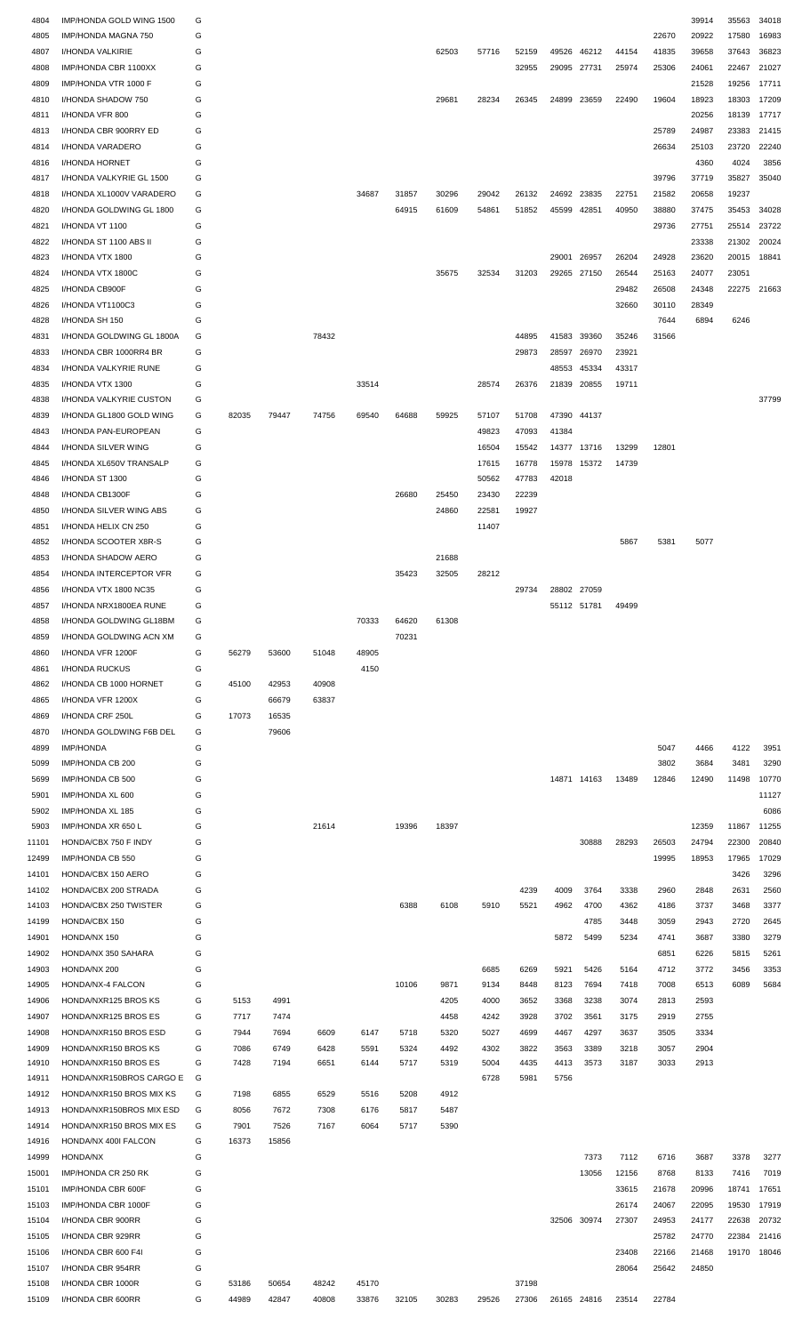| 4804           | IMP/HONDA GOLD WING 1500               | G            |                |                |                |                |       |       |       |                |             |                   |       |       | 39914 | 35563       | 34018 |
|----------------|----------------------------------------|--------------|----------------|----------------|----------------|----------------|-------|-------|-------|----------------|-------------|-------------------|-------|-------|-------|-------------|-------|
| 4805           |                                        | G            |                |                |                |                |       |       |       |                |             |                   |       | 22670 | 20922 | 17580       | 16983 |
|                | IMP/HONDA MAGNA 750                    |              |                |                |                |                |       |       |       |                |             |                   |       |       |       |             |       |
| 4807           | I/HONDA VALKIRIE                       | G            |                |                |                |                |       | 62503 | 57716 | 52159          | 49526       | 46212             | 44154 | 41835 | 39658 | 37643       | 36823 |
| 4808           | IMP/HONDA CBR 1100XX                   | G            |                |                |                |                |       |       |       | 32955          | 29095 27731 |                   | 25974 | 25306 | 24061 | 22467       | 21027 |
| 4809           | IMP/HONDA VTR 1000 F                   | G            |                |                |                |                |       |       |       |                |             |                   |       |       | 21528 | 19256       | 17711 |
| 4810           | I/HONDA SHADOW 750                     | G            |                |                |                |                |       | 29681 | 28234 | 26345          | 24899       | 23659             | 22490 | 19604 | 18923 | 18303       | 17209 |
| 4811           | I/HONDA VFR 800                        | G            |                |                |                |                |       |       |       |                |             |                   |       |       | 20256 | 18139       | 17717 |
| 4813           | I/HONDA CBR 900RRY ED                  | G            |                |                |                |                |       |       |       |                |             |                   |       | 25789 | 24987 | 23383       | 21415 |
| 4814           | I/HONDA VARADERO                       | G            |                |                |                |                |       |       |       |                |             |                   |       | 26634 | 25103 | 23720       | 22240 |
| 4816           | I/HONDA HORNET                         | G            |                |                |                |                |       |       |       |                |             |                   |       |       | 4360  | 4024        | 3856  |
| 4817           | I/HONDA VALKYRIE GL 1500               | G            |                |                |                |                |       |       |       |                |             |                   |       | 39796 | 37719 | 35827       | 35040 |
| 4818           | I/HONDA XL1000V VARADERO               | G            |                |                |                | 34687          | 31857 | 30296 | 29042 | 26132          | 24692       | 23835             | 22751 | 21582 | 20658 | 19237       |       |
| 4820           | I/HONDA GOLDWING GL 1800               | G            |                |                |                |                | 64915 | 61609 | 54861 | 51852          | 45599       | 42851             | 40950 | 38880 | 37475 | 35453       | 34028 |
|                | I/HONDA VT 1100                        | G            |                |                |                |                |       |       |       |                |             |                   |       | 29736 | 27751 | 25514       | 23722 |
| 4821           |                                        |              |                |                |                |                |       |       |       |                |             |                   |       |       |       |             |       |
| 4822           | I/HONDA ST 1100 ABS II                 | G            |                |                |                |                |       |       |       |                |             |                   |       |       | 23338 | 21302       | 20024 |
| 4823           | I/HONDA VTX 1800                       | G            |                |                |                |                |       |       |       |                | 29001       | 26957             | 26204 | 24928 | 23620 | 20015       | 18841 |
| 4824           | I/HONDA VTX 1800C                      | G            |                |                |                |                |       | 35675 | 32534 | 31203          |             | 29265 27150       | 26544 | 25163 | 24077 | 23051       |       |
| 4825           | I/HONDA CB900F                         | G            |                |                |                |                |       |       |       |                |             |                   | 29482 | 26508 | 24348 | 22275 21663 |       |
| 4826           | I/HONDA VT1100C3                       | G            |                |                |                |                |       |       |       |                |             |                   | 32660 | 30110 | 28349 |             |       |
| 4828           | I/HONDA SH 150                         | G            |                |                |                |                |       |       |       |                |             |                   |       | 7644  | 6894  | 6246        |       |
| 4831           | I/HONDA GOLDWING GL 1800A              | G            |                |                | 78432          |                |       |       |       | 44895          | 41583       | 39360             | 35246 | 31566 |       |             |       |
| 4833           | I/HONDA CBR 1000RR4 BR                 | G            |                |                |                |                |       |       |       | 29873          | 28597       | 26970             | 23921 |       |       |             |       |
| 4834           | I/HONDA VALKYRIE RUNE                  | G            |                |                |                |                |       |       |       |                | 48553       | 45334             | 43317 |       |       |             |       |
| 4835           | I/HONDA VTX 1300                       | G            |                |                |                | 33514          |       |       | 28574 | 26376          | 21839       | 20855             | 19711 |       |       |             |       |
| 4838           | I/HONDA VALKYRIE CUSTON                | G            |                |                |                |                |       |       |       |                |             |                   |       |       |       |             | 37799 |
|                |                                        |              |                |                |                |                |       |       |       |                |             |                   |       |       |       |             |       |
| 4839           | I/HONDA GL1800 GOLD WING               | G            | 82035          | 79447          | 74756          | 69540          | 64688 | 59925 | 57107 | 51708          | 47390       | 44137             |       |       |       |             |       |
| 4843           | I/HONDA PAN-EUROPEAN                   | G            |                |                |                |                |       |       | 49823 | 47093          | 41384       |                   |       |       |       |             |       |
| 4844           | I/HONDA SILVER WING                    | G            |                |                |                |                |       |       | 16504 | 15542          |             | 14377 13716       | 13299 | 12801 |       |             |       |
| 4845           | I/HONDA XL650V TRANSALP                | G            |                |                |                |                |       |       | 17615 | 16778          | 15978       | 15372             | 14739 |       |       |             |       |
| 4846           | I/HONDA ST 1300                        | G            |                |                |                |                |       |       | 50562 | 47783          | 42018       |                   |       |       |       |             |       |
| 4848           | I/HONDA CB1300F                        | G            |                |                |                |                | 26680 | 25450 | 23430 | 22239          |             |                   |       |       |       |             |       |
| 4850           | I/HONDA SILVER WING ABS                | G            |                |                |                |                |       | 24860 | 22581 | 19927          |             |                   |       |       |       |             |       |
| 4851           | I/HONDA HELIX CN 250                   | G            |                |                |                |                |       |       | 11407 |                |             |                   |       |       |       |             |       |
| 4852           | I/HONDA SCOOTER X8R-S                  | G            |                |                |                |                |       |       |       |                |             |                   | 5867  | 5381  | 5077  |             |       |
| 4853           | I/HONDA SHADOW AERO                    | G            |                |                |                |                |       | 21688 |       |                |             |                   |       |       |       |             |       |
|                | I/HONDA INTERCEPTOR VFR                | G            |                |                |                |                |       |       |       |                |             |                   |       |       |       |             |       |
| 4854           |                                        |              |                |                |                |                | 35423 | 32505 | 28212 |                |             |                   |       |       |       |             |       |
| 4856           | I/HONDA VTX 1800 NC35                  | G            |                |                |                |                |       |       |       | 29734          |             | 28802 27059       |       |       |       |             |       |
| 4857           | I/HONDA NRX1800EA RUNE                 | $\mathsf{C}$ |                |                |                |                |       |       |       |                |             | 55112 51781 49499 |       |       |       |             |       |
| 4858           | I/HONDA GOLDWING GL18BM                | G            |                |                |                | 70333          | 64620 | 61308 |       |                |             |                   |       |       |       |             |       |
| 4859           | I/HONDA GOLDWING ACN XM                | G            |                |                |                |                | 70231 |       |       |                |             |                   |       |       |       |             |       |
| 4860           | I/HONDA VFR 1200F                      | G            | 56279          | 53600          | 51048          | 48905          |       |       |       |                |             |                   |       |       |       |             |       |
| 4861           | I/HONDA RUCKUS                         | G            |                |                |                | 4150           |       |       |       |                |             |                   |       |       |       |             |       |
| 4862           | I/HONDA CB 1000 HORNET                 | G            | 45100          | 42953          | 40908          |                |       |       |       |                |             |                   |       |       |       |             |       |
| 4865           | I/HONDA VFR 1200X                      | G            |                | 66679          | 63837          |                |       |       |       |                |             |                   |       |       |       |             |       |
| 4869           | I/HONDA CRF 250L                       | G            | 17073          | 16535          |                |                |       |       |       |                |             |                   |       |       |       |             |       |
| 4870           | I/HONDA GOLDWING F6B DEL               | G            |                | 79606          |                |                |       |       |       |                |             |                   |       |       |       |             |       |
|                |                                        |              |                |                |                |                |       |       |       |                |             |                   |       |       |       |             |       |
| 4899           | <b>IMP/HONDA</b>                       | G            |                |                |                |                |       |       |       |                |             |                   |       | 5047  | 4466  | 4122        | 3951  |
|                | IMP/HONDA CB 200                       |              |                |                |                |                |       |       |       |                |             |                   |       | 3802  | 3684  | 3481        | 3290  |
| 5099           |                                        | G            |                |                |                |                |       |       |       |                |             |                   |       |       |       | 11498       | 10770 |
| 5699           | IMP/HONDA CB 500                       | G            |                |                |                |                |       |       |       |                |             | 14871 14163       | 13489 | 12846 | 12490 |             | 11127 |
| 5901           | IMP/HONDA XL 600                       | G            |                |                |                |                |       |       |       |                |             |                   |       |       |       |             |       |
| 5902           | IMP/HONDA XL 185                       | G            |                |                |                |                |       |       |       |                |             |                   |       |       |       |             | 6086  |
| 5903           | IMP/HONDA XR 650 L                     | G            |                |                | 21614          |                | 19396 | 18397 |       |                |             |                   |       |       | 12359 | 11867       | 11255 |
| 11101          | HONDA/CBX 750 F INDY                   | G            |                |                |                |                |       |       |       |                |             | 30888             | 28293 | 26503 | 24794 | 22300       | 20840 |
| 12499          | IMP/HONDA CB 550                       | G            |                |                |                |                |       |       |       |                |             |                   |       | 19995 | 18953 | 17965       | 17029 |
| 14101          | HONDA/CBX 150 AERO                     | G            |                |                |                |                |       |       |       |                |             |                   |       |       |       | 3426        | 3296  |
|                |                                        |              |                |                |                |                |       |       |       |                |             |                   |       |       |       |             |       |
| 14102          | HONDA/CBX 200 STRADA                   | G            |                |                |                |                |       |       |       | 4239           | 4009        | 3764              | 3338  | 2960  | 2848  | 2631        | 2560  |
| 14103          | HONDA/CBX 250 TWISTER                  | G            |                |                |                |                | 6388  | 6108  | 5910  | 5521           | 4962        | 4700              | 4362  | 4186  | 3737  | 3468        | 3377  |
| 14199          | HONDA/CBX 150                          | G            |                |                |                |                |       |       |       |                |             | 4785              | 3448  | 3059  | 2943  | 2720        | 2645  |
| 14901          | HONDA/NX 150                           | G            |                |                |                |                |       |       |       |                | 5872        | 5499              | 5234  | 4741  | 3687  | 3380        | 3279  |
| 14902          | HONDA/NX 350 SAHARA                    | G            |                |                |                |                |       |       |       |                |             |                   |       | 6851  | 6226  | 5815        | 5261  |
| 14903          | HONDA/NX 200                           | G            |                |                |                |                |       |       | 6685  | 6269           | 5921        | 5426              | 5164  | 4712  | 3772  | 3456        | 3353  |
| 14905          | HONDA/NX-4 FALCON                      | G            |                |                |                |                | 10106 | 9871  | 9134  | 8448           | 8123        | 7694              | 7418  | 7008  | 6513  | 6089        | 5684  |
| 14906          | HONDA/NXR125 BROS KS                   | G            | 5153           | 4991           |                |                |       | 4205  | 4000  | 3652           | 3368        | 3238              | 3074  | 2813  | 2593  |             |       |
| 14907          | HONDA/NXR125 BROS ES                   | G            | 7717           | 7474           |                |                |       | 4458  | 4242  | 3928           | 3702        | 3561              | 3175  | 2919  | 2755  |             |       |
| 14908          | HONDA/NXR150 BROS ESD                  | G            | 7944           | 7694           | 6609           | 6147           | 5718  | 5320  | 5027  | 4699           | 4467        | 4297              | 3637  | 3505  | 3334  |             |       |
| 14909          | HONDA/NXR150 BROS KS                   | G            | 7086           | 6749           | 6428           | 5591           | 5324  | 4492  | 4302  | 3822           | 3563        | 3389              | 3218  | 3057  | 2904  |             |       |
| 14910          | HONDA/NXR150 BROS ES                   | G            | 7428           | 7194           | 6651           | 6144           | 5717  | 5319  | 5004  | 4435           | 4413        | 3573              | 3187  | 3033  | 2913  |             |       |
| 14911          | HONDA/NXR150BROS CARGO E               | G            |                |                |                |                |       |       | 6728  | 5981           | 5756        |                   |       |       |       |             |       |
| 14912          | HONDA/NXR150 BROS MIX KS               | G            | 7198           | 6855           | 6529           | 5516           | 5208  | 4912  |       |                |             |                   |       |       |       |             |       |
|                |                                        |              |                |                |                |                |       |       |       |                |             |                   |       |       |       |             |       |
| 14913          | HONDA/NXR150BROS MIX ESD               | G            | 8056           | 7672           | 7308           | 6176           | 5817  | 5487  |       |                |             |                   |       |       |       |             |       |
| 14914          | HONDA/NXR150 BROS MIX ES               | G            | 7901           | 7526           | 7167           | 6064           | 5717  | 5390  |       |                |             |                   |       |       |       |             |       |
| 14916          | HONDA/NX 400I FALCON                   | G            | 16373          | 15856          |                |                |       |       |       |                |             |                   |       |       |       |             |       |
| 14999          | HONDA/NX                               | G            |                |                |                |                |       |       |       |                |             | 7373              | 7112  | 6716  | 3687  | 3378        | 3277  |
| 15001          | IMP/HONDA CR 250 RK                    | G            |                |                |                |                |       |       |       |                |             | 13056             | 12156 | 8768  | 8133  | 7416        | 7019  |
| 15101          | IMP/HONDA CBR 600F                     | G            |                |                |                |                |       |       |       |                |             |                   | 33615 | 21678 | 20996 | 18741       | 17651 |
| 15103          | IMP/HONDA CBR 1000F                    | G            |                |                |                |                |       |       |       |                |             |                   | 26174 | 24067 | 22095 | 19530       | 17919 |
| 15104          | I/HONDA CBR 900RR                      | G            |                |                |                |                |       |       |       |                |             | 32506 30974       | 27307 | 24953 | 24177 | 22638       | 20732 |
| 15105          | I/HONDA CBR 929RR                      | G            |                |                |                |                |       |       |       |                |             |                   |       | 25782 | 24770 | 22384       | 21416 |
| 15106          | I/HONDA CBR 600 F4I                    | G            |                |                |                |                |       |       |       |                |             |                   | 23408 | 22166 | 21468 | 19170       | 18046 |
| 15107          | I/HONDA CBR 954RR                      | G            |                |                |                |                |       |       |       |                |             |                   | 28064 | 25642 | 24850 |             |       |
|                |                                        |              |                |                |                |                |       |       |       |                |             |                   |       |       |       |             |       |
| 15108<br>15109 | I/HONDA CBR 1000R<br>I/HONDA CBR 600RR | G<br>G       | 53186<br>44989 | 50654<br>42847 | 48242<br>40808 | 45170<br>33876 | 32105 | 30283 | 29526 | 37198<br>27306 |             | 26165 24816       | 23514 | 22784 |       |             |       |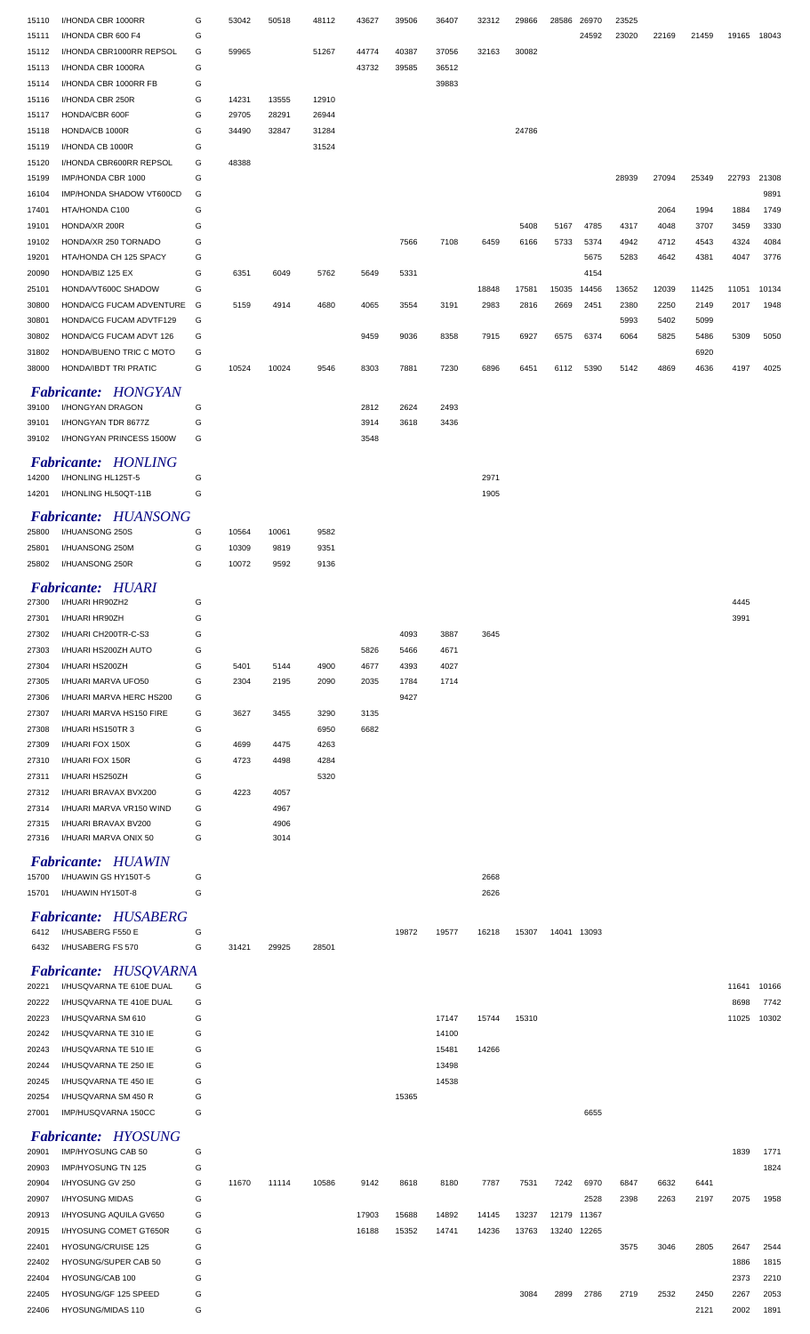| 15110 | I/HONDA CBR 1000RR           | G | 53042 | 50518 | 48112 | 43627 | 39506 | 36407 | 32312 | 29866 | 28586       | 26970 | 23525 |       |       |       |       |
|-------|------------------------------|---|-------|-------|-------|-------|-------|-------|-------|-------|-------------|-------|-------|-------|-------|-------|-------|
| 15111 | I/HONDA CBR 600 F4           | G |       |       |       |       |       |       |       |       |             | 24592 | 23020 | 22169 | 21459 | 19165 | 18043 |
| 15112 | I/HONDA CBR1000RR REPSOL     | G | 59965 |       | 51267 | 44774 | 40387 | 37056 | 32163 | 30082 |             |       |       |       |       |       |       |
| 15113 | I/HONDA CBR 1000RA           | G |       |       |       | 43732 | 39585 | 36512 |       |       |             |       |       |       |       |       |       |
| 15114 | I/HONDA CBR 1000RR FB        | G |       |       |       |       |       | 39883 |       |       |             |       |       |       |       |       |       |
| 15116 | I/HONDA CBR 250R             | G | 14231 | 13555 | 12910 |       |       |       |       |       |             |       |       |       |       |       |       |
| 15117 | HONDA/CBR 600F               | G | 29705 | 28291 | 26944 |       |       |       |       |       |             |       |       |       |       |       |       |
| 15118 | HONDA/CB 1000R               | G | 34490 | 32847 | 31284 |       |       |       |       | 24786 |             |       |       |       |       |       |       |
| 15119 | I/HONDA CB 1000R             | G |       |       | 31524 |       |       |       |       |       |             |       |       |       |       |       |       |
| 15120 | I/HONDA CBR600RR REPSOL      | G | 48388 |       |       |       |       |       |       |       |             |       |       |       |       |       |       |
| 15199 | IMP/HONDA CBR 1000           | G |       |       |       |       |       |       |       |       |             |       | 28939 | 27094 | 25349 | 22793 | 21308 |
| 16104 | IMP/HONDA SHADOW VT600CD     | G |       |       |       |       |       |       |       |       |             |       |       |       |       |       | 9891  |
| 17401 | HTA/HONDA C100               | G |       |       |       |       |       |       |       |       |             |       |       | 2064  | 1994  | 1884  | 1749  |
| 19101 | HONDA/XR 200R                | G |       |       |       |       |       |       |       | 5408  | 5167        | 4785  | 4317  | 4048  | 3707  | 3459  | 3330  |
| 19102 | HONDA/XR 250 TORNADO         | G |       |       |       |       | 7566  | 7108  | 6459  | 6166  | 5733        | 5374  | 4942  | 4712  | 4543  | 4324  | 4084  |
| 19201 | HTA/HONDA CH 125 SPACY       | G |       |       |       |       |       |       |       |       |             | 5675  | 5283  | 4642  | 4381  | 4047  | 3776  |
| 20090 | HONDA/BIZ 125 EX             | G | 6351  | 6049  | 5762  | 5649  | 5331  |       |       |       |             | 4154  |       |       |       |       |       |
| 25101 | HONDA/VT600C SHADOW          | G |       |       |       |       |       |       | 18848 | 17581 | 15035       | 14456 | 13652 | 12039 | 11425 | 11051 | 10134 |
| 30800 | HONDA/CG FUCAM ADVENTURE     | G | 5159  | 4914  | 4680  | 4065  | 3554  | 3191  | 2983  | 2816  | 2669        | 2451  | 2380  | 2250  | 2149  | 2017  | 1948  |
| 30801 | HONDA/CG FUCAM ADVTF129      | G |       |       |       |       |       |       |       |       |             |       | 5993  | 5402  | 5099  |       |       |
| 30802 | HONDA/CG FUCAM ADVT 126      | G |       |       |       | 9459  | 9036  | 8358  | 7915  | 6927  | 6575        | 6374  | 6064  | 5825  | 5486  | 5309  | 5050  |
| 31802 | HONDA/BUENO TRIC C MOTO      | G |       |       |       |       |       |       |       |       |             |       |       |       | 6920  |       |       |
| 38000 | HONDA/IBDT TRI PRATIC        | G | 10524 | 10024 | 9546  | 8303  | 7881  | 7230  | 6896  | 6451  | 6112        | 5390  | 5142  | 4869  | 4636  | 4197  | 4025  |
|       |                              |   |       |       |       |       |       |       |       |       |             |       |       |       |       |       |       |
|       | <b>Fabricante: HONGYAN</b>   |   |       |       |       |       |       |       |       |       |             |       |       |       |       |       |       |
| 39100 | I/HONGYAN DRAGON             | G |       |       |       | 2812  | 2624  | 2493  |       |       |             |       |       |       |       |       |       |
| 39101 | I/HONGYAN TDR 8677Z          | G |       |       |       | 3914  | 3618  | 3436  |       |       |             |       |       |       |       |       |       |
| 39102 | I/HONGYAN PRINCESS 1500W     | G |       |       |       | 3548  |       |       |       |       |             |       |       |       |       |       |       |
|       | <b>Fabricante: HONLING</b>   |   |       |       |       |       |       |       |       |       |             |       |       |       |       |       |       |
| 14200 | I/HONLING HL125T-5           | G |       |       |       |       |       |       | 2971  |       |             |       |       |       |       |       |       |
| 14201 | I/HONLING HL50QT-11B         | G |       |       |       |       |       |       | 1905  |       |             |       |       |       |       |       |       |
|       |                              |   |       |       |       |       |       |       |       |       |             |       |       |       |       |       |       |
|       | <b>Fabricante: HUANSONG</b>  |   |       |       |       |       |       |       |       |       |             |       |       |       |       |       |       |
| 25800 | I/HUANSONG 250S              | G | 10564 | 10061 | 9582  |       |       |       |       |       |             |       |       |       |       |       |       |
| 25801 | I/HUANSONG 250M              | G | 10309 | 9819  | 9351  |       |       |       |       |       |             |       |       |       |       |       |       |
| 25802 | I/HUANSONG 250R              | G | 10072 | 9592  | 9136  |       |       |       |       |       |             |       |       |       |       |       |       |
|       | <b>Fabricante: HUARI</b>     |   |       |       |       |       |       |       |       |       |             |       |       |       |       |       |       |
| 27300 |                              | G |       |       |       |       |       |       |       |       |             |       |       |       |       | 4445  |       |
|       | I/HUARI HR90ZH2              |   |       |       |       |       |       |       |       |       |             |       |       |       |       |       |       |
| 27301 | I/HUARI HR90ZH               | G |       |       |       |       |       |       |       |       |             |       |       |       |       | 3991  |       |
| 27302 | I/HUARI CH200TR-C-S3         | G |       |       |       |       | 4093  | 3887  | 3645  |       |             |       |       |       |       |       |       |
| 27303 | I/HUARI HS200ZH AUTO         | G |       |       |       | 5826  | 5466  | 4671  |       |       |             |       |       |       |       |       |       |
| 27304 | I/HUARI HS200ZH              | G | 5401  | 5144  | 4900  | 4677  | 4393  | 4027  |       |       |             |       |       |       |       |       |       |
| 27305 | I/HUARI MARVA UFO50          | G | 2304  | 2195  | 2090  | 2035  | 1784  | 1714  |       |       |             |       |       |       |       |       |       |
| 27306 | I/HUARI MARVA HERC HS200     | G |       |       |       |       | 9427  |       |       |       |             |       |       |       |       |       |       |
| 27307 | I/HUARI MARVA HS150 FIRE     | G | 3627  | 3455  | 3290  | 3135  |       |       |       |       |             |       |       |       |       |       |       |
| 27308 | I/HUARI HS150TR 3            | G |       |       | 6950  | 6682  |       |       |       |       |             |       |       |       |       |       |       |
| 27309 | I/HUARI FOX 150X             | G | 4699  | 4475  | 4263  |       |       |       |       |       |             |       |       |       |       |       |       |
| 27310 | I/HUARI FOX 150R             | G | 4723  | 4498  | 4284  |       |       |       |       |       |             |       |       |       |       |       |       |
| 27311 | I/HUARI HS250ZH              | G |       |       | 5320  |       |       |       |       |       |             |       |       |       |       |       |       |
| 27312 | I/HUARI BRAVAX BVX200        | G | 4223  | 4057  |       |       |       |       |       |       |             |       |       |       |       |       |       |
| 27314 | I/HUARI MARVA VR150 WIND     | G |       | 4967  |       |       |       |       |       |       |             |       |       |       |       |       |       |
| 27315 | I/HUARI BRAVAX BV200         | G |       | 4906  |       |       |       |       |       |       |             |       |       |       |       |       |       |
| 27316 | I/HUARI MARVA ONIX 50        | G |       | 3014  |       |       |       |       |       |       |             |       |       |       |       |       |       |
|       | <b>Fabricante: HUAWIN</b>    |   |       |       |       |       |       |       |       |       |             |       |       |       |       |       |       |
| 15700 | I/HUAWIN GS HY150T-5         | G |       |       |       |       |       |       | 2668  |       |             |       |       |       |       |       |       |
| 15701 | I/HUAWIN HY150T-8            | G |       |       |       |       |       |       | 2626  |       |             |       |       |       |       |       |       |
|       |                              |   |       |       |       |       |       |       |       |       |             |       |       |       |       |       |       |
|       | <b>Fabricante: HUSABERG</b>  |   |       |       |       |       |       |       |       |       |             |       |       |       |       |       |       |
| 6412  | I/HUSABERG F550 E            | G |       |       |       |       | 19872 | 19577 | 16218 | 15307 | 14041 13093 |       |       |       |       |       |       |
| 6432  | I/HUSABERG FS 570            | G | 31421 | 29925 | 28501 |       |       |       |       |       |             |       |       |       |       |       |       |
|       |                              |   |       |       |       |       |       |       |       |       |             |       |       |       |       |       |       |
|       | <b>Fabricante: HUSQVARNA</b> |   |       |       |       |       |       |       |       |       |             |       |       |       |       |       |       |
| 20221 | I/HUSQVARNA TE 610E DUAL     | G |       |       |       |       |       |       |       |       |             |       |       |       |       | 11641 | 10166 |
| 20222 | I/HUSQVARNA TE 410E DUAL     | G |       |       |       |       |       |       |       |       |             |       |       |       |       | 8698  | 7742  |
| 20223 | I/HUSQVARNA SM 610           | G |       |       |       |       |       | 17147 | 15744 | 15310 |             |       |       |       |       | 11025 | 10302 |
| 20242 | I/HUSQVARNA TE 310 IE        | G |       |       |       |       |       | 14100 |       |       |             |       |       |       |       |       |       |
| 20243 | I/HUSQVARNA TE 510 IE        | G |       |       |       |       |       | 15481 | 14266 |       |             |       |       |       |       |       |       |
| 20244 | I/HUSQVARNA TE 250 IE        | G |       |       |       |       |       | 13498 |       |       |             |       |       |       |       |       |       |
| 20245 | I/HUSQVARNA TE 450 IE        | G |       |       |       |       |       | 14538 |       |       |             |       |       |       |       |       |       |
| 20254 | I/HUSQVARNA SM 450 R         | G |       |       |       |       | 15365 |       |       |       |             |       |       |       |       |       |       |
| 27001 | IMP/HUSQVARNA 150CC          | G |       |       |       |       |       |       |       |       |             | 6655  |       |       |       |       |       |
|       |                              |   |       |       |       |       |       |       |       |       |             |       |       |       |       |       |       |
|       | <b>Fabricante: HYOSUNG</b>   |   |       |       |       |       |       |       |       |       |             |       |       |       |       |       |       |
| 20901 | IMP/HYOSUNG CAB 50           | G |       |       |       |       |       |       |       |       |             |       |       |       |       | 1839  | 1771  |
| 20903 | IMP/HYOSUNG TN 125           | G |       |       |       |       |       |       |       |       |             |       |       |       |       |       | 1824  |
| 20904 | I/HYOSUNG GV 250             | G | 11670 | 11114 | 10586 | 9142  | 8618  | 8180  | 7787  | 7531  | 7242        | 6970  | 6847  | 6632  | 6441  |       |       |
| 20907 | I/HYOSUNG MIDAS              | G |       |       |       |       |       |       |       |       |             | 2528  | 2398  | 2263  | 2197  | 2075  | 1958  |
| 20913 | I/HYOSUNG AQUILA GV650       | G |       |       |       | 17903 | 15688 | 14892 | 14145 | 13237 | 12179 11367 |       |       |       |       |       |       |
| 20915 | I/HYOSUNG COMET GT650R       | G |       |       |       | 16188 | 15352 | 14741 | 14236 | 13763 | 13240 12265 |       |       |       |       |       |       |
| 22401 | HYOSUNG/CRUISE 125           | G |       |       |       |       |       |       |       |       |             |       | 3575  | 3046  | 2805  | 2647  | 2544  |
| 22402 | HYOSUNG/SUPER CAB 50         | G |       |       |       |       |       |       |       |       |             |       |       |       |       | 1886  | 1815  |
| 22404 | HYOSUNG/CAB 100              | G |       |       |       |       |       |       |       |       |             |       |       |       |       | 2373  | 2210  |
| 22405 | HYOSUNG/GF 125 SPEED         | G |       |       |       |       |       |       |       | 3084  | 2899        | 2786  | 2719  | 2532  | 2450  | 2267  | 2053  |
| 22406 | HYOSUNG/MIDAS 110            | G |       |       |       |       |       |       |       |       |             |       |       |       | 2121  | 2002  | 1891  |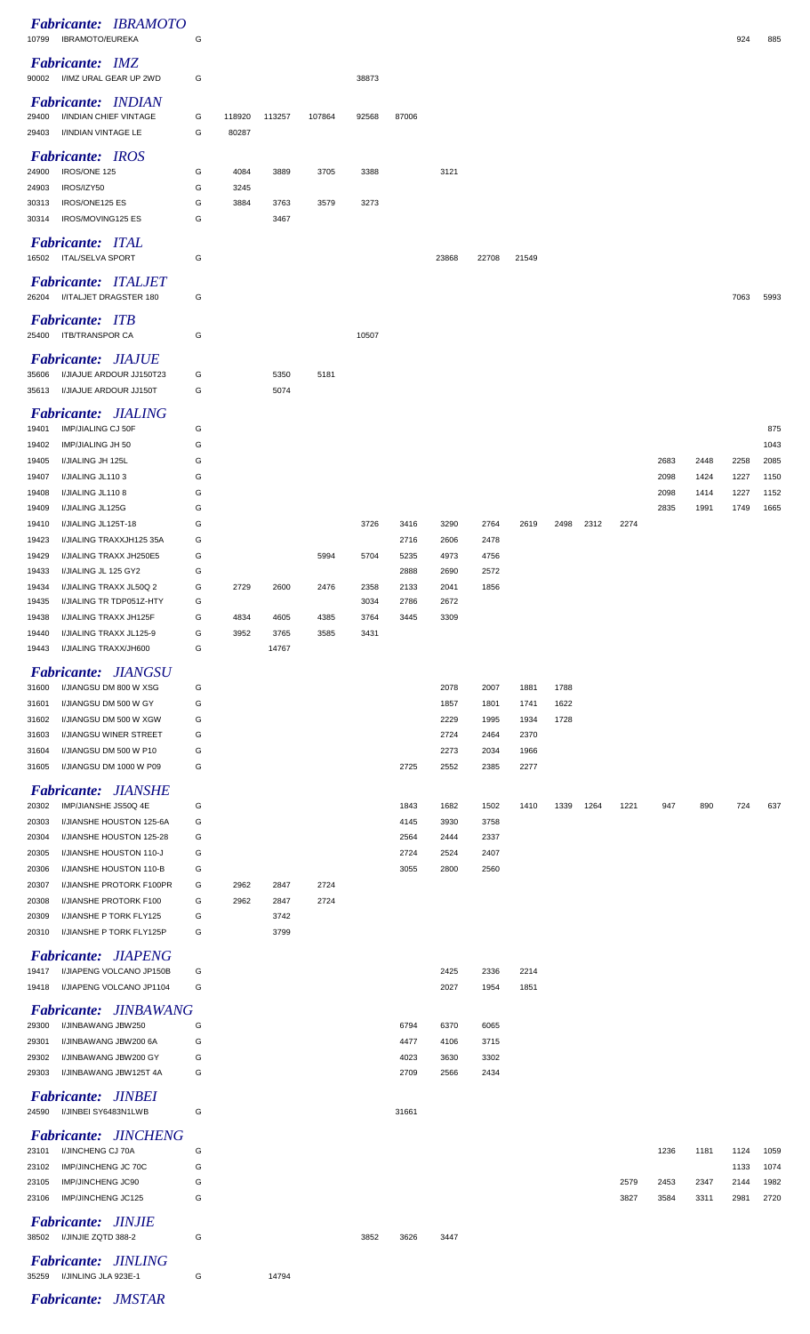| Fabricante: IBRAMOTO<br><b>IBRAMOTO/EUREKA</b><br>10799               | G      |              |              |              |              |              |              |              |              |      |      |      |              |              | 924          | 885          |
|-----------------------------------------------------------------------|--------|--------------|--------------|--------------|--------------|--------------|--------------|--------------|--------------|------|------|------|--------------|--------------|--------------|--------------|
| <b>Fabricante: IMZ</b><br>I/IMZ URAL GEAR UP 2WD<br>90002             | G      |              |              |              | 38873        |              |              |              |              |      |      |      |              |              |              |              |
| Fabricante: INDIAN                                                    |        |              |              |              |              |              |              |              |              |      |      |      |              |              |              |              |
| I/INDIAN CHIEF VINTAGE<br>29400                                       | G      | 118920       | 113257       | 107864       | 92568        | 87006        |              |              |              |      |      |      |              |              |              |              |
| I/INDIAN VINTAGE LE<br>29403                                          | G      | 80287        |              |              |              |              |              |              |              |      |      |      |              |              |              |              |
| <b>Fabricante: IROS</b><br>IROS/ONE 125<br>24900                      | G      | 4084         | 3889         | 3705         | 3388         |              | 3121         |              |              |      |      |      |              |              |              |              |
| IROS/IZY50<br>24903                                                   | G      | 3245         |              |              |              |              |              |              |              |      |      |      |              |              |              |              |
| IROS/ONE125 ES<br>30313                                               | G      | 3884         | 3763         | 3579         | 3273         |              |              |              |              |      |      |      |              |              |              |              |
| IROS/MOVING125 ES<br>30314                                            | G      |              | 3467         |              |              |              |              |              |              |      |      |      |              |              |              |              |
| <b>Fabricante: ITAL</b>                                               |        |              |              |              |              |              |              |              |              |      |      |      |              |              |              |              |
| <b>ITAL/SELVA SPORT</b><br>16502                                      | G      |              |              |              |              |              | 23868        | 22708        | 21549        |      |      |      |              |              |              |              |
| <b>Fabricante: ITALJET</b><br>I/ITALJET DRAGSTER 180<br>26204         | G      |              |              |              |              |              |              |              |              |      |      |      |              |              | 7063         | 5993         |
| <b>Fabricante: ITB</b>                                                |        |              |              |              |              |              |              |              |              |      |      |      |              |              |              |              |
| 25400<br><b>ITB/TRANSPOR CA</b>                                       | G      |              |              |              | 10507        |              |              |              |              |      |      |      |              |              |              |              |
| <b>Fabricante: JIAJUE</b>                                             |        |              |              |              |              |              |              |              |              |      |      |      |              |              |              |              |
| 35606<br>I/JIAJUE ARDOUR JJ150T23                                     | G      |              | 5350         | 5181         |              |              |              |              |              |      |      |      |              |              |              |              |
| I/JIAJUE ARDOUR JJ150T<br>35613                                       | G      |              | 5074         |              |              |              |              |              |              |      |      |      |              |              |              |              |
| <b>Fabricante: JIALING</b>                                            |        |              |              |              |              |              |              |              |              |      |      |      |              |              |              |              |
| IMP/JIALING CJ 50F<br>19401<br>19402<br>IMP/JIALING JH 50             | G<br>G |              |              |              |              |              |              |              |              |      |      |      |              |              |              | 875<br>1043  |
| I/JIALING JH 125L<br>19405                                            | G      |              |              |              |              |              |              |              |              |      |      |      | 2683         | 2448         | 2258         | 2085         |
| I/JIALING JL1103<br>19407                                             | G      |              |              |              |              |              |              |              |              |      |      |      | 2098         | 1424         | 1227         | 1150         |
| I/JIALING JL1108<br>19408<br>I/JIALING JL125G<br>19409                | G<br>G |              |              |              |              |              |              |              |              |      |      |      | 2098<br>2835 | 1414<br>1991 | 1227<br>1749 | 1152<br>1665 |
| I/JIALING JL125T-18<br>19410                                          | G      |              |              |              | 3726         | 3416         | 3290         | 2764         | 2619         | 2498 | 2312 | 2274 |              |              |              |              |
| I/JIALING TRAXXJH125 35A<br>19423                                     | G      |              |              |              |              | 2716         | 2606         | 2478         |              |      |      |      |              |              |              |              |
| 19429<br>I/JIALING TRAXX JH250E5<br>19433<br>I/JIALING JL 125 GY2     | G<br>G |              |              | 5994         | 5704         | 5235<br>2888 | 4973<br>2690 | 4756<br>2572 |              |      |      |      |              |              |              |              |
| 19434<br>I/JIALING TRAXX JL50Q 2                                      | G      | 2729         | 2600         | 2476         | 2358         | 2133         | 2041         | 1856         |              |      |      |      |              |              |              |              |
| 19435<br>I/JIALING TR TDP051Z-HTY                                     | G      |              |              |              | 3034         | 2786         | 2672         |              |              |      |      |      |              |              |              |              |
| 19438<br>I/JIALING TRAXX JH125F<br>I/JIALING TRAXX JL125-9<br>19440   | G<br>G | 4834<br>3952 | 4605<br>3765 | 4385<br>3585 | 3764<br>3431 | 3445         | 3309         |              |              |      |      |      |              |              |              |              |
| 19443<br>I/JIALING TRAXX/JH600                                        | G      |              | 14767        |              |              |              |              |              |              |      |      |      |              |              |              |              |
| <b>Fabricante: JIANGSU</b>                                            |        |              |              |              |              |              |              |              |              |      |      |      |              |              |              |              |
| I/JIANGSU DM 800 W XSG<br>31600                                       | G      |              |              |              |              |              | 2078         | 2007         | 1881         | 1788 |      |      |              |              |              |              |
| I/JIANGSU DM 500 W GY<br>31601                                        | G      |              |              |              |              |              | 1857         | 1801         | 1741         | 1622 |      |      |              |              |              |              |
| I/JIANGSU DM 500 W XGW<br>31602<br>I/JIANGSU WINER STREET<br>31603    | G<br>G |              |              |              |              |              | 2229<br>2724 | 1995<br>2464 | 1934<br>2370 | 1728 |      |      |              |              |              |              |
| I/JIANGSU DM 500 W P10<br>31604                                       | G      |              |              |              |              |              | 2273         | 2034         | 1966         |      |      |      |              |              |              |              |
| I/JIANGSU DM 1000 W P09<br>31605                                      | G      |              |              |              |              | 2725         | 2552         | 2385         | 2277         |      |      |      |              |              |              |              |
| <b>Fabricante: JIANSHE</b>                                            |        |              |              |              |              |              |              |              |              |      |      |      |              |              |              |              |
| 20302<br>IMP/JIANSHE JS50Q 4E<br>20303<br>I/JIANSHE HOUSTON 125-6A    | G<br>G |              |              |              |              | 1843<br>4145 | 1682<br>3930 | 1502<br>3758 | 1410         | 1339 | 1264 | 1221 | 947          | 890          | 724          | 637          |
| 20304<br>I/JIANSHE HOUSTON 125-28                                     | G      |              |              |              |              | 2564         | 2444         | 2337         |              |      |      |      |              |              |              |              |
| 20305<br>I/JIANSHE HOUSTON 110-J                                      | G      |              |              |              |              | 2724         | 2524         | 2407         |              |      |      |      |              |              |              |              |
| 20306<br>I/JIANSHE HOUSTON 110-B<br>20307<br>I/JIANSHE PROTORK F100PR | G<br>G | 2962         | 2847         | 2724         |              | 3055         | 2800         | 2560         |              |      |      |      |              |              |              |              |
| 20308<br>I/JIANSHE PROTORK F100                                       | G      | 2962         | 2847         | 2724         |              |              |              |              |              |      |      |      |              |              |              |              |
| I/JIANSHE P TORK FLY125<br>20309                                      | G      |              | 3742         |              |              |              |              |              |              |      |      |      |              |              |              |              |
| I/JIANSHE P TORK FLY125P<br>20310                                     | G      |              | 3799         |              |              |              |              |              |              |      |      |      |              |              |              |              |
| <b>Fabricante: JIAPENG</b><br>I/JIAPENG VOLCANO JP150B<br>19417       | G      |              |              |              |              |              | 2425         | 2336         | 2214         |      |      |      |              |              |              |              |
| I/JIAPENG VOLCANO JP1104<br>19418                                     | G      |              |              |              |              |              | 2027         | 1954         | 1851         |      |      |      |              |              |              |              |
| <b>Fabricante: JINBAWANG</b>                                          |        |              |              |              |              |              |              |              |              |      |      |      |              |              |              |              |
| 29300<br>I/JINBAWANG JBW250                                           | G      |              |              |              |              | 6794         | 6370         | 6065         |              |      |      |      |              |              |              |              |
| 29301<br>I/JINBAWANG JBW200 6A<br>29302<br>I/JINBAWANG JBW200 GY      | G<br>G |              |              |              |              | 4477<br>4023 | 4106<br>3630 | 3715<br>3302 |              |      |      |      |              |              |              |              |
| 29303<br>I/JINBAWANG JBW125T 4A                                       | G      |              |              |              |              | 2709         | 2566         | 2434         |              |      |      |      |              |              |              |              |
| <b>Fabricante: JINBEI</b>                                             |        |              |              |              |              |              |              |              |              |      |      |      |              |              |              |              |
| I/JINBEI SY6483N1LWB<br>24590                                         | G      |              |              |              |              | 31661        |              |              |              |      |      |      |              |              |              |              |
| <b>Fabricante: JINCHENG</b>                                           |        |              |              |              |              |              |              |              |              |      |      |      |              |              |              |              |
| I/JINCHENG CJ 70A<br>23101                                            | G      |              |              |              |              |              |              |              |              |      |      |      | 1236         | 1181         | 1124         | 1059         |
| 23102<br>IMP/JINCHENG JC 70C<br>IMP/JINCHENG JC90<br>23105            | G<br>G |              |              |              |              |              |              |              |              |      |      | 2579 | 2453         | 2347         | 1133<br>2144 | 1074<br>1982 |
| IMP/JINCHENG JC125<br>23106                                           |        |              |              |              |              |              |              |              |              |      |      | 3827 | 3584         | 3311         | 2981         | 2720         |
|                                                                       | G      |              |              |              |              |              |              |              |              |      |      |      |              |              |              |              |
| <b>Fabricante: JINJIE</b>                                             |        |              |              |              |              |              |              |              |              |      |      |      |              |              |              |              |
| 38502 I/JINJIE ZQTD 388-2                                             | G      |              |              |              | 3852         | 3626         | 3447         |              |              |      |      |      |              |              |              |              |
| Fabricante: JINLING<br>I/JINLING JLA 923E-1<br>35259                  | G      |              | 14794        |              |              |              |              |              |              |      |      |      |              |              |              |              |

*Fabricante: JMSTAR*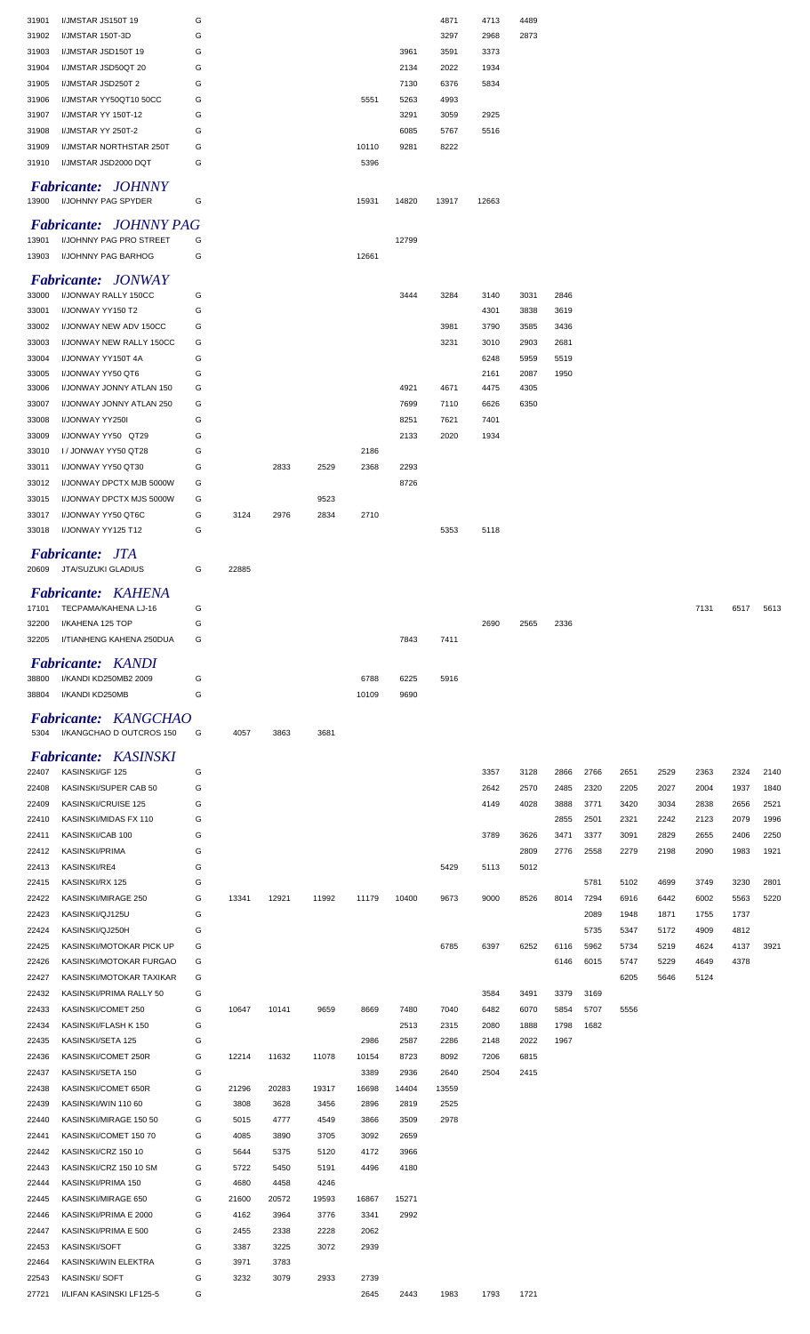| 31901          | I/JMSTAR JS150T 19                        | G      |       |       |       |              |       | 4871  | 4713  | 4489 |      |      |      |      |      |      |      |
|----------------|-------------------------------------------|--------|-------|-------|-------|--------------|-------|-------|-------|------|------|------|------|------|------|------|------|
| 31902          | I/JMSTAR 150T-3D                          | G      |       |       |       |              |       | 3297  | 2968  | 2873 |      |      |      |      |      |      |      |
| 31903          | I/JMSTAR JSD150T 19                       | G      |       |       |       |              | 3961  | 3591  | 3373  |      |      |      |      |      |      |      |      |
| 31904          | I/JMSTAR JSD50QT 20                       | G      |       |       |       |              | 2134  | 2022  | 1934  |      |      |      |      |      |      |      |      |
| 31905          | I/JMSTAR JSD250T 2                        | G      |       |       |       |              | 7130  | 6376  | 5834  |      |      |      |      |      |      |      |      |
|                |                                           |        |       |       |       |              |       |       |       |      |      |      |      |      |      |      |      |
| 31906          | I/JMSTAR YY50QT10 50CC                    | G      |       |       |       | 5551         | 5263  | 4993  |       |      |      |      |      |      |      |      |      |
| 31907          | I/JMSTAR YY 150T-12                       | G      |       |       |       |              | 3291  | 3059  | 2925  |      |      |      |      |      |      |      |      |
| 31908          | I/JMSTAR YY 250T-2                        | G      |       |       |       |              | 6085  | 5767  | 5516  |      |      |      |      |      |      |      |      |
| 31909          | I/JMSTAR NORTHSTAR 250T                   | G      |       |       |       | 10110        | 9281  | 8222  |       |      |      |      |      |      |      |      |      |
| 31910          | I/JMSTAR JSD2000 DQT                      | G      |       |       |       | 5396         |       |       |       |      |      |      |      |      |      |      |      |
|                |                                           |        |       |       |       |              |       |       |       |      |      |      |      |      |      |      |      |
|                | <b>Fabricante: JOHNNY</b>                 |        |       |       |       |              |       |       |       |      |      |      |      |      |      |      |      |
| 13900          | I/JOHNNY PAG SPYDER                       | G      |       |       |       | 15931        | 14820 | 13917 | 12663 |      |      |      |      |      |      |      |      |
|                | <b>Fabricante: JOHNNY PAG</b>             |        |       |       |       |              |       |       |       |      |      |      |      |      |      |      |      |
| 13901          | I/JOHNNY PAG PRO STREET                   | G      |       |       |       |              | 12799 |       |       |      |      |      |      |      |      |      |      |
| 13903          | I/JOHNNY PAG BARHOG                       | G      |       |       |       | 12661        |       |       |       |      |      |      |      |      |      |      |      |
|                |                                           |        |       |       |       |              |       |       |       |      |      |      |      |      |      |      |      |
|                | <b>Fabricante: JONWAY</b>                 |        |       |       |       |              |       |       |       |      |      |      |      |      |      |      |      |
| 33000          | I/JONWAY RALLY 150CC                      | G      |       |       |       |              | 3444  | 3284  | 3140  | 3031 | 2846 |      |      |      |      |      |      |
| 33001          | I/JONWAY YY150 T2                         | G      |       |       |       |              |       |       | 4301  | 3838 | 3619 |      |      |      |      |      |      |
| 33002          | I/JONWAY NEW ADV 150CC                    | G      |       |       |       |              |       | 3981  | 3790  | 3585 | 3436 |      |      |      |      |      |      |
| 33003          | I/JONWAY NEW RALLY 150CC                  | G      |       |       |       |              |       | 3231  | 3010  | 2903 | 2681 |      |      |      |      |      |      |
| 33004          | I/JONWAY YY150T 4A                        | G      |       |       |       |              |       |       | 6248  | 5959 | 5519 |      |      |      |      |      |      |
| 33005          | I/JONWAY YY50 QT6                         | G      |       |       |       |              |       |       | 2161  | 2087 | 1950 |      |      |      |      |      |      |
| 33006          | I/JONWAY JONNY ATLAN 150                  | G      |       |       |       |              | 4921  | 4671  | 4475  | 4305 |      |      |      |      |      |      |      |
| 33007          | I/JONWAY JONNY ATLAN 250                  | G      |       |       |       |              | 7699  | 7110  | 6626  | 6350 |      |      |      |      |      |      |      |
| 33008          | I/JONWAY YY250I                           | G      |       |       |       |              | 8251  | 7621  | 7401  |      |      |      |      |      |      |      |      |
|                |                                           |        |       |       |       |              |       |       |       |      |      |      |      |      |      |      |      |
| 33009          | I/JONWAY YY50 QT29                        | G      |       |       |       |              | 2133  | 2020  | 1934  |      |      |      |      |      |      |      |      |
| 33010          | I / JONWAY YY50 QT28                      | G      |       |       |       | 2186         |       |       |       |      |      |      |      |      |      |      |      |
| 33011          | I/JONWAY YY50 QT30                        | G      |       | 2833  | 2529  | 2368         | 2293  |       |       |      |      |      |      |      |      |      |      |
| 33012          | I/JONWAY DPCTX MJB 5000W                  | G      |       |       |       |              | 8726  |       |       |      |      |      |      |      |      |      |      |
| 33015          | I/JONWAY DPCTX MJS 5000W                  | G      |       |       | 9523  |              |       |       |       |      |      |      |      |      |      |      |      |
| 33017          | I/JONWAY YY50 QT6C                        | G      | 3124  | 2976  | 2834  | 2710         |       |       |       |      |      |      |      |      |      |      |      |
| 33018          | I/JONWAY YY125 T12                        | G      |       |       |       |              |       | 5353  | 5118  |      |      |      |      |      |      |      |      |
|                |                                           |        |       |       |       |              |       |       |       |      |      |      |      |      |      |      |      |
|                | <b>Fabricante: JTA</b>                    |        |       |       |       |              |       |       |       |      |      |      |      |      |      |      |      |
| 20609          | JTA/SUZUKI GLADIUS                        | G      | 22885 |       |       |              |       |       |       |      |      |      |      |      |      |      |      |
|                | Fabricante: KAHENA                        |        |       |       |       |              |       |       |       |      |      |      |      |      |      |      |      |
| 17101          | TECPAMA/KAHENA LJ-16                      | G      |       |       |       |              |       |       |       |      |      |      |      |      | 7131 | 6517 | 5613 |
| 32200          | I/KAHENA 125 TOP                          | G      |       |       |       |              |       |       | 2690  | 2565 | 2336 |      |      |      |      |      |      |
| 32205          | I/TIANHENG KAHENA 250DUA                  | G      |       |       |       |              | 7843  | 7411  |       |      |      |      |      |      |      |      |      |
|                |                                           |        |       |       |       |              |       |       |       |      |      |      |      |      |      |      |      |
|                | Fabricante: KANDI                         |        |       |       |       |              |       |       |       |      |      |      |      |      |      |      |      |
|                |                                           |        |       |       |       |              |       |       |       |      |      |      |      |      |      |      |      |
| 38800          | I/KANDI KD250MB2 2009                     | G      |       |       |       | 6788         | 6225  | 5916  |       |      |      |      |      |      |      |      |      |
| 38804          | I/KANDI KD250MB                           | G      |       |       |       | 10109        | 9690  |       |       |      |      |      |      |      |      |      |      |
|                |                                           |        |       |       |       |              |       |       |       |      |      |      |      |      |      |      |      |
|                | <b>Fabricante: KANGCHAO</b>               |        |       |       |       |              |       |       |       |      |      |      |      |      |      |      |      |
| 5304           | I/KANGCHAO D OUTCROS 150                  | G      | 4057  | 3863  | 3681  |              |       |       |       |      |      |      |      |      |      |      |      |
|                |                                           |        |       |       |       |              |       |       |       |      |      |      |      |      |      |      |      |
|                | <b>Fabricante: KASINSKI</b>               |        |       |       |       |              |       |       |       |      |      |      |      |      |      |      |      |
| 22407          | KASINSKI/GF 125                           | G      |       |       |       |              |       |       | 3357  | 3128 | 2866 | 2766 | 2651 | 2529 | 2363 | 2324 | 2140 |
| 22408          | KASINSKI/SUPER CAB 50                     | G      |       |       |       |              |       |       | 2642  | 2570 | 2485 | 2320 | 2205 | 2027 | 2004 | 1937 | 1840 |
| 22409          | KASINSKI/CRUISE 125                       | G      |       |       |       |              |       |       | 4149  | 4028 | 3888 | 3771 | 3420 | 3034 | 2838 | 2656 | 2521 |
| 22410          | KASINSKI/MIDAS FX 110                     | G      |       |       |       |              |       |       |       |      | 2855 | 2501 | 2321 | 2242 | 2123 | 2079 | 1996 |
| 22411          | KASINSKI/CAB 100                          | G      |       |       |       |              |       |       | 3789  | 3626 | 3471 | 3377 | 3091 | 2829 | 2655 | 2406 | 2250 |
| 22412          | <b>KASINSKI/PRIMA</b>                     | G      |       |       |       |              |       |       |       | 2809 | 2776 | 2558 | 2279 | 2198 | 2090 | 1983 | 1921 |
| 22413          | KASINSKI/RE4                              | G      |       |       |       |              |       | 5429  | 5113  | 5012 |      |      |      |      |      |      |      |
| 22415          | KASINSKI/RX 125                           | G      |       |       |       |              |       |       |       |      |      | 5781 | 5102 | 4699 | 3749 | 3230 | 2801 |
| 22422          | KASINSKI/MIRAGE 250                       | G      | 13341 | 12921 | 11992 | 11179        | 10400 | 9673  | 9000  | 8526 | 8014 | 7294 | 6916 | 6442 | 6002 | 5563 | 5220 |
| 22423          | KASINSKI/QJ125U                           | G      |       |       |       |              |       |       |       |      |      | 2089 | 1948 | 1871 | 1755 | 1737 |      |
| 22424          | KASINSKI/QJ250H                           | G      |       |       |       |              |       |       |       |      |      | 5735 | 5347 | 5172 | 4909 | 4812 |      |
| 22425          | KASINSKI/MOTOKAR PICK UP                  | G      |       |       |       |              |       | 6785  | 6397  | 6252 | 6116 | 5962 | 5734 | 5219 | 4624 | 4137 | 3921 |
| 22426          | KASINSKI/MOTOKAR FURGAO                   | G      |       |       |       |              |       |       |       |      | 6146 | 6015 | 5747 | 5229 | 4649 | 4378 |      |
|                |                                           |        |       |       |       |              |       |       |       |      |      |      |      |      |      |      |      |
| 22427          | KASINSKI/MOTOKAR TAXIKAR                  | G      |       |       |       |              |       |       |       |      |      |      | 6205 | 5646 | 5124 |      |      |
| 22432          | KASINSKI/PRIMA RALLY 50                   | G      |       |       |       |              |       |       | 3584  | 3491 | 3379 | 3169 |      |      |      |      |      |
| 22433          | KASINSKI/COMET 250                        | G      | 10647 | 10141 | 9659  | 8669         | 7480  | 7040  | 6482  | 6070 | 5854 | 5707 | 5556 |      |      |      |      |
| 22434          | KASINSKI/FLASH K 150                      | G      |       |       |       |              | 2513  | 2315  | 2080  | 1888 | 1798 | 1682 |      |      |      |      |      |
| 22435          | KASINSKI/SETA 125                         | G      |       |       |       | 2986         | 2587  | 2286  | 2148  | 2022 | 1967 |      |      |      |      |      |      |
| 22436          | KASINSKI/COMET 250R                       | G      | 12214 | 11632 | 11078 | 10154        | 8723  | 8092  | 7206  | 6815 |      |      |      |      |      |      |      |
| 22437          | KASINSKI/SETA 150                         | G      |       |       |       | 3389         | 2936  | 2640  | 2504  | 2415 |      |      |      |      |      |      |      |
| 22438          | KASINSKI/COMET 650R                       | G      | 21296 | 20283 | 19317 | 16698        | 14404 | 13559 |       |      |      |      |      |      |      |      |      |
| 22439          | KASINSKI/WIN 110 60                       | G      | 3808  | 3628  | 3456  | 2896         | 2819  | 2525  |       |      |      |      |      |      |      |      |      |
| 22440          | KASINSKI/MIRAGE 150 50                    | G      | 5015  | 4777  | 4549  | 3866         | 3509  | 2978  |       |      |      |      |      |      |      |      |      |
| 22441          | KASINSKI/COMET 150 70                     | G      | 4085  | 3890  | 3705  | 3092         | 2659  |       |       |      |      |      |      |      |      |      |      |
| 22442          | KASINSKI/CRZ 150 10                       | G      | 5644  | 5375  | 5120  | 4172         | 3966  |       |       |      |      |      |      |      |      |      |      |
| 22443          | KASINSKI/CRZ 150 10 SM                    | G      | 5722  | 5450  | 5191  | 4496         | 4180  |       |       |      |      |      |      |      |      |      |      |
| 22444          | KASINSKI/PRIMA 150                        | G      | 4680  | 4458  | 4246  |              |       |       |       |      |      |      |      |      |      |      |      |
| 22445          |                                           | G      | 21600 | 20572 | 19593 | 16867        | 15271 |       |       |      |      |      |      |      |      |      |      |
|                | KASINSKI/MIRAGE 650                       |        |       |       |       |              |       |       |       |      |      |      |      |      |      |      |      |
| 22446          | KASINSKI/PRIMA E 2000                     | G      | 4162  | 3964  | 3776  | 3341         | 2992  |       |       |      |      |      |      |      |      |      |      |
| 22447          | KASINSKI/PRIMA E 500                      | G      | 2455  | 2338  | 2228  | 2062         |       |       |       |      |      |      |      |      |      |      |      |
| 22453          | KASINSKI/SOFT                             | G      | 3387  | 3225  | 3072  | 2939         |       |       |       |      |      |      |      |      |      |      |      |
| 22464          | KASINSKI/WIN ELEKTRA                      | G      | 3971  | 3783  |       |              |       |       |       |      |      |      |      |      |      |      |      |
| 22543<br>27721 | KASINSKI/SOFT<br>I/LIFAN KASINSKI LF125-5 | G<br>G | 3232  | 3079  | 2933  | 2739<br>2645 | 2443  | 1983  | 1793  | 1721 |      |      |      |      |      |      |      |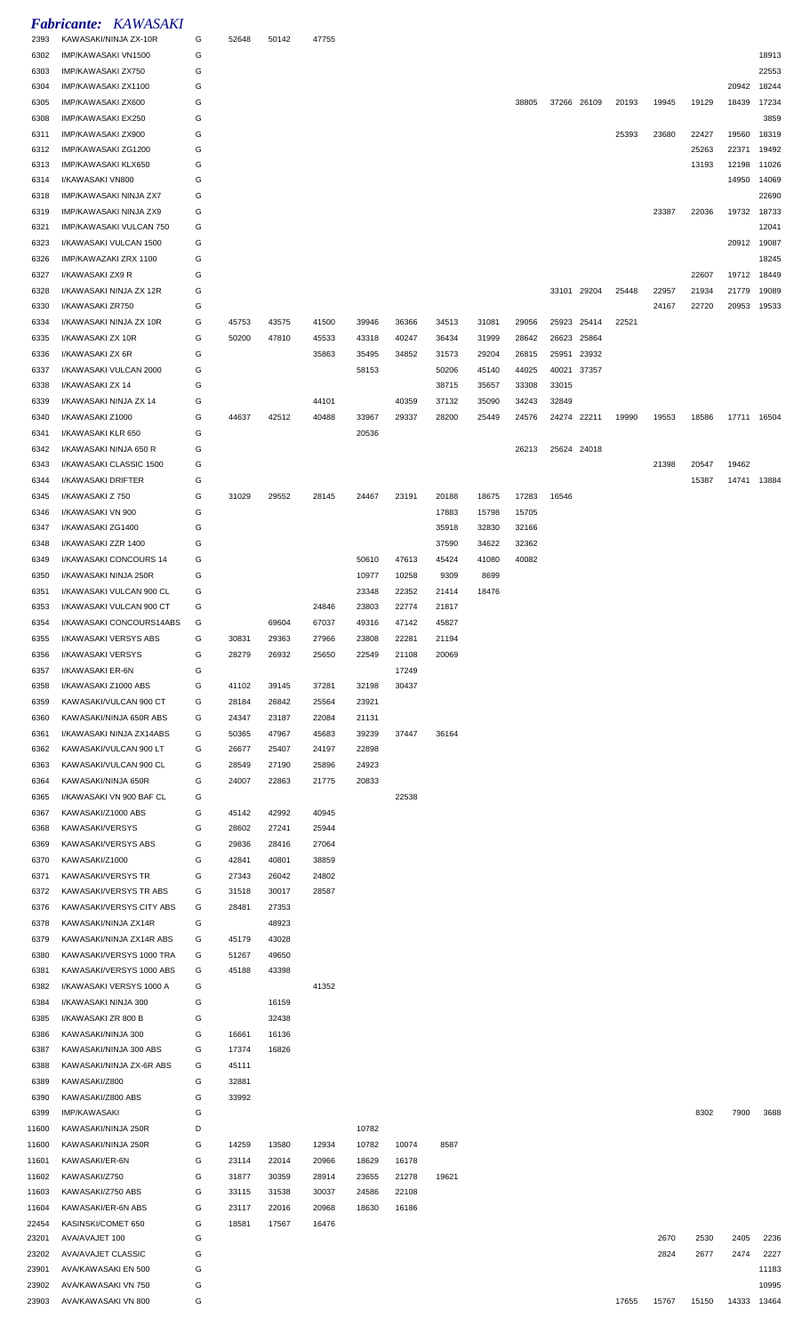| 2393           | <b>Fabricante: KAWASAKI</b><br>KAWASAKI/NINJA ZX-10R | G      | 52648          | 50142          | 47755          |       |                |                |                |                |       |             |       |              |                |                |                |
|----------------|------------------------------------------------------|--------|----------------|----------------|----------------|-------|----------------|----------------|----------------|----------------|-------|-------------|-------|--------------|----------------|----------------|----------------|
| 6302           | IMP/KAWASAKI VN1500                                  | G      |                |                |                |       |                |                |                |                |       |             |       |              |                |                | 18913          |
| 6303           | IMP/KAWASAKI ZX750                                   | G      |                |                |                |       |                |                |                |                |       |             |       |              |                |                | 22553          |
| 6304           | IMP/KAWASAKI ZX1100                                  | G      |                |                |                |       |                |                |                |                |       |             |       |              |                | 20942          | 18244          |
| 6305           | IMP/KAWASAKI ZX600                                   | G      |                |                |                |       |                |                |                | 38805          |       | 37266 26109 | 20193 | 19945        | 19129          | 18439          | 17234          |
| 6308           | IMP/KAWASAKI EX250                                   | G      |                |                |                |       |                |                |                |                |       |             |       |              |                |                | 3859           |
| 6311           | IMP/KAWASAKI ZX900<br>IMP/KAWASAKI ZG1200            | G<br>G |                |                |                |       |                |                |                |                |       |             | 25393 | 23680        | 22427<br>25263 | 19560<br>22371 | 18319<br>19492 |
| 6312<br>6313   | IMP/KAWASAKI KLX650                                  | G      |                |                |                |       |                |                |                |                |       |             |       |              | 13193          | 12198          | 11026          |
| 6314           | I/KAWASAKI VN800                                     | G      |                |                |                |       |                |                |                |                |       |             |       |              |                | 14950          | 14069          |
| 6318           | IMP/KAWASAKI NINJA ZX7                               | G      |                |                |                |       |                |                |                |                |       |             |       |              |                |                | 22690          |
| 6319           | IMP/KAWASAKI NINJA ZX9                               | G      |                |                |                |       |                |                |                |                |       |             |       | 23387        | 22036          | 19732          | 18733          |
| 6321           | IMP/KAWASAKI VULCAN 750                              | G      |                |                |                |       |                |                |                |                |       |             |       |              |                |                | 12041          |
| 6323           | I/KAWASAKI VULCAN 1500                               | G      |                |                |                |       |                |                |                |                |       |             |       |              |                | 20912          | 19087          |
| 6326<br>6327   | IMP/KAWAZAKI ZRX 1100<br>I/KAWASAKI ZX9 R            | G<br>G |                |                |                |       |                |                |                |                |       |             |       |              | 22607          | 19712          | 18245<br>18449 |
| 6328           | I/KAWASAKI NINJA ZX 12R                              | G      |                |                |                |       |                |                |                |                |       | 33101 29204 | 25448 | 22957        | 21934          | 21779          | 19089          |
| 6330           | I/KAWASAKI ZR750                                     | G      |                |                |                |       |                |                |                |                |       |             |       | 24167        | 22720          | 20953          | 19533          |
| 6334           | I/KAWASAKI NINJA ZX 10R                              | G      | 45753          | 43575          | 41500          | 39946 | 36366          | 34513          | 31081          | 29056          | 25923 | 25414       | 22521 |              |                |                |                |
| 6335           | I/KAWASAKI ZX 10R                                    | G      | 50200          | 47810          | 45533          | 43318 | 40247          | 36434          | 31999          | 28642          | 26623 | 25864       |       |              |                |                |                |
| 6336           | I/KAWASAKI ZX 6R                                     | G      |                |                | 35863          | 35495 | 34852          | 31573          | 29204          | 26815          | 25951 | 23932       |       |              |                |                |                |
| 6337           | I/KAWASAKI VULCAN 2000                               | G      |                |                |                | 58153 |                | 50206          | 45140          | 44025          | 40021 | 37357       |       |              |                |                |                |
| 6338           | I/KAWASAKI ZX 14                                     | G      |                |                |                |       |                | 38715          | 35657          | 33308          | 33015 |             |       |              |                |                |                |
| 6339<br>6340   | I/KAWASAKI NINJA ZX 14<br>I/KAWASAKI Z1000           | G<br>G | 44637          | 42512          | 44101<br>40488 | 33967 | 40359<br>29337 | 37132<br>28200 | 35090<br>25449 | 34243<br>24576 | 32849 | 24274 22211 | 19990 | 19553        | 18586          | 17711 16504    |                |
| 6341           | I/KAWASAKI KLR 650                                   | G      |                |                |                | 20536 |                |                |                |                |       |             |       |              |                |                |                |
| 6342           | I/KAWASAKI NINJA 650 R                               | G      |                |                |                |       |                |                |                | 26213          |       | 25624 24018 |       |              |                |                |                |
| 6343           | I/KAWASAKI CLASSIC 1500                              | G      |                |                |                |       |                |                |                |                |       |             |       | 21398        | 20547          | 19462          |                |
| 6344           | I/KAWASAKI DRIFTER                                   | G      |                |                |                |       |                |                |                |                |       |             |       |              | 15387          | 14741 13884    |                |
| 6345           | I/KAWASAKI Z 750                                     | G      | 31029          | 29552          | 28145          | 24467 | 23191          | 20188          | 18675          | 17283          | 16546 |             |       |              |                |                |                |
| 6346           | I/KAWASAKI VN 900                                    | G      |                |                |                |       |                | 17883          | 15798          | 15705          |       |             |       |              |                |                |                |
| 6347           | I/KAWASAKI ZG1400                                    | G      |                |                |                |       |                | 35918          | 32830          | 32166          |       |             |       |              |                |                |                |
| 6348<br>6349   | I/KAWASAKI ZZR 1400<br>I/KAWASAKI CONCOURS 14        | G<br>G |                |                |                | 50610 | 47613          | 37590<br>45424 | 34622<br>41080 | 32362<br>40082 |       |             |       |              |                |                |                |
| 6350           | I/KAWASAKI NINJA 250R                                | G      |                |                |                | 10977 | 10258          | 9309           | 8699           |                |       |             |       |              |                |                |                |
| 6351           | I/KAWASAKI VULCAN 900 CL                             | G      |                |                |                | 23348 | 22352          | 21414          | 18476          |                |       |             |       |              |                |                |                |
| 6353           | I/KAWASAKI VULCAN 900 CT                             | G      |                |                | 24846          | 23803 | 22774          | 21817          |                |                |       |             |       |              |                |                |                |
| 6354           | I/KAWASAKI CONCOURS14ABS                             | G      |                | 69604          | 67037          | 49316 | 47142          | 45827          |                |                |       |             |       |              |                |                |                |
| 6355           | I/KAWASAKI VERSYS ABS                                | G      | 30831          | 29363          | 27966          | 23808 | 22281          | 21194          |                |                |       |             |       |              |                |                |                |
| 6356           | I/KAWASAKI VERSYS                                    | G      | 28279          | 26932          | 25650          | 22549 | 21108          | 20069          |                |                |       |             |       |              |                |                |                |
| 6357<br>6358   | I/KAWASAKI ER-6N<br>I/KAWASAKI Z1000 ABS             | G<br>G | 41102          | 39145          | 37281          | 32198 | 17249<br>30437 |                |                |                |       |             |       |              |                |                |                |
| 6359           | KAWASAKI/VULCAN 900 CT                               | G      | 28184          | 26842          | 25564          | 23921 |                |                |                |                |       |             |       |              |                |                |                |
| 6360           | KAWASAKI/NINJA 650R ABS                              | G      | 24347          | 23187          | 22084          | 21131 |                |                |                |                |       |             |       |              |                |                |                |
| 6361           | I/KAWASAKI NINJA ZX14ABS                             | G      | 50365          | 47967          | 45683          | 39239 | 37447          | 36164          |                |                |       |             |       |              |                |                |                |
| 6362           | KAWASAKI/VULCAN 900 LT                               | G      | 26677          | 25407          | 24197          | 22898 |                |                |                |                |       |             |       |              |                |                |                |
| 6363           | KAWASAKI/VULCAN 900 CL                               | G      | 28549          | 27190          | 25896          | 24923 |                |                |                |                |       |             |       |              |                |                |                |
| 6364           | KAWASAKI/NINJA 650R                                  | G      | 24007          | 22863          | 21775          | 20833 |                |                |                |                |       |             |       |              |                |                |                |
| 6365           | I/KAWASAKI VN 900 BAF CL                             | G      |                |                |                |       | 22538          |                |                |                |       |             |       |              |                |                |                |
| 6367<br>6368   | KAWASAKI/Z1000 ABS<br>KAWASAKI/VERSYS                | G<br>G | 45142<br>28602 | 42992<br>27241 | 40945<br>25944 |       |                |                |                |                |       |             |       |              |                |                |                |
| 6369           | KAWASAKI/VERSYS ABS                                  | G      | 29836          | 28416          | 27064          |       |                |                |                |                |       |             |       |              |                |                |                |
| 6370           | KAWASAKI/Z1000                                       | G      | 42841          | 40801          | 38859          |       |                |                |                |                |       |             |       |              |                |                |                |
| 6371           | <b>KAWASAKI/VERSYS TR</b>                            | G      | 27343          | 26042          | 24802          |       |                |                |                |                |       |             |       |              |                |                |                |
| 6372           | KAWASAKI/VERSYS TR ABS                               | G      | 31518          | 30017          | 28587          |       |                |                |                |                |       |             |       |              |                |                |                |
| 6376           | KAWASAKI/VERSYS CITY ABS                             | G      | 28481          | 27353          |                |       |                |                |                |                |       |             |       |              |                |                |                |
| 6378           | KAWASAKI/NINJA ZX14R                                 | G      |                | 48923          |                |       |                |                |                |                |       |             |       |              |                |                |                |
| 6379           | KAWASAKI/NINJA ZX14R ABS                             | G      | 45179          | 43028          |                |       |                |                |                |                |       |             |       |              |                |                |                |
| 6380           | KAWASAKI/VERSYS 1000 TRA<br>KAWASAKI/VERSYS 1000 ABS | G<br>G | 51267<br>45188 | 49650<br>43398 |                |       |                |                |                |                |       |             |       |              |                |                |                |
| 6381<br>6382   | I/KAWASAKI VERSYS 1000 A                             | G      |                |                | 41352          |       |                |                |                |                |       |             |       |              |                |                |                |
| 6384           | I/KAWASAKI NINJA 300                                 | G      |                | 16159          |                |       |                |                |                |                |       |             |       |              |                |                |                |
| 6385           | I/KAWASAKI ZR 800 B                                  | G      |                | 32438          |                |       |                |                |                |                |       |             |       |              |                |                |                |
| 6386           | KAWASAKI/NINJA 300                                   | G      | 16661          | 16136          |                |       |                |                |                |                |       |             |       |              |                |                |                |
| 6387           | KAWASAKI/NINJA 300 ABS                               | G      | 17374          | 16826          |                |       |                |                |                |                |       |             |       |              |                |                |                |
| 6388           | KAWASAKI/NINJA ZX-6R ABS                             | G      | 45111          |                |                |       |                |                |                |                |       |             |       |              |                |                |                |
| 6389           | KAWASAKI/Z800                                        | G      | 32881          |                |                |       |                |                |                |                |       |             |       |              |                |                |                |
| 6390<br>6399   | KAWASAKI/Z800 ABS<br><b>IMP/KAWASAKI</b>             | G<br>G | 33992          |                |                |       |                |                |                |                |       |             |       |              | 8302           | 7900           | 3688           |
| 11600          | KAWASAKI/NINJA 250R                                  | D      |                |                |                | 10782 |                |                |                |                |       |             |       |              |                |                |                |
| 11600          | KAWASAKI/NINJA 250R                                  | G      | 14259          | 13580          | 12934          | 10782 | 10074          | 8587           |                |                |       |             |       |              |                |                |                |
| 11601          | KAWASAKI/ER-6N                                       | G      | 23114          | 22014          | 20966          | 18629 | 16178          |                |                |                |       |             |       |              |                |                |                |
| 11602          | KAWASAKI/Z750                                        | G      | 31877          | 30359          | 28914          | 23655 | 21278          | 19621          |                |                |       |             |       |              |                |                |                |
| 11603          | KAWASAKI/Z750 ABS                                    | G      | 33115          | 31538          | 30037          | 24586 | 22108          |                |                |                |       |             |       |              |                |                |                |
| 11604          | KAWASAKI/ER-6N ABS                                   | G      | 23117          | 22016          | 20968          | 18630 | 16186          |                |                |                |       |             |       |              |                |                |                |
| 22454          | KASINSKI/COMET 650                                   | G      | 18581          | 17567          | 16476          |       |                |                |                |                |       |             |       |              |                |                |                |
| 23201<br>23202 | AVA/AVAJET 100<br>AVA/AVAJET CLASSIC                 | G<br>G |                |                |                |       |                |                |                |                |       |             |       | 2670<br>2824 | 2530<br>2677   | 2405<br>2474   | 2236<br>2227   |
| 23901          | AVA/KAWASAKI EN 500                                  | G      |                |                |                |       |                |                |                |                |       |             |       |              |                |                | 11183          |
| 23902          | AVA/KAWASAKI VN 750                                  | G      |                |                |                |       |                |                |                |                |       |             |       |              |                |                | 10995          |
| 23903          | AVA/KAWASAKI VN 800                                  | G      |                |                |                |       |                |                |                |                |       |             | 17655 | 15767        | 15150          | 14333 13464    |                |
|                |                                                      |        |                |                |                |       |                |                |                |                |       |             |       |              |                |                |                |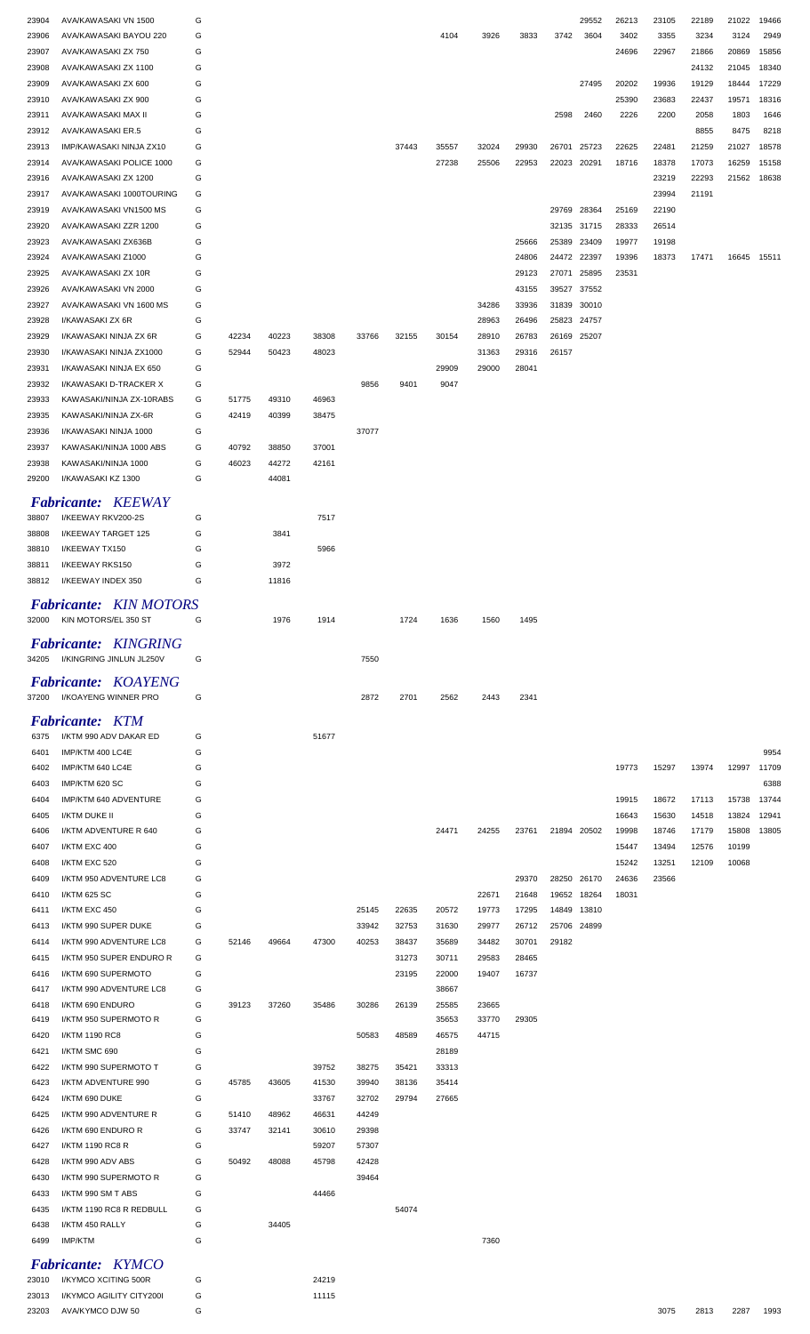| 23904          | AVA/KAWASAKI VN 1500                         | G      |       |       |       |       |       |       |       |       |       | 29552       | 26213 | 23105 | 22189 | 21022       | 19466 |
|----------------|----------------------------------------------|--------|-------|-------|-------|-------|-------|-------|-------|-------|-------|-------------|-------|-------|-------|-------------|-------|
| 23906          | AVA/KAWASAKI BAYOU 220                       | G      |       |       |       |       |       | 4104  | 3926  | 3833  | 3742  | 3604        | 3402  | 3355  | 3234  | 3124        | 2949  |
|                |                                              |        |       |       |       |       |       |       |       |       |       |             |       |       |       |             |       |
| 23907          | AVA/KAWASAKI ZX 750                          | G      |       |       |       |       |       |       |       |       |       |             | 24696 | 22967 | 21866 | 20869       | 15856 |
| 23908          | AVA/KAWASAKI ZX 1100                         | G      |       |       |       |       |       |       |       |       |       |             |       |       | 24132 | 21045       | 18340 |
| 23909          | AVA/KAWASAKI ZX 600                          | G      |       |       |       |       |       |       |       |       |       | 27495       | 20202 | 19936 | 19129 | 18444       | 17229 |
| 23910          | AVA/KAWASAKI ZX 900                          | G      |       |       |       |       |       |       |       |       |       |             | 25390 | 23683 | 22437 | 19571       | 18316 |
| 23911          | AVA/KAWASAKI MAX II                          | G      |       |       |       |       |       |       |       |       | 2598  | 2460        | 2226  | 2200  | 2058  | 1803        | 1646  |
|                |                                              |        |       |       |       |       |       |       |       |       |       |             |       |       |       |             |       |
| 23912          | AVA/KAWASAKI ER.5                            | G      |       |       |       |       |       |       |       |       |       |             |       |       | 8855  | 8475        | 8218  |
| 23913          | IMP/KAWASAKI NINJA ZX10                      | G      |       |       |       |       | 37443 | 35557 | 32024 | 29930 | 26701 | 25723       | 22625 | 22481 | 21259 | 21027       | 18578 |
| 23914          | AVA/KAWASAKI POLICE 1000                     | G      |       |       |       |       |       | 27238 | 25506 | 22953 | 22023 | 20291       | 18716 | 18378 | 17073 | 16259       | 15158 |
| 23916          | AVA/KAWASAKI ZX 1200                         | G      |       |       |       |       |       |       |       |       |       |             |       | 23219 | 22293 | 21562       | 18638 |
|                |                                              |        |       |       |       |       |       |       |       |       |       |             |       |       |       |             |       |
| 23917          | AVA/KAWASAKI 1000TOURING                     | G      |       |       |       |       |       |       |       |       |       |             |       | 23994 | 21191 |             |       |
| 23919          | AVA/KAWASAKI VN1500 MS                       | G      |       |       |       |       |       |       |       |       | 29769 | 28364       | 25169 | 22190 |       |             |       |
| 23920          | AVA/KAWASAKI ZZR 1200                        | G      |       |       |       |       |       |       |       |       |       | 32135 31715 | 28333 | 26514 |       |             |       |
| 23923          | AVA/KAWASAKI ZX636B                          | G      |       |       |       |       |       |       |       | 25666 | 25389 | 23409       | 19977 | 19198 |       |             |       |
|                |                                              |        |       |       |       |       |       |       |       |       |       |             |       |       |       |             |       |
| 23924          | AVA/KAWASAKI Z1000                           | G      |       |       |       |       |       |       |       | 24806 | 24472 | 22397       | 19396 | 18373 | 17471 | 16645 15511 |       |
| 23925          | AVA/KAWASAKI ZX 10R                          | G      |       |       |       |       |       |       |       | 29123 | 27071 | 25895       | 23531 |       |       |             |       |
| 23926          | AVA/KAWASAKI VN 2000                         | G      |       |       |       |       |       |       |       | 43155 | 39527 | 37552       |       |       |       |             |       |
| 23927          | AVA/KAWASAKI VN 1600 MS                      | G      |       |       |       |       |       |       | 34286 | 33936 | 31839 | 30010       |       |       |       |             |       |
| 23928          | I/KAWASAKI ZX 6R                             | G      |       |       |       |       |       |       | 28963 | 26496 | 25823 | 24757       |       |       |       |             |       |
|                |                                              |        |       |       |       |       |       |       |       |       |       |             |       |       |       |             |       |
| 23929          | I/KAWASAKI NINJA ZX 6R                       | G      | 42234 | 40223 | 38308 | 33766 | 32155 | 30154 | 28910 | 26783 | 26169 | 25207       |       |       |       |             |       |
| 23930          | I/KAWASAKI NINJA ZX1000                      | G      | 52944 | 50423 | 48023 |       |       |       | 31363 | 29316 | 26157 |             |       |       |       |             |       |
| 23931          | I/KAWASAKI NINJA EX 650                      | G      |       |       |       |       |       | 29909 | 29000 | 28041 |       |             |       |       |       |             |       |
| 23932          | I/KAWASAKI D-TRACKER X                       | G      |       |       |       | 9856  | 9401  | 9047  |       |       |       |             |       |       |       |             |       |
|                |                                              |        |       |       |       |       |       |       |       |       |       |             |       |       |       |             |       |
| 23933          | KAWASAKI/NINJA ZX-10RABS                     | G      | 51775 | 49310 | 46963 |       |       |       |       |       |       |             |       |       |       |             |       |
| 23935          | KAWASAKI/NINJA ZX-6R                         | G      | 42419 | 40399 | 38475 |       |       |       |       |       |       |             |       |       |       |             |       |
| 23936          | I/KAWASAKI NINJA 1000                        | G      |       |       |       | 37077 |       |       |       |       |       |             |       |       |       |             |       |
| 23937          | KAWASAKI/NINJA 1000 ABS                      | G      | 40792 | 38850 | 37001 |       |       |       |       |       |       |             |       |       |       |             |       |
|                |                                              |        |       |       |       |       |       |       |       |       |       |             |       |       |       |             |       |
| 23938          | KAWASAKI/NINJA 1000                          | G      | 46023 | 44272 | 42161 |       |       |       |       |       |       |             |       |       |       |             |       |
| 29200          | I/KAWASAKI KZ 1300                           | G      |       | 44081 |       |       |       |       |       |       |       |             |       |       |       |             |       |
|                |                                              |        |       |       |       |       |       |       |       |       |       |             |       |       |       |             |       |
|                | <b>Fabricante: KEEWAY</b>                    |        |       |       |       |       |       |       |       |       |       |             |       |       |       |             |       |
| 38807          | I/KEEWAY RKV200-2S                           | G      |       |       | 7517  |       |       |       |       |       |       |             |       |       |       |             |       |
| 38808          | I/KEEWAY TARGET 125                          | G      |       | 3841  |       |       |       |       |       |       |       |             |       |       |       |             |       |
| 38810          | I/KEEWAY TX150                               | G      |       |       | 5966  |       |       |       |       |       |       |             |       |       |       |             |       |
|                |                                              |        |       |       |       |       |       |       |       |       |       |             |       |       |       |             |       |
| 38811          | I/KEEWAY RKS150                              | G      |       | 3972  |       |       |       |       |       |       |       |             |       |       |       |             |       |
| 38812          | I/KEEWAY INDEX 350                           | G      |       | 11816 |       |       |       |       |       |       |       |             |       |       |       |             |       |
|                |                                              |        |       |       |       |       |       |       |       |       |       |             |       |       |       |             |       |
|                | <b>Fabricante:</b> KIN MOTORS                |        |       |       |       |       |       |       |       |       |       |             |       |       |       |             |       |
| 32000          | KIN MOTORS/EL 350 ST                         | G      |       | 1976  | 1914  |       | 1724  | 1636  | 1560  | 1495  |       |             |       |       |       |             |       |
|                |                                              |        |       |       |       |       |       |       |       |       |       |             |       |       |       |             |       |
|                | <b>Fabricante: KINGRING</b>                  |        |       |       |       |       |       |       |       |       |       |             |       |       |       |             |       |
|                |                                              | G      |       |       |       | 7550  |       |       |       |       |       |             |       |       |       |             |       |
|                | 34205 I/KINGRING JINLUN JL250V               |        |       |       |       |       |       |       |       |       |       |             |       |       |       |             |       |
|                |                                              |        |       |       |       |       |       |       |       |       |       |             |       |       |       |             |       |
|                | Fabricante: KOAYENG                          |        |       |       |       |       |       |       |       |       |       |             |       |       |       |             |       |
| 37200          | I/KOAYENG WINNER PRO                         | G      |       |       |       | 2872  | 2701  | 2562  | 2443  | 2341  |       |             |       |       |       |             |       |
|                |                                              |        |       |       |       |       |       |       |       |       |       |             |       |       |       |             |       |
|                | <b>Fabricante: KTM</b>                       |        |       |       |       |       |       |       |       |       |       |             |       |       |       |             |       |
| 6375           | I/KTM 990 ADV DAKAR ED                       | G      |       |       | 51677 |       |       |       |       |       |       |             |       |       |       |             |       |
| 6401           | IMP/KTM 400 LC4E                             | G      |       |       |       |       |       |       |       |       |       |             |       |       |       |             | 9954  |
|                |                                              |        |       |       |       |       |       |       |       |       |       |             |       |       |       |             |       |
| 6402           | IMP/KTM 640 LC4E                             | G      |       |       |       |       |       |       |       |       |       |             | 19773 | 15297 | 13974 | 12997       | 11709 |
| 6403           | IMP/KTM 620 SC                               | G      |       |       |       |       |       |       |       |       |       |             |       |       |       |             | 6388  |
| 6404           | IMP/KTM 640 ADVENTURE                        | G      |       |       |       |       |       |       |       |       |       |             | 19915 | 18672 | 17113 | 15738       | 13744 |
| 6405           | I/KTM DUKE II                                | G      |       |       |       |       |       |       |       |       |       |             | 16643 | 15630 | 14518 | 13824       | 12941 |
|                |                                              |        |       |       |       |       |       |       |       |       |       |             |       |       |       |             |       |
| 6406           | I/KTM ADVENTURE R 640                        | G      |       |       |       |       |       | 24471 | 24255 | 23761 |       | 21894 20502 | 19998 | 18746 | 17179 | 15808       | 13805 |
| 6407           | I/KTM EXC 400                                | G      |       |       |       |       |       |       |       |       |       |             | 15447 | 13494 | 12576 | 10199       |       |
| 6408           | I/KTM EXC 520                                | G      |       |       |       |       |       |       |       |       |       |             | 15242 | 13251 | 12109 | 10068       |       |
| 6409           | I/KTM 950 ADVENTURE LC8                      | G      |       |       |       |       |       |       |       | 29370 | 28250 | 26170       | 24636 | 23566 |       |             |       |
|                |                                              |        |       |       |       |       |       |       |       |       |       |             |       |       |       |             |       |
| 6410           | I/KTM 625 SC                                 | G      |       |       |       |       |       |       | 22671 | 21648 | 19652 | 18264       | 18031 |       |       |             |       |
| 6411           | I/KTM EXC 450                                | G      |       |       |       | 25145 | 22635 | 20572 | 19773 | 17295 | 14849 | 13810       |       |       |       |             |       |
| 6413           | I/KTM 990 SUPER DUKE                         | G      |       |       |       | 33942 | 32753 | 31630 | 29977 | 26712 | 25706 | 24899       |       |       |       |             |       |
| 6414           | I/KTM 990 ADVENTURE LC8                      | G      | 52146 | 49664 | 47300 | 40253 | 38437 | 35689 | 34482 | 30701 | 29182 |             |       |       |       |             |       |
| 6415           | I/KTM 950 SUPER ENDURO R                     | G      |       |       |       |       | 31273 | 30711 | 29583 | 28465 |       |             |       |       |       |             |       |
|                |                                              |        |       |       |       |       |       |       |       |       |       |             |       |       |       |             |       |
| 6416           | I/KTM 690 SUPERMOTO                          | G      |       |       |       |       | 23195 | 22000 | 19407 | 16737 |       |             |       |       |       |             |       |
| 6417           | I/KTM 990 ADVENTURE LC8                      | G      |       |       |       |       |       | 38667 |       |       |       |             |       |       |       |             |       |
| 6418           | I/KTM 690 ENDURO                             | G      | 39123 | 37260 | 35486 | 30286 | 26139 | 25585 | 23665 |       |       |             |       |       |       |             |       |
| 6419           | I/KTM 950 SUPERMOTO R                        | G      |       |       |       |       |       | 35653 | 33770 | 29305 |       |             |       |       |       |             |       |
| 6420           | I/KTM 1190 RC8                               | G      |       |       |       | 50583 | 48589 | 46575 | 44715 |       |       |             |       |       |       |             |       |
|                |                                              |        |       |       |       |       |       |       |       |       |       |             |       |       |       |             |       |
| 6421           | I/KTM SMC 690                                | G      |       |       |       |       |       | 28189 |       |       |       |             |       |       |       |             |       |
| 6422           | I/KTM 990 SUPERMOTO T                        | G      |       |       | 39752 | 38275 | 35421 | 33313 |       |       |       |             |       |       |       |             |       |
| 6423           | I/KTM ADVENTURE 990                          | G      | 45785 | 43605 | 41530 | 39940 | 38136 | 35414 |       |       |       |             |       |       |       |             |       |
| 6424           | I/KTM 690 DUKE                               | G      |       |       | 33767 | 32702 | 29794 | 27665 |       |       |       |             |       |       |       |             |       |
|                |                                              |        |       |       |       |       |       |       |       |       |       |             |       |       |       |             |       |
| 6425           | I/KTM 990 ADVENTURE R                        | G      | 51410 | 48962 | 46631 | 44249 |       |       |       |       |       |             |       |       |       |             |       |
| 6426           | I/KTM 690 ENDURO R                           | G      | 33747 | 32141 | 30610 | 29398 |       |       |       |       |       |             |       |       |       |             |       |
| 6427           | I/KTM 1190 RC8 R                             | G      |       |       | 59207 | 57307 |       |       |       |       |       |             |       |       |       |             |       |
| 6428           | I/KTM 990 ADV ABS                            | G      | 50492 | 48088 | 45798 | 42428 |       |       |       |       |       |             |       |       |       |             |       |
|                |                                              |        |       |       |       |       |       |       |       |       |       |             |       |       |       |             |       |
| 6430           | I/KTM 990 SUPERMOTO R                        | G      |       |       |       | 39464 |       |       |       |       |       |             |       |       |       |             |       |
| 6433           | I/KTM 990 SM T ABS                           | G      |       |       | 44466 |       |       |       |       |       |       |             |       |       |       |             |       |
| 6435           | I/KTM 1190 RC8 R REDBULL                     | G      |       |       |       |       | 54074 |       |       |       |       |             |       |       |       |             |       |
| 6438           | I/KTM 450 RALLY                              | G      |       | 34405 |       |       |       |       |       |       |       |             |       |       |       |             |       |
|                |                                              |        |       |       |       |       |       |       |       |       |       |             |       |       |       |             |       |
| 6499           | IMP/KTM                                      | G      |       |       |       |       |       |       | 7360  |       |       |             |       |       |       |             |       |
|                | <b>Fabricante: KYMCO</b>                     |        |       |       |       |       |       |       |       |       |       |             |       |       |       |             |       |
|                |                                              |        |       |       |       |       |       |       |       |       |       |             |       |       |       |             |       |
| 23010          | I/KYMCO XCITING 500R                         | G      |       |       | 24219 |       |       |       |       |       |       |             |       |       |       |             |       |
| 23013<br>23203 | I/KYMCO AGILITY CITY200I<br>AVA/KYMCO DJW 50 | G<br>G |       |       | 11115 |       |       |       |       |       |       |             |       | 3075  | 2813  | 2287        | 1993  |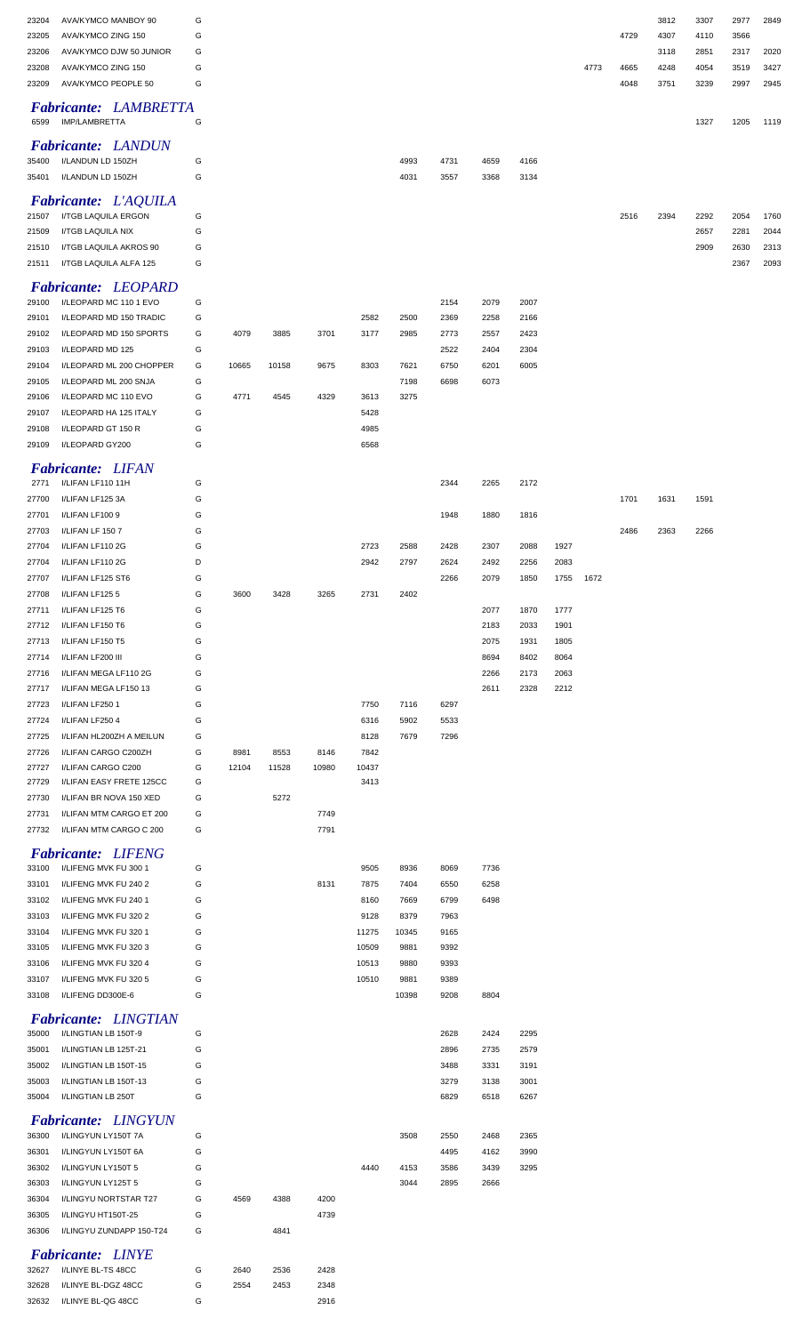| 23204<br>23205<br>23206<br>23208 | AVA/KYMCO MANBOY 90<br>AVA/KYMCO ZING 150<br>AVA/KYMCO DJW 50 JUNIOR<br>AVA/KYMCO ZING 150 | G<br>G<br>G<br>G |               |               |               |               |               |              |              |              |              | 4773 | 4729<br>4665 | 3812<br>4307<br>3118<br>4248 | 3307<br>4110<br>2851<br>4054 | 2977<br>3566<br>2317<br>3519 | 2849<br>2020<br>3427 |
|----------------------------------|--------------------------------------------------------------------------------------------|------------------|---------------|---------------|---------------|---------------|---------------|--------------|--------------|--------------|--------------|------|--------------|------------------------------|------------------------------|------------------------------|----------------------|
| 23209                            | AVA/KYMCO PEOPLE 50                                                                        | G                |               |               |               |               |               |              |              |              |              |      | 4048         | 3751                         | 3239                         | 2997                         | 2945                 |
| 6599                             | <b>Fabricante: LAMBRETTA</b><br>IMP/LAMBRETTA                                              | G                |               |               |               |               |               |              |              |              |              |      |              |                              | 1327                         | 1205                         | 1119                 |
| 35400<br>35401                   | <b>Fabricante: LANDUN</b><br>I/LANDUN LD 150ZH<br>I/LANDUN LD 150ZH                        | G<br>G           |               |               |               |               | 4993<br>4031  | 4731<br>3557 | 4659<br>3368 | 4166<br>3134 |              |      |              |                              |                              |                              |                      |
| 21507                            | Fabricante: L'AQUILA<br>I/TGB LAQUILA ERGON                                                | G                |               |               |               |               |               |              |              |              |              |      | 2516         | 2394                         | 2292                         | 2054                         | 1760                 |
| 21509<br>21510                   | I/TGB LAQUILA NIX<br>I/TGB LAQUILA AKROS 90                                                | G<br>G           |               |               |               |               |               |              |              |              |              |      |              |                              | 2657<br>2909                 | 2281<br>2630                 | 2044<br>2313         |
| 21511                            | I/TGB LAQUILA ALFA 125<br><b>Fabricante: LEOPARD</b>                                       | G                |               |               |               |               |               |              |              |              |              |      |              |                              |                              | 2367                         | 2093                 |
| 29100                            | I/LEOPARD MC 110 1 EVO                                                                     | G                |               |               |               |               |               | 2154         | 2079         | 2007         |              |      |              |                              |                              |                              |                      |
| 29101<br>29102                   | I/LEOPARD MD 150 TRADIC<br>I/LEOPARD MD 150 SPORTS                                         | G<br>G           | 4079          | 3885          | 3701          | 2582<br>3177  | 2500<br>2985  | 2369<br>2773 | 2258<br>2557 | 2166<br>2423 |              |      |              |                              |                              |                              |                      |
| 29103                            | I/LEOPARD MD 125                                                                           | G                |               |               |               |               |               | 2522         | 2404         | 2304         |              |      |              |                              |                              |                              |                      |
| 29104<br>29105                   | I/LEOPARD ML 200 CHOPPER<br>I/LEOPARD ML 200 SNJA                                          | G<br>G           | 10665         | 10158         | 9675          | 8303          | 7621<br>7198  | 6750<br>6698 | 6201<br>6073 | 6005         |              |      |              |                              |                              |                              |                      |
| 29106                            | I/LEOPARD MC 110 EVO                                                                       | G                | 4771          | 4545          | 4329          | 3613          | 3275          |              |              |              |              |      |              |                              |                              |                              |                      |
| 29107                            | I/LEOPARD HA 125 ITALY                                                                     | G                |               |               |               | 5428          |               |              |              |              |              |      |              |                              |                              |                              |                      |
| 29108<br>29109                   | I/LEOPARD GT 150 R<br>I/LEOPARD GY200                                                      | G<br>G           |               |               |               | 4985<br>6568  |               |              |              |              |              |      |              |                              |                              |                              |                      |
| 2771                             | <b>Fabricante: LIFAN</b><br>I/LIFAN LF110 11H                                              | G                |               |               |               |               |               | 2344         | 2265         | 2172         |              |      |              |                              |                              |                              |                      |
| 27700                            | I/LIFAN LF125 3A                                                                           | G                |               |               |               |               |               |              |              |              |              |      | 1701         | 1631                         | 1591                         |                              |                      |
| 27701<br>27703                   | I/LIFAN LF1009<br>I/LIFAN LF 1507                                                          | G<br>G           |               |               |               |               |               | 1948         | 1880         | 1816         |              |      | 2486         | 2363                         | 2266                         |                              |                      |
| 27704                            | I/LIFAN LF110 2G                                                                           | G                |               |               |               | 2723          | 2588          | 2428         | 2307         | 2088         | 1927         |      |              |                              |                              |                              |                      |
| 27704                            | I/LIFAN LF110 2G                                                                           | D                |               |               |               | 2942          | 2797          | 2624         | 2492         | 2256         | 2083         |      |              |                              |                              |                              |                      |
| 27707                            | I/LIFAN LF125 ST6                                                                          | G                |               |               |               |               |               | 2266         | 2079         | 1850         | 1755         | 1672 |              |                              |                              |                              |                      |
| 27708<br>27711                   | I/LIFAN LF1255<br>I/LIFAN LF125 T6                                                         | G<br>G           | 3600          | 3428          | 3265          | 2731          | 2402          |              | 2077         | 1870         | 1777         |      |              |                              |                              |                              |                      |
| 27712                            | I/LIFAN LF150 T6                                                                           | G                |               |               |               |               |               |              | 2183         | 2033         | 1901         |      |              |                              |                              |                              |                      |
| 27713                            | I/LIFAN LF150 T5                                                                           | G                |               |               |               |               |               |              | 2075         | 1931         | 1805         |      |              |                              |                              |                              |                      |
| 27714                            | I/LIFAN LF200 III                                                                          | G                |               |               |               |               |               |              | 8694         | 8402         | 8064         |      |              |                              |                              |                              |                      |
| 27716<br>27717                   | I/LIFAN MEGA LF110 2G<br>I/LIFAN MEGA LF150 13                                             | G<br>G           |               |               |               |               |               |              | 2266<br>2611 | 2173<br>2328 | 2063<br>2212 |      |              |                              |                              |                              |                      |
| 27723                            | I/LIFAN LF250 1                                                                            | G                |               |               |               | 7750          | 7116          | 6297         |              |              |              |      |              |                              |                              |                              |                      |
| 27724                            | I/LIFAN LF250 4                                                                            | G                |               |               |               | 6316          | 5902          | 5533         |              |              |              |      |              |                              |                              |                              |                      |
| 27725                            | I/LIFAN HL200ZH A MEILUN                                                                   | G                |               |               |               | 8128          | 7679          | 7296         |              |              |              |      |              |                              |                              |                              |                      |
| 27726<br>27727                   | I/LIFAN CARGO C200ZH<br>I/LIFAN CARGO C200                                                 | G<br>G           | 8981<br>12104 | 8553<br>11528 | 8146<br>10980 | 7842<br>10437 |               |              |              |              |              |      |              |                              |                              |                              |                      |
| 27729                            | I/LIFAN EASY FRETE 125CC                                                                   | G                |               |               |               | 3413          |               |              |              |              |              |      |              |                              |                              |                              |                      |
| 27730                            | I/LIFAN BR NOVA 150 XED                                                                    | G                |               | 5272          |               |               |               |              |              |              |              |      |              |                              |                              |                              |                      |
| 27731<br>27732                   | I/LIFAN MTM CARGO ET 200<br>I/LIFAN MTM CARGO C 200                                        | G<br>G           |               |               | 7749<br>7791  |               |               |              |              |              |              |      |              |                              |                              |                              |                      |
|                                  | <b>Fabricante: LIFENG</b>                                                                  |                  |               |               |               |               |               |              |              |              |              |      |              |                              |                              |                              |                      |
| 33100                            | I/LIFENG MVK FU 300 1                                                                      | G                |               |               |               | 9505          | 8936          | 8069         | 7736         |              |              |      |              |                              |                              |                              |                      |
| 33101                            | I/LIFENG MVK FU 240 2                                                                      | G                |               |               | 8131          | 7875          | 7404          | 6550         | 6258         |              |              |      |              |                              |                              |                              |                      |
| 33102<br>33103                   | I/LIFENG MVK FU 240 1<br>I/LIFENG MVK FU 320 2                                             | G<br>G           |               |               |               | 8160<br>9128  | 7669<br>8379  | 6799<br>7963 | 6498         |              |              |      |              |                              |                              |                              |                      |
| 33104                            | I/LIFENG MVK FU 320 1                                                                      | G                |               |               |               | 11275         | 10345         | 9165         |              |              |              |      |              |                              |                              |                              |                      |
| 33105                            | I/LIFENG MVK FU 320 3                                                                      | G                |               |               |               | 10509         | 9881          | 9392         |              |              |              |      |              |                              |                              |                              |                      |
| 33106                            | I/LIFENG MVK FU 320 4                                                                      | G                |               |               |               | 10513         | 9880          | 9393         |              |              |              |      |              |                              |                              |                              |                      |
| 33107<br>33108                   | I/LIFENG MVK FU 320 5<br>I/LIFENG DD300E-6                                                 | G<br>G           |               |               |               | 10510         | 9881<br>10398 | 9389<br>9208 | 8804         |              |              |      |              |                              |                              |                              |                      |
| 35000                            | <b>Fabricante: LINGTIAN</b><br>I/LINGTIAN LB 150T-9                                        | G                |               |               |               |               |               | 2628         | 2424         | 2295         |              |      |              |                              |                              |                              |                      |
| 35001                            | I/LINGTIAN LB 125T-21                                                                      | G                |               |               |               |               |               | 2896         | 2735         | 2579         |              |      |              |                              |                              |                              |                      |
| 35002                            | I/LINGTIAN LB 150T-15                                                                      | G                |               |               |               |               |               | 3488         | 3331         | 3191         |              |      |              |                              |                              |                              |                      |
| 35003<br>35004                   | I/LINGTIAN LB 150T-13<br>I/LINGTIAN LB 250T                                                | G<br>G           |               |               |               |               |               | 3279<br>6829 | 3138<br>6518 | 3001<br>6267 |              |      |              |                              |                              |                              |                      |
|                                  | <b>Fabricante: LINGYUN</b>                                                                 |                  |               |               |               |               |               |              |              |              |              |      |              |                              |                              |                              |                      |
| 36300                            | I/LINGYUN LY150T 7A<br>I/LINGYUN LY150T 6A                                                 | G<br>G           |               |               |               |               | 3508          | 2550<br>4495 | 2468<br>4162 | 2365<br>3990 |              |      |              |                              |                              |                              |                      |
| 36301<br>36302                   | I/LINGYUN LY150T 5                                                                         | G                |               |               |               | 4440          | 4153          | 3586         | 3439         | 3295         |              |      |              |                              |                              |                              |                      |
| 36303                            | I/LINGYUN LY125T 5                                                                         | G                |               |               |               |               | 3044          | 2895         | 2666         |              |              |      |              |                              |                              |                              |                      |
| 36304                            | I/LINGYU NORTSTAR T27                                                                      | G                | 4569          | 4388          | 4200          |               |               |              |              |              |              |      |              |                              |                              |                              |                      |
| 36305<br>36306                   | I/LINGYU HT150T-25<br>I/LINGYU ZUNDAPP 150-T24                                             | G<br>G           |               | 4841          | 4739          |               |               |              |              |              |              |      |              |                              |                              |                              |                      |
|                                  |                                                                                            |                  |               |               |               |               |               |              |              |              |              |      |              |                              |                              |                              |                      |
| 32627                            | <b>Fabricante: LINYE</b><br>I/LINYE BL-TS 48CC                                             | G                | 2640          | 2536          | 2428          |               |               |              |              |              |              |      |              |                              |                              |                              |                      |
| 32628                            | I/LINYE BL-DGZ 48CC                                                                        | G                | 2554          | 2453          | 2348          |               |               |              |              |              |              |      |              |                              |                              |                              |                      |
| 32632                            | I/LINYE BL-QG 48CC                                                                         | G                |               |               | 2916          |               |               |              |              |              |              |      |              |                              |                              |                              |                      |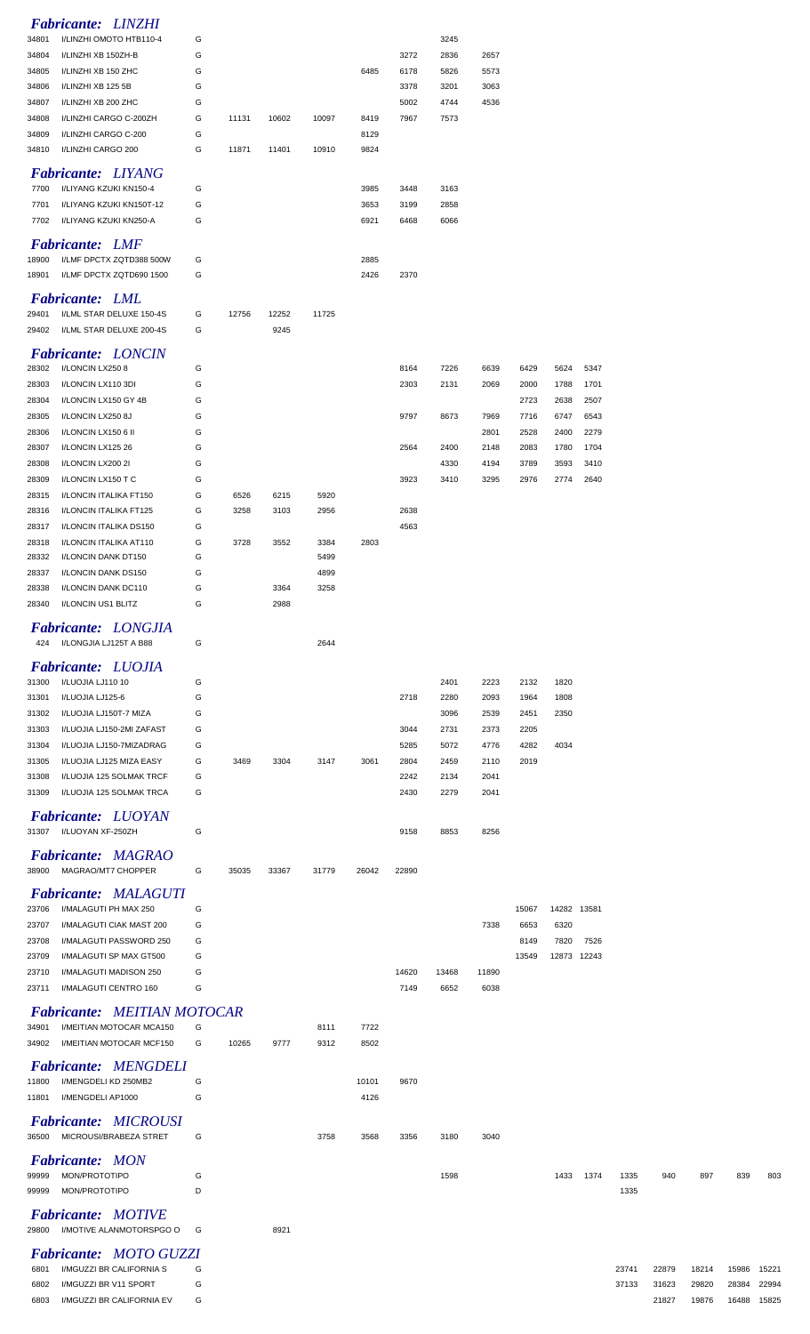|                | <b>Fabricante: LINZHI</b>                            |        |       |       |              |       |              |              |              |              |       |       |       |       |       |       |       |
|----------------|------------------------------------------------------|--------|-------|-------|--------------|-------|--------------|--------------|--------------|--------------|-------|-------|-------|-------|-------|-------|-------|
| 34801          | I/LINZHI OMOTO HTB110-4                              | G      |       |       |              |       |              | 3245         |              |              |       |       |       |       |       |       |       |
| 34804          | I/LINZHI XB 150ZH-B                                  | G      |       |       |              |       | 3272         | 2836         | 2657         |              |       |       |       |       |       |       |       |
| 34805          | I/LINZHI XB 150 ZHC                                  | G      |       |       |              | 6485  | 6178         | 5826         | 5573         |              |       |       |       |       |       |       |       |
| 34806          | I/LINZHI XB 125 5B                                   | G      |       |       |              |       | 3378         | 3201         | 3063         |              |       |       |       |       |       |       |       |
| 34807          | I/LINZHI XB 200 ZHC                                  | G      |       |       |              |       | 5002         | 4744         | 4536         |              |       |       |       |       |       |       |       |
| 34808          | I/LINZHI CARGO C-200ZH                               | G      | 11131 | 10602 | 10097        | 8419  | 7967         | 7573         |              |              |       |       |       |       |       |       |       |
| 34809          | I/LINZHI CARGO C-200                                 | G      |       |       |              | 8129  |              |              |              |              |       |       |       |       |       |       |       |
| 34810          | I/LINZHI CARGO 200                                   | G      | 11871 | 11401 | 10910        | 9824  |              |              |              |              |       |       |       |       |       |       |       |
|                | Fabricante: LIYANG                                   |        |       |       |              |       |              |              |              |              |       |       |       |       |       |       |       |
| 7700           | I/LIYANG KZUKI KN150-4                               | G      |       |       |              | 3985  | 3448         | 3163         |              |              |       |       |       |       |       |       |       |
| 7701           | I/LIYANG KZUKI KN150T-12                             | G      |       |       |              | 3653  | 3199         | 2858         |              |              |       |       |       |       |       |       |       |
| 7702           | I/LIYANG KZUKI KN250-A                               | G      |       |       |              | 6921  | 6468         | 6066         |              |              |       |       |       |       |       |       |       |
|                | <b>Fabricante: LMF</b>                               |        |       |       |              |       |              |              |              |              |       |       |       |       |       |       |       |
| 18900          | I/LMF DPCTX ZQTD388 500W                             | G      |       |       |              | 2885  |              |              |              |              |       |       |       |       |       |       |       |
| 18901          | I/LMF DPCTX ZQTD690 1500                             | G      |       |       |              | 2426  | 2370         |              |              |              |       |       |       |       |       |       |       |
|                | <b>Fabricante: LML</b>                               |        |       |       |              |       |              |              |              |              |       |       |       |       |       |       |       |
| 29401          | I/LML STAR DELUXE 150-4S                             | G      | 12756 | 12252 | 11725        |       |              |              |              |              |       |       |       |       |       |       |       |
| 29402          | I/LML STAR DELUXE 200-4S                             | G      |       | 9245  |              |       |              |              |              |              |       |       |       |       |       |       |       |
|                | <b>Fabricante: LONCIN</b>                            |        |       |       |              |       |              |              |              |              |       |       |       |       |       |       |       |
| 28302          | I/LONCIN LX2508                                      | G      |       |       |              |       | 8164         | 7226         | 6639         | 6429         | 5624  | 5347  |       |       |       |       |       |
| 28303          | I/LONCIN LX110 3DI                                   | G      |       |       |              |       | 2303         | 2131         | 2069         | 2000         | 1788  | 1701  |       |       |       |       |       |
| 28304          | I/LONCIN LX150 GY 4B                                 | G      |       |       |              |       |              |              |              | 2723         | 2638  | 2507  |       |       |       |       |       |
| 28305          | I/LONCIN LX250 8J                                    | G      |       |       |              |       | 9797         | 8673         | 7969         | 7716         | 6747  | 6543  |       |       |       |       |       |
| 28306          | I/LONCIN LX150 6 II                                  | G      |       |       |              |       |              |              | 2801         | 2528         | 2400  | 2279  |       |       |       |       |       |
| 28307          | I/LONCIN LX125 26                                    | G      |       |       |              |       | 2564         | 2400         | 2148         | 2083         | 1780  | 1704  |       |       |       |       |       |
| 28308          | I/LONCIN LX200 2I                                    | G      |       |       |              |       |              | 4330         | 4194         | 3789         | 3593  | 3410  |       |       |       |       |       |
| 28309          | I/LONCIN LX150 T C                                   | G      |       |       |              |       | 3923         | 3410         | 3295         | 2976         | 2774  | 2640  |       |       |       |       |       |
| 28315          | I/LONCIN ITALIKA FT150                               | G      | 6526  | 6215  | 5920         |       |              |              |              |              |       |       |       |       |       |       |       |
| 28316          | I/LONCIN ITALIKA FT125                               | G      | 3258  | 3103  | 2956         |       | 2638         |              |              |              |       |       |       |       |       |       |       |
| 28317          | I/LONCIN ITALIKA DS150                               | G      |       |       |              |       | 4563         |              |              |              |       |       |       |       |       |       |       |
| 28318<br>28332 | I/LONCIN ITALIKA AT110<br>I/LONCIN DANK DT150        | G<br>G | 3728  | 3552  | 3384<br>5499 | 2803  |              |              |              |              |       |       |       |       |       |       |       |
| 28337          | I/LONCIN DANK DS150                                  | G      |       |       | 4899         |       |              |              |              |              |       |       |       |       |       |       |       |
| 28338          | I/LONCIN DANK DC110                                  | G      |       | 3364  | 3258         |       |              |              |              |              |       |       |       |       |       |       |       |
| 28340          | I/LONCIN US1 BLITZ                                   | G      |       | 2988  |              |       |              |              |              |              |       |       |       |       |       |       |       |
|                |                                                      |        |       |       |              |       |              |              |              |              |       |       |       |       |       |       |       |
| 424            | <b>Fabricante: LONGJIA</b><br>I/LONGJIA LJ125T A B88 | G      |       |       | 2644         |       |              |              |              |              |       |       |       |       |       |       |       |
|                |                                                      |        |       |       |              |       |              |              |              |              |       |       |       |       |       |       |       |
|                | <b>Fabricante: LUOJIA</b>                            |        |       |       |              |       |              |              |              |              |       |       |       |       |       |       |       |
| 31300          | I/LUOJIA LJ110 10                                    | G      |       |       |              |       |              | 2401         | 2223         | 2132         | 1820  |       |       |       |       |       |       |
| 31301          | I/LUOJIA LJ125-6                                     | G      |       |       |              |       | 2718         | 2280         | 2093         | 1964         | 1808  |       |       |       |       |       |       |
| 31302          | I/LUOJIA LJ150T-7 MIZA                               | G      |       |       |              |       |              | 3096         | 2539         | 2451         | 2350  |       |       |       |       |       |       |
| 31303          | I/LUOJIA LJ150-2MI ZAFAST                            | G      |       |       |              |       | 3044         | 2731         | 2373         | 2205         |       |       |       |       |       |       |       |
| 31304<br>31305 | I/LUOJIA LJ150-7MIZADRAG<br>I/LUOJIA LJ125 MIZA EASY | G<br>G | 3469  | 3304  | 3147         | 3061  | 5285<br>2804 | 5072<br>2459 | 4776<br>2110 | 4282<br>2019 | 4034  |       |       |       |       |       |       |
| 31308          | I/LUOJIA 125 SOLMAK TRCF                             | G      |       |       |              |       | 2242         | 2134         | 2041         |              |       |       |       |       |       |       |       |
| 31309          | I/LUOJIA 125 SOLMAK TRCA                             | G      |       |       |              |       | 2430         | 2279         | 2041         |              |       |       |       |       |       |       |       |
|                |                                                      |        |       |       |              |       |              |              |              |              |       |       |       |       |       |       |       |
|                | <b>Fabricante: LUOYAN</b>                            |        |       |       |              |       |              |              |              |              |       |       |       |       |       |       |       |
|                | 31307 I/LUOYAN XF-250ZH                              | G      |       |       |              |       | 9158         | 8853         | 8256         |              |       |       |       |       |       |       |       |
|                | <b>Fabricante: MAGRAO</b>                            |        |       |       |              |       |              |              |              |              |       |       |       |       |       |       |       |
| 38900          | MAGRAO/MT7 CHOPPER                                   | G      | 35035 | 33367 | 31779        | 26042 | 22890        |              |              |              |       |       |       |       |       |       |       |
|                | <b>Fabricante: MALAGUTI</b>                          |        |       |       |              |       |              |              |              |              |       |       |       |       |       |       |       |
| 23706          | I/MALAGUTI PH MAX 250                                | G      |       |       |              |       |              |              |              | 15067        | 14282 | 13581 |       |       |       |       |       |
| 23707          | I/MALAGUTI CIAK MAST 200                             | G      |       |       |              |       |              |              | 7338         | 6653         | 6320  |       |       |       |       |       |       |
| 23708          | I/MALAGUTI PASSWORD 250                              | G      |       |       |              |       |              |              |              | 8149         | 7820  | 7526  |       |       |       |       |       |
| 23709          | I/MALAGUTI SP MAX GT500                              | G      |       |       |              |       |              |              |              | 13549        | 12873 | 12243 |       |       |       |       |       |
| 23710          | I/MALAGUTI MADISON 250                               | G      |       |       |              |       | 14620        | 13468        | 11890        |              |       |       |       |       |       |       |       |
| 23711          | I/MALAGUTI CENTRO 160                                | G      |       |       |              |       | 7149         | 6652         | 6038         |              |       |       |       |       |       |       |       |
|                | <b>Fabricante: MEITIAN MOTOCAR</b>                   |        |       |       |              |       |              |              |              |              |       |       |       |       |       |       |       |
| 34901          | I/MEITIAN MOTOCAR MCA150                             | G      |       |       | 8111         | 7722  |              |              |              |              |       |       |       |       |       |       |       |
| 34902          | I/MEITIAN MOTOCAR MCF150                             | G      | 10265 | 9777  | 9312         | 8502  |              |              |              |              |       |       |       |       |       |       |       |
|                |                                                      |        |       |       |              |       |              |              |              |              |       |       |       |       |       |       |       |
| 11800          |                                                      |        |       |       |              |       |              |              |              |              |       |       |       |       |       |       |       |
|                | <b>Fabricante: MENGDELI</b><br>I/MENGDELI KD 250MB2  | G      |       |       |              | 10101 | 9670         |              |              |              |       |       |       |       |       |       |       |
| 11801          | I/MENGDELI AP1000                                    | G      |       |       |              | 4126  |              |              |              |              |       |       |       |       |       |       |       |
|                |                                                      |        |       |       |              |       |              |              |              |              |       |       |       |       |       |       |       |
|                | <b>Fabricante: MICROUSI</b>                          |        |       |       |              |       |              |              |              |              |       |       |       |       |       |       |       |
| 36500          | MICROUSI/BRABEZA STRET                               | G      |       |       | 3758         | 3568  | 3356         | 3180         | 3040         |              |       |       |       |       |       |       |       |
|                | <b>Fabricante: MON</b>                               |        |       |       |              |       |              |              |              |              |       |       |       |       |       |       |       |
| 99999          | MON/PROTOTIPO                                        | G      |       |       |              |       |              | 1598         |              |              | 1433  | 1374  | 1335  | 940   | 897   | 839   | 803   |
| 99999          | MON/PROTOTIPO                                        | D      |       |       |              |       |              |              |              |              |       |       | 1335  |       |       |       |       |
|                | <b>Fabricante: MOTIVE</b>                            |        |       |       |              |       |              |              |              |              |       |       |       |       |       |       |       |
|                | 29800 I/MOTIVE ALANMOTORSPGO O G                     |        |       | 8921  |              |       |              |              |              |              |       |       |       |       |       |       |       |
|                |                                                      |        |       |       |              |       |              |              |              |              |       |       |       |       |       |       |       |
| 6801           | Fabricante: MOTO GUZZI<br>I/MGUZZI BR CALIFORNIA S   | G      |       |       |              |       |              |              |              |              |       |       | 23741 | 22879 | 18214 | 15986 | 15221 |
| 6802           | I/MGUZZI BR V11 SPORT                                | G      |       |       |              |       |              |              |              |              |       |       | 37133 | 31623 | 29820 | 28384 | 22994 |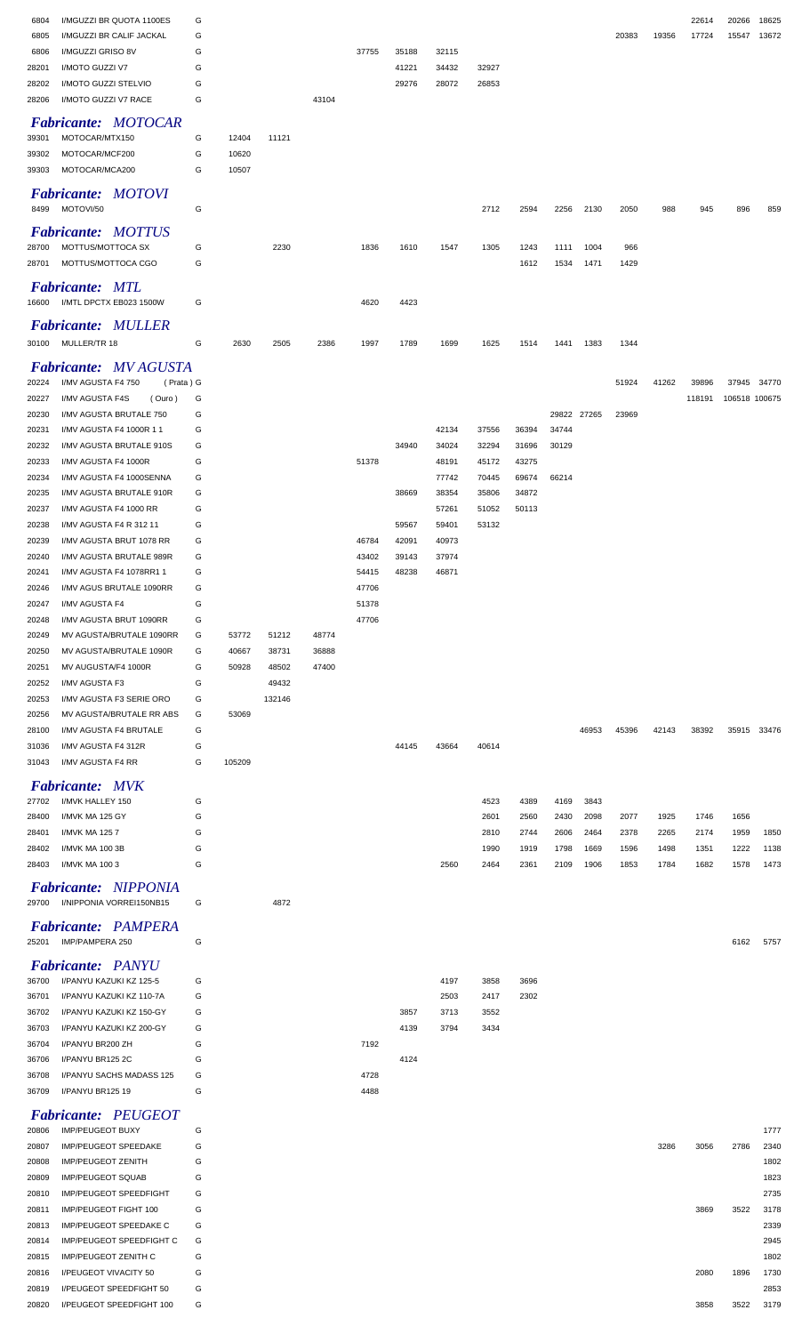| 6804  | I/MGUZZI BR QUOTA 1100ES        | G |        |        |       |       |       |       |       |       |             |       |       |       | 22614  | 20266         | 18625 |
|-------|---------------------------------|---|--------|--------|-------|-------|-------|-------|-------|-------|-------------|-------|-------|-------|--------|---------------|-------|
| 6805  | I/MGUZZI BR CALIF JACKAL        | G |        |        |       |       |       |       |       |       |             |       | 20383 | 19356 | 17724  | 15547         | 13672 |
| 6806  | I/MGUZZI GRISO 8V               | G |        |        |       | 37755 | 35188 | 32115 |       |       |             |       |       |       |        |               |       |
| 28201 | I/MOTO GUZZI V7                 | G |        |        |       |       | 41221 | 34432 | 32927 |       |             |       |       |       |        |               |       |
| 28202 | I/MOTO GUZZI STELVIO            | G |        |        |       |       | 29276 | 28072 | 26853 |       |             |       |       |       |        |               |       |
| 28206 | I/MOTO GUZZI V7 RACE            | G |        |        | 43104 |       |       |       |       |       |             |       |       |       |        |               |       |
|       |                                 |   |        |        |       |       |       |       |       |       |             |       |       |       |        |               |       |
|       | <b>Fabricante: MOTOCAR</b>      |   |        |        |       |       |       |       |       |       |             |       |       |       |        |               |       |
| 39301 | MOTOCAR/MTX150                  | G | 12404  | 11121  |       |       |       |       |       |       |             |       |       |       |        |               |       |
| 39302 | MOTOCAR/MCF200                  | G | 10620  |        |       |       |       |       |       |       |             |       |       |       |        |               |       |
| 39303 | MOTOCAR/MCA200                  | G | 10507  |        |       |       |       |       |       |       |             |       |       |       |        |               |       |
|       |                                 |   |        |        |       |       |       |       |       |       |             |       |       |       |        |               |       |
|       | <b>Fabricante: MOTOVI</b>       |   |        |        |       |       |       |       |       |       |             |       |       |       |        |               |       |
| 8499  | MOTOVI/50                       | G |        |        |       |       |       |       | 2712  | 2594  | 2256        | 2130  | 2050  | 988   | 945    | 896           | 859   |
|       | <b>Fabricante: MOTTUS</b>       |   |        |        |       |       |       |       |       |       |             |       |       |       |        |               |       |
| 28700 | MOTTUS/MOTTOCA SX               | G |        | 2230   |       | 1836  | 1610  | 1547  | 1305  | 1243  | 1111        | 1004  | 966   |       |        |               |       |
| 28701 | MOTTUS/MOTTOCA CGO              | G |        |        |       |       |       |       |       | 1612  | 1534        | 1471  | 1429  |       |        |               |       |
|       |                                 |   |        |        |       |       |       |       |       |       |             |       |       |       |        |               |       |
|       | <b>Fabricante: MTL</b>          |   |        |        |       |       |       |       |       |       |             |       |       |       |        |               |       |
| 16600 | I/MTL DPCTX EB023 1500W         | G |        |        |       | 4620  | 4423  |       |       |       |             |       |       |       |        |               |       |
|       |                                 |   |        |        |       |       |       |       |       |       |             |       |       |       |        |               |       |
|       | <b>Fabricante: MULLER</b>       |   |        |        |       |       |       |       |       |       |             |       |       |       |        |               |       |
| 30100 | MULLER/TR 18                    | G | 2630   | 2505   | 2386  | 1997  | 1789  | 1699  | 1625  | 1514  | 1441        | 1383  | 1344  |       |        |               |       |
|       |                                 |   |        |        |       |       |       |       |       |       |             |       |       |       |        |               |       |
|       | <b>Fabricante: MV AGUSTA</b>    |   |        |        |       |       |       |       |       |       |             |       |       |       |        |               |       |
| 20224 | (Prata) G<br>I/MV AGUSTA F4 750 |   |        |        |       |       |       |       |       |       |             |       | 51924 | 41262 | 39896  | 37945         | 34770 |
| 20227 | I/MV AGUSTA F4S<br>(Ouro)       | G |        |        |       |       |       |       |       |       |             |       |       |       | 118191 | 106518 100675 |       |
| 20230 | I/MV AGUSTA BRUTALE 750         | G |        |        |       |       |       |       |       |       | 29822 27265 |       | 23969 |       |        |               |       |
| 20231 | I/MV AGUSTA F4 1000R 11         | G |        |        |       |       |       | 42134 | 37556 | 36394 | 34744       |       |       |       |        |               |       |
| 20232 | I/MV AGUSTA BRUTALE 910S        | G |        |        |       |       | 34940 | 34024 | 32294 | 31696 | 30129       |       |       |       |        |               |       |
| 20233 | I/MV AGUSTA F4 1000R            | G |        |        |       | 51378 |       | 48191 | 45172 | 43275 |             |       |       |       |        |               |       |
| 20234 | I/MV AGUSTA F4 1000SENNA        | G |        |        |       |       |       | 77742 | 70445 | 69674 | 66214       |       |       |       |        |               |       |
| 20235 | I/MV AGUSTA BRUTALE 910R        | G |        |        |       |       | 38669 | 38354 | 35806 | 34872 |             |       |       |       |        |               |       |
| 20237 | I/MV AGUSTA F4 1000 RR          | G |        |        |       |       |       | 57261 | 51052 | 50113 |             |       |       |       |        |               |       |
| 20238 | I/MV AGUSTA F4 R 312 11         | G |        |        |       |       | 59567 | 59401 | 53132 |       |             |       |       |       |        |               |       |
| 20239 | I/MV AGUSTA BRUT 1078 RR        | G |        |        |       | 46784 | 42091 | 40973 |       |       |             |       |       |       |        |               |       |
| 20240 | I/MV AGUSTA BRUTALE 989R        | G |        |        |       | 43402 | 39143 | 37974 |       |       |             |       |       |       |        |               |       |
| 20241 | I/MV AGUSTA F4 1078RR1 1        | G |        |        |       | 54415 | 48238 | 46871 |       |       |             |       |       |       |        |               |       |
|       |                                 |   |        |        |       |       |       |       |       |       |             |       |       |       |        |               |       |
| 20246 | I/MV AGUS BRUTALE 1090RR        | G |        |        |       | 47706 |       |       |       |       |             |       |       |       |        |               |       |
| 20247 | I/MV AGUSTA F4                  | G |        |        |       | 51378 |       |       |       |       |             |       |       |       |        |               |       |
| 20248 | I/MV AGUSTA BRUT 1090RR         | G |        |        |       | 47706 |       |       |       |       |             |       |       |       |        |               |       |
| 20249 | MV AGUSTA/BRUTALE 1090RR        | G | 53772  | 51212  | 48774 |       |       |       |       |       |             |       |       |       |        |               |       |
| 20250 | MV AGUSTA/BRUTALE 1090R         | G | 40667  | 38731  | 36888 |       |       |       |       |       |             |       |       |       |        |               |       |
| 20251 | MV AUGUSTA/F4 1000R             | G | 50928  | 48502  | 47400 |       |       |       |       |       |             |       |       |       |        |               |       |
| 20252 | I/MV AGUSTA F3                  | G |        | 49432  |       |       |       |       |       |       |             |       |       |       |        |               |       |
| 20253 | I/MV AGUSTA F3 SERIE ORO        | G |        | 132146 |       |       |       |       |       |       |             |       |       |       |        |               |       |
| 20256 | MV AGUSTA/BRUTALE RR ABS        | G | 53069  |        |       |       |       |       |       |       |             |       |       |       |        |               |       |
| 28100 | I/MV AGUSTA F4 BRUTALE          | G |        |        |       |       |       |       |       |       |             | 46953 | 45396 | 42143 | 38392  | 35915         | 33476 |
| 31036 | I/MV AGUSTA F4 312R             | G |        |        |       |       | 44145 | 43664 | 40614 |       |             |       |       |       |        |               |       |
| 31043 | I/MV AGUSTA F4 RR               | G | 105209 |        |       |       |       |       |       |       |             |       |       |       |        |               |       |
|       |                                 |   |        |        |       |       |       |       |       |       |             |       |       |       |        |               |       |
|       | <b>Fabricante: MVK</b>          |   |        |        |       |       |       |       |       |       |             |       |       |       |        |               |       |
| 27702 | I/MVK HALLEY 150                | G |        |        |       |       |       |       | 4523  | 4389  | 4169        | 3843  |       |       |        |               |       |
| 28400 | I/MVK MA 125 GY                 | G |        |        |       |       |       |       | 2601  | 2560  | 2430        | 2098  | 2077  | 1925  | 1746   | 1656          |       |
| 28401 | I/MVK MA 1257                   | G |        |        |       |       |       |       | 2810  | 2744  | 2606        | 2464  | 2378  | 2265  | 2174   | 1959          | 1850  |
| 28402 | I/MVK MA 100 3B                 | G |        |        |       |       |       |       | 1990  | 1919  | 1798        | 1669  | 1596  | 1498  | 1351   | 1222          | 1138  |
| 28403 | I/MVK MA 100 3                  | G |        |        |       |       |       | 2560  | 2464  | 2361  | 2109        | 1906  | 1853  | 1784  | 1682   | 1578          | 1473  |
|       |                                 |   |        |        |       |       |       |       |       |       |             |       |       |       |        |               |       |
|       | <b>Fabricante: NIPPONIA</b>     |   |        |        |       |       |       |       |       |       |             |       |       |       |        |               |       |
| 29700 | I/NIPPONIA VORREI150NB15        | G |        | 4872   |       |       |       |       |       |       |             |       |       |       |        |               |       |
|       | <b>Fabricante: PAMPERA</b>      |   |        |        |       |       |       |       |       |       |             |       |       |       |        |               |       |
| 25201 | IMP/PAMPERA 250                 | G |        |        |       |       |       |       |       |       |             |       |       |       |        | 6162          | 5757  |
|       |                                 |   |        |        |       |       |       |       |       |       |             |       |       |       |        |               |       |
|       | <b>Fabricante: PANYU</b>        |   |        |        |       |       |       |       |       |       |             |       |       |       |        |               |       |
| 36700 | I/PANYU KAZUKI KZ 125-5         | G |        |        |       |       |       | 4197  | 3858  | 3696  |             |       |       |       |        |               |       |
|       |                                 |   |        |        |       |       |       | 2503  | 2417  | 2302  |             |       |       |       |        |               |       |
| 36701 | I/PANYU KAZUKI KZ 110-7A        | G |        |        |       |       |       |       |       |       |             |       |       |       |        |               |       |
| 36702 | I/PANYU KAZUKI KZ 150-GY        | G |        |        |       |       | 3857  | 3713  | 3552  |       |             |       |       |       |        |               |       |
| 36703 | I/PANYU KAZUKI KZ 200-GY        | G |        |        |       |       | 4139  | 3794  | 3434  |       |             |       |       |       |        |               |       |
| 36704 | I/PANYU BR200 ZH                | G |        |        |       | 7192  |       |       |       |       |             |       |       |       |        |               |       |
| 36706 | I/PANYU BR125 2C                | G |        |        |       |       | 4124  |       |       |       |             |       |       |       |        |               |       |
|       |                                 |   |        |        |       |       |       |       |       |       |             |       |       |       |        |               |       |
| 36708 | I/PANYU SACHS MADASS 125        | G |        |        |       | 4728  |       |       |       |       |             |       |       |       |        |               |       |
| 36709 | I/PANYU BR125 19                | G |        |        |       | 4488  |       |       |       |       |             |       |       |       |        |               |       |
|       | <b>Fabricante: PEUGEOT</b>      |   |        |        |       |       |       |       |       |       |             |       |       |       |        |               |       |
| 20806 | <b>IMP/PEUGEOT BUXY</b>         | G |        |        |       |       |       |       |       |       |             |       |       |       |        |               | 1777  |
| 20807 | IMP/PEUGEOT SPEEDAKE            | G |        |        |       |       |       |       |       |       |             |       |       | 3286  | 3056   | 2786          | 2340  |
| 20808 | IMP/PEUGEOT ZENITH              | G |        |        |       |       |       |       |       |       |             |       |       |       |        |               | 1802  |
|       |                                 |   |        |        |       |       |       |       |       |       |             |       |       |       |        |               |       |
| 20809 | <b>IMP/PEUGEOT SQUAB</b>        | G |        |        |       |       |       |       |       |       |             |       |       |       |        |               | 1823  |
| 20810 | <b>IMP/PEUGEOT SPEEDFIGHT</b>   | G |        |        |       |       |       |       |       |       |             |       |       |       |        |               | 2735  |
| 20811 | IMP/PEUGEOT FIGHT 100           | G |        |        |       |       |       |       |       |       |             |       |       |       | 3869   | 3522          | 3178  |
| 20813 | IMP/PEUGEOT SPEEDAKE C          | G |        |        |       |       |       |       |       |       |             |       |       |       |        |               | 2339  |
| 20814 | IMP/PEUGEOT SPEEDFIGHT C        | G |        |        |       |       |       |       |       |       |             |       |       |       |        |               | 2945  |
| 20815 | IMP/PEUGEOT ZENITH C            | G |        |        |       |       |       |       |       |       |             |       |       |       |        |               | 1802  |
| 20816 | I/PEUGEOT VIVACITY 50           | G |        |        |       |       |       |       |       |       |             |       |       |       | 2080   | 1896          | 1730  |
| 20819 | I/PEUGEOT SPEEDFIGHT 50         | G |        |        |       |       |       |       |       |       |             |       |       |       |        |               | 2853  |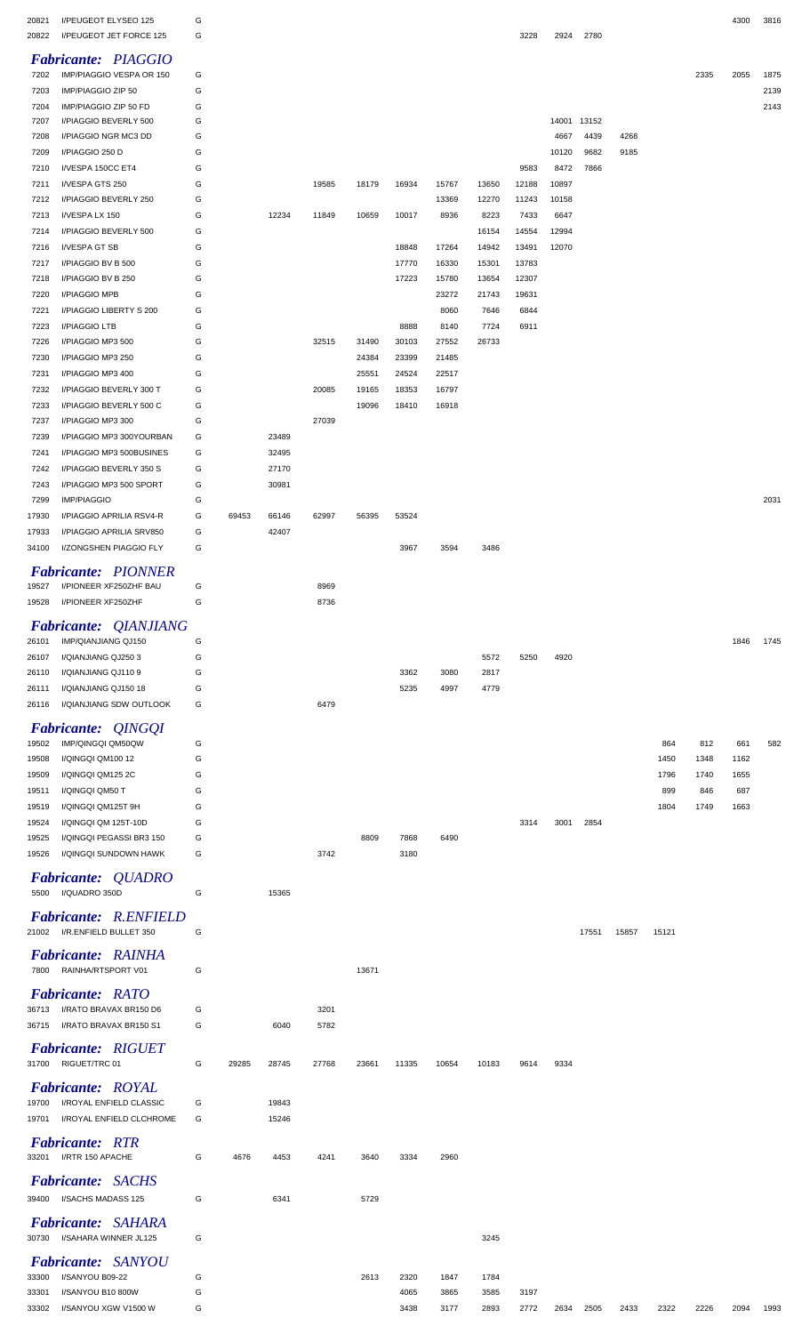| 20821<br>20822 | I/PEUGEOT ELYSEO 125<br>I/PEUGEOT JET FORCE 125   | G<br>G |       |       |              |                |                |                |       | 3228  | 2924          | 2780         |              |       |      | 4300 | 3816 |
|----------------|---------------------------------------------------|--------|-------|-------|--------------|----------------|----------------|----------------|-------|-------|---------------|--------------|--------------|-------|------|------|------|
|                | <b>Fabricante: PIAGGIO</b>                        |        |       |       |              |                |                |                |       |       |               |              |              |       |      |      |      |
| 7202           | IMP/PIAGGIO VESPA OR 150                          | G      |       |       |              |                |                |                |       |       |               |              |              |       | 2335 | 2055 | 1875 |
| 7203           | IMP/PIAGGIO ZIP 50                                | G      |       |       |              |                |                |                |       |       |               |              |              |       |      |      | 2139 |
| 7204           | IMP/PIAGGIO ZIP 50 FD                             | G      |       |       |              |                |                |                |       |       |               |              |              |       |      |      | 2143 |
| 7207           | I/PIAGGIO BEVERLY 500                             | G      |       |       |              |                |                |                |       |       | 14001 13152   |              |              |       |      |      |      |
| 7208<br>7209   | I/PIAGGIO NGR MC3 DD<br>I/PIAGGIO 250 D           | G<br>G |       |       |              |                |                |                |       |       | 4667<br>10120 | 4439<br>9682 | 4268<br>9185 |       |      |      |      |
| 7210           | I/VESPA 150CC ET4                                 | G      |       |       |              |                |                |                |       | 9583  | 8472          | 7866         |              |       |      |      |      |
| 7211           | I/VESPA GTS 250                                   | G      |       |       | 19585        | 18179          | 16934          | 15767          | 13650 | 12188 | 10897         |              |              |       |      |      |      |
| 7212           | I/PIAGGIO BEVERLY 250                             | G      |       |       |              |                |                | 13369          | 12270 | 11243 | 10158         |              |              |       |      |      |      |
| 7213           | I/VESPA LX 150                                    | G      |       | 12234 | 11849        | 10659          | 10017          | 8936           | 8223  | 7433  | 6647          |              |              |       |      |      |      |
| 7214           | I/PIAGGIO BEVERLY 500                             | G      |       |       |              |                |                |                | 16154 | 14554 | 12994         |              |              |       |      |      |      |
| 7216           | I/VESPA GT SB                                     | G      |       |       |              |                | 18848          | 17264          | 14942 | 13491 | 12070         |              |              |       |      |      |      |
| 7217           | I/PIAGGIO BV B 500                                | G      |       |       |              |                | 17770          | 16330          | 15301 | 13783 |               |              |              |       |      |      |      |
| 7218           | I/PIAGGIO BV B 250                                | G      |       |       |              |                | 17223          | 15780          | 13654 | 12307 |               |              |              |       |      |      |      |
| 7220           | <b>I/PIAGGIO MPB</b>                              | G      |       |       |              |                |                | 23272          | 21743 | 19631 |               |              |              |       |      |      |      |
| 7221           | I/PIAGGIO LIBERTY S 200                           | G      |       |       |              |                |                | 8060           | 7646  | 6844  |               |              |              |       |      |      |      |
| 7223           | I/PIAGGIO LTB                                     | G      |       |       |              |                | 8888           | 8140           | 7724  | 6911  |               |              |              |       |      |      |      |
| 7226           | I/PIAGGIO MP3 500                                 | G      |       |       | 32515        | 31490          | 30103          | 27552          | 26733 |       |               |              |              |       |      |      |      |
| 7230<br>7231   | I/PIAGGIO MP3 250<br>I/PIAGGIO MP3 400            | G<br>G |       |       |              | 24384<br>25551 | 23399<br>24524 | 21485<br>22517 |       |       |               |              |              |       |      |      |      |
| 7232           | I/PIAGGIO BEVERLY 300 T                           | G      |       |       | 20085        | 19165          | 18353          | 16797          |       |       |               |              |              |       |      |      |      |
| 7233           | I/PIAGGIO BEVERLY 500 C                           | G      |       |       |              | 19096          | 18410          | 16918          |       |       |               |              |              |       |      |      |      |
| 7237           | I/PIAGGIO MP3 300                                 | G      |       |       | 27039        |                |                |                |       |       |               |              |              |       |      |      |      |
| 7239           | I/PIAGGIO MP3 300YOURBAN                          | G      |       | 23489 |              |                |                |                |       |       |               |              |              |       |      |      |      |
| 7241           | I/PIAGGIO MP3 500BUSINES                          | G      |       | 32495 |              |                |                |                |       |       |               |              |              |       |      |      |      |
| 7242           | I/PIAGGIO BEVERLY 350 S                           | G      |       | 27170 |              |                |                |                |       |       |               |              |              |       |      |      |      |
| 7243           | I/PIAGGIO MP3 500 SPORT                           | G      |       | 30981 |              |                |                |                |       |       |               |              |              |       |      |      |      |
| 7299           | <b>IMP/PIAGGIO</b>                                | G      |       |       |              |                |                |                |       |       |               |              |              |       |      |      | 2031 |
| 17930          | I/PIAGGIO APRILIA RSV4-R                          | G      | 69453 | 66146 | 62997        | 56395          | 53524          |                |       |       |               |              |              |       |      |      |      |
| 17933          | I/PIAGGIO APRILIA SRV850                          | G      |       | 42407 |              |                |                |                |       |       |               |              |              |       |      |      |      |
| 34100          | I/ZONGSHEN PIAGGIO FLY                            | G      |       |       |              |                | 3967           | 3594           | 3486  |       |               |              |              |       |      |      |      |
|                | <b>Fabricante: PIONNER</b>                        |        |       |       |              |                |                |                |       |       |               |              |              |       |      |      |      |
| 19527          | I/PIONEER XF250ZHF BAU                            | G      |       |       | 8969         |                |                |                |       |       |               |              |              |       |      |      |      |
|                | 19528 I/PIONEER XF250ZHF                          | G      |       |       | 8736         |                |                |                |       |       |               |              |              |       |      |      |      |
|                | <b>Fabricante: QIANJIANG</b>                      |        |       |       |              |                |                |                |       |       |               |              |              |       |      |      |      |
| 26101          | IMP/QIANJIANG QJ150                               | G      |       |       |              |                |                |                |       |       |               |              |              |       |      | 1846 | 1745 |
| 26107          | I/QIANJIANG QJ250 3                               | G      |       |       |              |                |                |                | 5572  | 5250  | 4920          |              |              |       |      |      |      |
|                |                                                   |        |       |       |              |                |                |                |       |       |               |              |              |       |      |      |      |
| 26110          | I/QIANJIANG QJ1109                                | G      |       |       |              |                | 3362           | 3080           | 2817  |       |               |              |              |       |      |      |      |
| 26111          | I/QIANJIANG QJ150 18                              | G      |       |       |              |                | 5235           | 4997           | 4779  |       |               |              |              |       |      |      |      |
| 26116          | I/QIANJIANG SDW OUTLOOK                           | G      |       |       | 6479         |                |                |                |       |       |               |              |              |       |      |      |      |
|                | <b>Fabricante: QINGQI</b>                         |        |       |       |              |                |                |                |       |       |               |              |              |       |      |      |      |
| 19502          | IMP/QINGQI QM50QW                                 | G      |       |       |              |                |                |                |       |       |               |              |              | 864   | 812  | 661  | 582  |
| 19508          | I/QINGQI QM100 12                                 | G      |       |       |              |                |                |                |       |       |               |              |              | 1450  | 1348 | 1162 |      |
| 19509          | I/QINGQI QM125 2C                                 | G      |       |       |              |                |                |                |       |       |               |              |              | 1796  | 1740 | 1655 |      |
| 19511          | I/QINGQI QM50 T                                   | G      |       |       |              |                |                |                |       |       |               |              |              | 899   | 846  | 687  |      |
| 19519          | I/QINGQI QM125T 9H                                | G      |       |       |              |                |                |                |       |       |               |              |              | 1804  | 1749 | 1663 |      |
| 19524          | I/QINGQI QM 125T-10D                              | G<br>G |       |       |              |                |                |                |       | 3314  | 3001          | 2854         |              |       |      |      |      |
| 19525<br>19526 | I/QINGQI PEGASSI BR3 150<br>I/QINGQI SUNDOWN HAWK | G      |       |       | 3742         | 8809           | 7868<br>3180   | 6490           |       |       |               |              |              |       |      |      |      |
|                |                                                   |        |       |       |              |                |                |                |       |       |               |              |              |       |      |      |      |
|                | <b>Fabricante: QUADRO</b>                         |        |       |       |              |                |                |                |       |       |               |              |              |       |      |      |      |
| 5500           | I/QUADRO 350D                                     | G      |       | 15365 |              |                |                |                |       |       |               |              |              |       |      |      |      |
|                | <b>Fabricante: R.ENFIELD</b>                      |        |       |       |              |                |                |                |       |       |               |              |              |       |      |      |      |
| 21002          | I/R.ENFIELD BULLET 350                            | G      |       |       |              |                |                |                |       |       |               | 17551        | 15857        | 15121 |      |      |      |
|                | <b>Fabricante: RAINHA</b>                         |        |       |       |              |                |                |                |       |       |               |              |              |       |      |      |      |
| 7800           | RAINHA/RTSPORT V01                                | G      |       |       |              | 13671          |                |                |       |       |               |              |              |       |      |      |      |
|                |                                                   |        |       |       |              |                |                |                |       |       |               |              |              |       |      |      |      |
| 36713          | <b>Fabricante: RATO</b>                           |        |       |       |              |                |                |                |       |       |               |              |              |       |      |      |      |
| 36715          | I/RATO BRAVAX BR150 D6<br>I/RATO BRAVAX BR150 S1  | G<br>G |       | 6040  | 3201<br>5782 |                |                |                |       |       |               |              |              |       |      |      |      |
|                |                                                   |        |       |       |              |                |                |                |       |       |               |              |              |       |      |      |      |
|                | <b>Fabricante: RIGUET</b>                         |        |       |       |              |                |                |                |       |       |               |              |              |       |      |      |      |
| 31700          | RIGUET/TRC 01                                     | G      | 29285 | 28745 | 27768        | 23661          | 11335          | 10654          | 10183 | 9614  | 9334          |              |              |       |      |      |      |
|                | <b>Fabricante: ROYAL</b>                          |        |       |       |              |                |                |                |       |       |               |              |              |       |      |      |      |
| 19700          | I/ROYAL ENFIELD CLASSIC                           | G      |       | 19843 |              |                |                |                |       |       |               |              |              |       |      |      |      |
| 19701          | I/ROYAL ENFIELD CLCHROME                          | G      |       | 15246 |              |                |                |                |       |       |               |              |              |       |      |      |      |
|                |                                                   |        |       |       |              |                |                |                |       |       |               |              |              |       |      |      |      |
|                | <b>Fabricante: RTR</b><br>33201 I/RTR 150 APACHE  | G      | 4676  | 4453  | 4241         | 3640           | 3334           | 2960           |       |       |               |              |              |       |      |      |      |
|                |                                                   |        |       |       |              |                |                |                |       |       |               |              |              |       |      |      |      |
|                | <b>Fabricante: SACHS</b>                          |        |       |       |              |                |                |                |       |       |               |              |              |       |      |      |      |
|                | 39400 I/SACHS MADASS 125                          | G      |       | 6341  |              | 5729           |                |                |       |       |               |              |              |       |      |      |      |
|                | <b>Fabricante: SAHARA</b>                         |        |       |       |              |                |                |                |       |       |               |              |              |       |      |      |      |
| 30730          | I/SAHARA WINNER JL125                             | G      |       |       |              |                |                |                | 3245  |       |               |              |              |       |      |      |      |
|                | <b>Fabricante: SANYOU</b>                         |        |       |       |              |                |                |                |       |       |               |              |              |       |      |      |      |
| 33300          | I/SANYOU B09-22                                   | G      |       |       |              | 2613           | 2320           | 1847           | 1784  |       |               |              |              |       |      |      |      |
| 33301          | I/SANYOU B10 800W                                 | G      |       |       |              |                | 4065           | 3865           | 3585  | 3197  |               |              |              |       |      |      |      |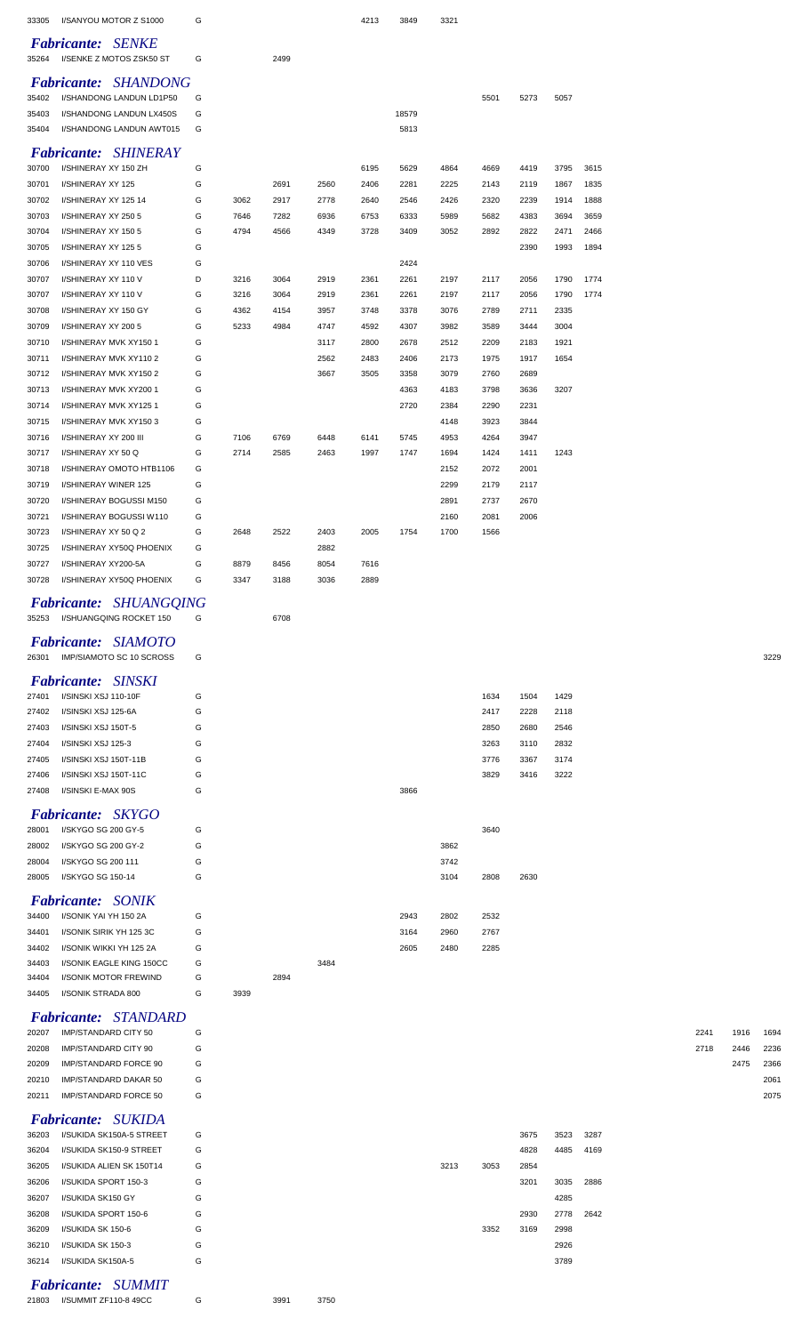| 33305          | I/SANYOU MOTOR Z S1000                                  | G      |      |      |      | 4213 | 3849  | 3321 |      |      |           |      |      |      |      |
|----------------|---------------------------------------------------------|--------|------|------|------|------|-------|------|------|------|-----------|------|------|------|------|
|                |                                                         |        |      |      |      |      |       |      |      |      |           |      |      |      |      |
|                | <b>Fabricante: SENKE</b>                                |        |      |      |      |      |       |      |      |      |           |      |      |      |      |
| 35264          | I/SENKE Z MOTOS ZSK50 ST                                | G      |      | 2499 |      |      |       |      |      |      |           |      |      |      |      |
|                | Fabricante: SHANDONG                                    |        |      |      |      |      |       |      |      |      |           |      |      |      |      |
| 35402          | I/SHANDONG LANDUN LD1P50                                | G      |      |      |      |      |       |      | 5501 | 5273 | 5057      |      |      |      |      |
| 35403          | I/SHANDONG LANDUN LX450S                                | G      |      |      |      |      | 18579 |      |      |      |           |      |      |      |      |
| 35404          | I/SHANDONG LANDUN AWT015                                | G      |      |      |      |      | 5813  |      |      |      |           |      |      |      |      |
|                | <b>Fabricante: SHINERAY</b>                             |        |      |      |      |      |       |      |      |      |           |      |      |      |      |
| 30700          | I/SHINERAY XY 150 ZH                                    | G      |      |      |      | 6195 | 5629  | 4864 | 4669 | 4419 | 3795      | 3615 |      |      |      |
| 30701          | I/SHINERAY XY 125                                       | G      |      | 2691 | 2560 | 2406 | 2281  | 2225 | 2143 | 2119 | 1867      | 1835 |      |      |      |
| 30702          | I/SHINERAY XY 125 14                                    | G      | 3062 | 2917 | 2778 | 2640 | 2546  | 2426 | 2320 | 2239 | 1914      | 1888 |      |      |      |
| 30703          | I/SHINERAY XY 250 5                                     | G      | 7646 | 7282 | 6936 | 6753 | 6333  | 5989 | 5682 | 4383 | 3694      | 3659 |      |      |      |
| 30704          | I/SHINERAY XY 150 5                                     | G      | 4794 | 4566 | 4349 | 3728 | 3409  | 3052 | 2892 | 2822 | 2471      | 2466 |      |      |      |
| 30705          | I/SHINERAY XY 125 5                                     | G      |      |      |      |      |       |      |      | 2390 | 1993      | 1894 |      |      |      |
| 30706          | I/SHINERAY XY 110 VES                                   | G      |      |      |      |      | 2424  |      |      |      |           |      |      |      |      |
| 30707          | I/SHINERAY XY 110 V                                     | D      | 3216 | 3064 | 2919 | 2361 | 2261  | 2197 | 2117 | 2056 | 1790      | 1774 |      |      |      |
| 30707          | I/SHINERAY XY 110 V                                     | G      | 3216 | 3064 | 2919 | 2361 | 2261  | 2197 | 2117 | 2056 | 1790      | 1774 |      |      |      |
| 30708          | I/SHINERAY XY 150 GY                                    | G      | 4362 | 4154 | 3957 | 3748 | 3378  | 3076 | 2789 | 2711 | 2335      |      |      |      |      |
| 30709          | I/SHINERAY XY 200 5                                     | G      | 5233 | 4984 | 4747 | 4592 | 4307  | 3982 | 3589 | 3444 | 3004      |      |      |      |      |
| 30710          | I/SHINERAY MVK XY150 1                                  | G      |      |      | 3117 | 2800 | 2678  | 2512 | 2209 | 2183 | 1921      |      |      |      |      |
| 30711          | I/SHINERAY MVK XY1102                                   | G      |      |      | 2562 | 2483 | 2406  | 2173 | 1975 | 1917 | 1654      |      |      |      |      |
| 30712          | I/SHINERAY MVK XY150 2                                  | G      |      |      | 3667 | 3505 | 3358  | 3079 | 2760 | 2689 |           |      |      |      |      |
| 30713          | I/SHINERAY MVK XY200 1                                  | G      |      |      |      |      | 4363  | 4183 | 3798 | 3636 | 3207      |      |      |      |      |
| 30714          | I/SHINERAY MVK XY1251                                   | G      |      |      |      |      | 2720  | 2384 | 2290 | 2231 |           |      |      |      |      |
| 30715          | I/SHINERAY MVK XY1503                                   | G      |      |      |      |      |       | 4148 | 3923 | 3844 |           |      |      |      |      |
| 30716          | I/SHINERAY XY 200 III                                   | G      | 7106 | 6769 | 6448 | 6141 | 5745  | 4953 | 4264 | 3947 |           |      |      |      |      |
| 30717          | I/SHINERAY XY 50 Q                                      | G      | 2714 | 2585 | 2463 | 1997 | 1747  | 1694 | 1424 | 1411 | 1243      |      |      |      |      |
| 30718          | I/SHINERAY OMOTO HTB1106                                | G      |      |      |      |      |       | 2152 | 2072 | 2001 |           |      |      |      |      |
| 30719          | I/SHINERAY WINER 125                                    | G      |      |      |      |      |       | 2299 | 2179 | 2117 |           |      |      |      |      |
| 30720          | I/SHINERAY BOGUSSI M150                                 | G      |      |      |      |      |       | 2891 | 2737 | 2670 |           |      |      |      |      |
| 30721          | I/SHINERAY BOGUSSI W110                                 | G      |      |      |      |      |       | 2160 | 2081 | 2006 |           |      |      |      |      |
| 30723          | I/SHINERAY XY 50 Q 2                                    | G      | 2648 | 2522 | 2403 | 2005 | 1754  | 1700 | 1566 |      |           |      |      |      |      |
| 30725          | I/SHINERAY XY50Q PHOENIX                                | G      |      |      | 2882 |      |       |      |      |      |           |      |      |      |      |
| 30727          | I/SHINERAY XY200-5A                                     | G      | 8879 | 8456 | 8054 | 7616 |       |      |      |      |           |      |      |      |      |
| 30728          | I/SHINERAY XY50Q PHOENIX                                | G      | 3347 | 3188 | 3036 | 2889 |       |      |      |      |           |      |      |      |      |
|                |                                                         |        |      |      |      |      |       |      |      |      |           |      |      |      |      |
|                | Fabricante: SHUANGQING<br>35253 I/SHUANGQING ROCKET 150 | G      |      | 6708 |      |      |       |      |      |      |           |      |      |      |      |
|                |                                                         |        |      |      |      |      |       |      |      |      |           |      |      |      |      |
|                |                                                         |        |      |      |      |      |       |      |      |      |           |      |      |      |      |
|                | <b>Fabricante: SIAMOTO</b>                              |        |      |      |      |      |       |      |      |      |           |      |      |      |      |
| 26301          | IMP/SIAMOTO SC 10 SCROSS                                | G      |      |      |      |      |       |      |      |      |           |      |      |      | 3229 |
|                |                                                         |        |      |      |      |      |       |      |      |      |           |      |      |      |      |
|                | <b>Fabricante: SINSKI</b>                               |        |      |      |      |      |       |      |      |      |           |      |      |      |      |
| 27401          | I/SINSKI XSJ 110-10F                                    | G      |      |      |      |      |       |      | 1634 | 1504 | 1429      |      |      |      |      |
| 27402          | I/SINSKI XSJ 125-6A                                     | G      |      |      |      |      |       |      | 2417 | 2228 | 2118      |      |      |      |      |
| 27403          | I/SINSKI XSJ 150T-5                                     | G      |      |      |      |      |       |      | 2850 | 2680 | 2546      |      |      |      |      |
| 27404          | I/SINSKI XSJ 125-3                                      | G      |      |      |      |      |       |      | 3263 | 3110 | 2832      |      |      |      |      |
| 27405          | I/SINSKI XSJ 150T-11B                                   | G      |      |      |      |      |       |      | 3776 | 3367 | 3174      |      |      |      |      |
| 27406          | I/SINSKI XSJ 150T-11C                                   | G      |      |      |      |      |       |      | 3829 | 3416 | 3222      |      |      |      |      |
| 27408          | I/SINSKI E-MAX 90S                                      | G      |      |      |      |      | 3866  |      |      |      |           |      |      |      |      |
|                | <b>Fabricante: SKYGO</b>                                |        |      |      |      |      |       |      |      |      |           |      |      |      |      |
| 28001          | I/SKYGO SG 200 GY-5                                     | G      |      |      |      |      |       |      | 3640 |      |           |      |      |      |      |
| 28002          | I/SKYGO SG 200 GY-2                                     | G      |      |      |      |      |       | 3862 |      |      |           |      |      |      |      |
| 28004          | I/SKYGO SG 200 111                                      | G      |      |      |      |      |       | 3742 |      |      |           |      |      |      |      |
| 28005          | I/SKYGO SG 150-14                                       | G      |      |      |      |      |       | 3104 | 2808 | 2630 |           |      |      |      |      |
|                |                                                         |        |      |      |      |      |       |      |      |      |           |      |      |      |      |
| 34400          | <b>Fabricante: SONIK</b>                                | G      |      |      |      |      | 2943  |      |      |      |           |      |      |      |      |
|                | I/SONIK YAI YH 150 2A                                   |        |      |      |      |      |       | 2802 | 2532 |      |           |      |      |      |      |
| 34401          | I/SONIK SIRIK YH 125 3C                                 | G      |      |      |      |      | 3164  | 2960 | 2767 |      |           |      |      |      |      |
| 34402<br>34403 | I/SONIK WIKKI YH 125 2A                                 | G      |      |      |      |      | 2605  | 2480 | 2285 |      |           |      |      |      |      |
| 34404          | I/SONIK EAGLE KING 150CC<br>I/SONIK MOTOR FREWIND       | G<br>G |      | 2894 | 3484 |      |       |      |      |      |           |      |      |      |      |
| 34405          | I/SONIK STRADA 800                                      | G      | 3939 |      |      |      |       |      |      |      |           |      |      |      |      |
|                |                                                         |        |      |      |      |      |       |      |      |      |           |      |      |      |      |
|                | <b>Fabricante: STANDARD</b>                             |        |      |      |      |      |       |      |      |      |           |      |      |      |      |
| 20207          | IMP/STANDARD CITY 50                                    | G      |      |      |      |      |       |      |      |      |           |      | 2241 | 1916 | 1694 |
| 20208          | IMP/STANDARD CITY 90                                    | G      |      |      |      |      |       |      |      |      |           |      | 2718 | 2446 | 2236 |
| 20209          | IMP/STANDARD FORCE 90                                   | G      |      |      |      |      |       |      |      |      |           |      |      | 2475 | 2366 |
| 20210          | IMP/STANDARD DAKAR 50                                   | G      |      |      |      |      |       |      |      |      |           |      |      |      | 2061 |
| 20211          | IMP/STANDARD FORCE 50                                   | G      |      |      |      |      |       |      |      |      |           |      |      |      | 2075 |
|                |                                                         |        |      |      |      |      |       |      |      |      |           |      |      |      |      |
| 36203          | Fabricante: SUKIDA<br>I/SUKIDA SK150A-5 STREET          | G      |      |      |      |      |       |      |      | 3675 | 3523      | 3287 |      |      |      |
| 36204          | I/SUKIDA SK150-9 STREET                                 | G      |      |      |      |      |       |      |      | 4828 | 4485      | 4169 |      |      |      |
| 36205          | I/SUKIDA ALIEN SK 150T14                                | G      |      |      |      |      |       | 3213 | 3053 | 2854 |           |      |      |      |      |
| 36206          |                                                         | G      |      |      |      |      |       |      |      | 3201 | 3035 2886 |      |      |      |      |
| 36207          | I/SUKIDA SPORT 150-3<br>I/SUKIDA SK150 GY               | G      |      |      |      |      |       |      |      |      | 4285      |      |      |      |      |
| 36208          | I/SUKIDA SPORT 150-6                                    | G      |      |      |      |      |       |      |      | 2930 | 2778      | 2642 |      |      |      |
| 36209          | I/SUKIDA SK 150-6                                       | G      |      |      |      |      |       |      | 3352 | 3169 | 2998      |      |      |      |      |
| 36210          | I/SUKIDA SK 150-3                                       | G      |      |      |      |      |       |      |      |      | 2926      |      |      |      |      |

*Fabricante: SUMMIT*

I/SUMMIT ZF110-8 49CC G 3991 3750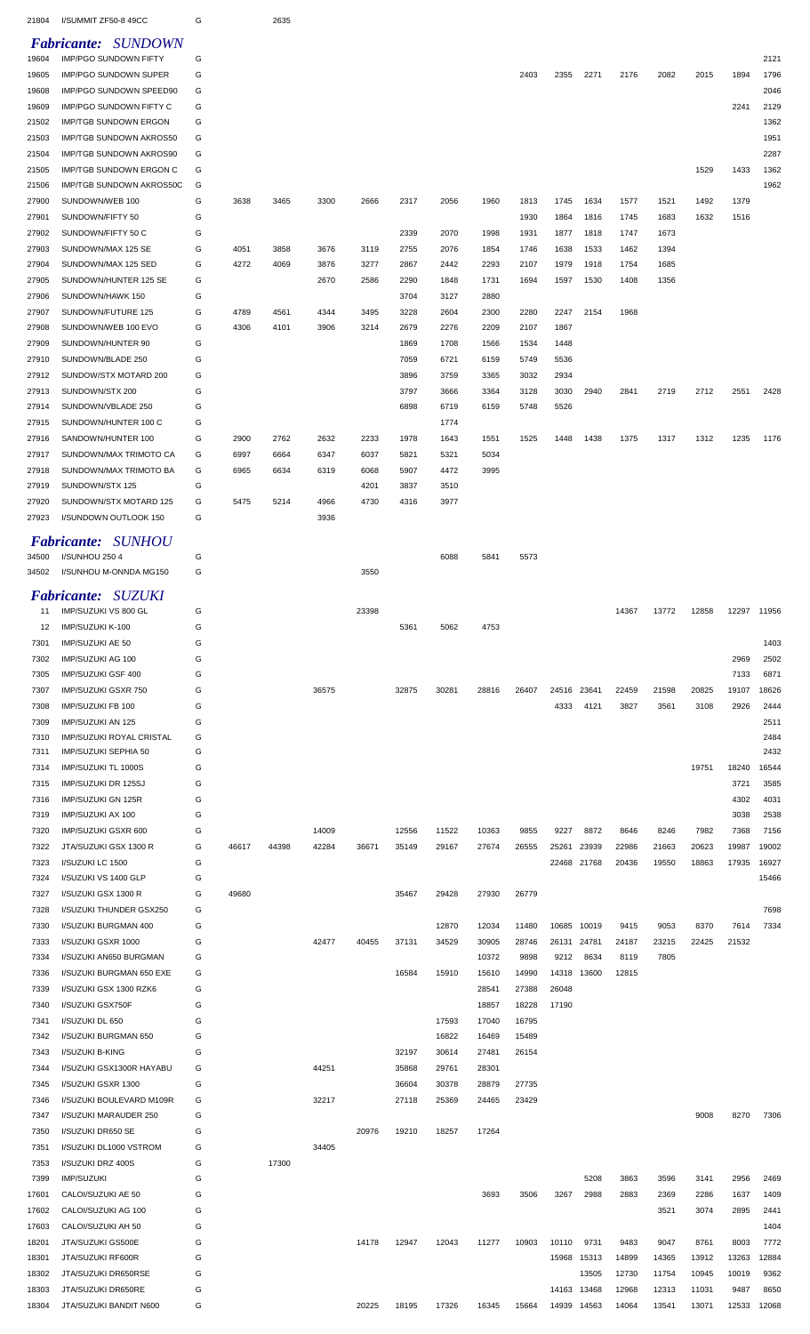| 21804          | I/SUMMIT ZF50-8 49CC                                       | G      |              | 2635         |                |              |                |                |                |                |                |                |                |                |                |               |               |
|----------------|------------------------------------------------------------|--------|--------------|--------------|----------------|--------------|----------------|----------------|----------------|----------------|----------------|----------------|----------------|----------------|----------------|---------------|---------------|
| 19604          | <b>Fabricante: SUNDOWN</b><br><b>IMP/PGO SUNDOWN FIFTY</b> | G      |              |              |                |              |                |                |                |                |                |                |                |                |                |               | 2121          |
| 19605          | <b>IMP/PGO SUNDOWN SUPER</b>                               | G      |              |              |                |              |                |                |                | 2403           | 2355           | 2271           | 2176           | 2082           | 2015           | 1894          | 1796          |
| 19608          | IMP/PGO SUNDOWN SPEED90                                    | G      |              |              |                |              |                |                |                |                |                |                |                |                |                |               | 2046          |
| 19609<br>21502 | IMP/PGO SUNDOWN FIFTY C<br><b>IMP/TGB SUNDOWN ERGON</b>    | G<br>G |              |              |                |              |                |                |                |                |                |                |                |                |                | 2241          | 2129<br>1362  |
| 21503          | <b>IMP/TGB SUNDOWN AKROS50</b>                             | G      |              |              |                |              |                |                |                |                |                |                |                |                |                |               | 1951          |
| 21504          | IMP/TGB SUNDOWN AKROS90                                    | G      |              |              |                |              |                |                |                |                |                |                |                |                |                |               | 2287          |
| 21505          | IMP/TGB SUNDOWN ERGON C                                    | G      |              |              |                |              |                |                |                |                |                |                |                |                | 1529           | 1433          | 1362          |
| 21506          | IMP/TGB SUNDOWN AKROS50C                                   | G      |              |              |                |              |                |                |                |                |                |                |                |                |                |               | 1962          |
| 27900<br>27901 | SUNDOWN/WEB 100<br>SUNDOWN/FIFTY 50                        | G<br>G | 3638         | 3465         | 3300           | 2666         | 2317           | 2056           | 1960           | 1813<br>1930   | 1745<br>1864   | 1634<br>1816   | 1577<br>1745   | 1521<br>1683   | 1492<br>1632   | 1379<br>1516  |               |
| 27902          | SUNDOWN/FIFTY 50 C                                         | G      |              |              |                |              | 2339           | 2070           | 1998           | 1931           | 1877           | 1818           | 1747           | 1673           |                |               |               |
| 27903          | SUNDOWN/MAX 125 SE                                         | G      | 4051         | 3858         | 3676           | 3119         | 2755           | 2076           | 1854           | 1746           | 1638           | 1533           | 1462           | 1394           |                |               |               |
| 27904          | SUNDOWN/MAX 125 SED                                        | G      | 4272         | 4069         | 3876           | 3277         | 2867           | 2442           | 2293           | 2107           | 1979           | 1918           | 1754           | 1685           |                |               |               |
| 27905          | SUNDOWN/HUNTER 125 SE                                      | G      |              |              | 2670           | 2586         | 2290           | 1848           | 1731           | 1694           | 1597           | 1530           | 1408           | 1356           |                |               |               |
| 27906          | SUNDOWN/HAWK 150                                           | G      |              |              |                |              | 3704           | 3127           | 2880           |                |                |                |                |                |                |               |               |
| 27907<br>27908 | SUNDOWN/FUTURE 125<br>SUNDOWN/WEB 100 EVO                  | G<br>G | 4789<br>4306 | 4561<br>4101 | 4344<br>3906   | 3495<br>3214 | 3228<br>2679   | 2604<br>2276   | 2300<br>2209   | 2280<br>2107   | 2247<br>1867   | 2154           | 1968           |                |                |               |               |
| 27909          | SUNDOWN/HUNTER 90                                          | G      |              |              |                |              | 1869           | 1708           | 1566           | 1534           | 1448           |                |                |                |                |               |               |
| 27910          | SUNDOWN/BLADE 250                                          | G      |              |              |                |              | 7059           | 6721           | 6159           | 5749           | 5536           |                |                |                |                |               |               |
| 27912          | SUNDOW/STX MOTARD 200                                      | G      |              |              |                |              | 3896           | 3759           | 3365           | 3032           | 2934           |                |                |                |                |               |               |
| 27913          | SUNDOWN/STX 200                                            | G      |              |              |                |              | 3797           | 3666           | 3364           | 3128           | 3030           | 2940           | 2841           | 2719           | 2712           | 2551          | 2428          |
| 27914          | SUNDOWN/VBLADE 250<br>SUNDOWN/HUNTER 100 C                 | G<br>G |              |              |                |              | 6898           | 6719<br>1774   | 6159           | 5748           | 5526           |                |                |                |                |               |               |
| 27915<br>27916 | SANDOWN/HUNTER 100                                         | G      | 2900         | 2762         | 2632           | 2233         | 1978           | 1643           | 1551           | 1525           | 1448           | 1438           | 1375           | 1317           | 1312           | 1235          | 1176          |
| 27917          | SUNDOWN/MAX TRIMOTO CA                                     | G      | 6997         | 6664         | 6347           | 6037         | 5821           | 5321           | 5034           |                |                |                |                |                |                |               |               |
| 27918          | SUNDOWN/MAX TRIMOTO BA                                     | G      | 6965         | 6634         | 6319           | 6068         | 5907           | 4472           | 3995           |                |                |                |                |                |                |               |               |
| 27919          | SUNDOWN/STX 125                                            | G      |              |              |                | 4201         | 3837           | 3510           |                |                |                |                |                |                |                |               |               |
| 27920          | SUNDOWN/STX MOTARD 125                                     | G      | 5475         | 5214         | 4966           | 4730         | 4316           | 3977           |                |                |                |                |                |                |                |               |               |
| 27923          | I/SUNDOWN OUTLOOK 150                                      | G      |              |              | 3936           |              |                |                |                |                |                |                |                |                |                |               |               |
|                | <b>Fabricante: SUNHOU</b>                                  |        |              |              |                |              |                |                |                |                |                |                |                |                |                |               |               |
| 34500          | I/SUNHOU 250 4                                             | G      |              |              |                |              |                | 6088           | 5841           | 5573           |                |                |                |                |                |               |               |
| 34502          | I/SUNHOU M-ONNDA MG150                                     | G      |              |              |                | 3550         |                |                |                |                |                |                |                |                |                |               |               |
|                | <b>Fabricante: SUZUKI</b>                                  |        |              |              |                |              |                |                |                |                |                |                |                |                |                |               |               |
| 11             | IMP/SUZUKI VS 800 GL                                       | G<br>G |              |              |                | 23398        |                |                |                |                |                |                | 14367          | 13772          | 12858          | 12297         | 11956         |
| 12<br>7301     | IMP/SUZUKI K-100<br>IMP/SUZUKI AE 50                       | G      |              |              |                |              | 5361           | 5062           | 4753           |                |                |                |                |                |                |               | 1403          |
| 7302           | IMP/SUZUKI AG 100                                          | G      |              |              |                |              |                |                |                |                |                |                |                |                |                | 2969          | 2502          |
| 7305           | IMP/SUZUKI GSF 400                                         | G      |              |              |                |              |                |                |                |                |                |                |                |                |                | 7133          | 6871          |
| 7307           | <b>IMP/SUZUKI GSXR 750</b>                                 | G      |              |              | 36575          |              | 32875          | 30281          | 28816          | 26407          | 24516          | 23641          | 22459          | 21598          | 20825          | 19107         | 18626         |
| 7308           | IMP/SUZUKI FB 100                                          | G      |              |              |                |              |                |                |                |                | 4333           | 4121           | 3827           | 3561           | 3108           | 2926          | 2444          |
| 7309           | IMP/SUZUKI AN 125                                          | G      |              |              |                |              |                |                |                |                |                |                |                |                |                |               | 2511          |
| 7310<br>7311   | IMP/SUZUKI ROYAL CRISTAL<br>IMP/SUZUKI SEPHIA 50           | G<br>G |              |              |                |              |                |                |                |                |                |                |                |                |                |               | 2484<br>2432  |
| 7314           | IMP/SUZUKI TL 1000S                                        | G      |              |              |                |              |                |                |                |                |                |                |                |                | 19751          | 18240         | 16544         |
| 7315           | IMP/SUZUKI DR 125SJ                                        | G      |              |              |                |              |                |                |                |                |                |                |                |                |                | 3721          | 3585          |
| 7316           | IMP/SUZUKI GN 125R                                         | G      |              |              |                |              |                |                |                |                |                |                |                |                |                | 4302          | 4031          |
| 7319           | IMP/SUZUKI AX 100                                          | G      |              |              |                |              |                |                |                |                |                |                |                |                |                | 3038          | 2538          |
| 7320<br>7322   | IMP/SUZUKI GSXR 600<br>JTA/SUZUKI GSX 1300 R               | G<br>G | 46617        | 44398        | 14009<br>42284 | 36671        | 12556<br>35149 | 11522<br>29167 | 10363<br>27674 | 9855<br>26555  | 9227<br>25261  | 8872<br>23939  | 8646<br>22986  | 8246<br>21663  | 7982<br>20623  | 7368<br>19987 | 7156<br>19002 |
| 7323           | I/SUZUKI LC 1500                                           | G      |              |              |                |              |                |                |                |                | 22468 21768    |                | 20436          | 19550          | 18863          | 17935         | 16927         |
| 7324           | I/SUZUKI VS 1400 GLP                                       | G      |              |              |                |              |                |                |                |                |                |                |                |                |                |               | 15466         |
| 7327           | I/SUZUKI GSX 1300 R                                        | G      | 49680        |              |                |              | 35467          | 29428          | 27930          | 26779          |                |                |                |                |                |               |               |
| 7328           | I/SUZUKI THUNDER GSX250                                    | G      |              |              |                |              |                |                |                |                |                |                |                |                |                |               | 7698          |
| 7330<br>7333   | I/SUZUKI BURGMAN 400<br>I/SUZUKI GSXR 1000                 | G<br>G |              |              | 42477          | 40455        | 37131          | 12870<br>34529 | 12034<br>30905 | 11480<br>28746 | 10685<br>26131 | 10019<br>24781 | 9415<br>24187  | 9053<br>23215  | 8370<br>22425  | 7614<br>21532 | 7334          |
| 7334           | I/SUZUKI AN650 BURGMAN                                     | G      |              |              |                |              |                |                | 10372          | 9898           | 9212           | 8634           | 8119           | 7805           |                |               |               |
| 7336           | I/SUZUKI BURGMAN 650 EXE                                   | G      |              |              |                |              | 16584          | 15910          | 15610          | 14990          | 14318          | 13600          | 12815          |                |                |               |               |
| 7339           | I/SUZUKI GSX 1300 RZK6                                     | G      |              |              |                |              |                |                | 28541          | 27388          | 26048          |                |                |                |                |               |               |
| 7340           | I/SUZUKI GSX750F                                           | G      |              |              |                |              |                |                | 18857          | 18228          | 17190          |                |                |                |                |               |               |
| 7341           | I/SUZUKI DL 650                                            | G      |              |              |                |              |                | 17593          | 17040          | 16795          |                |                |                |                |                |               |               |
| 7342<br>7343   | I/SUZUKI BURGMAN 650<br>I/SUZUKI B-KING                    | G<br>G |              |              |                |              | 32197          | 16822<br>30614 | 16469<br>27481 | 15489<br>26154 |                |                |                |                |                |               |               |
| 7344           | I/SUZUKI GSX1300R HAYABU                                   | G      |              |              | 44251          |              | 35868          | 29761          | 28301          |                |                |                |                |                |                |               |               |
| 7345           | I/SUZUKI GSXR 1300                                         | G      |              |              |                |              | 36604          | 30378          | 28879          | 27735          |                |                |                |                |                |               |               |
| 7346           | I/SUZUKI BOULEVARD M109R                                   | G      |              |              | 32217          |              | 27118          | 25369          | 24465          | 23429          |                |                |                |                |                |               |               |
| 7347           | I/SUZUKI MARAUDER 250                                      | G      |              |              |                |              |                |                |                |                |                |                |                |                | 9008           | 8270          | 7306          |
| 7350           | I/SUZUKI DR650 SE                                          | G      |              |              |                | 20976        | 19210          | 18257          | 17264          |                |                |                |                |                |                |               |               |
| 7351<br>7353   | I/SUZUKI DL1000 VSTROM<br>I/SUZUKI DRZ 400S                | G<br>G |              | 17300        | 34405          |              |                |                |                |                |                |                |                |                |                |               |               |
| 7399           |                                                            |        |              |              |                |              |                |                |                |                |                | 5208           | 3863           | 3596           | 3141           | 2956          | 2469          |
|                | <b>IMP/SUZUKI</b>                                          | G      |              |              |                |              |                |                |                |                |                |                |                |                |                |               |               |
| 17601          | CALOI/SUZUKI AE 50                                         | G      |              |              |                |              |                |                | 3693           | 3506           | 3267           | 2988           | 2883           | 2369           | 2286           | 1637          | 1409          |
| 17602          | CALOI/SUZUKI AG 100                                        | G      |              |              |                |              |                |                |                |                |                |                |                | 3521           | 3074           | 2895          | 2441          |
| 17603          | CALOI/SUZUKI AH 50                                         | G      |              |              |                |              |                |                |                |                |                |                |                |                |                |               | 1404          |
| 18201          | JTA/SUZUKI GS500E                                          | G      |              |              |                | 14178        | 12947          | 12043          | 11277          | 10903          | 10110          | 9731           | 9483           | 9047           | 8761           | 8003          | 7772          |
| 18301          | JTA/SUZUKI RF600R                                          | G      |              |              |                |              |                |                |                |                |                | 15968 15313    | 14899          | 14365          | 13912          | 13263         | 12884         |
| 18302<br>18303 | JTA/SUZUKI DR650RSE<br>JTA/SUZUKI DR650RE                  | G<br>G |              |              |                |              |                |                |                |                | 14163 13468    | 13505          | 12730<br>12968 | 11754<br>12313 | 10945<br>11031 | 10019<br>9487 | 9362<br>8650  |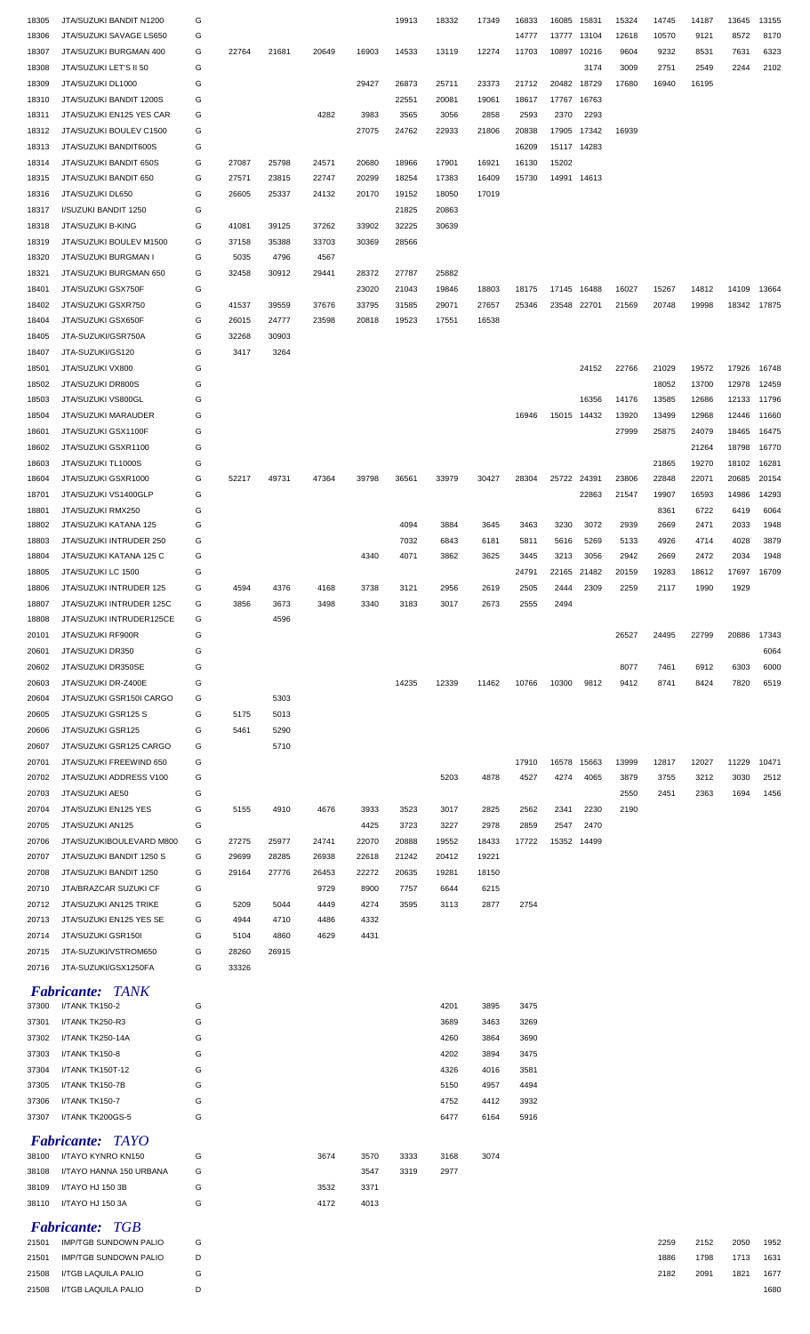| 18305 | JTA/SUZUKI BANDIT N1200                      | G |       |       |       |       | 19913 | 18332 | 17349 | 16833 | 16085       | 15831 | 15324 | 14745 | 14187 | 13645 | 13155 |
|-------|----------------------------------------------|---|-------|-------|-------|-------|-------|-------|-------|-------|-------------|-------|-------|-------|-------|-------|-------|
| 18306 | JTA/SUZUKI SAVAGE LS650                      | G |       |       |       |       |       |       |       | 14777 | 13777       | 13104 | 12618 | 10570 | 9121  | 8572  | 8170  |
| 18307 | JTA/SUZUKI BURGMAN 400                       | G | 22764 | 21681 | 20649 | 16903 | 14533 | 13119 | 12274 | 11703 | 10897 10216 |       | 9604  | 9232  | 8531  | 7631  | 6323  |
| 18308 | JTA/SUZUKI LET'S II 50                       | G |       |       |       |       |       |       |       |       |             | 3174  | 3009  | 2751  | 2549  | 2244  | 2102  |
| 18309 | JTA/SUZUKI DL1000                            | G |       |       |       | 29427 | 26873 | 25711 | 23373 | 21712 | 20482 18729 |       | 17680 | 16940 | 16195 |       |       |
| 18310 | JTA/SUZUKI BANDIT 1200S                      | G |       |       |       |       | 22551 | 20081 | 19061 | 18617 | 17767       | 16763 |       |       |       |       |       |
| 18311 | JTA/SUZUKI EN125 YES CAR                     | G |       |       | 4282  | 3983  | 3565  | 3056  | 2858  | 2593  | 2370        | 2293  |       |       |       |       |       |
| 18312 | JTA/SUZUKI BOULEV C1500                      | G |       |       |       | 27075 | 24762 | 22933 | 21806 | 20838 | 17905 17342 |       | 16939 |       |       |       |       |
|       | JTA/SUZUKI BANDIT600S                        | G |       |       |       |       |       |       |       | 16209 | 15117 14283 |       |       |       |       |       |       |
| 18313 |                                              |   | 27087 | 25798 | 24571 | 20680 | 18966 | 17901 | 16921 |       | 15202       |       |       |       |       |       |       |
| 18314 | JTA/SUZUKI BANDIT 650S                       | G |       |       |       |       |       |       |       | 16130 |             |       |       |       |       |       |       |
| 18315 | JTA/SUZUKI BANDIT 650                        | G | 27571 | 23815 | 22747 | 20299 | 18254 | 17383 | 16409 | 15730 | 14991 14613 |       |       |       |       |       |       |
| 18316 | JTA/SUZUKI DL650                             | G | 26605 | 25337 | 24132 | 20170 | 19152 | 18050 | 17019 |       |             |       |       |       |       |       |       |
| 18317 | I/SUZUKI BANDIT 1250                         | G |       |       |       |       | 21825 | 20863 |       |       |             |       |       |       |       |       |       |
| 18318 | JTA/SUZUKI B-KING                            | G | 41081 | 39125 | 37262 | 33902 | 32225 | 30639 |       |       |             |       |       |       |       |       |       |
| 18319 | JTA/SUZUKI BOULEV M1500                      | G | 37158 | 35388 | 33703 | 30369 | 28566 |       |       |       |             |       |       |       |       |       |       |
| 18320 | JTA/SUZUKI BURGMAN I                         | G | 5035  | 4796  | 4567  |       |       |       |       |       |             |       |       |       |       |       |       |
| 18321 | JTA/SUZUKI BURGMAN 650                       | G | 32458 | 30912 | 29441 | 28372 | 27787 | 25882 |       |       |             |       |       |       |       |       |       |
| 18401 | JTA/SUZUKI GSX750F                           | G |       |       |       | 23020 | 21043 | 19846 | 18803 | 18175 | 17145       | 16488 | 16027 | 15267 | 14812 | 14109 | 13664 |
| 18402 | JTA/SUZUKI GSXR750                           | G | 41537 | 39559 | 37676 | 33795 | 31585 | 29071 | 27657 | 25346 | 23548 22701 |       | 21569 | 20748 | 19998 | 18342 | 17875 |
| 18404 | JTA/SUZUKI GSX650F                           | G | 26015 | 24777 | 23598 | 20818 | 19523 | 17551 | 16538 |       |             |       |       |       |       |       |       |
| 18405 | JTA-SUZUKI/GSR750A                           | G | 32268 | 30903 |       |       |       |       |       |       |             |       |       |       |       |       |       |
| 18407 | JTA-SUZUKI/GS120                             | G | 3417  | 3264  |       |       |       |       |       |       |             |       |       |       |       |       |       |
| 18501 | JTA/SUZUKI VX800                             | G |       |       |       |       |       |       |       |       |             | 24152 | 22766 | 21029 | 19572 | 17926 | 16748 |
| 18502 | JTA/SUZUKI DR800S                            | G |       |       |       |       |       |       |       |       |             |       |       | 18052 | 13700 | 12978 | 12459 |
| 18503 | JTA/SUZUKI VS800GL                           | G |       |       |       |       |       |       |       |       |             | 16356 | 14176 | 13585 | 12686 | 12133 | 11796 |
| 18504 | JTA/SUZUKI MARAUDER                          | G |       |       |       |       |       |       |       | 16946 | 15015 14432 |       | 13920 | 13499 | 12968 | 12446 | 11660 |
| 18601 | JTA/SUZUKI GSX1100F                          | G |       |       |       |       |       |       |       |       |             |       | 27999 | 25875 | 24079 | 18465 | 16475 |
| 18602 | JTA/SUZUKI GSXR1100                          | G |       |       |       |       |       |       |       |       |             |       |       |       | 21264 | 18798 | 16770 |
|       |                                              |   |       |       |       |       |       |       |       |       |             |       |       |       |       |       |       |
| 18603 | JTA/SUZUKI TL1000S                           | G |       |       |       |       |       |       |       |       |             |       |       | 21865 | 19270 | 18102 | 16281 |
| 18604 | JTA/SUZUKI GSXR1000                          | G | 52217 | 49731 | 47364 | 39798 | 36561 | 33979 | 30427 | 28304 | 25722 24391 |       | 23806 | 22848 | 22071 | 20685 | 20154 |
| 18701 | JTA/SUZUKI VS1400GLP                         | G |       |       |       |       |       |       |       |       |             | 22863 | 21547 | 19907 | 16593 | 14986 | 14293 |
| 18801 | JTA/SUZUKI RMX250                            | G |       |       |       |       |       |       |       |       |             |       |       | 8361  | 6722  | 6419  | 6064  |
| 18802 | JTA/SUZUKI KATANA 125                        | G |       |       |       |       | 4094  | 3884  | 3645  | 3463  | 3230        | 3072  | 2939  | 2669  | 2471  | 2033  | 1948  |
| 18803 | JTA/SUZUKI INTRUDER 250                      | G |       |       |       |       | 7032  | 6843  | 6181  | 5811  | 5616        | 5269  | 5133  | 4926  | 4714  | 4028  | 3879  |
| 18804 | JTA/SUZUKI KATANA 125 C                      | G |       |       |       | 4340  | 4071  | 3862  | 3625  | 3445  | 3213        | 3056  | 2942  | 2669  | 2472  | 2034  | 1948  |
| 18805 | JTA/SUZUKI LC 1500                           | G |       |       |       |       |       |       |       | 24791 | 22165       | 21482 | 20159 | 19283 | 18612 | 17697 | 16709 |
| 18806 | JTA/SUZUKI INTRUDER 125                      | G | 4594  | 4376  | 4168  | 3738  | 3121  | 2956  | 2619  | 2505  | 2444        | 2309  | 2259  | 2117  | 1990  | 1929  |       |
| 18807 | JTA/SUZUKI INTRUDER 125C                     | G | 3856  | 3673  | 3498  | 3340  | 3183  | 3017  | 2673  | 2555  | 2494        |       |       |       |       |       |       |
| 18808 | JTA/SUZUKI INTRUDER125CE                     | G |       | 4596  |       |       |       |       |       |       |             |       |       |       |       |       |       |
| 20101 | JTA/SUZUKI RF900R                            | G |       |       |       |       |       |       |       |       |             |       | 26527 | 24495 | 22799 | 20886 | 17343 |
| 20601 | JTA/SUZUKI DR350                             | G |       |       |       |       |       |       |       |       |             |       |       |       |       |       | 6064  |
|       |                                              |   |       |       |       |       |       |       |       |       |             |       |       |       |       |       |       |
| 20602 | JTA/SUZUKI DR350SE                           | G |       |       |       |       |       |       |       |       |             |       | 8077  | 7461  | 6912  | 6303  | 6000  |
| 20603 | JTA/SUZUKI DR-Z400E                          | G |       |       |       |       | 14235 | 12339 | 11462 | 10766 | 10300       | 9812  | 9412  | 8741  | 8424  | 7820  | 6519  |
| 20604 | JTA/SUZUKI GSR150I CARGO                     | G |       | 5303  |       |       |       |       |       |       |             |       |       |       |       |       |       |
|       | JTA/SUZUKI GSR125 S                          | G | 5175  |       |       |       |       |       |       |       |             |       |       |       |       |       |       |
| 20605 |                                              |   |       | 5013  |       |       |       |       |       |       |             |       |       |       |       |       |       |
| 20606 | JTA/SUZUKI GSR125<br>JTA/SUZUKI GSR125 CARGO | G | 5461  | 5290  |       |       |       |       |       |       |             |       |       |       |       |       |       |
| 20607 |                                              | G |       | 5710  |       |       |       |       |       |       |             |       |       |       |       |       |       |
| 20701 | JTA/SUZUKI FREEWIND 650                      | G |       |       |       |       |       |       |       | 17910 | 16578       | 15663 | 13999 | 12817 | 12027 | 11229 | 10471 |
| 20702 | JTA/SUZUKI ADDRESS V100                      | G |       |       |       |       |       | 5203  | 4878  | 4527  | 4274        | 4065  | 3879  | 3755  | 3212  | 3030  | 2512  |
| 20703 | JTA/SUZUKI AE50                              | G |       |       |       |       |       |       |       |       |             |       | 2550  | 2451  | 2363  | 1694  | 1456  |
| 20704 | JTA/SUZUKI EN125 YES                         | G | 5155  | 4910  | 4676  | 3933  | 3523  | 3017  | 2825  | 2562  | 2341        | 2230  | 2190  |       |       |       |       |
| 20705 | JTA/SUZUKI AN125                             | G |       |       |       | 4425  | 3723  | 3227  | 2978  | 2859  | 2547        | 2470  |       |       |       |       |       |
| 20706 | JTA/SUZUKIBOULEVARD M800                     | G | 27275 | 25977 | 24741 | 22070 | 20888 | 19552 | 18433 | 17722 | 15352       | 14499 |       |       |       |       |       |
| 20707 | JTA/SUZUKI BANDIT 1250 S                     | G | 29699 | 28285 | 26938 | 22618 | 21242 | 20412 | 19221 |       |             |       |       |       |       |       |       |
| 20708 | JTA/SUZUKI BANDIT 1250                       | G | 29164 | 27776 | 26453 | 22272 | 20635 | 19281 | 18150 |       |             |       |       |       |       |       |       |
| 20710 | JTA/BRAZCAR SUZUKI CF                        | G |       |       | 9729  | 8900  | 7757  | 6644  | 6215  |       |             |       |       |       |       |       |       |
| 20712 | JTA/SUZUKI AN125 TRIKE                       | G | 5209  | 5044  | 4449  | 4274  | 3595  | 3113  | 2877  | 2754  |             |       |       |       |       |       |       |
| 20713 | JTA/SUZUKI EN125 YES SE                      | G | 4944  | 4710  | 4486  | 4332  |       |       |       |       |             |       |       |       |       |       |       |
| 20714 | JTA/SUZUKI GSR150I                           | G | 5104  | 4860  | 4629  | 4431  |       |       |       |       |             |       |       |       |       |       |       |
| 20715 | JTA-SUZUKI/VSTROM650                         | G | 28260 | 26915 |       |       |       |       |       |       |             |       |       |       |       |       |       |
| 20716 | JTA-SUZUKI/GSX1250FA                         | G | 33326 |       |       |       |       |       |       |       |             |       |       |       |       |       |       |
|       |                                              |   |       |       |       |       |       |       |       |       |             |       |       |       |       |       |       |
|       | <b>Fabricante: TANK</b>                      |   |       |       |       |       |       |       |       |       |             |       |       |       |       |       |       |
| 37300 | I/TANK TK150-2                               | G |       |       |       |       |       | 4201  | 3895  | 3475  |             |       |       |       |       |       |       |
| 37301 | I/TANK TK250-R3                              | G |       |       |       |       |       | 3689  | 3463  | 3269  |             |       |       |       |       |       |       |
| 37302 | I/TANK TK250-14A                             | G |       |       |       |       |       | 4260  | 3864  | 3690  |             |       |       |       |       |       |       |
| 37303 | I/TANK TK150-8                               | G |       |       |       |       |       | 4202  | 3894  | 3475  |             |       |       |       |       |       |       |
| 37304 | I/TANK TK150T-12                             | G |       |       |       |       |       | 4326  | 4016  | 3581  |             |       |       |       |       |       |       |
| 37305 | I/TANK TK150-7B                              | G |       |       |       |       |       | 5150  | 4957  | 4494  |             |       |       |       |       |       |       |
| 37306 | I/TANK TK150-7                               | G |       |       |       |       |       | 4752  | 4412  | 3932  |             |       |       |       |       |       |       |
| 37307 | I/TANK TK200GS-5                             | G |       |       |       |       |       | 6477  | 6164  | 5916  |             |       |       |       |       |       |       |
|       |                                              |   |       |       |       |       |       |       |       |       |             |       |       |       |       |       |       |
|       | <b>Fabricante: TAYO</b>                      |   |       |       |       |       |       |       |       |       |             |       |       |       |       |       |       |
| 38100 | I/TAYO KYNRO KN150                           | G |       |       | 3674  | 3570  | 3333  | 3168  | 3074  |       |             |       |       |       |       |       |       |
| 38108 | I/TAYO HANNA 150 URBANA                      | G |       |       |       | 3547  | 3319  | 2977  |       |       |             |       |       |       |       |       |       |
| 38109 | I/TAYO HJ 150 3B                             | G |       |       | 3532  | 3371  |       |       |       |       |             |       |       |       |       |       |       |
|       | 38110 I/TAYO HJ 150 3A                       | G |       |       | 4172  | 4013  |       |       |       |       |             |       |       |       |       |       |       |
|       | <b>Fabricante: TGB</b>                       |   |       |       |       |       |       |       |       |       |             |       |       |       |       |       |       |
| 21501 | <b>IMP/TGB SUNDOWN PALIO</b>                 | G |       |       |       |       |       |       |       |       |             |       |       | 2259  | 2152  | 2050  | 1952  |
| 21501 | <b>IMP/TGB SUNDOWN PALIO</b>                 | D |       |       |       |       |       |       |       |       |             |       |       | 1886  | 1798  | 1713  | 1631  |
| 21508 | I/TGB LAQUILA PALIO                          | G |       |       |       |       |       |       |       |       |             |       |       | 2182  | 2091  | 1821  | 1677  |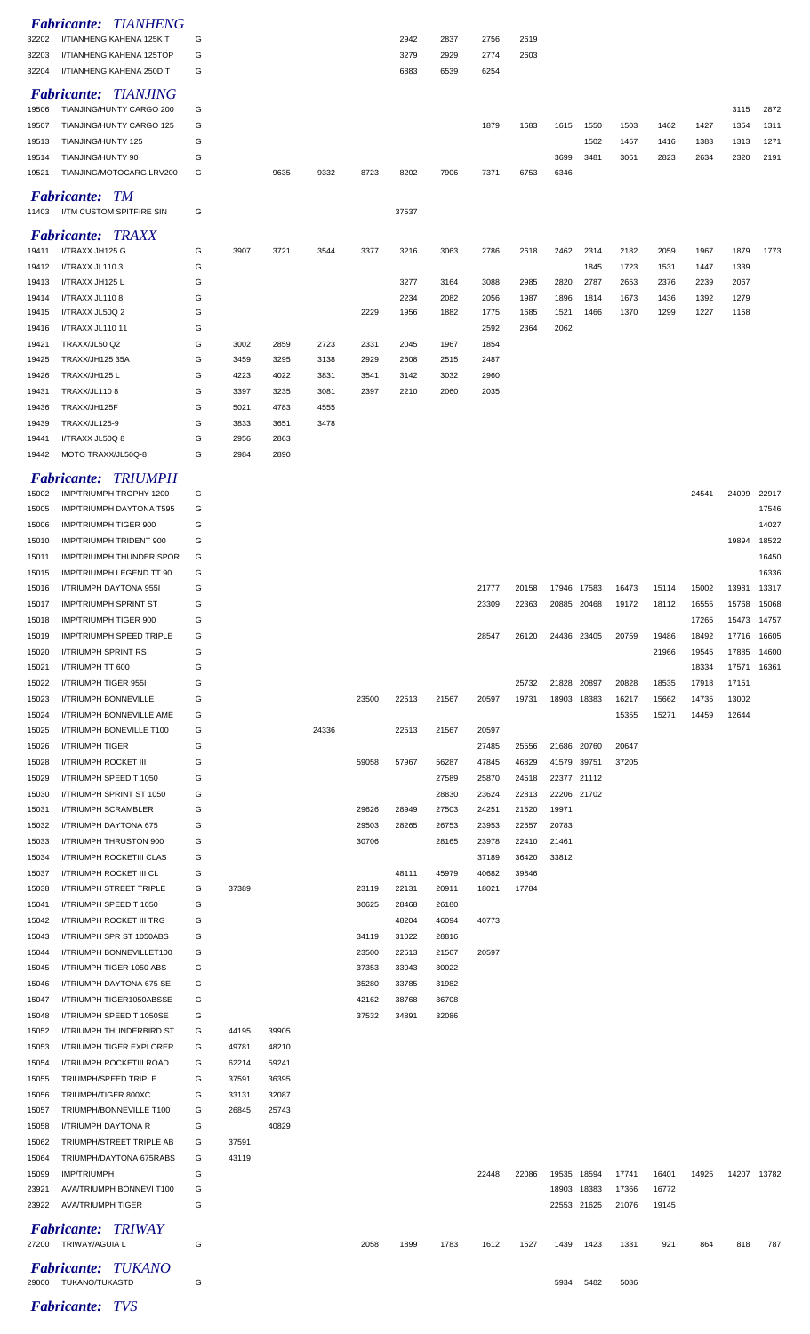|                | <b>Fabricante: TIANHENG</b>                        |        |       |       |       |       |              |              |              |              |              |              |                         |              |              |              |                |
|----------------|----------------------------------------------------|--------|-------|-------|-------|-------|--------------|--------------|--------------|--------------|--------------|--------------|-------------------------|--------------|--------------|--------------|----------------|
| 32202          | I/TIANHENG KAHENA 125K T                           | G      |       |       |       |       | 2942         | 2837         | 2756         | 2619         |              |              |                         |              |              |              |                |
| 32203          | I/TIANHENG KAHENA 125TOP                           | G      |       |       |       |       | 3279         | 2929         | 2774         | 2603         |              |              |                         |              |              |              |                |
| 32204          | I/TIANHENG KAHENA 250D T                           | G      |       |       |       |       | 6883         | 6539         | 6254         |              |              |              |                         |              |              |              |                |
|                | <b>Fabricante: TIANJING</b>                        |        |       |       |       |       |              |              |              |              |              |              |                         |              |              |              |                |
| 19506          | TIANJING/HUNTY CARGO 200                           | G      |       |       |       |       |              |              |              |              |              |              |                         |              |              | 3115         | 2872           |
| 19507          | TIANJING/HUNTY CARGO 125                           | G      |       |       |       |       |              |              | 1879         | 1683         | 1615         | 1550         | 1503                    | 1462         | 1427         | 1354         | 1311           |
| 19513          | TIANJING/HUNTY 125                                 | G      |       |       |       |       |              |              |              |              |              | 1502         | 1457                    | 1416         | 1383         | 1313         | 1271           |
| 19514          | TIANJING/HUNTY 90                                  | G      |       |       |       |       |              |              |              |              | 3699         | 3481         | 3061                    | 2823         | 2634         | 2320         | 2191           |
| 19521          | TIANJING/MOTOCARG LRV200                           | G      |       | 9635  | 9332  | 8723  | 8202         | 7906         | 7371         | 6753         | 6346         |              |                         |              |              |              |                |
|                | <b>Fabricante: TM</b>                              |        |       |       |       |       |              |              |              |              |              |              |                         |              |              |              |                |
| 11403          | I/TM CUSTOM SPITFIRE SIN                           | G      |       |       |       |       | 37537        |              |              |              |              |              |                         |              |              |              |                |
|                |                                                    |        |       |       |       |       |              |              |              |              |              |              |                         |              |              |              |                |
|                | <b>Fabricante: TRAXX</b>                           |        |       |       |       |       |              |              |              |              |              |              |                         |              |              |              |                |
| 19411          | I/TRAXX JH125 G                                    | G      | 3907  | 3721  | 3544  | 3377  | 3216         | 3063         | 2786         | 2618         | 2462         | 2314         | 2182                    | 2059         | 1967         | 1879         | 1773           |
| 19412          | I/TRAXX JL1103                                     | G      |       |       |       |       |              |              |              |              |              | 1845         | 1723                    | 1531         | 1447         | 1339         |                |
| 19413          | I/TRAXX JH125 L                                    | G      |       |       |       |       | 3277         | 3164         | 3088         | 2985         | 2820         | 2787         | 2653                    | 2376         | 2239         | 2067         |                |
| 19414<br>19415 | I/TRAXX JL1108<br>I/TRAXX JL50Q 2                  | G<br>G |       |       |       | 2229  | 2234<br>1956 | 2082<br>1882 | 2056<br>1775 | 1987<br>1685 | 1896<br>1521 | 1814<br>1466 | 1673<br>1370            | 1436<br>1299 | 1392<br>1227 | 1279<br>1158 |                |
| 19416          | I/TRAXX JL110 11                                   | G      |       |       |       |       |              |              | 2592         | 2364         | 2062         |              |                         |              |              |              |                |
| 19421          | TRAXX/JL50 Q2                                      | G      | 3002  | 2859  | 2723  | 2331  | 2045         | 1967         | 1854         |              |              |              |                         |              |              |              |                |
| 19425          | <b>TRAXX/JH125 35A</b>                             | G      | 3459  | 3295  | 3138  | 2929  | 2608         | 2515         | 2487         |              |              |              |                         |              |              |              |                |
| 19426          | TRAXX/JH125 L                                      | G      | 4223  | 4022  | 3831  | 3541  | 3142         | 3032         | 2960         |              |              |              |                         |              |              |              |                |
| 19431          | <b>TRAXX/JL1108</b>                                | G      | 3397  | 3235  | 3081  | 2397  | 2210         | 2060         | 2035         |              |              |              |                         |              |              |              |                |
| 19436          | TRAXX/JH125F                                       | G      | 5021  | 4783  | 4555  |       |              |              |              |              |              |              |                         |              |              |              |                |
| 19439          | TRAXX/JL125-9                                      | G      | 3833  | 3651  | 3478  |       |              |              |              |              |              |              |                         |              |              |              |                |
| 19441          | I/TRAXX JL50Q 8                                    | G      | 2956  | 2863  |       |       |              |              |              |              |              |              |                         |              |              |              |                |
| 19442          | MOTO TRAXX/JL50Q-8                                 | G      | 2984  | 2890  |       |       |              |              |              |              |              |              |                         |              |              |              |                |
|                |                                                    |        |       |       |       |       |              |              |              |              |              |              |                         |              |              |              |                |
|                | <b>Fabricante: TRIUMPH</b>                         |        |       |       |       |       |              |              |              |              |              |              |                         |              |              |              |                |
| 15002          | IMP/TRIUMPH TROPHY 1200                            | G      |       |       |       |       |              |              |              |              |              |              |                         |              | 24541        | 24099        | 22917          |
| 15005          | <b>IMP/TRIUMPH DAYTONA T595</b>                    | G      |       |       |       |       |              |              |              |              |              |              |                         |              |              |              | 17546          |
| 15006          | IMP/TRIUMPH TIGER 900                              | G      |       |       |       |       |              |              |              |              |              |              |                         |              |              |              | 14027          |
| 15010          | IMP/TRIUMPH TRIDENT 900                            | G      |       |       |       |       |              |              |              |              |              |              |                         |              |              | 19894        | 18522          |
| 15011          | IMP/TRIUMPH THUNDER SPOR                           | G      |       |       |       |       |              |              |              |              |              |              |                         |              |              |              | 16450          |
| 15015<br>15016 | IMP/TRIUMPH LEGEND TT 90<br>I/TRIUMPH DAYTONA 955I | G<br>G |       |       |       |       |              |              | 21777        | 20158        | 17946 17583  |              | 16473                   | 15114        | 15002        | 13981        | 16336<br>13317 |
| 15017          | IMP/TRIUMPH SPRINT ST                              | G      |       |       |       |       |              |              | 23309        | 22363        |              | 20885 20468  | 19172                   | 18112        | 16555        | 15768        | 15068          |
| 15018          | IMP/TRIUMPH TIGER 900                              | G      |       |       |       |       |              |              |              |              |              |              |                         |              | 17265        |              | 15473 14757    |
| 15019          | <b>IMP/TRIUMPH SPEED TRIPLE</b>                    | G      |       |       |       |       |              |              | 28547        | 26120        | 24436 23405  |              | 20759                   | 19486        | 18492        | 17716        | 16605          |
| 15020          | <b>I/TRIUMPH SPRINT RS</b>                         | G      |       |       |       |       |              |              |              |              |              |              |                         | 21966        | 19545        | 17885        | 14600          |
| 15021          | I/TRIUMPH TT 600                                   | G      |       |       |       |       |              |              |              |              |              |              |                         |              | 18334        | 17571        | 16361          |
| 15022          | I/TRIUMPH TIGER 955I                               | G      |       |       |       |       |              |              |              | 25732        | 21828 20897  |              | 20828                   | 18535        | 17918        | 17151        |                |
| 15023          | I/TRIUMPH BONNEVILLE                               | G      |       |       |       | 23500 | 22513        | 21567        | 20597        | 19731        | 18903 18383  |              | 16217                   | 15662        | 14735        | 13002        |                |
| 15024          | I/TRIUMPH BONNEVILLE AME                           | G      |       |       |       |       |              |              |              |              |              |              | 15355                   | 15271        | 14459        | 12644        |                |
| 15025          | <b>I/TRIUMPH BONEVILLE T100</b>                    | G      |       |       | 24336 |       | 22513        | 21567        | 20597        |              |              |              |                         |              |              |              |                |
| 15026          | I/TRIUMPH TIGER                                    | G      |       |       |       |       |              |              | 27485        | 25556        | 21686 20760  |              | 20647                   |              |              |              |                |
| 15028          | I/TRIUMPH ROCKET III                               | G      |       |       |       | 59058 | 57967        | 56287        | 47845        | 46829        | 41579 39751  |              | 37205                   |              |              |              |                |
| 15029          | I/TRIUMPH SPEED T 1050                             | G      |       |       |       |       |              | 27589        | 25870        | 24518        | 22377 21112  |              |                         |              |              |              |                |
| 15030          | I/TRIUMPH SPRINT ST 1050                           | G      |       |       |       |       |              | 28830        | 23624        | 22813        | 22206 21702  |              |                         |              |              |              |                |
| 15031          | I/TRIUMPH SCRAMBLER                                | G      |       |       |       | 29626 | 28949        | 27503        | 24251        | 21520        | 19971        |              |                         |              |              |              |                |
| 15032          | I/TRIUMPH DAYTONA 675                              | G      |       |       |       | 29503 | 28265        | 26753        | 23953        | 22557        | 20783        |              |                         |              |              |              |                |
| 15033          | I/TRIUMPH THRUSTON 900                             | G      |       |       |       | 30706 |              | 28165        | 23978        | 22410        | 21461        |              |                         |              |              |              |                |
| 15034          | I/TRIUMPH ROCKETIII CLAS                           | G      |       |       |       |       |              |              | 37189        | 36420        | 33812        |              |                         |              |              |              |                |
| 15037          | I/TRIUMPH ROCKET III CL                            | G      |       |       |       |       | 48111        | 45979        | 40682        | 39846        |              |              |                         |              |              |              |                |
| 15038          | I/TRIUMPH STREET TRIPLE                            | G      | 37389 |       |       | 23119 | 22131        | 20911        | 18021        | 17784        |              |              |                         |              |              |              |                |
| 15041          | I/TRIUMPH SPEED T 1050                             | G      |       |       |       | 30625 | 28468        | 26180        |              |              |              |              |                         |              |              |              |                |
| 15042          | I/TRIUMPH ROCKET III TRG                           | G      |       |       |       |       | 48204        | 46094        | 40773        |              |              |              |                         |              |              |              |                |
| 15043          | I/TRIUMPH SPR ST 1050ABS                           | G      |       |       |       | 34119 | 31022        | 28816        |              |              |              |              |                         |              |              |              |                |
| 15044          | I/TRIUMPH BONNEVILLET100                           | G      |       |       |       | 23500 | 22513        | 21567        | 20597        |              |              |              |                         |              |              |              |                |
| 15045          | I/TRIUMPH TIGER 1050 ABS                           | G      |       |       |       | 37353 | 33043        | 30022        |              |              |              |              |                         |              |              |              |                |
| 15046          | I/TRIUMPH DAYTONA 675 SE                           | G      |       |       |       | 35280 | 33785        | 31982        |              |              |              |              |                         |              |              |              |                |
| 15047          | I/TRIUMPH TIGER1050ABSSE                           | G      |       |       |       | 42162 | 38768        | 36708        |              |              |              |              |                         |              |              |              |                |
| 15048          | I/TRIUMPH SPEED T 1050SE                           | G      |       |       |       | 37532 | 34891        | 32086        |              |              |              |              |                         |              |              |              |                |
| 15052          | I/TRIUMPH THUNDERBIRD ST                           | G      | 44195 | 39905 |       |       |              |              |              |              |              |              |                         |              |              |              |                |
| 15053          | I/TRIUMPH TIGER EXPLORER                           | G      | 49781 | 48210 |       |       |              |              |              |              |              |              |                         |              |              |              |                |
| 15054          | I/TRIUMPH ROCKETIII ROAD                           | G      | 62214 | 59241 |       |       |              |              |              |              |              |              |                         |              |              |              |                |
| 15055          | TRIUMPH/SPEED TRIPLE                               | G      | 37591 | 36395 |       |       |              |              |              |              |              |              |                         |              |              |              |                |
| 15056          | TRIUMPH/TIGER 800XC                                | G      | 33131 | 32087 |       |       |              |              |              |              |              |              |                         |              |              |              |                |
| 15057          | TRIUMPH/BONNEVILLE T100                            | G      | 26845 | 25743 |       |       |              |              |              |              |              |              |                         |              |              |              |                |
| 15058          | <b>I/TRIUMPH DAYTONA R</b>                         | G      |       | 40829 |       |       |              |              |              |              |              |              |                         |              |              |              |                |
| 15062          | TRIUMPH/STREET TRIPLE AB                           | G      | 37591 |       |       |       |              |              |              |              |              |              |                         |              |              |              |                |
| 15064          | TRIUMPH/DAYTONA 675RABS                            | G      | 43119 |       |       |       |              |              |              |              |              |              |                         |              |              |              |                |
| 15099          | <b>IMP/TRIUMPH</b>                                 | G      |       |       |       |       |              |              | 22448        | 22086        | 19535 18594  |              | 17741                   | 16401        | 14925        |              | 14207 13782    |
| 23921          | AVA/TRIUMPH BONNEVI T100                           | G      |       |       |       |       |              |              |              |              |              | 18903 18383  | 17366                   | 16772        |              |              |                |
|                | 23922 AVA/TRIUMPH TIGER                            | G      |       |       |       |       |              |              |              |              |              |              | 22553 21625 21076 19145 |              |              |              |                |
|                | <b>Fabricante: TRIWAY</b>                          |        |       |       |       |       |              |              |              |              |              |              |                         |              |              |              |                |
|                | 27200 TRIWAY/AGUIA L                               | G      |       |       |       | 2058  | 1899         | 1783         | 1612         | 1527         | 1439         | 1423         | 1331                    | 921          | 864          | 818          | 787            |
|                |                                                    |        |       |       |       |       |              |              |              |              |              |              |                         |              |              |              |                |
|                | <b>Fabricante: TUKANO</b><br>29000 TUKANO/TUKASTD  | G      |       |       |       |       |              |              |              |              | 5934         | 5482         | 5086                    |              |              |              |                |
|                |                                                    |        |       |       |       |       |              |              |              |              |              |              |                         |              |              |              |                |
|                | Eghricanto: TVC                                    |        |       |       |       |       |              |              |              |              |              |              |                         |              |              |              |                |

*Fabricante: TVS*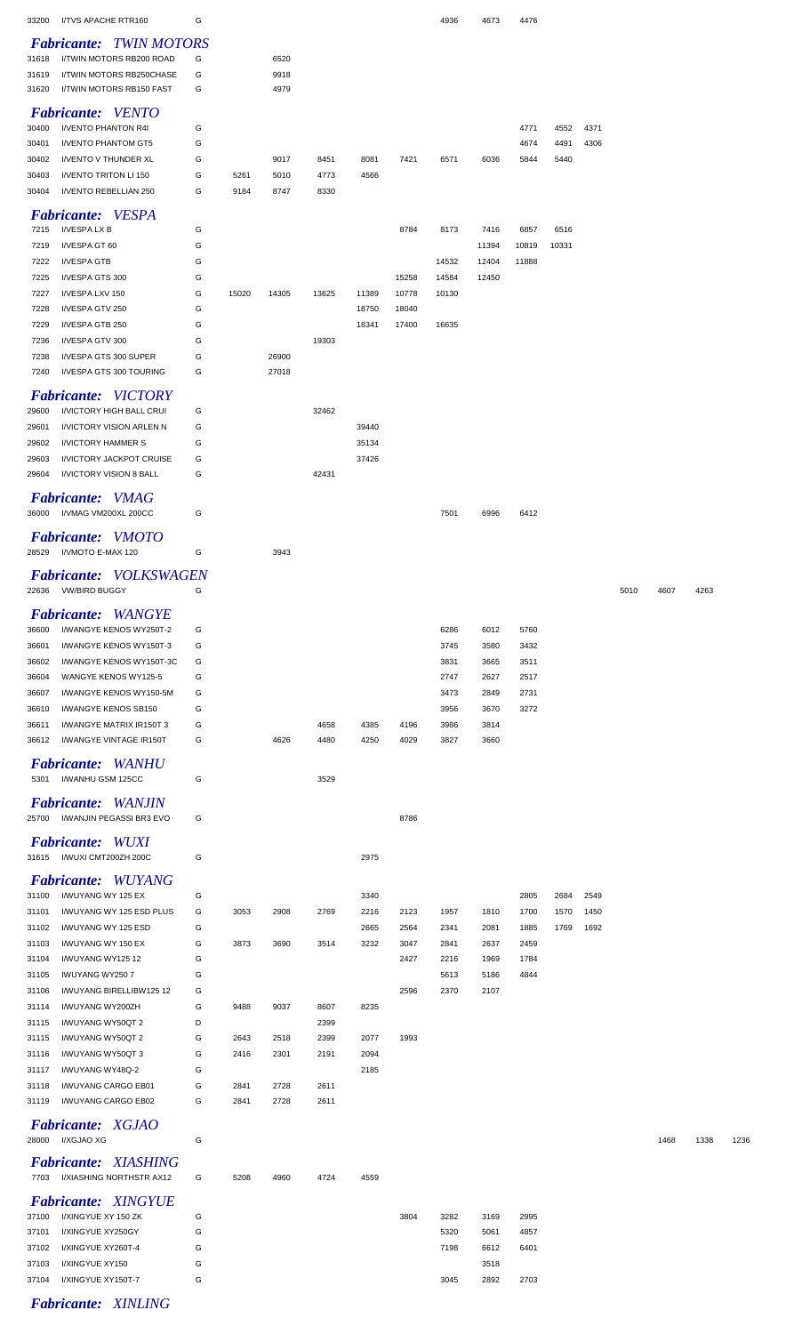| <b>Fabricante: TWIN MOTORS</b><br>I/TWIN MOTORS RB200 ROAD<br>G<br>31618<br>6520<br>9918<br>31619<br>I/TWIN MOTORS RB250CHASE<br>G<br>I/TWIN MOTORS RB150 FAST<br>G<br>4979<br>31620<br><b>Fabricante:</b> VENTO<br>I/VENTO PHANTON R4I<br>G<br>4771<br>30400<br>4552<br>4371<br>I/VENTO PHANTOM GT5<br>G<br>30401<br>4674<br>4491<br>4306<br>I/VENTO V THUNDER XL<br>G<br>9017<br>7421<br>30402<br>8451<br>8081<br>6571<br>6036<br>5440<br>5844<br>I/VENTO TRITON LI 150<br>G<br>5261<br>5010<br>4773<br>30403<br>4566<br>I/VENTO REBELLIAN 250<br>G<br>9184<br>8747<br>8330<br>30404<br><b>Fabricante:</b> VESPA<br>I/VESPA LX B<br>G<br>7215<br>8784<br>8173<br>7416<br>6857<br>6516<br>G<br>I/VESPA GT 60<br>11394<br>10819<br>10331<br>7219<br>I/VESPA GTB<br>G<br>7222<br>14532<br>12404<br>11888<br>G<br>7225<br>I/VESPA GTS 300<br>15258<br>14584<br>12450<br>G<br>7227<br>I/VESPA LXV 150<br>15020<br>14305<br>13625<br>11389<br>10778<br>10130<br>G<br>7228<br>I/VESPA GTV 250<br>18750<br>18040<br>G<br>7229<br>I/VESPA GTB 250<br>18341<br>17400<br>16635<br>G<br>7236<br>I/VESPA GTV 300<br>19303<br>G<br>26900<br>I/VESPA GTS 300 SUPER<br>7238<br>I/VESPA GTS 300 TOURING<br>G<br>27018<br>7240<br><b>Fabricante: VICTORY</b><br>I/VICTORY HIGH BALL CRUI<br>G<br>32462<br>29600<br>I/VICTORY VISION ARLEN N<br>G<br>29601<br>39440<br><b>I/VICTORY HAMMER S</b><br>G<br>29602<br>35134<br>I/VICTORY JACKPOT CRUISE<br>37426<br>29603<br>G<br>I/VICTORY VISION 8 BALL<br>G<br>42431<br>29604<br><b>Fabricante:</b> VMAG<br>I/VMAG VM200XL 200CC<br>36000<br>G<br>7501<br>6996<br>6412<br><b>Fabricante:</b> VMOTO<br>28529<br>I/VMOTO E-MAX 120<br>G<br>3943<br>Fabricante: VOLKSWAGEN<br><b>VW/BIRD BUGGY</b><br>G<br>22636<br>5010<br>4607<br>Fabricante: WANGYE<br>36600<br>I/WANGYE KENOS WY250T-2<br>G<br>6286<br>6012<br>5760<br>I/WANGYE KENOS WY150T-3<br>G<br>3745<br>3580<br>3432<br>36601<br>I/WANGYE KENOS WY150T-3C<br>G<br>3831<br>3665<br>3511<br>36602<br>WANGYE KENOS WY125-5<br>G<br>2747<br>2627<br>2517<br>36604<br>I/WANGYE KENOS WY150-5M<br>G<br>2731<br>36607<br>3473<br>2849<br>I/WANGYE KENOS SB150<br>G<br>3670<br>3272<br>36610<br>3956<br>I/WANGYE MATRIX IR150T 3<br>3814<br>36611<br>G<br>4658<br>4385<br>4196<br>3986<br>I/WANGYE VINTAGE IR150T<br>4626<br>3660<br>36612<br>G<br>4480<br>4250<br>4029<br>3827<br>Fabricante: WANHU<br>I/WANHU GSM 125CC<br>G<br>5301<br>3529<br><b>Fabricante:</b> WANJIN<br>25700<br>I/WANJIN PEGASSI BR3 EVO<br>G<br>8786<br><b>Fabricante: WUXI</b><br>31615 I/WUXI CMT200ZH 200C<br>G<br>2975<br><b>Fabricante: WUYANG</b><br>I/WUYANG WY 125 EX<br>G<br>31100<br>3340<br>2805<br>2684<br>2549<br>G<br>31101<br>I/WUYANG WY 125 ESD PLUS<br>3053<br>2908<br>2769<br>2216<br>2123<br>1810<br>1700<br>1450<br>1957<br>1570<br>I/WUYANG WY 125 ESD<br>G<br>1885<br>31102<br>2665<br>2564<br>2341<br>2081<br>1769<br>1692<br>G<br>3873<br>3690<br>3232<br>2459<br>31103<br>I/WUYANG WY 150 EX<br>3514<br>3047<br>2841<br>2637<br>G<br>1969<br>1784<br>31104<br>I/WUYANG WY12512<br>2427<br>2216<br>G<br>5186<br>4844<br>31105<br>IWUYANG WY250 7<br>5613<br>G<br>2596<br>2370<br>2107<br>31106<br>I/WUYANG BIRELLIBW125 12<br>G<br>I/WUYANG WY200ZH<br>9488<br>9037<br>8607<br>8235<br>31114<br>D<br>31115<br>I/WUYANG WY50QT 2<br>2399<br>I/WUYANG WY50QT 2<br>G<br>31115<br>2643<br>2518<br>2399<br>2077<br>1993<br>I/WUYANG WY50QT 3<br>G<br>2416<br>2301<br>2191<br>2094<br>31116<br>G<br>I/WUYANG WY48Q-2<br>2185<br>31117<br>I/WUYANG CARGO EB01<br>G<br>2841<br>2728<br>2611<br>31118<br>I/WUYANG CARGO EB02<br>G<br>2841<br>2728<br>2611<br>31119<br><b>Fabricante: XGJAO</b><br>I/XGJAO XG<br>28000<br>G<br>1468<br><b>Fabricante: XIASHING</b><br>7703 I/XIASHING NORTHSTR AX12<br>G<br>5208<br>4960<br>4724<br>4559<br><b>Fabricante: XINGYUE</b><br>3804<br>37100<br>I/XINGYUE XY 150 ZK<br>G<br>3282<br>3169<br>2995<br>G<br>5320<br>4857<br>37101<br>I/XINGYUE XY250GY<br>5061<br>G<br>37102<br>I/XINGYUE XY260T-4<br>7198<br>6612<br>6401<br>G<br>37103<br>I/XINGYUE XY150<br>3518<br>G<br>2892<br>37104<br>I/XINGYUE XY150T-7<br>3045<br>2703 | 33200 | I/TVS APACHE RTR160 | G |  |  | 4936 | 4673 | 4476 |  |  |      |      |
|-----------------------------------------------------------------------------------------------------------------------------------------------------------------------------------------------------------------------------------------------------------------------------------------------------------------------------------------------------------------------------------------------------------------------------------------------------------------------------------------------------------------------------------------------------------------------------------------------------------------------------------------------------------------------------------------------------------------------------------------------------------------------------------------------------------------------------------------------------------------------------------------------------------------------------------------------------------------------------------------------------------------------------------------------------------------------------------------------------------------------------------------------------------------------------------------------------------------------------------------------------------------------------------------------------------------------------------------------------------------------------------------------------------------------------------------------------------------------------------------------------------------------------------------------------------------------------------------------------------------------------------------------------------------------------------------------------------------------------------------------------------------------------------------------------------------------------------------------------------------------------------------------------------------------------------------------------------------------------------------------------------------------------------------------------------------------------------------------------------------------------------------------------------------------------------------------------------------------------------------------------------------------------------------------------------------------------------------------------------------------------------------------------------------------------------------------------------------------------------------------------------------------------------------------------------------------------------------------------------------------------------------------------------------------------------------------------------------------------------------------------------------------------------------------------------------------------------------------------------------------------------------------------------------------------------------------------------------------------------------------------------------------------------------------------------------------------------------------------------------------------------------------------------------------------------------------------------------------------------------------------------------------------------------------------------------------------------------------------------------------------------------------------------------------------------------------------------------------------------------------------------------------------------------------------------------------------------------------------------------------------------------------------------------------------------------------------------------------------------------------------------------------------------------------------------------------------------------------------------------------------------------------------------------------------------------------------------------------------------------------------------------------------------------------------------------------------------------------------------------------------------------------|-------|---------------------|---|--|--|------|------|------|--|--|------|------|
|                                                                                                                                                                                                                                                                                                                                                                                                                                                                                                                                                                                                                                                                                                                                                                                                                                                                                                                                                                                                                                                                                                                                                                                                                                                                                                                                                                                                                                                                                                                                                                                                                                                                                                                                                                                                                                                                                                                                                                                                                                                                                                                                                                                                                                                                                                                                                                                                                                                                                                                                                                                                                                                                                                                                                                                                                                                                                                                                                                                                                                                                                                                                                                                                                                                                                                                                                                                                                                                                                                                                                                                                                                                                                                                                                                                                                                                                                                                                                                                                                                                                                                                                               |       |                     |   |  |  |      |      |      |  |  |      |      |
|                                                                                                                                                                                                                                                                                                                                                                                                                                                                                                                                                                                                                                                                                                                                                                                                                                                                                                                                                                                                                                                                                                                                                                                                                                                                                                                                                                                                                                                                                                                                                                                                                                                                                                                                                                                                                                                                                                                                                                                                                                                                                                                                                                                                                                                                                                                                                                                                                                                                                                                                                                                                                                                                                                                                                                                                                                                                                                                                                                                                                                                                                                                                                                                                                                                                                                                                                                                                                                                                                                                                                                                                                                                                                                                                                                                                                                                                                                                                                                                                                                                                                                                                               |       |                     |   |  |  |      |      |      |  |  |      |      |
|                                                                                                                                                                                                                                                                                                                                                                                                                                                                                                                                                                                                                                                                                                                                                                                                                                                                                                                                                                                                                                                                                                                                                                                                                                                                                                                                                                                                                                                                                                                                                                                                                                                                                                                                                                                                                                                                                                                                                                                                                                                                                                                                                                                                                                                                                                                                                                                                                                                                                                                                                                                                                                                                                                                                                                                                                                                                                                                                                                                                                                                                                                                                                                                                                                                                                                                                                                                                                                                                                                                                                                                                                                                                                                                                                                                                                                                                                                                                                                                                                                                                                                                                               |       |                     |   |  |  |      |      |      |  |  |      |      |
|                                                                                                                                                                                                                                                                                                                                                                                                                                                                                                                                                                                                                                                                                                                                                                                                                                                                                                                                                                                                                                                                                                                                                                                                                                                                                                                                                                                                                                                                                                                                                                                                                                                                                                                                                                                                                                                                                                                                                                                                                                                                                                                                                                                                                                                                                                                                                                                                                                                                                                                                                                                                                                                                                                                                                                                                                                                                                                                                                                                                                                                                                                                                                                                                                                                                                                                                                                                                                                                                                                                                                                                                                                                                                                                                                                                                                                                                                                                                                                                                                                                                                                                                               |       |                     |   |  |  |      |      |      |  |  |      |      |
|                                                                                                                                                                                                                                                                                                                                                                                                                                                                                                                                                                                                                                                                                                                                                                                                                                                                                                                                                                                                                                                                                                                                                                                                                                                                                                                                                                                                                                                                                                                                                                                                                                                                                                                                                                                                                                                                                                                                                                                                                                                                                                                                                                                                                                                                                                                                                                                                                                                                                                                                                                                                                                                                                                                                                                                                                                                                                                                                                                                                                                                                                                                                                                                                                                                                                                                                                                                                                                                                                                                                                                                                                                                                                                                                                                                                                                                                                                                                                                                                                                                                                                                                               |       |                     |   |  |  |      |      |      |  |  |      |      |
|                                                                                                                                                                                                                                                                                                                                                                                                                                                                                                                                                                                                                                                                                                                                                                                                                                                                                                                                                                                                                                                                                                                                                                                                                                                                                                                                                                                                                                                                                                                                                                                                                                                                                                                                                                                                                                                                                                                                                                                                                                                                                                                                                                                                                                                                                                                                                                                                                                                                                                                                                                                                                                                                                                                                                                                                                                                                                                                                                                                                                                                                                                                                                                                                                                                                                                                                                                                                                                                                                                                                                                                                                                                                                                                                                                                                                                                                                                                                                                                                                                                                                                                                               |       |                     |   |  |  |      |      |      |  |  |      |      |
|                                                                                                                                                                                                                                                                                                                                                                                                                                                                                                                                                                                                                                                                                                                                                                                                                                                                                                                                                                                                                                                                                                                                                                                                                                                                                                                                                                                                                                                                                                                                                                                                                                                                                                                                                                                                                                                                                                                                                                                                                                                                                                                                                                                                                                                                                                                                                                                                                                                                                                                                                                                                                                                                                                                                                                                                                                                                                                                                                                                                                                                                                                                                                                                                                                                                                                                                                                                                                                                                                                                                                                                                                                                                                                                                                                                                                                                                                                                                                                                                                                                                                                                                               |       |                     |   |  |  |      |      |      |  |  |      |      |
|                                                                                                                                                                                                                                                                                                                                                                                                                                                                                                                                                                                                                                                                                                                                                                                                                                                                                                                                                                                                                                                                                                                                                                                                                                                                                                                                                                                                                                                                                                                                                                                                                                                                                                                                                                                                                                                                                                                                                                                                                                                                                                                                                                                                                                                                                                                                                                                                                                                                                                                                                                                                                                                                                                                                                                                                                                                                                                                                                                                                                                                                                                                                                                                                                                                                                                                                                                                                                                                                                                                                                                                                                                                                                                                                                                                                                                                                                                                                                                                                                                                                                                                                               |       |                     |   |  |  |      |      |      |  |  |      |      |
|                                                                                                                                                                                                                                                                                                                                                                                                                                                                                                                                                                                                                                                                                                                                                                                                                                                                                                                                                                                                                                                                                                                                                                                                                                                                                                                                                                                                                                                                                                                                                                                                                                                                                                                                                                                                                                                                                                                                                                                                                                                                                                                                                                                                                                                                                                                                                                                                                                                                                                                                                                                                                                                                                                                                                                                                                                                                                                                                                                                                                                                                                                                                                                                                                                                                                                                                                                                                                                                                                                                                                                                                                                                                                                                                                                                                                                                                                                                                                                                                                                                                                                                                               |       |                     |   |  |  |      |      |      |  |  |      |      |
|                                                                                                                                                                                                                                                                                                                                                                                                                                                                                                                                                                                                                                                                                                                                                                                                                                                                                                                                                                                                                                                                                                                                                                                                                                                                                                                                                                                                                                                                                                                                                                                                                                                                                                                                                                                                                                                                                                                                                                                                                                                                                                                                                                                                                                                                                                                                                                                                                                                                                                                                                                                                                                                                                                                                                                                                                                                                                                                                                                                                                                                                                                                                                                                                                                                                                                                                                                                                                                                                                                                                                                                                                                                                                                                                                                                                                                                                                                                                                                                                                                                                                                                                               |       |                     |   |  |  |      |      |      |  |  |      |      |
|                                                                                                                                                                                                                                                                                                                                                                                                                                                                                                                                                                                                                                                                                                                                                                                                                                                                                                                                                                                                                                                                                                                                                                                                                                                                                                                                                                                                                                                                                                                                                                                                                                                                                                                                                                                                                                                                                                                                                                                                                                                                                                                                                                                                                                                                                                                                                                                                                                                                                                                                                                                                                                                                                                                                                                                                                                                                                                                                                                                                                                                                                                                                                                                                                                                                                                                                                                                                                                                                                                                                                                                                                                                                                                                                                                                                                                                                                                                                                                                                                                                                                                                                               |       |                     |   |  |  |      |      |      |  |  |      |      |
|                                                                                                                                                                                                                                                                                                                                                                                                                                                                                                                                                                                                                                                                                                                                                                                                                                                                                                                                                                                                                                                                                                                                                                                                                                                                                                                                                                                                                                                                                                                                                                                                                                                                                                                                                                                                                                                                                                                                                                                                                                                                                                                                                                                                                                                                                                                                                                                                                                                                                                                                                                                                                                                                                                                                                                                                                                                                                                                                                                                                                                                                                                                                                                                                                                                                                                                                                                                                                                                                                                                                                                                                                                                                                                                                                                                                                                                                                                                                                                                                                                                                                                                                               |       |                     |   |  |  |      |      |      |  |  |      |      |
|                                                                                                                                                                                                                                                                                                                                                                                                                                                                                                                                                                                                                                                                                                                                                                                                                                                                                                                                                                                                                                                                                                                                                                                                                                                                                                                                                                                                                                                                                                                                                                                                                                                                                                                                                                                                                                                                                                                                                                                                                                                                                                                                                                                                                                                                                                                                                                                                                                                                                                                                                                                                                                                                                                                                                                                                                                                                                                                                                                                                                                                                                                                                                                                                                                                                                                                                                                                                                                                                                                                                                                                                                                                                                                                                                                                                                                                                                                                                                                                                                                                                                                                                               |       |                     |   |  |  |      |      |      |  |  |      |      |
|                                                                                                                                                                                                                                                                                                                                                                                                                                                                                                                                                                                                                                                                                                                                                                                                                                                                                                                                                                                                                                                                                                                                                                                                                                                                                                                                                                                                                                                                                                                                                                                                                                                                                                                                                                                                                                                                                                                                                                                                                                                                                                                                                                                                                                                                                                                                                                                                                                                                                                                                                                                                                                                                                                                                                                                                                                                                                                                                                                                                                                                                                                                                                                                                                                                                                                                                                                                                                                                                                                                                                                                                                                                                                                                                                                                                                                                                                                                                                                                                                                                                                                                                               |       |                     |   |  |  |      |      |      |  |  |      |      |
|                                                                                                                                                                                                                                                                                                                                                                                                                                                                                                                                                                                                                                                                                                                                                                                                                                                                                                                                                                                                                                                                                                                                                                                                                                                                                                                                                                                                                                                                                                                                                                                                                                                                                                                                                                                                                                                                                                                                                                                                                                                                                                                                                                                                                                                                                                                                                                                                                                                                                                                                                                                                                                                                                                                                                                                                                                                                                                                                                                                                                                                                                                                                                                                                                                                                                                                                                                                                                                                                                                                                                                                                                                                                                                                                                                                                                                                                                                                                                                                                                                                                                                                                               |       |                     |   |  |  |      |      |      |  |  |      |      |
|                                                                                                                                                                                                                                                                                                                                                                                                                                                                                                                                                                                                                                                                                                                                                                                                                                                                                                                                                                                                                                                                                                                                                                                                                                                                                                                                                                                                                                                                                                                                                                                                                                                                                                                                                                                                                                                                                                                                                                                                                                                                                                                                                                                                                                                                                                                                                                                                                                                                                                                                                                                                                                                                                                                                                                                                                                                                                                                                                                                                                                                                                                                                                                                                                                                                                                                                                                                                                                                                                                                                                                                                                                                                                                                                                                                                                                                                                                                                                                                                                                                                                                                                               |       |                     |   |  |  |      |      |      |  |  |      |      |
|                                                                                                                                                                                                                                                                                                                                                                                                                                                                                                                                                                                                                                                                                                                                                                                                                                                                                                                                                                                                                                                                                                                                                                                                                                                                                                                                                                                                                                                                                                                                                                                                                                                                                                                                                                                                                                                                                                                                                                                                                                                                                                                                                                                                                                                                                                                                                                                                                                                                                                                                                                                                                                                                                                                                                                                                                                                                                                                                                                                                                                                                                                                                                                                                                                                                                                                                                                                                                                                                                                                                                                                                                                                                                                                                                                                                                                                                                                                                                                                                                                                                                                                                               |       |                     |   |  |  |      |      |      |  |  |      |      |
|                                                                                                                                                                                                                                                                                                                                                                                                                                                                                                                                                                                                                                                                                                                                                                                                                                                                                                                                                                                                                                                                                                                                                                                                                                                                                                                                                                                                                                                                                                                                                                                                                                                                                                                                                                                                                                                                                                                                                                                                                                                                                                                                                                                                                                                                                                                                                                                                                                                                                                                                                                                                                                                                                                                                                                                                                                                                                                                                                                                                                                                                                                                                                                                                                                                                                                                                                                                                                                                                                                                                                                                                                                                                                                                                                                                                                                                                                                                                                                                                                                                                                                                                               |       |                     |   |  |  |      |      |      |  |  |      |      |
|                                                                                                                                                                                                                                                                                                                                                                                                                                                                                                                                                                                                                                                                                                                                                                                                                                                                                                                                                                                                                                                                                                                                                                                                                                                                                                                                                                                                                                                                                                                                                                                                                                                                                                                                                                                                                                                                                                                                                                                                                                                                                                                                                                                                                                                                                                                                                                                                                                                                                                                                                                                                                                                                                                                                                                                                                                                                                                                                                                                                                                                                                                                                                                                                                                                                                                                                                                                                                                                                                                                                                                                                                                                                                                                                                                                                                                                                                                                                                                                                                                                                                                                                               |       |                     |   |  |  |      |      |      |  |  |      |      |
|                                                                                                                                                                                                                                                                                                                                                                                                                                                                                                                                                                                                                                                                                                                                                                                                                                                                                                                                                                                                                                                                                                                                                                                                                                                                                                                                                                                                                                                                                                                                                                                                                                                                                                                                                                                                                                                                                                                                                                                                                                                                                                                                                                                                                                                                                                                                                                                                                                                                                                                                                                                                                                                                                                                                                                                                                                                                                                                                                                                                                                                                                                                                                                                                                                                                                                                                                                                                                                                                                                                                                                                                                                                                                                                                                                                                                                                                                                                                                                                                                                                                                                                                               |       |                     |   |  |  |      |      |      |  |  |      |      |
|                                                                                                                                                                                                                                                                                                                                                                                                                                                                                                                                                                                                                                                                                                                                                                                                                                                                                                                                                                                                                                                                                                                                                                                                                                                                                                                                                                                                                                                                                                                                                                                                                                                                                                                                                                                                                                                                                                                                                                                                                                                                                                                                                                                                                                                                                                                                                                                                                                                                                                                                                                                                                                                                                                                                                                                                                                                                                                                                                                                                                                                                                                                                                                                                                                                                                                                                                                                                                                                                                                                                                                                                                                                                                                                                                                                                                                                                                                                                                                                                                                                                                                                                               |       |                     |   |  |  |      |      |      |  |  |      |      |
|                                                                                                                                                                                                                                                                                                                                                                                                                                                                                                                                                                                                                                                                                                                                                                                                                                                                                                                                                                                                                                                                                                                                                                                                                                                                                                                                                                                                                                                                                                                                                                                                                                                                                                                                                                                                                                                                                                                                                                                                                                                                                                                                                                                                                                                                                                                                                                                                                                                                                                                                                                                                                                                                                                                                                                                                                                                                                                                                                                                                                                                                                                                                                                                                                                                                                                                                                                                                                                                                                                                                                                                                                                                                                                                                                                                                                                                                                                                                                                                                                                                                                                                                               |       |                     |   |  |  |      |      |      |  |  |      |      |
|                                                                                                                                                                                                                                                                                                                                                                                                                                                                                                                                                                                                                                                                                                                                                                                                                                                                                                                                                                                                                                                                                                                                                                                                                                                                                                                                                                                                                                                                                                                                                                                                                                                                                                                                                                                                                                                                                                                                                                                                                                                                                                                                                                                                                                                                                                                                                                                                                                                                                                                                                                                                                                                                                                                                                                                                                                                                                                                                                                                                                                                                                                                                                                                                                                                                                                                                                                                                                                                                                                                                                                                                                                                                                                                                                                                                                                                                                                                                                                                                                                                                                                                                               |       |                     |   |  |  |      |      |      |  |  |      |      |
|                                                                                                                                                                                                                                                                                                                                                                                                                                                                                                                                                                                                                                                                                                                                                                                                                                                                                                                                                                                                                                                                                                                                                                                                                                                                                                                                                                                                                                                                                                                                                                                                                                                                                                                                                                                                                                                                                                                                                                                                                                                                                                                                                                                                                                                                                                                                                                                                                                                                                                                                                                                                                                                                                                                                                                                                                                                                                                                                                                                                                                                                                                                                                                                                                                                                                                                                                                                                                                                                                                                                                                                                                                                                                                                                                                                                                                                                                                                                                                                                                                                                                                                                               |       |                     |   |  |  |      |      |      |  |  |      |      |
|                                                                                                                                                                                                                                                                                                                                                                                                                                                                                                                                                                                                                                                                                                                                                                                                                                                                                                                                                                                                                                                                                                                                                                                                                                                                                                                                                                                                                                                                                                                                                                                                                                                                                                                                                                                                                                                                                                                                                                                                                                                                                                                                                                                                                                                                                                                                                                                                                                                                                                                                                                                                                                                                                                                                                                                                                                                                                                                                                                                                                                                                                                                                                                                                                                                                                                                                                                                                                                                                                                                                                                                                                                                                                                                                                                                                                                                                                                                                                                                                                                                                                                                                               |       |                     |   |  |  |      |      |      |  |  |      |      |
|                                                                                                                                                                                                                                                                                                                                                                                                                                                                                                                                                                                                                                                                                                                                                                                                                                                                                                                                                                                                                                                                                                                                                                                                                                                                                                                                                                                                                                                                                                                                                                                                                                                                                                                                                                                                                                                                                                                                                                                                                                                                                                                                                                                                                                                                                                                                                                                                                                                                                                                                                                                                                                                                                                                                                                                                                                                                                                                                                                                                                                                                                                                                                                                                                                                                                                                                                                                                                                                                                                                                                                                                                                                                                                                                                                                                                                                                                                                                                                                                                                                                                                                                               |       |                     |   |  |  |      |      |      |  |  |      |      |
|                                                                                                                                                                                                                                                                                                                                                                                                                                                                                                                                                                                                                                                                                                                                                                                                                                                                                                                                                                                                                                                                                                                                                                                                                                                                                                                                                                                                                                                                                                                                                                                                                                                                                                                                                                                                                                                                                                                                                                                                                                                                                                                                                                                                                                                                                                                                                                                                                                                                                                                                                                                                                                                                                                                                                                                                                                                                                                                                                                                                                                                                                                                                                                                                                                                                                                                                                                                                                                                                                                                                                                                                                                                                                                                                                                                                                                                                                                                                                                                                                                                                                                                                               |       |                     |   |  |  |      |      |      |  |  |      |      |
|                                                                                                                                                                                                                                                                                                                                                                                                                                                                                                                                                                                                                                                                                                                                                                                                                                                                                                                                                                                                                                                                                                                                                                                                                                                                                                                                                                                                                                                                                                                                                                                                                                                                                                                                                                                                                                                                                                                                                                                                                                                                                                                                                                                                                                                                                                                                                                                                                                                                                                                                                                                                                                                                                                                                                                                                                                                                                                                                                                                                                                                                                                                                                                                                                                                                                                                                                                                                                                                                                                                                                                                                                                                                                                                                                                                                                                                                                                                                                                                                                                                                                                                                               |       |                     |   |  |  |      |      |      |  |  |      |      |
|                                                                                                                                                                                                                                                                                                                                                                                                                                                                                                                                                                                                                                                                                                                                                                                                                                                                                                                                                                                                                                                                                                                                                                                                                                                                                                                                                                                                                                                                                                                                                                                                                                                                                                                                                                                                                                                                                                                                                                                                                                                                                                                                                                                                                                                                                                                                                                                                                                                                                                                                                                                                                                                                                                                                                                                                                                                                                                                                                                                                                                                                                                                                                                                                                                                                                                                                                                                                                                                                                                                                                                                                                                                                                                                                                                                                                                                                                                                                                                                                                                                                                                                                               |       |                     |   |  |  |      |      |      |  |  |      |      |
|                                                                                                                                                                                                                                                                                                                                                                                                                                                                                                                                                                                                                                                                                                                                                                                                                                                                                                                                                                                                                                                                                                                                                                                                                                                                                                                                                                                                                                                                                                                                                                                                                                                                                                                                                                                                                                                                                                                                                                                                                                                                                                                                                                                                                                                                                                                                                                                                                                                                                                                                                                                                                                                                                                                                                                                                                                                                                                                                                                                                                                                                                                                                                                                                                                                                                                                                                                                                                                                                                                                                                                                                                                                                                                                                                                                                                                                                                                                                                                                                                                                                                                                                               |       |                     |   |  |  |      |      |      |  |  |      |      |
|                                                                                                                                                                                                                                                                                                                                                                                                                                                                                                                                                                                                                                                                                                                                                                                                                                                                                                                                                                                                                                                                                                                                                                                                                                                                                                                                                                                                                                                                                                                                                                                                                                                                                                                                                                                                                                                                                                                                                                                                                                                                                                                                                                                                                                                                                                                                                                                                                                                                                                                                                                                                                                                                                                                                                                                                                                                                                                                                                                                                                                                                                                                                                                                                                                                                                                                                                                                                                                                                                                                                                                                                                                                                                                                                                                                                                                                                                                                                                                                                                                                                                                                                               |       |                     |   |  |  |      |      |      |  |  |      |      |
|                                                                                                                                                                                                                                                                                                                                                                                                                                                                                                                                                                                                                                                                                                                                                                                                                                                                                                                                                                                                                                                                                                                                                                                                                                                                                                                                                                                                                                                                                                                                                                                                                                                                                                                                                                                                                                                                                                                                                                                                                                                                                                                                                                                                                                                                                                                                                                                                                                                                                                                                                                                                                                                                                                                                                                                                                                                                                                                                                                                                                                                                                                                                                                                                                                                                                                                                                                                                                                                                                                                                                                                                                                                                                                                                                                                                                                                                                                                                                                                                                                                                                                                                               |       |                     |   |  |  |      |      |      |  |  | 4263 |      |
|                                                                                                                                                                                                                                                                                                                                                                                                                                                                                                                                                                                                                                                                                                                                                                                                                                                                                                                                                                                                                                                                                                                                                                                                                                                                                                                                                                                                                                                                                                                                                                                                                                                                                                                                                                                                                                                                                                                                                                                                                                                                                                                                                                                                                                                                                                                                                                                                                                                                                                                                                                                                                                                                                                                                                                                                                                                                                                                                                                                                                                                                                                                                                                                                                                                                                                                                                                                                                                                                                                                                                                                                                                                                                                                                                                                                                                                                                                                                                                                                                                                                                                                                               |       |                     |   |  |  |      |      |      |  |  |      |      |
|                                                                                                                                                                                                                                                                                                                                                                                                                                                                                                                                                                                                                                                                                                                                                                                                                                                                                                                                                                                                                                                                                                                                                                                                                                                                                                                                                                                                                                                                                                                                                                                                                                                                                                                                                                                                                                                                                                                                                                                                                                                                                                                                                                                                                                                                                                                                                                                                                                                                                                                                                                                                                                                                                                                                                                                                                                                                                                                                                                                                                                                                                                                                                                                                                                                                                                                                                                                                                                                                                                                                                                                                                                                                                                                                                                                                                                                                                                                                                                                                                                                                                                                                               |       |                     |   |  |  |      |      |      |  |  |      |      |
|                                                                                                                                                                                                                                                                                                                                                                                                                                                                                                                                                                                                                                                                                                                                                                                                                                                                                                                                                                                                                                                                                                                                                                                                                                                                                                                                                                                                                                                                                                                                                                                                                                                                                                                                                                                                                                                                                                                                                                                                                                                                                                                                                                                                                                                                                                                                                                                                                                                                                                                                                                                                                                                                                                                                                                                                                                                                                                                                                                                                                                                                                                                                                                                                                                                                                                                                                                                                                                                                                                                                                                                                                                                                                                                                                                                                                                                                                                                                                                                                                                                                                                                                               |       |                     |   |  |  |      |      |      |  |  |      |      |
|                                                                                                                                                                                                                                                                                                                                                                                                                                                                                                                                                                                                                                                                                                                                                                                                                                                                                                                                                                                                                                                                                                                                                                                                                                                                                                                                                                                                                                                                                                                                                                                                                                                                                                                                                                                                                                                                                                                                                                                                                                                                                                                                                                                                                                                                                                                                                                                                                                                                                                                                                                                                                                                                                                                                                                                                                                                                                                                                                                                                                                                                                                                                                                                                                                                                                                                                                                                                                                                                                                                                                                                                                                                                                                                                                                                                                                                                                                                                                                                                                                                                                                                                               |       |                     |   |  |  |      |      |      |  |  |      |      |
|                                                                                                                                                                                                                                                                                                                                                                                                                                                                                                                                                                                                                                                                                                                                                                                                                                                                                                                                                                                                                                                                                                                                                                                                                                                                                                                                                                                                                                                                                                                                                                                                                                                                                                                                                                                                                                                                                                                                                                                                                                                                                                                                                                                                                                                                                                                                                                                                                                                                                                                                                                                                                                                                                                                                                                                                                                                                                                                                                                                                                                                                                                                                                                                                                                                                                                                                                                                                                                                                                                                                                                                                                                                                                                                                                                                                                                                                                                                                                                                                                                                                                                                                               |       |                     |   |  |  |      |      |      |  |  |      |      |
|                                                                                                                                                                                                                                                                                                                                                                                                                                                                                                                                                                                                                                                                                                                                                                                                                                                                                                                                                                                                                                                                                                                                                                                                                                                                                                                                                                                                                                                                                                                                                                                                                                                                                                                                                                                                                                                                                                                                                                                                                                                                                                                                                                                                                                                                                                                                                                                                                                                                                                                                                                                                                                                                                                                                                                                                                                                                                                                                                                                                                                                                                                                                                                                                                                                                                                                                                                                                                                                                                                                                                                                                                                                                                                                                                                                                                                                                                                                                                                                                                                                                                                                                               |       |                     |   |  |  |      |      |      |  |  |      |      |
|                                                                                                                                                                                                                                                                                                                                                                                                                                                                                                                                                                                                                                                                                                                                                                                                                                                                                                                                                                                                                                                                                                                                                                                                                                                                                                                                                                                                                                                                                                                                                                                                                                                                                                                                                                                                                                                                                                                                                                                                                                                                                                                                                                                                                                                                                                                                                                                                                                                                                                                                                                                                                                                                                                                                                                                                                                                                                                                                                                                                                                                                                                                                                                                                                                                                                                                                                                                                                                                                                                                                                                                                                                                                                                                                                                                                                                                                                                                                                                                                                                                                                                                                               |       |                     |   |  |  |      |      |      |  |  |      |      |
|                                                                                                                                                                                                                                                                                                                                                                                                                                                                                                                                                                                                                                                                                                                                                                                                                                                                                                                                                                                                                                                                                                                                                                                                                                                                                                                                                                                                                                                                                                                                                                                                                                                                                                                                                                                                                                                                                                                                                                                                                                                                                                                                                                                                                                                                                                                                                                                                                                                                                                                                                                                                                                                                                                                                                                                                                                                                                                                                                                                                                                                                                                                                                                                                                                                                                                                                                                                                                                                                                                                                                                                                                                                                                                                                                                                                                                                                                                                                                                                                                                                                                                                                               |       |                     |   |  |  |      |      |      |  |  |      |      |
|                                                                                                                                                                                                                                                                                                                                                                                                                                                                                                                                                                                                                                                                                                                                                                                                                                                                                                                                                                                                                                                                                                                                                                                                                                                                                                                                                                                                                                                                                                                                                                                                                                                                                                                                                                                                                                                                                                                                                                                                                                                                                                                                                                                                                                                                                                                                                                                                                                                                                                                                                                                                                                                                                                                                                                                                                                                                                                                                                                                                                                                                                                                                                                                                                                                                                                                                                                                                                                                                                                                                                                                                                                                                                                                                                                                                                                                                                                                                                                                                                                                                                                                                               |       |                     |   |  |  |      |      |      |  |  |      |      |
|                                                                                                                                                                                                                                                                                                                                                                                                                                                                                                                                                                                                                                                                                                                                                                                                                                                                                                                                                                                                                                                                                                                                                                                                                                                                                                                                                                                                                                                                                                                                                                                                                                                                                                                                                                                                                                                                                                                                                                                                                                                                                                                                                                                                                                                                                                                                                                                                                                                                                                                                                                                                                                                                                                                                                                                                                                                                                                                                                                                                                                                                                                                                                                                                                                                                                                                                                                                                                                                                                                                                                                                                                                                                                                                                                                                                                                                                                                                                                                                                                                                                                                                                               |       |                     |   |  |  |      |      |      |  |  |      |      |
|                                                                                                                                                                                                                                                                                                                                                                                                                                                                                                                                                                                                                                                                                                                                                                                                                                                                                                                                                                                                                                                                                                                                                                                                                                                                                                                                                                                                                                                                                                                                                                                                                                                                                                                                                                                                                                                                                                                                                                                                                                                                                                                                                                                                                                                                                                                                                                                                                                                                                                                                                                                                                                                                                                                                                                                                                                                                                                                                                                                                                                                                                                                                                                                                                                                                                                                                                                                                                                                                                                                                                                                                                                                                                                                                                                                                                                                                                                                                                                                                                                                                                                                                               |       |                     |   |  |  |      |      |      |  |  |      |      |
|                                                                                                                                                                                                                                                                                                                                                                                                                                                                                                                                                                                                                                                                                                                                                                                                                                                                                                                                                                                                                                                                                                                                                                                                                                                                                                                                                                                                                                                                                                                                                                                                                                                                                                                                                                                                                                                                                                                                                                                                                                                                                                                                                                                                                                                                                                                                                                                                                                                                                                                                                                                                                                                                                                                                                                                                                                                                                                                                                                                                                                                                                                                                                                                                                                                                                                                                                                                                                                                                                                                                                                                                                                                                                                                                                                                                                                                                                                                                                                                                                                                                                                                                               |       |                     |   |  |  |      |      |      |  |  |      |      |
|                                                                                                                                                                                                                                                                                                                                                                                                                                                                                                                                                                                                                                                                                                                                                                                                                                                                                                                                                                                                                                                                                                                                                                                                                                                                                                                                                                                                                                                                                                                                                                                                                                                                                                                                                                                                                                                                                                                                                                                                                                                                                                                                                                                                                                                                                                                                                                                                                                                                                                                                                                                                                                                                                                                                                                                                                                                                                                                                                                                                                                                                                                                                                                                                                                                                                                                                                                                                                                                                                                                                                                                                                                                                                                                                                                                                                                                                                                                                                                                                                                                                                                                                               |       |                     |   |  |  |      |      |      |  |  |      |      |
|                                                                                                                                                                                                                                                                                                                                                                                                                                                                                                                                                                                                                                                                                                                                                                                                                                                                                                                                                                                                                                                                                                                                                                                                                                                                                                                                                                                                                                                                                                                                                                                                                                                                                                                                                                                                                                                                                                                                                                                                                                                                                                                                                                                                                                                                                                                                                                                                                                                                                                                                                                                                                                                                                                                                                                                                                                                                                                                                                                                                                                                                                                                                                                                                                                                                                                                                                                                                                                                                                                                                                                                                                                                                                                                                                                                                                                                                                                                                                                                                                                                                                                                                               |       |                     |   |  |  |      |      |      |  |  |      |      |
|                                                                                                                                                                                                                                                                                                                                                                                                                                                                                                                                                                                                                                                                                                                                                                                                                                                                                                                                                                                                                                                                                                                                                                                                                                                                                                                                                                                                                                                                                                                                                                                                                                                                                                                                                                                                                                                                                                                                                                                                                                                                                                                                                                                                                                                                                                                                                                                                                                                                                                                                                                                                                                                                                                                                                                                                                                                                                                                                                                                                                                                                                                                                                                                                                                                                                                                                                                                                                                                                                                                                                                                                                                                                                                                                                                                                                                                                                                                                                                                                                                                                                                                                               |       |                     |   |  |  |      |      |      |  |  |      |      |
|                                                                                                                                                                                                                                                                                                                                                                                                                                                                                                                                                                                                                                                                                                                                                                                                                                                                                                                                                                                                                                                                                                                                                                                                                                                                                                                                                                                                                                                                                                                                                                                                                                                                                                                                                                                                                                                                                                                                                                                                                                                                                                                                                                                                                                                                                                                                                                                                                                                                                                                                                                                                                                                                                                                                                                                                                                                                                                                                                                                                                                                                                                                                                                                                                                                                                                                                                                                                                                                                                                                                                                                                                                                                                                                                                                                                                                                                                                                                                                                                                                                                                                                                               |       |                     |   |  |  |      |      |      |  |  |      |      |
|                                                                                                                                                                                                                                                                                                                                                                                                                                                                                                                                                                                                                                                                                                                                                                                                                                                                                                                                                                                                                                                                                                                                                                                                                                                                                                                                                                                                                                                                                                                                                                                                                                                                                                                                                                                                                                                                                                                                                                                                                                                                                                                                                                                                                                                                                                                                                                                                                                                                                                                                                                                                                                                                                                                                                                                                                                                                                                                                                                                                                                                                                                                                                                                                                                                                                                                                                                                                                                                                                                                                                                                                                                                                                                                                                                                                                                                                                                                                                                                                                                                                                                                                               |       |                     |   |  |  |      |      |      |  |  |      |      |
|                                                                                                                                                                                                                                                                                                                                                                                                                                                                                                                                                                                                                                                                                                                                                                                                                                                                                                                                                                                                                                                                                                                                                                                                                                                                                                                                                                                                                                                                                                                                                                                                                                                                                                                                                                                                                                                                                                                                                                                                                                                                                                                                                                                                                                                                                                                                                                                                                                                                                                                                                                                                                                                                                                                                                                                                                                                                                                                                                                                                                                                                                                                                                                                                                                                                                                                                                                                                                                                                                                                                                                                                                                                                                                                                                                                                                                                                                                                                                                                                                                                                                                                                               |       |                     |   |  |  |      |      |      |  |  |      |      |
|                                                                                                                                                                                                                                                                                                                                                                                                                                                                                                                                                                                                                                                                                                                                                                                                                                                                                                                                                                                                                                                                                                                                                                                                                                                                                                                                                                                                                                                                                                                                                                                                                                                                                                                                                                                                                                                                                                                                                                                                                                                                                                                                                                                                                                                                                                                                                                                                                                                                                                                                                                                                                                                                                                                                                                                                                                                                                                                                                                                                                                                                                                                                                                                                                                                                                                                                                                                                                                                                                                                                                                                                                                                                                                                                                                                                                                                                                                                                                                                                                                                                                                                                               |       |                     |   |  |  |      |      |      |  |  |      |      |
|                                                                                                                                                                                                                                                                                                                                                                                                                                                                                                                                                                                                                                                                                                                                                                                                                                                                                                                                                                                                                                                                                                                                                                                                                                                                                                                                                                                                                                                                                                                                                                                                                                                                                                                                                                                                                                                                                                                                                                                                                                                                                                                                                                                                                                                                                                                                                                                                                                                                                                                                                                                                                                                                                                                                                                                                                                                                                                                                                                                                                                                                                                                                                                                                                                                                                                                                                                                                                                                                                                                                                                                                                                                                                                                                                                                                                                                                                                                                                                                                                                                                                                                                               |       |                     |   |  |  |      |      |      |  |  |      |      |
|                                                                                                                                                                                                                                                                                                                                                                                                                                                                                                                                                                                                                                                                                                                                                                                                                                                                                                                                                                                                                                                                                                                                                                                                                                                                                                                                                                                                                                                                                                                                                                                                                                                                                                                                                                                                                                                                                                                                                                                                                                                                                                                                                                                                                                                                                                                                                                                                                                                                                                                                                                                                                                                                                                                                                                                                                                                                                                                                                                                                                                                                                                                                                                                                                                                                                                                                                                                                                                                                                                                                                                                                                                                                                                                                                                                                                                                                                                                                                                                                                                                                                                                                               |       |                     |   |  |  |      |      |      |  |  |      |      |
|                                                                                                                                                                                                                                                                                                                                                                                                                                                                                                                                                                                                                                                                                                                                                                                                                                                                                                                                                                                                                                                                                                                                                                                                                                                                                                                                                                                                                                                                                                                                                                                                                                                                                                                                                                                                                                                                                                                                                                                                                                                                                                                                                                                                                                                                                                                                                                                                                                                                                                                                                                                                                                                                                                                                                                                                                                                                                                                                                                                                                                                                                                                                                                                                                                                                                                                                                                                                                                                                                                                                                                                                                                                                                                                                                                                                                                                                                                                                                                                                                                                                                                                                               |       |                     |   |  |  |      |      |      |  |  |      |      |
|                                                                                                                                                                                                                                                                                                                                                                                                                                                                                                                                                                                                                                                                                                                                                                                                                                                                                                                                                                                                                                                                                                                                                                                                                                                                                                                                                                                                                                                                                                                                                                                                                                                                                                                                                                                                                                                                                                                                                                                                                                                                                                                                                                                                                                                                                                                                                                                                                                                                                                                                                                                                                                                                                                                                                                                                                                                                                                                                                                                                                                                                                                                                                                                                                                                                                                                                                                                                                                                                                                                                                                                                                                                                                                                                                                                                                                                                                                                                                                                                                                                                                                                                               |       |                     |   |  |  |      |      |      |  |  |      |      |
|                                                                                                                                                                                                                                                                                                                                                                                                                                                                                                                                                                                                                                                                                                                                                                                                                                                                                                                                                                                                                                                                                                                                                                                                                                                                                                                                                                                                                                                                                                                                                                                                                                                                                                                                                                                                                                                                                                                                                                                                                                                                                                                                                                                                                                                                                                                                                                                                                                                                                                                                                                                                                                                                                                                                                                                                                                                                                                                                                                                                                                                                                                                                                                                                                                                                                                                                                                                                                                                                                                                                                                                                                                                                                                                                                                                                                                                                                                                                                                                                                                                                                                                                               |       |                     |   |  |  |      |      |      |  |  |      |      |
|                                                                                                                                                                                                                                                                                                                                                                                                                                                                                                                                                                                                                                                                                                                                                                                                                                                                                                                                                                                                                                                                                                                                                                                                                                                                                                                                                                                                                                                                                                                                                                                                                                                                                                                                                                                                                                                                                                                                                                                                                                                                                                                                                                                                                                                                                                                                                                                                                                                                                                                                                                                                                                                                                                                                                                                                                                                                                                                                                                                                                                                                                                                                                                                                                                                                                                                                                                                                                                                                                                                                                                                                                                                                                                                                                                                                                                                                                                                                                                                                                                                                                                                                               |       |                     |   |  |  |      |      |      |  |  |      |      |
|                                                                                                                                                                                                                                                                                                                                                                                                                                                                                                                                                                                                                                                                                                                                                                                                                                                                                                                                                                                                                                                                                                                                                                                                                                                                                                                                                                                                                                                                                                                                                                                                                                                                                                                                                                                                                                                                                                                                                                                                                                                                                                                                                                                                                                                                                                                                                                                                                                                                                                                                                                                                                                                                                                                                                                                                                                                                                                                                                                                                                                                                                                                                                                                                                                                                                                                                                                                                                                                                                                                                                                                                                                                                                                                                                                                                                                                                                                                                                                                                                                                                                                                                               |       |                     |   |  |  |      |      |      |  |  |      |      |
|                                                                                                                                                                                                                                                                                                                                                                                                                                                                                                                                                                                                                                                                                                                                                                                                                                                                                                                                                                                                                                                                                                                                                                                                                                                                                                                                                                                                                                                                                                                                                                                                                                                                                                                                                                                                                                                                                                                                                                                                                                                                                                                                                                                                                                                                                                                                                                                                                                                                                                                                                                                                                                                                                                                                                                                                                                                                                                                                                                                                                                                                                                                                                                                                                                                                                                                                                                                                                                                                                                                                                                                                                                                                                                                                                                                                                                                                                                                                                                                                                                                                                                                                               |       |                     |   |  |  |      |      |      |  |  |      |      |
|                                                                                                                                                                                                                                                                                                                                                                                                                                                                                                                                                                                                                                                                                                                                                                                                                                                                                                                                                                                                                                                                                                                                                                                                                                                                                                                                                                                                                                                                                                                                                                                                                                                                                                                                                                                                                                                                                                                                                                                                                                                                                                                                                                                                                                                                                                                                                                                                                                                                                                                                                                                                                                                                                                                                                                                                                                                                                                                                                                                                                                                                                                                                                                                                                                                                                                                                                                                                                                                                                                                                                                                                                                                                                                                                                                                                                                                                                                                                                                                                                                                                                                                                               |       |                     |   |  |  |      |      |      |  |  |      |      |
|                                                                                                                                                                                                                                                                                                                                                                                                                                                                                                                                                                                                                                                                                                                                                                                                                                                                                                                                                                                                                                                                                                                                                                                                                                                                                                                                                                                                                                                                                                                                                                                                                                                                                                                                                                                                                                                                                                                                                                                                                                                                                                                                                                                                                                                                                                                                                                                                                                                                                                                                                                                                                                                                                                                                                                                                                                                                                                                                                                                                                                                                                                                                                                                                                                                                                                                                                                                                                                                                                                                                                                                                                                                                                                                                                                                                                                                                                                                                                                                                                                                                                                                                               |       |                     |   |  |  |      |      |      |  |  |      |      |
|                                                                                                                                                                                                                                                                                                                                                                                                                                                                                                                                                                                                                                                                                                                                                                                                                                                                                                                                                                                                                                                                                                                                                                                                                                                                                                                                                                                                                                                                                                                                                                                                                                                                                                                                                                                                                                                                                                                                                                                                                                                                                                                                                                                                                                                                                                                                                                                                                                                                                                                                                                                                                                                                                                                                                                                                                                                                                                                                                                                                                                                                                                                                                                                                                                                                                                                                                                                                                                                                                                                                                                                                                                                                                                                                                                                                                                                                                                                                                                                                                                                                                                                                               |       |                     |   |  |  |      |      |      |  |  |      |      |
|                                                                                                                                                                                                                                                                                                                                                                                                                                                                                                                                                                                                                                                                                                                                                                                                                                                                                                                                                                                                                                                                                                                                                                                                                                                                                                                                                                                                                                                                                                                                                                                                                                                                                                                                                                                                                                                                                                                                                                                                                                                                                                                                                                                                                                                                                                                                                                                                                                                                                                                                                                                                                                                                                                                                                                                                                                                                                                                                                                                                                                                                                                                                                                                                                                                                                                                                                                                                                                                                                                                                                                                                                                                                                                                                                                                                                                                                                                                                                                                                                                                                                                                                               |       |                     |   |  |  |      |      |      |  |  | 1338 | 1236 |
|                                                                                                                                                                                                                                                                                                                                                                                                                                                                                                                                                                                                                                                                                                                                                                                                                                                                                                                                                                                                                                                                                                                                                                                                                                                                                                                                                                                                                                                                                                                                                                                                                                                                                                                                                                                                                                                                                                                                                                                                                                                                                                                                                                                                                                                                                                                                                                                                                                                                                                                                                                                                                                                                                                                                                                                                                                                                                                                                                                                                                                                                                                                                                                                                                                                                                                                                                                                                                                                                                                                                                                                                                                                                                                                                                                                                                                                                                                                                                                                                                                                                                                                                               |       |                     |   |  |  |      |      |      |  |  |      |      |
|                                                                                                                                                                                                                                                                                                                                                                                                                                                                                                                                                                                                                                                                                                                                                                                                                                                                                                                                                                                                                                                                                                                                                                                                                                                                                                                                                                                                                                                                                                                                                                                                                                                                                                                                                                                                                                                                                                                                                                                                                                                                                                                                                                                                                                                                                                                                                                                                                                                                                                                                                                                                                                                                                                                                                                                                                                                                                                                                                                                                                                                                                                                                                                                                                                                                                                                                                                                                                                                                                                                                                                                                                                                                                                                                                                                                                                                                                                                                                                                                                                                                                                                                               |       |                     |   |  |  |      |      |      |  |  |      |      |
|                                                                                                                                                                                                                                                                                                                                                                                                                                                                                                                                                                                                                                                                                                                                                                                                                                                                                                                                                                                                                                                                                                                                                                                                                                                                                                                                                                                                                                                                                                                                                                                                                                                                                                                                                                                                                                                                                                                                                                                                                                                                                                                                                                                                                                                                                                                                                                                                                                                                                                                                                                                                                                                                                                                                                                                                                                                                                                                                                                                                                                                                                                                                                                                                                                                                                                                                                                                                                                                                                                                                                                                                                                                                                                                                                                                                                                                                                                                                                                                                                                                                                                                                               |       |                     |   |  |  |      |      |      |  |  |      |      |
|                                                                                                                                                                                                                                                                                                                                                                                                                                                                                                                                                                                                                                                                                                                                                                                                                                                                                                                                                                                                                                                                                                                                                                                                                                                                                                                                                                                                                                                                                                                                                                                                                                                                                                                                                                                                                                                                                                                                                                                                                                                                                                                                                                                                                                                                                                                                                                                                                                                                                                                                                                                                                                                                                                                                                                                                                                                                                                                                                                                                                                                                                                                                                                                                                                                                                                                                                                                                                                                                                                                                                                                                                                                                                                                                                                                                                                                                                                                                                                                                                                                                                                                                               |       |                     |   |  |  |      |      |      |  |  |      |      |
|                                                                                                                                                                                                                                                                                                                                                                                                                                                                                                                                                                                                                                                                                                                                                                                                                                                                                                                                                                                                                                                                                                                                                                                                                                                                                                                                                                                                                                                                                                                                                                                                                                                                                                                                                                                                                                                                                                                                                                                                                                                                                                                                                                                                                                                                                                                                                                                                                                                                                                                                                                                                                                                                                                                                                                                                                                                                                                                                                                                                                                                                                                                                                                                                                                                                                                                                                                                                                                                                                                                                                                                                                                                                                                                                                                                                                                                                                                                                                                                                                                                                                                                                               |       |                     |   |  |  |      |      |      |  |  |      |      |
|                                                                                                                                                                                                                                                                                                                                                                                                                                                                                                                                                                                                                                                                                                                                                                                                                                                                                                                                                                                                                                                                                                                                                                                                                                                                                                                                                                                                                                                                                                                                                                                                                                                                                                                                                                                                                                                                                                                                                                                                                                                                                                                                                                                                                                                                                                                                                                                                                                                                                                                                                                                                                                                                                                                                                                                                                                                                                                                                                                                                                                                                                                                                                                                                                                                                                                                                                                                                                                                                                                                                                                                                                                                                                                                                                                                                                                                                                                                                                                                                                                                                                                                                               |       |                     |   |  |  |      |      |      |  |  |      |      |
|                                                                                                                                                                                                                                                                                                                                                                                                                                                                                                                                                                                                                                                                                                                                                                                                                                                                                                                                                                                                                                                                                                                                                                                                                                                                                                                                                                                                                                                                                                                                                                                                                                                                                                                                                                                                                                                                                                                                                                                                                                                                                                                                                                                                                                                                                                                                                                                                                                                                                                                                                                                                                                                                                                                                                                                                                                                                                                                                                                                                                                                                                                                                                                                                                                                                                                                                                                                                                                                                                                                                                                                                                                                                                                                                                                                                                                                                                                                                                                                                                                                                                                                                               |       |                     |   |  |  |      |      |      |  |  |      |      |
|                                                                                                                                                                                                                                                                                                                                                                                                                                                                                                                                                                                                                                                                                                                                                                                                                                                                                                                                                                                                                                                                                                                                                                                                                                                                                                                                                                                                                                                                                                                                                                                                                                                                                                                                                                                                                                                                                                                                                                                                                                                                                                                                                                                                                                                                                                                                                                                                                                                                                                                                                                                                                                                                                                                                                                                                                                                                                                                                                                                                                                                                                                                                                                                                                                                                                                                                                                                                                                                                                                                                                                                                                                                                                                                                                                                                                                                                                                                                                                                                                                                                                                                                               |       |                     |   |  |  |      |      |      |  |  |      |      |

*Fabricante: XINLING*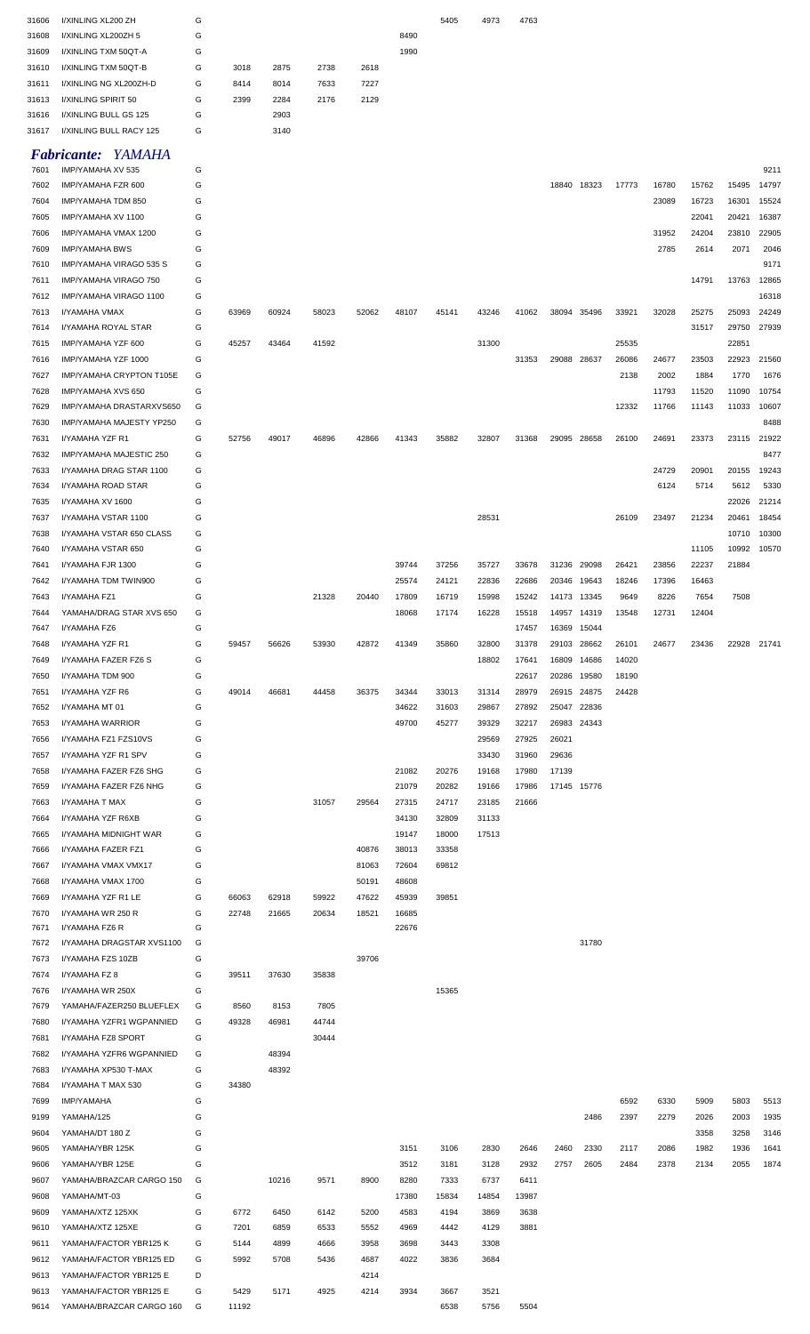| 31606 | I/XINLING XL200 ZH        | G |       |       |       |       |       | 5405  | 4973  | 4763  |             |       |       |       |       |             |       |
|-------|---------------------------|---|-------|-------|-------|-------|-------|-------|-------|-------|-------------|-------|-------|-------|-------|-------------|-------|
| 31608 | I/XINLING XL200ZH 5       | G |       |       |       |       | 8490  |       |       |       |             |       |       |       |       |             |       |
| 31609 | I/XINLING TXM 50QT-A      | G |       |       |       |       | 1990  |       |       |       |             |       |       |       |       |             |       |
|       |                           |   |       |       |       |       |       |       |       |       |             |       |       |       |       |             |       |
| 31610 | I/XINLING TXM 50QT-B      | G | 3018  | 2875  | 2738  | 2618  |       |       |       |       |             |       |       |       |       |             |       |
| 31611 | I/XINLING NG XL200ZH-D    | G | 8414  | 8014  | 7633  | 7227  |       |       |       |       |             |       |       |       |       |             |       |
| 31613 | I/XINLING SPIRIT 50       | G | 2399  | 2284  | 2176  | 2129  |       |       |       |       |             |       |       |       |       |             |       |
| 31616 | I/XINLING BULL GS 125     | G |       | 2903  |       |       |       |       |       |       |             |       |       |       |       |             |       |
|       |                           | G |       |       |       |       |       |       |       |       |             |       |       |       |       |             |       |
| 31617 | I/XINLING BULL RACY 125   |   |       | 3140  |       |       |       |       |       |       |             |       |       |       |       |             |       |
|       | <b>Fabricante: YAMAHA</b> |   |       |       |       |       |       |       |       |       |             |       |       |       |       |             |       |
|       | IMP/YAMAHA XV 535         | G |       |       |       |       |       |       |       |       |             |       |       |       |       |             |       |
| 7601  |                           |   |       |       |       |       |       |       |       |       |             |       |       |       |       |             | 9211  |
| 7602  | IMP/YAMAHA FZR 600        | G |       |       |       |       |       |       |       |       | 18840 18323 |       | 17773 | 16780 | 15762 | 15495       | 14797 |
| 7604  | IMP/YAMAHA TDM 850        | G |       |       |       |       |       |       |       |       |             |       |       | 23089 | 16723 | 16301       | 15524 |
| 7605  | IMP/YAMAHA XV 1100        | G |       |       |       |       |       |       |       |       |             |       |       |       | 22041 | 20421       | 16387 |
| 7606  | IMP/YAMAHA VMAX 1200      | G |       |       |       |       |       |       |       |       |             |       |       | 31952 | 24204 | 23810       | 22905 |
|       |                           |   |       |       |       |       |       |       |       |       |             |       |       |       |       |             |       |
| 7609  | <b>IMP/YAMAHA BWS</b>     | G |       |       |       |       |       |       |       |       |             |       |       | 2785  | 2614  | 2071        | 2046  |
| 7610  | IMP/YAMAHA VIRAGO 535 S   | G |       |       |       |       |       |       |       |       |             |       |       |       |       |             | 9171  |
| 7611  | IMP/YAMAHA VIRAGO 750     | G |       |       |       |       |       |       |       |       |             |       |       |       | 14791 | 13763       | 12865 |
| 7612  | IMP/YAMAHA VIRAGO 1100    | G |       |       |       |       |       |       |       |       |             |       |       |       |       |             | 16318 |
| 7613  |                           | G | 63969 | 60924 | 58023 | 52062 | 48107 | 45141 | 43246 | 41062 | 38094 35496 |       | 33921 | 32028 | 25275 | 25093       | 24249 |
|       | I/YAMAHA VMAX             |   |       |       |       |       |       |       |       |       |             |       |       |       |       |             |       |
| 7614  | I/YAMAHA ROYAL STAR       | G |       |       |       |       |       |       |       |       |             |       |       |       | 31517 | 29750       | 27939 |
| 7615  | IMP/YAMAHA YZF 600        | G | 45257 | 43464 | 41592 |       |       |       | 31300 |       |             |       | 25535 |       |       | 22851       |       |
| 7616  | IMP/YAMAHA YZF 1000       | G |       |       |       |       |       |       |       | 31353 | 29088 28637 |       | 26086 | 24677 | 23503 | 22923       | 21560 |
| 7627  | IMP/YAMAHA CRYPTON T105E  | G |       |       |       |       |       |       |       |       |             |       | 2138  | 2002  | 1884  | 1770        | 1676  |
|       |                           |   |       |       |       |       |       |       |       |       |             |       |       |       |       |             |       |
| 7628  | IMP/YAMAHA XVS 650        | G |       |       |       |       |       |       |       |       |             |       |       | 11793 | 11520 | 11090       | 10754 |
| 7629  | IMP/YAMAHA DRASTARXVS650  | G |       |       |       |       |       |       |       |       |             |       | 12332 | 11766 | 11143 | 11033       | 10607 |
| 7630  | IMP/YAMAHA MAJESTY YP250  | G |       |       |       |       |       |       |       |       |             |       |       |       |       |             | 8488  |
| 7631  | I/YAMAHA YZF R1           | G | 52756 | 49017 | 46896 | 42866 | 41343 | 35882 | 32807 | 31368 | 29095 28658 |       | 26100 | 24691 | 23373 | 23115 21922 |       |
|       |                           |   |       |       |       |       |       |       |       |       |             |       |       |       |       |             |       |
| 7632  | IMP/YAMAHA MAJESTIC 250   | G |       |       |       |       |       |       |       |       |             |       |       |       |       |             | 8477  |
| 7633  | I/YAMAHA DRAG STAR 1100   | G |       |       |       |       |       |       |       |       |             |       |       | 24729 | 20901 | 20155       | 19243 |
| 7634  | I/YAMAHA ROAD STAR        | G |       |       |       |       |       |       |       |       |             |       |       | 6124  | 5714  | 5612        | 5330  |
| 7635  | I/YAMAHA XV 1600          | G |       |       |       |       |       |       |       |       |             |       |       |       |       | 22026       | 21214 |
| 7637  | I/YAMAHA VSTAR 1100       | G |       |       |       |       |       |       | 28531 |       |             |       | 26109 | 23497 | 21234 | 20461       | 18454 |
|       |                           |   |       |       |       |       |       |       |       |       |             |       |       |       |       |             |       |
| 7638  | I/YAMAHA VSTAR 650 CLASS  | G |       |       |       |       |       |       |       |       |             |       |       |       |       | 10710       | 10300 |
| 7640  | I/YAMAHA VSTAR 650        | G |       |       |       |       |       |       |       |       |             |       |       |       | 11105 | 10992       | 10570 |
| 7641  | I/YAMAHA FJR 1300         | G |       |       |       |       | 39744 | 37256 | 35727 | 33678 | 31236 29098 |       | 26421 | 23856 | 22237 | 21884       |       |
| 7642  | I/YAMAHA TDM TWIN900      | G |       |       |       |       | 25574 | 24121 | 22836 | 22686 | 20346 19643 |       | 18246 | 17396 | 16463 |             |       |
| 7643  | I/YAMAHA FZ1              | G |       |       | 21328 | 20440 | 17809 | 16719 | 15998 | 15242 | 14173 13345 |       | 9649  | 8226  | 7654  | 7508        |       |
|       |                           |   |       |       |       |       |       |       |       |       |             |       |       |       |       |             |       |
| 7644  | YAMAHA/DRAG STAR XVS 650  | G |       |       |       |       | 18068 | 17174 | 16228 | 15518 | 14957       | 14319 | 13548 | 12731 | 12404 |             |       |
| 7647  | I/YAMAHA FZ6              | G |       |       |       |       |       |       |       | 17457 | 16369 15044 |       |       |       |       |             |       |
| 7648  | I/YAMAHA YZF R1           | G | 59457 | 56626 | 53930 | 42872 | 41349 | 35860 | 32800 | 31378 | 29103 28662 |       | 26101 | 24677 | 23436 | 22928 21741 |       |
| 7649  | I/YAMAHA FAZER FZ6 S      | G |       |       |       |       |       |       | 18802 | 17641 | 16809       | 14686 | 14020 |       |       |             |       |
| 7650  | I/YAMAHA TDM 900          | G |       |       |       |       |       |       |       | 22617 | 20286       | 19580 | 18190 |       |       |             |       |
|       |                           |   |       |       |       |       |       |       |       |       |             |       |       |       |       |             |       |
| 7651  | I/YAMAHA YZF R6           | G | 49014 | 46681 | 44458 | 36375 | 34344 | 33013 | 31314 | 28979 | 26915 24875 |       | 24428 |       |       |             |       |
| 7652  | I/YAMAHA MT 01            | G |       |       |       |       | 34622 | 31603 | 29867 | 27892 | 25047 22836 |       |       |       |       |             |       |
| 7653  | <b>I/YAMAHA WARRIOR</b>   | G |       |       |       |       | 49700 | 45277 | 39329 | 32217 | 26983 24343 |       |       |       |       |             |       |
| 7656  | I/YAMAHA FZ1 FZS10VS      | G |       |       |       |       |       |       | 29569 | 27925 | 26021       |       |       |       |       |             |       |
|       |                           |   |       |       |       |       |       |       |       |       |             |       |       |       |       |             |       |
| 7657  | I/YAMAHA YZF R1 SPV       | G |       |       |       |       |       |       | 33430 | 31960 | 29636       |       |       |       |       |             |       |
| 7658  | I/YAMAHA FAZER FZ6 SHG    | G |       |       |       |       | 21082 | 20276 | 19168 | 17980 | 17139       |       |       |       |       |             |       |
| 7659  | I/YAMAHA FAZER FZ6 NHG    | G |       |       |       |       | 21079 | 20282 | 19166 | 17986 | 17145 15776 |       |       |       |       |             |       |
| 7663  | I/YAMAHA T MAX            | G |       |       | 31057 | 29564 | 27315 | 24717 | 23185 | 21666 |             |       |       |       |       |             |       |
|       |                           |   |       |       |       |       |       |       |       |       |             |       |       |       |       |             |       |
| 7664  | I/YAMAHA YZF R6XB         | G |       |       |       |       | 34130 | 32809 | 31133 |       |             |       |       |       |       |             |       |
| 7665  | I/YAMAHA MIDNIGHT WAR     | G |       |       |       |       | 19147 | 18000 | 17513 |       |             |       |       |       |       |             |       |
| 7666  | I/YAMAHA FAZER FZ1        | G |       |       |       | 40876 | 38013 | 33358 |       |       |             |       |       |       |       |             |       |
| 7667  | I/YAMAHA VMAX VMX17       | G |       |       |       | 81063 | 72604 | 69812 |       |       |             |       |       |       |       |             |       |
| 7668  | I/YAMAHA VMAX 1700        | G |       |       |       | 50191 | 48608 |       |       |       |             |       |       |       |       |             |       |
|       |                           |   |       |       |       |       |       |       |       |       |             |       |       |       |       |             |       |
| 7669  | I/YAMAHA YZF R1 LE        | G | 66063 | 62918 | 59922 | 47622 | 45939 | 39851 |       |       |             |       |       |       |       |             |       |
| 7670  | I/YAMAHA WR 250 R         | G | 22748 | 21665 | 20634 | 18521 | 16685 |       |       |       |             |       |       |       |       |             |       |
| 7671  | I/YAMAHA FZ6 R            | G |       |       |       |       | 22676 |       |       |       |             |       |       |       |       |             |       |
| 7672  | I/YAMAHA DRAGSTAR XVS1100 | G |       |       |       |       |       |       |       |       |             | 31780 |       |       |       |             |       |
| 7673  | I/YAMAHA FZS 10ZB         | G |       |       |       | 39706 |       |       |       |       |             |       |       |       |       |             |       |
| 7674  | I/YAMAHA FZ 8             | G | 39511 | 37630 | 35838 |       |       |       |       |       |             |       |       |       |       |             |       |
|       |                           |   |       |       |       |       |       |       |       |       |             |       |       |       |       |             |       |
| 7676  | I/YAMAHA WR 250X          | G |       |       |       |       |       | 15365 |       |       |             |       |       |       |       |             |       |
| 7679  | YAMAHA/FAZER250 BLUEFLEX  | G | 8560  | 8153  | 7805  |       |       |       |       |       |             |       |       |       |       |             |       |
| 7680  | I/YAMAHA YZFR1 WGPANNIED  | G | 49328 | 46981 | 44744 |       |       |       |       |       |             |       |       |       |       |             |       |
| 7681  | I/YAMAHA FZ8 SPORT        | G |       |       | 30444 |       |       |       |       |       |             |       |       |       |       |             |       |
|       |                           |   |       |       |       |       |       |       |       |       |             |       |       |       |       |             |       |
| 7682  | I/YAMAHA YZFR6 WGPANNIED  | G |       | 48394 |       |       |       |       |       |       |             |       |       |       |       |             |       |
| 7683  | I/YAMAHA XP530 T-MAX      | G |       | 48392 |       |       |       |       |       |       |             |       |       |       |       |             |       |
| 7684  | I/YAMAHA T MAX 530        | G | 34380 |       |       |       |       |       |       |       |             |       |       |       |       |             |       |
| 7699  | <b>IMP/YAMAHA</b>         | G |       |       |       |       |       |       |       |       |             |       | 6592  | 6330  | 5909  | 5803        | 5513  |
| 9199  | YAMAHA/125                | G |       |       |       |       |       |       |       |       |             | 2486  | 2397  | 2279  | 2026  | 2003        | 1935  |
|       |                           |   |       |       |       |       |       |       |       |       |             |       |       |       |       |             |       |
| 9604  | YAMAHA/DT 180 Z           | G |       |       |       |       |       |       |       |       |             |       |       |       | 3358  | 3258        | 3146  |
| 9605  | YAMAHA/YBR 125K           | G |       |       |       |       | 3151  | 3106  | 2830  | 2646  | 2460        | 2330  | 2117  | 2086  | 1982  | 1936        | 1641  |
| 9606  | YAMAHA/YBR 125E           | G |       |       |       |       | 3512  | 3181  | 3128  | 2932  | 2757        | 2605  | 2484  | 2378  | 2134  | 2055        | 1874  |
| 9607  | YAMAHA/BRAZCAR CARGO 150  | G |       | 10216 | 9571  | 8900  | 8280  | 7333  | 6737  | 6411  |             |       |       |       |       |             |       |
|       |                           |   |       |       |       |       |       |       |       |       |             |       |       |       |       |             |       |
| 9608  | YAMAHA/MT-03              | G |       |       |       |       | 17380 | 15834 | 14854 | 13987 |             |       |       |       |       |             |       |
| 9609  | YAMAHA/XTZ 125XK          | G | 6772  | 6450  | 6142  | 5200  | 4583  | 4194  | 3869  | 3638  |             |       |       |       |       |             |       |
| 9610  | YAMAHA/XTZ 125XE          | G | 7201  | 6859  | 6533  | 5552  | 4969  | 4442  | 4129  | 3881  |             |       |       |       |       |             |       |
|       | YAMAHA/FACTOR YBR125 K    | G | 5144  | 4899  | 4666  | 3958  | 3698  | 3443  | 3308  |       |             |       |       |       |       |             |       |
| 9611  |                           |   |       |       |       |       |       |       |       |       |             |       |       |       |       |             |       |
|       |                           |   |       |       |       |       |       |       |       |       |             |       |       |       |       |             |       |
| 9612  | YAMAHA/FACTOR YBR125 ED   | G | 5992  | 5708  | 5436  | 4687  | 4022  | 3836  | 3684  |       |             |       |       |       |       |             |       |
| 9613  | YAMAHA/FACTOR YBR125 E    | D |       |       |       | 4214  |       |       |       |       |             |       |       |       |       |             |       |
| 9613  | YAMAHA/FACTOR YBR125 E    | G | 5429  | 5171  | 4925  | 4214  | 3934  | 3667  | 3521  |       |             |       |       |       |       |             |       |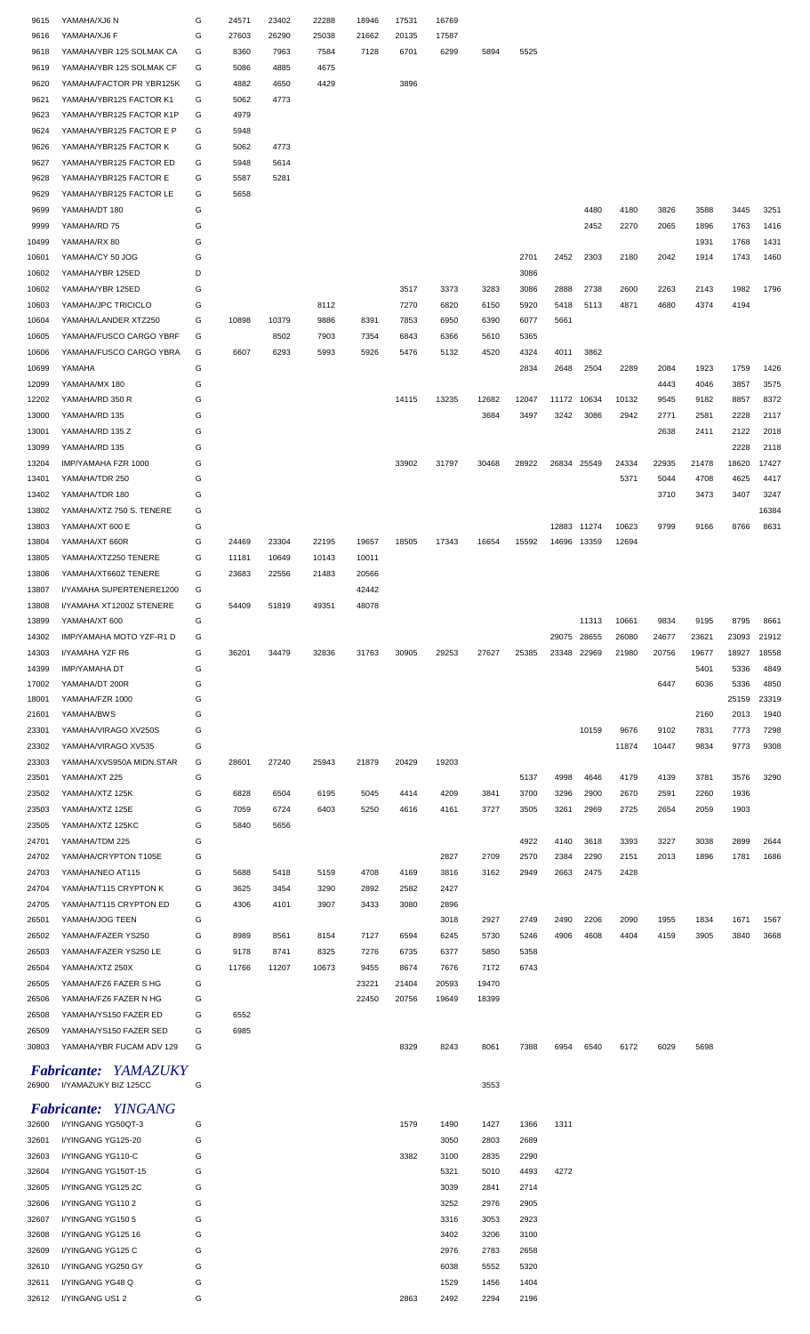| 9615           | YAMAHA/XJ6 N                                    | G      | 24571        | 23402        | 22288        | 18946        | 17531        | 16769        |              |              |       |       |       |       |       |       |       |
|----------------|-------------------------------------------------|--------|--------------|--------------|--------------|--------------|--------------|--------------|--------------|--------------|-------|-------|-------|-------|-------|-------|-------|
| 9616           | YAMAHA/XJ6 F                                    | G      | 27603        | 26290        | 25038        | 21662        | 20135        | 17587        |              |              |       |       |       |       |       |       |       |
| 9618           | YAMAHA/YBR 125 SOLMAK CA                        | G      | 8360         | 7963         | 7584         | 7128         | 6701         | 6299         | 5894         | 5525         |       |       |       |       |       |       |       |
| 9619           | YAMAHA/YBR 125 SOLMAK CF                        | G      | 5086         | 4885         | 4675         |              |              |              |              |              |       |       |       |       |       |       |       |
| 9620           | YAMAHA/FACTOR PR YBR125K                        | G      | 4882         | 4650         | 4429         |              | 3896         |              |              |              |       |       |       |       |       |       |       |
| 9621           | YAMAHA/YBR125 FACTOR K1                         | G      | 5062         | 4773         |              |              |              |              |              |              |       |       |       |       |       |       |       |
| 9623           | YAMAHA/YBR125 FACTOR K1P                        | G      | 4979         |              |              |              |              |              |              |              |       |       |       |       |       |       |       |
| 9624           | YAMAHA/YBR125 FACTOR E P                        | G      | 5948         |              |              |              |              |              |              |              |       |       |       |       |       |       |       |
| 9626           | YAMAHA/YBR125 FACTOR K                          | G      | 5062         | 4773         |              |              |              |              |              |              |       |       |       |       |       |       |       |
| 9627           | YAMAHA/YBR125 FACTOR ED                         | G      | 5948         | 5614         |              |              |              |              |              |              |       |       |       |       |       |       |       |
| 9628           | YAMAHA/YBR125 FACTOR E                          | G      | 5587         | 5281         |              |              |              |              |              |              |       |       |       |       |       |       |       |
| 9629           | YAMAHA/YBR125 FACTOR LE                         | G      | 5658         |              |              |              |              |              |              |              |       |       |       |       |       |       |       |
| 9699           | YAMAHA/DT 180                                   | G      |              |              |              |              |              |              |              |              |       | 4480  | 4180  | 3826  | 3588  | 3445  | 3251  |
| 9999           | YAMAHA/RD 75                                    | G      |              |              |              |              |              |              |              |              |       | 2452  | 2270  | 2065  | 1896  | 1763  | 1416  |
| 10499          | YAMAHA/RX 80                                    | G      |              |              |              |              |              |              |              |              |       |       |       |       | 1931  | 1768  | 1431  |
| 10601          | YAMAHA/CY 50 JOG                                | G      |              |              |              |              |              |              |              | 2701         | 2452  | 2303  | 2180  | 2042  | 1914  | 1743  | 1460  |
| 10602          | YAMAHA/YBR 125ED                                | D      |              |              |              |              |              |              |              | 3086         |       |       |       |       |       |       |       |
| 10602          | YAMAHA/YBR 125ED                                | G      |              |              |              |              | 3517         | 3373         | 3283         | 3086         | 2888  | 2738  | 2600  | 2263  | 2143  | 1982  | 1796  |
| 10603          | YAMAHA/JPC TRICICLO                             | G      |              |              | 8112         |              | 7270         | 6820         | 6150         | 5920         | 5418  | 5113  | 4871  | 4680  | 4374  | 4194  |       |
| 10604          | YAMAHA/LANDER XTZ250                            | G      | 10898        | 10379        | 9886         | 8391         | 7853         | 6950         | 6390         | 6077         | 5661  |       |       |       |       |       |       |
| 10605          | YAMAHA/FUSCO CARGO YBRF                         | G      |              | 8502         | 7903         | 7354         | 6843         | 6366         | 5610         | 5365         |       |       |       |       |       |       |       |
| 10606          | YAMAHA/FUSCO CARGO YBRA                         | G      | 6607         | 6293         | 5993         | 5926         | 5476         | 5132         | 4520         | 4324         | 4011  | 3862  |       |       |       |       |       |
| 10699          | YAMAHA                                          | G      |              |              |              |              |              |              |              | 2834         | 2648  | 2504  | 2289  | 2084  | 1923  | 1759  | 1426  |
| 12099          | YAMAHA/MX 180                                   | G      |              |              |              |              |              |              |              |              |       |       |       | 4443  | 4046  | 3857  | 3575  |
| 12202          | YAMAHA/RD 350 R                                 | G      |              |              |              |              | 14115        | 13235        | 12682        | 12047        | 11172 | 10634 | 10132 | 9545  | 9182  | 8857  | 8372  |
| 13000          | YAMAHA/RD 135                                   | G      |              |              |              |              |              |              | 3684         | 3497         | 3242  | 3086  | 2942  | 2771  | 2581  | 2228  | 2117  |
| 13001          | YAMAHA/RD 135 Z                                 | G      |              |              |              |              |              |              |              |              |       |       |       | 2638  | 2411  | 2122  | 2018  |
| 13099          | YAMAHA/RD 135                                   | G      |              |              |              |              |              |              |              |              |       |       |       |       |       | 2228  | 2118  |
| 13204          | IMP/YAMAHA FZR 1000                             | G      |              |              |              |              | 33902        | 31797        | 30468        | 28922        | 26834 | 25549 | 24334 | 22935 | 21478 | 18620 | 17427 |
| 13401          | YAMAHA/TDR 250                                  | G      |              |              |              |              |              |              |              |              |       |       | 5371  | 5044  | 4708  | 4625  | 4417  |
| 13402          | YAMAHA/TDR 180                                  | G      |              |              |              |              |              |              |              |              |       |       |       | 3710  | 3473  | 3407  | 3247  |
| 13802          | YAMAHA/XTZ 750 S. TENERE                        | G      |              |              |              |              |              |              |              |              |       |       |       |       |       |       | 16384 |
| 13803          | YAMAHA/XT 600 E                                 | G      |              |              |              |              |              |              |              |              | 12883 | 11274 | 10623 | 9799  | 9166  | 8766  | 8631  |
| 13804          | YAMAHA/XT 660R                                  | G      | 24469        | 23304        | 22195        | 19657        | 18505        | 17343        | 16654        | 15592        | 14696 | 13359 | 12694 |       |       |       |       |
| 13805          | YAMAHA/XTZ250 TENERE                            | G      | 11181        | 10649        | 10143        | 10011        |              |              |              |              |       |       |       |       |       |       |       |
| 13806          | YAMAHA/XT660Z TENERE                            | G      | 23683        | 22556        | 21483        | 20566        |              |              |              |              |       |       |       |       |       |       |       |
| 13807          | I/YAMAHA SUPERTENERE1200                        | G      |              |              |              | 42442        |              |              |              |              |       |       |       |       |       |       |       |
| 13808          | I/YAMAHA XT1200Z STENERE                        | G      | 54409        | 51819        | 49351        | 48078        |              |              |              |              |       |       |       |       |       |       |       |
| 13899          | YAMAHA/XT 600                                   | G      |              |              |              |              |              |              |              |              |       | 11313 | 10661 | 9834  | 9195  | 8795  | 8661  |
| 14302          | IMP/YAMAHA MOTO YZF-R1 D                        | G      |              |              |              |              |              |              |              |              | 29075 | 28655 | 26080 | 24677 | 23621 | 23093 | 21912 |
| 14303          | I/YAMAHA YZF R6                                 | G      | 36201        | 34479        | 32836        | 31763        | 30905        | 29253        | 27627        | 25385        | 23348 | 22969 | 21980 | 20756 | 19677 | 18927 | 18558 |
| 14399          | IMP/YAMAHA DT                                   | G      |              |              |              |              |              |              |              |              |       |       |       |       | 5401  | 5336  | 4849  |
| 17002          | YAMAHA/DT 200R                                  | G      |              |              |              |              |              |              |              |              |       |       |       | 6447  | 6036  | 5336  | 4850  |
| 18001          | YAMAHA/FZR 1000                                 | G      |              |              |              |              |              |              |              |              |       |       |       |       |       | 25159 | 23319 |
| 21601          | YAMAHA/BWS                                      | G      |              |              |              |              |              |              |              |              |       |       |       |       | 2160  | 2013  | 1940  |
| 23301          | YAMAHA/VIRAGO XV250S                            | G      |              |              |              |              |              |              |              |              |       | 10159 | 9676  | 9102  | 7831  | 7773  | 7298  |
| 23302          | YAMAHA/VIRAGO XV535                             | G      |              |              |              |              |              |              |              |              |       |       | 11874 | 10447 | 9834  | 9773  | 9308  |
| 23303          | YAMAHA/XVS950A MIDN.STAR                        | G      | 28601        | 27240        | 25943        | 21879        | 20429        | 19203        |              |              |       |       |       |       |       |       |       |
| 23501          | YAMAHA/XT 225                                   | G      |              |              |              |              |              |              |              | 5137         | 4998  | 4646  | 4179  | 4139  | 3781  | 3576  | 3290  |
| 23502          | YAMAHA/XTZ 125K                                 | G      | 6828         | 6504         | 6195         | 5045         | 4414         | 4209         | 3841         | 3700         | 3296  | 2900  | 2670  | 2591  | 2260  | 1936  |       |
| 23503          | YAMAHA/XTZ 125E                                 | G      | 7059         | 6724         | 6403         | 5250         | 4616         | 4161         | 3727         | 3505         | 3261  | 2969  | 2725  | 2654  | 2059  | 1903  |       |
| 23505          | YAMAHA/XTZ 125KC                                | G      | 5840         | 5656         |              |              |              |              |              |              |       |       |       |       |       |       |       |
| 24701          | YAMAHA/TDM 225                                  | G      |              |              |              |              |              |              |              | 4922         | 4140  | 3618  | 3393  | 3227  | 3038  | 2899  | 2644  |
| 24702          | YAMAHA/CRYPTON T105E                            | G      |              |              |              |              |              | 2827         | 2709         | 2570         | 2384  | 2290  | 2151  | 2013  | 1896  | 1781  | 1686  |
| 24703          | YAMAHA/NEO AT115                                | G      | 5688         | 5418         | 5159         | 4708         | 4169         | 3816         | 3162         | 2949         | 2663  | 2475  | 2428  |       |       |       |       |
|                |                                                 |        |              |              |              |              |              |              |              |              |       |       |       |       |       |       |       |
| 24704<br>24705 | YAMAHA/T115 CRYPTON K<br>YAMAHA/T115 CRYPTON ED | G<br>G | 3625<br>4306 | 3454<br>4101 | 3290<br>3907 | 2892<br>3433 | 2582<br>3080 | 2427<br>2896 |              |              |       |       |       |       |       |       |       |
| 26501          | YAMAHA/JOG TEEN                                 | G      |              |              |              |              |              | 3018         | 2927         | 2749         | 2490  | 2206  | 2090  | 1955  | 1834  | 1671  | 1567  |
|                |                                                 |        |              |              |              |              |              |              |              |              |       |       |       |       |       |       |       |
| 26502<br>26503 | YAMAHA/FAZER YS250<br>YAMAHA/FAZER YS250 LE     | G<br>G | 8989<br>9178 | 8561<br>8741 | 8154<br>8325 | 7127<br>7276 | 6594<br>6735 | 6245<br>6377 | 5730<br>5850 | 5246<br>5358 | 4906  | 4608  | 4404  | 4159  | 3905  | 3840  | 3668  |
| 26504          | YAMAHA/XTZ 250X                                 | G      | 11766        | 11207        | 10673        | 9455         | 8674         | 7676         | 7172         | 6743         |       |       |       |       |       |       |       |
| 26505          | YAMAHA/FZ6 FAZER S HG                           | G      |              |              |              | 23221        | 21404        | 20593        | 19470        |              |       |       |       |       |       |       |       |
|                |                                                 |        |              |              |              |              |              |              |              |              |       |       |       |       |       |       |       |
| 26506          | YAMAHA/FZ6 FAZER N HG                           | G      |              |              |              | 22450        | 20756        | 19649        | 18399        |              |       |       |       |       |       |       |       |
| 26508          | YAMAHA/YS150 FAZER ED                           | G      | 6552         |              |              |              |              |              |              |              |       |       |       |       |       |       |       |
| 26509          | YAMAHA/YS150 FAZER SED                          | G      | 6985         |              |              |              |              |              |              |              |       |       |       |       |       |       |       |
| 30803          | YAMAHA/YBR FUCAM ADV 129                        | G      |              |              |              |              | 8329         | 8243         | 8061         | 7388         | 6954  | 6540  | 6172  | 6029  | 5698  |       |       |
|                | <b>Fabricante: YAMAZUKY</b>                     |        |              |              |              |              |              |              |              |              |       |       |       |       |       |       |       |
| 26900          | I/YAMAZUKY BIZ 125CC                            | G      |              |              |              |              |              |              | 3553         |              |       |       |       |       |       |       |       |
|                |                                                 |        |              |              |              |              |              |              |              |              |       |       |       |       |       |       |       |
|                | <b>Fabricante: YINGANG</b>                      |        |              |              |              |              |              |              |              |              |       |       |       |       |       |       |       |
| 32600          | I/YINGANG YG50QT-3                              | G      |              |              |              |              | 1579         | 1490         | 1427         | 1366         | 1311  |       |       |       |       |       |       |
| 32601          | I/YINGANG YG125-20                              | G      |              |              |              |              |              | 3050         | 2803         | 2689         |       |       |       |       |       |       |       |
| 32603          | I/YINGANG YG110-C                               | G      |              |              |              |              | 3382         | 3100         | 2835         | 2290         |       |       |       |       |       |       |       |
| 32604          | I/YINGANG YG150T-15                             | G      |              |              |              |              |              | 5321         | 5010         | 4493         | 4272  |       |       |       |       |       |       |
|                |                                                 |        |              |              |              |              |              |              |              |              |       |       |       |       |       |       |       |
| 32605          | I/YINGANG YG125 2C                              | G      |              |              |              |              |              | 3039         | 2841         | 2714         |       |       |       |       |       |       |       |
| 32606          | I/YINGANG YG1102                                | G      |              |              |              |              |              | 3252         | 2976         | 2905         |       |       |       |       |       |       |       |
| 32607          | I/YINGANG YG150 5                               | G      |              |              |              |              |              | 3316         | 3053         | 2923         |       |       |       |       |       |       |       |
| 32608          | I/YINGANG YG125 16                              | G      |              |              |              |              |              | 3402         | 3206         | 3100         |       |       |       |       |       |       |       |
| 32609          | I/YINGANG YG125 C                               | G      |              |              |              |              |              | 2976         | 2783         | 2658         |       |       |       |       |       |       |       |
| 32610          | I/YINGANG YG250 GY                              | G      |              |              |              |              |              | 6038         | 5552         | 5320         |       |       |       |       |       |       |       |
| 32611<br>32612 | I/YINGANG YG48 Q<br>I/YINGANG US1 2             | G<br>G |              |              |              |              | 2863         | 1529<br>2492 | 1456<br>2294 | 1404<br>2196 |       |       |       |       |       |       |       |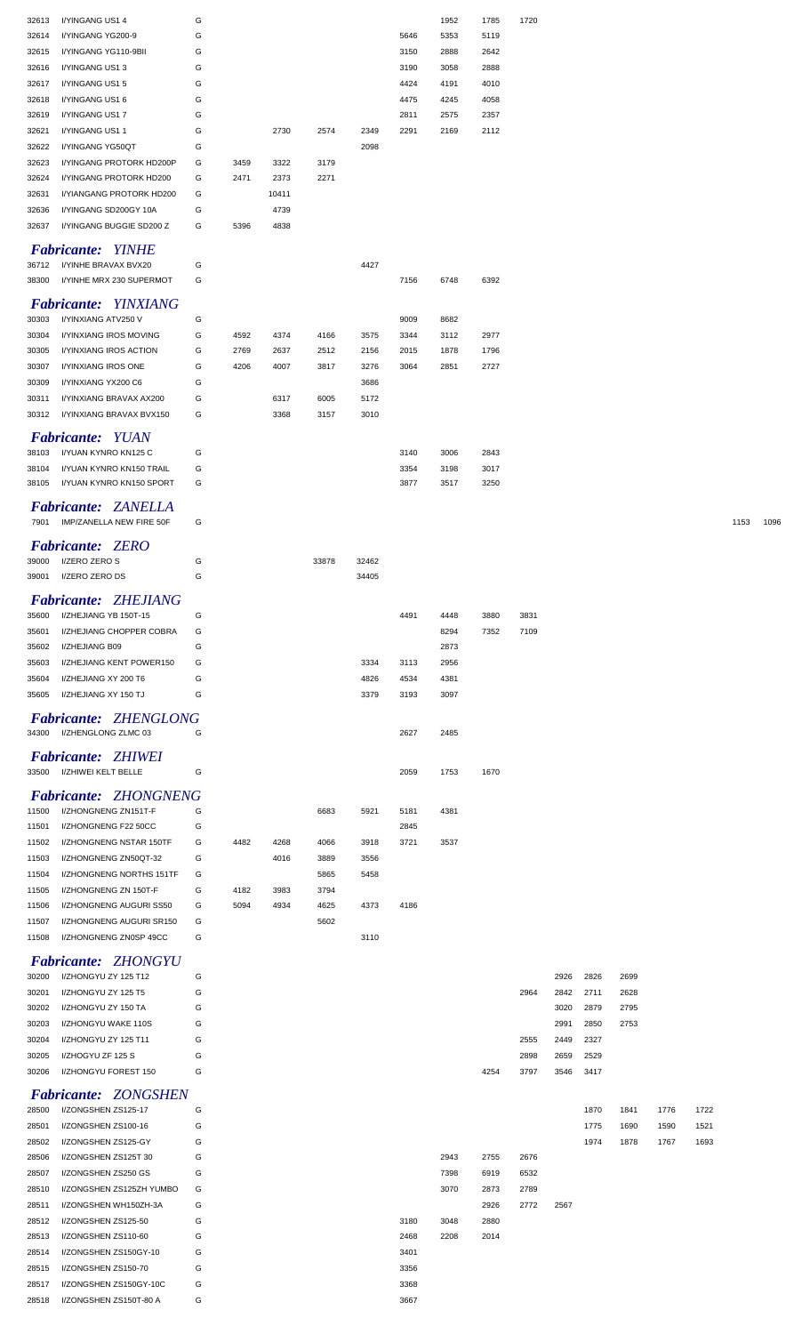| 32613 | I/YINGANG US1 4              | G |      |       |       |       |      | 1952 | 1785 | 1720 |      |      |      |      |      |      |      |
|-------|------------------------------|---|------|-------|-------|-------|------|------|------|------|------|------|------|------|------|------|------|
|       |                              |   |      |       |       |       |      |      |      |      |      |      |      |      |      |      |      |
| 32614 | I/YINGANG YG200-9            | G |      |       |       |       | 5646 | 5353 | 5119 |      |      |      |      |      |      |      |      |
| 32615 | I/YINGANG YG110-9BII         | G |      |       |       |       | 3150 | 2888 | 2642 |      |      |      |      |      |      |      |      |
| 32616 | I/YINGANG US13               | G |      |       |       |       | 3190 | 3058 | 2888 |      |      |      |      |      |      |      |      |
| 32617 | I/YINGANG US1 5              | G |      |       |       |       | 4424 | 4191 | 4010 |      |      |      |      |      |      |      |      |
| 32618 | I/YINGANG US1 6              | G |      |       |       |       | 4475 | 4245 | 4058 |      |      |      |      |      |      |      |      |
| 32619 | I/YINGANG US17               | G |      |       |       |       | 2811 | 2575 | 2357 |      |      |      |      |      |      |      |      |
| 32621 | I/YINGANG US11               | G |      | 2730  | 2574  | 2349  | 2291 | 2169 | 2112 |      |      |      |      |      |      |      |      |
| 32622 | I/YINGANG YG50QT             | G |      |       |       | 2098  |      |      |      |      |      |      |      |      |      |      |      |
| 32623 | I/YINGANG PROTORK HD200P     | G | 3459 | 3322  | 3179  |       |      |      |      |      |      |      |      |      |      |      |      |
|       |                              |   |      |       |       |       |      |      |      |      |      |      |      |      |      |      |      |
| 32624 | I/YINGANG PROTORK HD200      | G | 2471 | 2373  | 2271  |       |      |      |      |      |      |      |      |      |      |      |      |
| 32631 | I/YIANGANG PROTORK HD200     | G |      | 10411 |       |       |      |      |      |      |      |      |      |      |      |      |      |
| 32636 | I/YINGANG SD200GY 10A        | G |      | 4739  |       |       |      |      |      |      |      |      |      |      |      |      |      |
| 32637 | I/YINGANG BUGGIE SD200 Z     | G | 5396 | 4838  |       |       |      |      |      |      |      |      |      |      |      |      |      |
|       |                              |   |      |       |       |       |      |      |      |      |      |      |      |      |      |      |      |
|       | <b>Fabricante: YINHE</b>     |   |      |       |       |       |      |      |      |      |      |      |      |      |      |      |      |
| 36712 | I/YINHE BRAVAX BVX20         | G |      |       |       | 4427  |      |      |      |      |      |      |      |      |      |      |      |
| 38300 | I/YINHE MRX 230 SUPERMOT     | G |      |       |       |       | 7156 | 6748 | 6392 |      |      |      |      |      |      |      |      |
|       | <b>Fabricante: YINXIANG</b>  |   |      |       |       |       |      |      |      |      |      |      |      |      |      |      |      |
| 30303 | I/YINXIANG ATV250 V          | G |      |       |       |       | 9009 | 8682 |      |      |      |      |      |      |      |      |      |
| 30304 | I/YINXIANG IROS MOVING       | G | 4592 | 4374  | 4166  | 3575  | 3344 | 3112 | 2977 |      |      |      |      |      |      |      |      |
|       |                              |   |      |       |       |       |      |      |      |      |      |      |      |      |      |      |      |
| 30305 | I/YINXIANG IROS ACTION       | G | 2769 | 2637  | 2512  | 2156  | 2015 | 1878 | 1796 |      |      |      |      |      |      |      |      |
| 30307 | I/YINXIANG IROS ONE          | G | 4206 | 4007  | 3817  | 3276  | 3064 | 2851 | 2727 |      |      |      |      |      |      |      |      |
| 30309 | I/YINXIANG YX200 C6          | G |      |       |       | 3686  |      |      |      |      |      |      |      |      |      |      |      |
| 30311 | I/YINXIANG BRAVAX AX200      | G |      | 6317  | 6005  | 5172  |      |      |      |      |      |      |      |      |      |      |      |
| 30312 | I/YINXIANG BRAVAX BVX150     | G |      | 3368  | 3157  | 3010  |      |      |      |      |      |      |      |      |      |      |      |
|       |                              |   |      |       |       |       |      |      |      |      |      |      |      |      |      |      |      |
|       | <b>Fabricante: YUAN</b>      |   |      |       |       |       |      |      |      |      |      |      |      |      |      |      |      |
| 38103 | I/YUAN KYNRO KN125 C         | G |      |       |       |       | 3140 | 3006 | 2843 |      |      |      |      |      |      |      |      |
| 38104 | I/YUAN KYNRO KN150 TRAIL     | G |      |       |       |       | 3354 | 3198 | 3017 |      |      |      |      |      |      |      |      |
| 38105 | I/YUAN KYNRO KN150 SPORT     | G |      |       |       |       | 3877 | 3517 | 3250 |      |      |      |      |      |      |      |      |
|       | <b>Fabricante: ZANELLA</b>   |   |      |       |       |       |      |      |      |      |      |      |      |      |      |      |      |
| 7901  | IMP/ZANELLA NEW FIRE 50F     | G |      |       |       |       |      |      |      |      |      |      |      |      |      | 1153 | 1096 |
|       |                              |   |      |       |       |       |      |      |      |      |      |      |      |      |      |      |      |
|       | <b>Fabricante: ZERO</b>      |   |      |       |       |       |      |      |      |      |      |      |      |      |      |      |      |
| 39000 | I/ZERO ZERO S                | G |      |       | 33878 | 32462 |      |      |      |      |      |      |      |      |      |      |      |
| 39001 | I/ZERO ZERO DS               | G |      |       |       | 34405 |      |      |      |      |      |      |      |      |      |      |      |
|       |                              |   |      |       |       |       |      |      |      |      |      |      |      |      |      |      |      |
|       | <b>Fabricante: ZHEJIANG</b>  |   |      |       |       |       |      |      |      |      |      |      |      |      |      |      |      |
| 35600 | I/ZHEJIANG YB 150T-15        | G |      |       |       |       | 4491 | 4448 | 3880 | 3831 |      |      |      |      |      |      |      |
| 35601 | I/ZHEJIANG CHOPPER COBRA     | G |      |       |       |       |      | 8294 | 7352 | 7109 |      |      |      |      |      |      |      |
| 35602 | I/ZHEJIANG B09               | G |      |       |       |       |      | 2873 |      |      |      |      |      |      |      |      |      |
| 35603 | I/ZHEJIANG KENT POWER150     | G |      |       |       | 3334  | 3113 | 2956 |      |      |      |      |      |      |      |      |      |
| 35604 | I/ZHEJIANG XY 200 T6         | G |      |       |       | 4826  | 4534 | 4381 |      |      |      |      |      |      |      |      |      |
|       |                              | G |      |       |       |       |      |      |      |      |      |      |      |      |      |      |      |
| 35605 | I/ZHEJIANG XY 150 TJ         |   |      |       |       | 3379  | 3193 | 3097 |      |      |      |      |      |      |      |      |      |
|       | <b>Fabricante: ZHENGLONG</b> |   |      |       |       |       |      |      |      |      |      |      |      |      |      |      |      |
| 34300 | I/ZHENGLONG ZLMC 03          | G |      |       |       |       | 2627 | 2485 |      |      |      |      |      |      |      |      |      |
|       |                              |   |      |       |       |       |      |      |      |      |      |      |      |      |      |      |      |
|       | <b>Fabricante: ZHIWEI</b>    |   |      |       |       |       |      |      |      |      |      |      |      |      |      |      |      |
| 33500 | I/ZHIWEI KELT BELLE          | G |      |       |       |       | 2059 | 1753 | 1670 |      |      |      |      |      |      |      |      |
|       |                              |   |      |       |       |       |      |      |      |      |      |      |      |      |      |      |      |
|       | <b>Fabricante: ZHONGNENG</b> |   |      |       |       |       |      |      |      |      |      |      |      |      |      |      |      |
| 11500 | I/ZHONGNENG ZN151T-F         | G |      |       | 6683  | 5921  | 5181 | 4381 |      |      |      |      |      |      |      |      |      |
| 11501 | I/ZHONGNENG F22 50CC         | G |      |       |       |       | 2845 |      |      |      |      |      |      |      |      |      |      |
| 11502 | I/ZHONGNENG NSTAR 150TF      | G | 4482 | 4268  | 4066  | 3918  | 3721 | 3537 |      |      |      |      |      |      |      |      |      |
| 11503 | I/ZHONGNENG ZN50QT-32        | G |      | 4016  | 3889  | 3556  |      |      |      |      |      |      |      |      |      |      |      |
| 11504 | I/ZHONGNENG NORTHS 151TF     | G |      |       | 5865  | 5458  |      |      |      |      |      |      |      |      |      |      |      |
| 11505 | I/ZHONGNENG ZN 150T-F        | G | 4182 | 3983  | 3794  |       |      |      |      |      |      |      |      |      |      |      |      |
| 11506 | I/ZHONGNENG AUGURI SS50      | G | 5094 | 4934  | 4625  | 4373  | 4186 |      |      |      |      |      |      |      |      |      |      |
| 11507 | I/ZHONGNENG AUGURI SR150     | G |      |       | 5602  |       |      |      |      |      |      |      |      |      |      |      |      |
| 11508 | I/ZHONGNENG ZN0SP 49CC       | G |      |       |       | 3110  |      |      |      |      |      |      |      |      |      |      |      |
|       |                              |   |      |       |       |       |      |      |      |      |      |      |      |      |      |      |      |
|       | <b>Fabricante: ZHONGYU</b>   |   |      |       |       |       |      |      |      |      |      |      |      |      |      |      |      |
| 30200 | I/ZHONGYU ZY 125 T12         | G |      |       |       |       |      |      |      |      | 2926 | 2826 | 2699 |      |      |      |      |
| 30201 |                              |   |      |       |       |       |      |      |      |      |      |      |      |      |      |      |      |
| 30202 | I/ZHONGYU ZY 125 T5          | G |      |       |       |       |      |      |      | 2964 | 2842 | 2711 | 2628 |      |      |      |      |
| 30203 | I/ZHONGYU ZY 150 TA          | G |      |       |       |       |      |      |      |      | 3020 | 2879 | 2795 |      |      |      |      |
| 30204 | I/ZHONGYU WAKE 110S          | G |      |       |       |       |      |      |      |      | 2991 | 2850 | 2753 |      |      |      |      |
|       |                              |   |      |       |       |       |      |      |      |      |      |      |      |      |      |      |      |
|       | I/ZHONGYU ZY 125 T11         | G |      |       |       |       |      |      |      | 2555 | 2449 | 2327 |      |      |      |      |      |
| 30205 | I/ZHOGYU ZF 125 S            | G |      |       |       |       |      |      |      | 2898 | 2659 | 2529 |      |      |      |      |      |
| 30206 | I/ZHONGYU FOREST 150         | G |      |       |       |       |      |      | 4254 | 3797 | 3546 | 3417 |      |      |      |      |      |
|       | <b>Fabricante: ZONGSHEN</b>  |   |      |       |       |       |      |      |      |      |      |      |      |      |      |      |      |
| 28500 | I/ZONGSHEN ZS125-17          | G |      |       |       |       |      |      |      |      |      | 1870 | 1841 | 1776 | 1722 |      |      |
|       |                              |   |      |       |       |       |      |      |      |      |      |      |      |      |      |      |      |
| 28501 | I/ZONGSHEN ZS100-16          | G |      |       |       |       |      |      |      |      |      | 1775 | 1690 | 1590 | 1521 |      |      |
| 28502 | I/ZONGSHEN ZS125-GY          | G |      |       |       |       |      |      |      |      |      | 1974 | 1878 | 1767 | 1693 |      |      |
| 28506 | I/ZONGSHEN ZS125T 30         | G |      |       |       |       |      | 2943 | 2755 | 2676 |      |      |      |      |      |      |      |
| 28507 | I/ZONGSHEN ZS250 GS          | G |      |       |       |       |      | 7398 | 6919 | 6532 |      |      |      |      |      |      |      |
| 28510 | I/ZONGSHEN ZS125ZH YUMBO     | G |      |       |       |       |      | 3070 | 2873 | 2789 |      |      |      |      |      |      |      |
| 28511 | I/ZONGSHEN WH150ZH-3A        | G |      |       |       |       |      |      | 2926 | 2772 | 2567 |      |      |      |      |      |      |
| 28512 | I/ZONGSHEN ZS125-50          | G |      |       |       |       | 3180 | 3048 | 2880 |      |      |      |      |      |      |      |      |
| 28513 | I/ZONGSHEN ZS110-60          | G |      |       |       |       | 2468 | 2208 | 2014 |      |      |      |      |      |      |      |      |
| 28514 | I/ZONGSHEN ZS150GY-10        | G |      |       |       |       | 3401 |      |      |      |      |      |      |      |      |      |      |
| 28515 | I/ZONGSHEN ZS150-70          | G |      |       |       |       | 3356 |      |      |      |      |      |      |      |      |      |      |
| 28517 | I/ZONGSHEN ZS150GY-10C       | G |      |       |       |       | 3368 |      |      |      |      |      |      |      |      |      |      |
| 28518 | I/ZONGSHEN ZS150T-80 A       | G |      |       |       |       | 3667 |      |      |      |      |      |      |      |      |      |      |